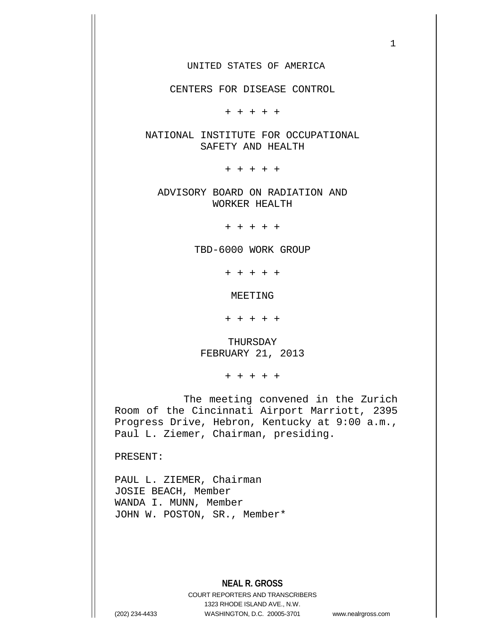### UNITED STATES OF AMERICA

CENTERS FOR DISEASE CONTROL

+ + + + +

NATIONAL INSTITUTE FOR OCCUPATIONAL SAFETY AND HEALTH

+ + + + +

ADVISORY BOARD ON RADIATION AND WORKER HEALTH

+ + + + +

TBD-6000 WORK GROUP

+ + + + +

MEETING

+ + + + +

THURSDAY FEBRUARY 21, 2013

+ + + + +

The meeting convened in the Zurich Room of the Cincinnati Airport Marriott, 2395 Progress Drive, Hebron, Kentucky at 9:00 a.m., Paul L. Ziemer, Chairman, presiding.

PRESENT:

PAUL L. ZIEMER, Chairman JOSIE BEACH, Member WANDA I. MUNN, Member JOHN W. POSTON, SR., Member\*

## **NEAL R. GROSS**

COURT REPORTERS AND TRANSCRIBERS 1323 RHODE ISLAND AVE., N.W. (202) 234-4433 WASHINGTON, D.C. 20005-3701 www.nealrgross.com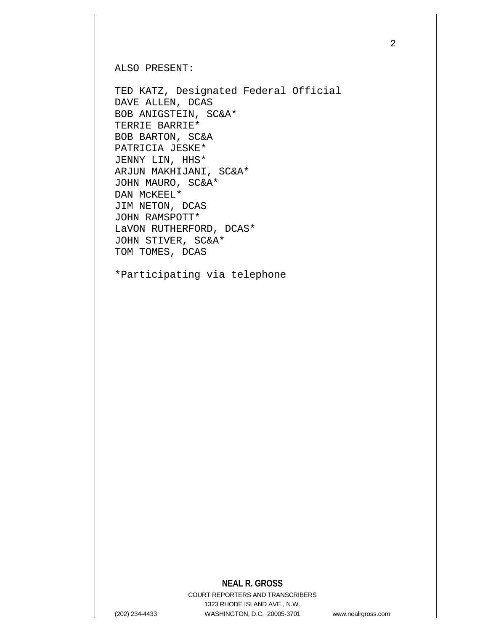ALSO PRESENT:

TED KATZ, Designated Federal Official DAVE ALLEN, DCAS BOB ANIGSTEIN, SC&A\* TERRIE BARRIE\* BOB BARTON, SC&A PATRICIA JESKE\* JENNY LIN, HHS\* ARJUN MAKHIJANI, SC&A\* JOHN MAURO, SC&A\* DAN McKEEL\* JIM NETON, DCAS JOHN RAMSPOTT\* LaVON RUTHERFORD, DCAS\* JOHN STIVER, SC&A\* TOM TOMES, DCAS

\*Participating via telephone

# **NEAL R. GROSS**

COURT REPORTERS AND TRANSCRIBERS 1323 RHODE ISLAND AVE., N.W. (202) 234-4433 WASHINGTON, D.C. 20005-3701 www.nealrgross.com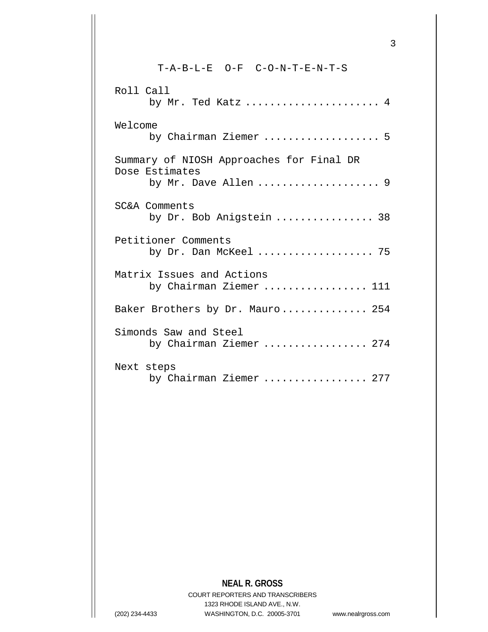T-A-B-L-E O-F C-O-N-T-E-N-T-S Roll Call by Mr. Ted Katz ...................... 4 Welcome by Chairman Ziemer ................... 5 Summary of NIOSH Approaches for Final DR Dose Estimates by Mr. Dave Allen ........................... 9 SC&A Comments by Dr. Bob Anigstein ................ 38 Petitioner Comments by Dr. Dan McKeel ................... 75 Matrix Issues and Actions by Chairman Ziemer ................. 111 Baker Brothers by Dr. Mauro.............. 254 Simonds Saw and Steel by Chairman Ziemer ................. 274 Next steps by Chairman Ziemer ................. 277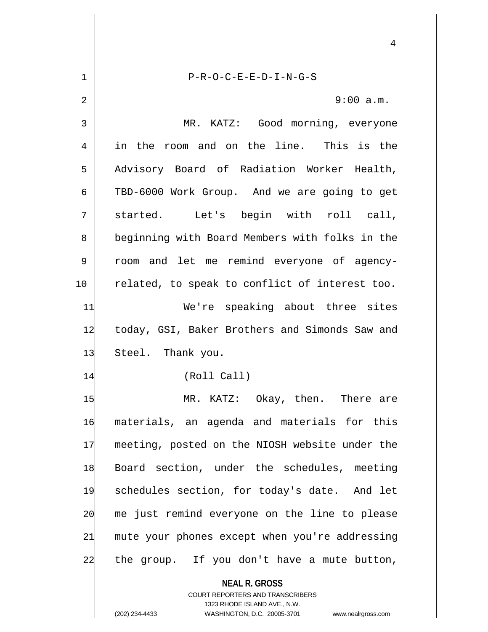|    | 4                                                                                                                                                               |
|----|-----------------------------------------------------------------------------------------------------------------------------------------------------------------|
| 1  | $P-R-O-C-E-E-D-I-N-G-S$                                                                                                                                         |
| 2  | 9:00 a.m.                                                                                                                                                       |
| 3  | MR. KATZ: Good morning, everyone                                                                                                                                |
| 4  | in the room and on the line. This is the                                                                                                                        |
| 5  | Advisory Board of Radiation Worker Health,                                                                                                                      |
| 6  | TBD-6000 Work Group. And we are going to get                                                                                                                    |
| 7  | started. Let's begin with roll call,                                                                                                                            |
| 8  | beginning with Board Members with folks in the                                                                                                                  |
| 9  | room and let me remind everyone of agency-                                                                                                                      |
| 10 | related, to speak to conflict of interest too.                                                                                                                  |
| 11 | We're speaking about three sites                                                                                                                                |
| 12 | today, GSI, Baker Brothers and Simonds Saw and                                                                                                                  |
| 13 | Steel. Thank you.                                                                                                                                               |
| 14 | (Roll Call)                                                                                                                                                     |
| 15 | MR. KATZ: Okay, then. There are                                                                                                                                 |
| 16 | materials, an agenda and materials for this                                                                                                                     |
| 17 | meeting, posted on the NIOSH website under the                                                                                                                  |
| 18 | Board section, under the schedules, meeting                                                                                                                     |
| 19 | schedules section, for today's date. And let                                                                                                                    |
| 20 | me just remind everyone on the line to please                                                                                                                   |
| 21 | mute your phones except when you're addressing                                                                                                                  |
| 22 | the group. If you don't have a mute button,                                                                                                                     |
|    | <b>NEAL R. GROSS</b><br>COURT REPORTERS AND TRANSCRIBERS<br>1323 RHODE ISLAND AVE., N.W.<br>(202) 234-4433<br>WASHINGTON, D.C. 20005-3701<br>www.nealrgross.com |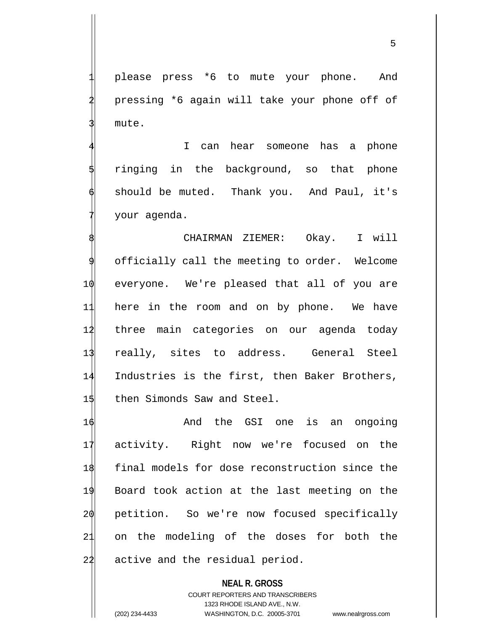please press \*6 to mute your phone. And pressing \*6 again will take your phone off of mute.

I can hear someone has a phone ringing in the background, so that phone should be muted. Thank you. And Paul, it's 7 your agenda.

 CHAIRMAN ZIEMER: Okay. I will officially call the meeting to order. Welcome everyone. We're pleased that all of you are here in the room and on by phone. We have three main categories on our agenda today really, sites to address. General Steel Industries is the first, then Baker Brothers, 15 then Simonds Saw and Steel.

16 And the GSI one is an ongoing 17 activity. Right now we're focused on the 18 final models for dose reconstruction since the 19 Board took action at the last meeting on the 20 petition. So we're now focused specifically 21 on the modeling of the doses for both the 22 active and the residual period.

**NEAL R. GROSS** COURT REPORTERS AND TRANSCRIBERS 1323 RHODE ISLAND AVE., N.W. (202) 234-4433 WASHINGTON, D.C. 20005-3701 www.nealrgross.com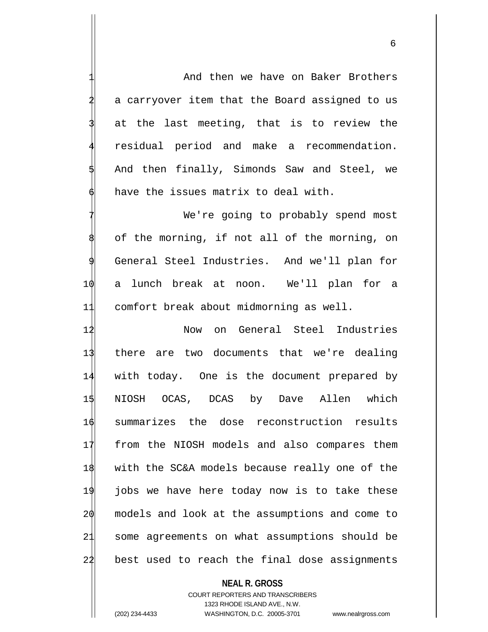And then we have on Baker Brothers a carryover item that the Board assigned to us at the last meeting, that is to review the residual period and make a recommendation. And then finally, Simonds Saw and Steel, we have the issues matrix to deal with.

We're going to probably spend most of the morning, if not all of the morning, on General Steel Industries. And we'll plan for 10 a lunch break at noon. We'll plan for a 11 comfort break about midmorning as well.

12 Now on General Steel Industries there are two documents that we're dealing with today. One is the document prepared by NIOSH OCAS, DCAS by Dave Allen which summarizes the dose reconstruction results from the NIOSH models and also compares them with the SC&A models because really one of the jobs we have here today now is to take these models and look at the assumptions and come to some agreements on what assumptions should be 22 best used to reach the final dose assignments

### **NEAL R. GROSS**

COURT REPORTERS AND TRANSCRIBERS 1323 RHODE ISLAND AVE., N.W. (202) 234-4433 WASHINGTON, D.C. 20005-3701 www.nealrgross.com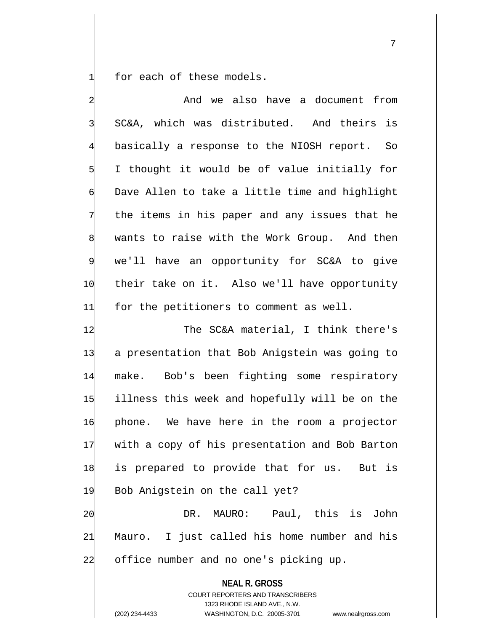for each of these models.

**NEAL R. GROSS** COURT REPORTERS AND TRANSCRIBERS And we also have a document from 3 SC&A, which was distributed. And theirs is basically a response to the NIOSH report. So 5 I thought it would be of value initially for Dave Allen to take a little time and highlight the items in his paper and any issues that he wants to raise with the Work Group. And then we'll have an opportunity for SC&A to give 1 $\phi$  their take on it. Also we'll have opportunity 11 for the petitioners to comment as well. 12 The SC&A material, I think there's 13 a presentation that Bob Anigstein was going to 14 make. Bob's been fighting some respiratory 15 illness this week and hopefully will be on the 16 phone. We have here in the room a projector 17 with a copy of his presentation and Bob Barton 18 is prepared to provide that for us. But is 19 Bob Anigstein on the call yet? 20 DR. MAURO: Paul, this is John 21 Mauro. I just called his home number and his 22 office number and no one's picking up.

1323 RHODE ISLAND AVE., N.W.

(202) 234-4433 WASHINGTON, D.C. 20005-3701 www.nealrgross.com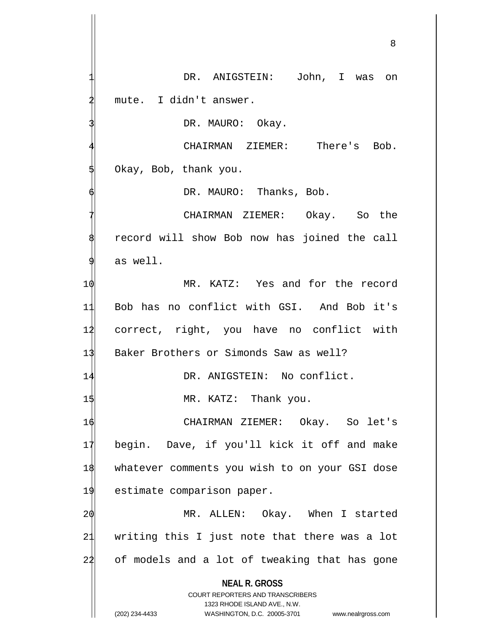**NEAL R. GROSS** COURT REPORTERS AND TRANSCRIBERS 1323 RHODE ISLAND AVE., N.W. DR. ANIGSTEIN: John, I was on mute. I didn't answer. DR. MAURO: Okay. CHAIRMAN ZIEMER: There's Bob. 5 Okay, Bob, thank you. DR. MAURO: Thanks, Bob. CHAIRMAN ZIEMER: Okay. So the record will show Bob now has joined the call as well. 10 MR. KATZ: Yes and for the record 11 Bob has no conflict with GSI. And Bob it's 12 correct, right, you have no conflict with 13 Baker Brothers or Simonds Saw as well? 14 DR. ANIGSTEIN: No conflict. 1\$ MR. KATZ: Thank you. 16 CHAIRMAN ZIEMER: Okay. So let's 17 begin. Dave, if you'll kick it off and make 18 whatever comments you wish to on your GSI dose 19 estimate comparison paper. 20 MR. ALLEN: Okay. When I started 21 writing this I just note that there was a lot 22 of models and a lot of tweaking that has gone

(202) 234-4433 WASHINGTON, D.C. 20005-3701 www.nealrgross.com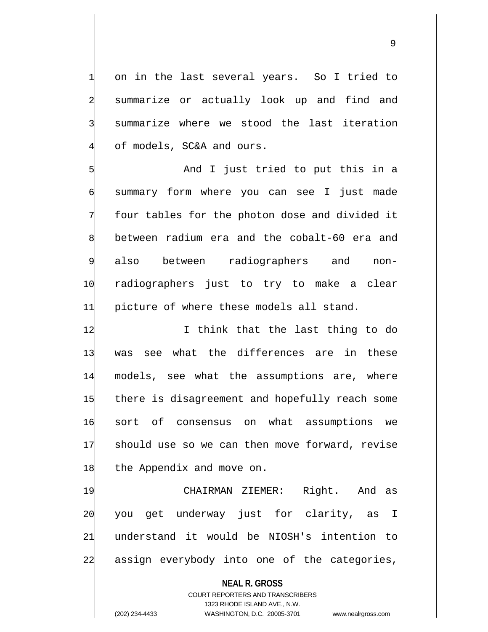9

on in the last several years. So I tried to summarize or actually look up and find and summarize where we stood the last iteration of models, SC&A and ours.

And I just tried to put this in a summary form where you can see I just made four tables for the photon dose and divided it 8 between radium era and the cobalt-60 era and also between radiographers and non-10 radiographers just to try to make a clear 11 picture of where these models all stand.

 I think that the last thing to do was see what the differences are in these models, see what the assumptions are, where there is disagreement and hopefully reach some sort of consensus on what assumptions we should use so we can then move forward, revise 18 the Appendix and move on.

 CHAIRMAN ZIEMER: Right. And as you get underway just for clarity, as I understand it would be NIOSH's intention to assign everybody into one of the categories,

**NEAL R. GROSS**

COURT REPORTERS AND TRANSCRIBERS 1323 RHODE ISLAND AVE., N.W. (202) 234-4433 WASHINGTON, D.C. 20005-3701 www.nealrgross.com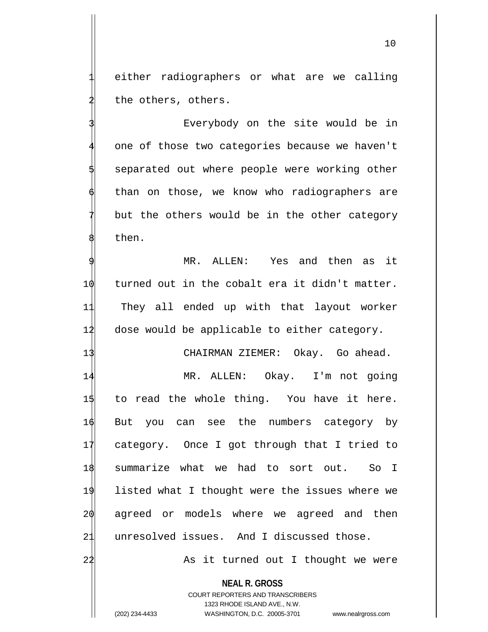either radiographers or what are we calling the others, others.

Everybody on the site would be in one of those two categories because we haven't separated out where people were working other than on those, we know who radiographers are but the others would be in the other category then.

MR. ALLEN: Yes and then as it 1 $\phi$  turned out in the cobalt era it didn't matter. 11 They all ended up with that layout worker 12 dose would be applicable to either category.

13 CHAIRMAN ZIEMER: Okay. Go ahead.

 MR. ALLEN: Okay. I'm not going 15 to read the whole thing. You have it here. But you can see the numbers category by category. Once I got through that I tried to summarize what we had to sort out. So I listed what I thought were the issues where we 20 agreed or models where we agreed and then unresolved issues. And I discussed those.

24 As it turned out I thought we were

**NEAL R. GROSS**

COURT REPORTERS AND TRANSCRIBERS 1323 RHODE ISLAND AVE., N.W. (202) 234-4433 WASHINGTON, D.C. 20005-3701 www.nealrgross.com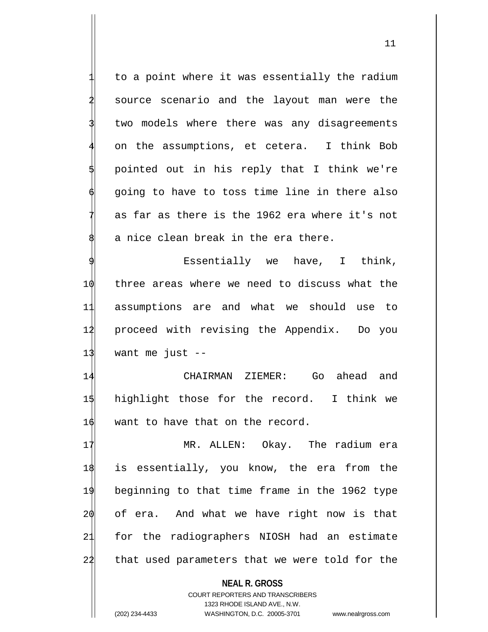to a point where it was essentially the radium source scenario and the layout man were the two models where there was any disagreements on the assumptions, et cetera. I think Bob 5 pointed out in his reply that I think we're going to have to toss time line in there also as far as there is the 1962 era where it's not a nice clean break in the era there.

Essentially we have, I think,  $\phi$  three areas where we need to discuss what the assumptions are and what we should use to proceed with revising the Appendix. Do you want me just  $-$ 

14 CHAIRMAN ZIEMER: Go ahead and 15 highlight those for the record. I think we 16 want to have that on the record.

 MR. ALLEN: Okay. The radium era is essentially, you know, the era from the beginning to that time frame in the 1962 type of era. And what we have right now is that for the radiographers NIOSH had an estimate 22 that used parameters that we were told for the

> **NEAL R. GROSS** COURT REPORTERS AND TRANSCRIBERS 1323 RHODE ISLAND AVE., N.W.

(202) 234-4433 WASHINGTON, D.C. 20005-3701 www.nealrgross.com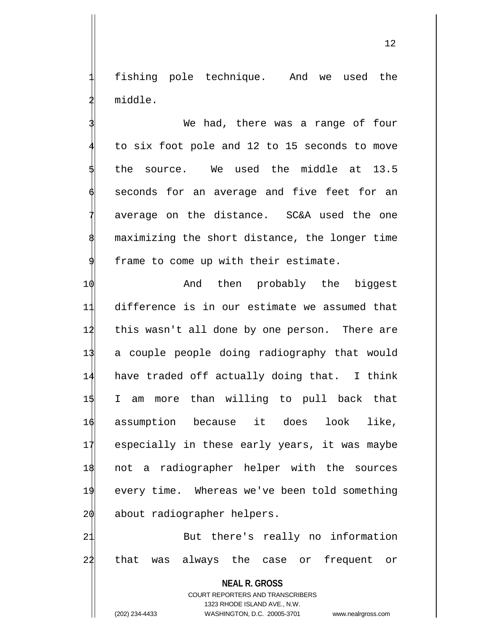fishing pole technique. And we used the 2 middle.

We had, there was a range of four to six foot pole and 12 to 15 seconds to move 5 the source. We used the middle at 13.5 seconds for an average and five feet for an average on the distance. SC&A used the one maximizing the short distance, the longer time frame to come up with their estimate.

10 And then probably the biggest difference is in our estimate we assumed that this wasn't all done by one person. There are a couple people doing radiography that would have traded off actually doing that. I think I am more than willing to pull back that assumption because it does look like, especially in these early years, it was maybe not a radiographer helper with the sources every time. Whereas we've been told something about radiographer helpers.

21 But there's really no information 22 that was always the case or frequent or

**NEAL R. GROSS** COURT REPORTERS AND TRANSCRIBERS 1323 RHODE ISLAND AVE., N.W. (202) 234-4433 WASHINGTON, D.C. 20005-3701 www.nealrgross.com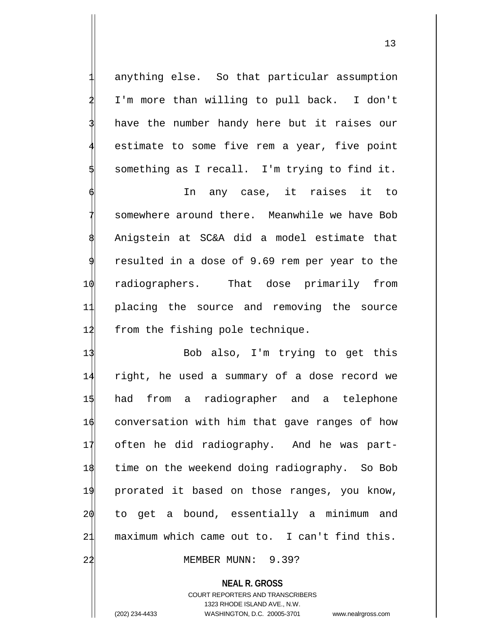anything else. So that particular assumption I'm more than willing to pull back. I don't have the number handy here but it raises our estimate to some five rem a year, five point 5 something as I recall. I'm trying to find it.

In any case, it raises it to somewhere around there. Meanwhile we have Bob 8 Anigstein at SC&A did a model estimate that resulted in a dose of 9.69 rem per year to the 10 radiographers. That dose primarily from 11 placing the source and removing the source 12 from the fishing pole technique.

13 Bob also, I'm trying to get this right, he used a summary of a dose record we had from a radiographer and a telephone conversation with him that gave ranges of how often he did radiography. And he was part- time on the weekend doing radiography. So Bob prorated it based on those ranges, you know, to get a bound, essentially a minimum and maximum which came out to. I can't find this.

22 MEMBER MUNN: 9.39?

**NEAL R. GROSS**

COURT REPORTERS AND TRANSCRIBERS 1323 RHODE ISLAND AVE., N.W. (202) 234-4433 WASHINGTON, D.C. 20005-3701 www.nealrgross.com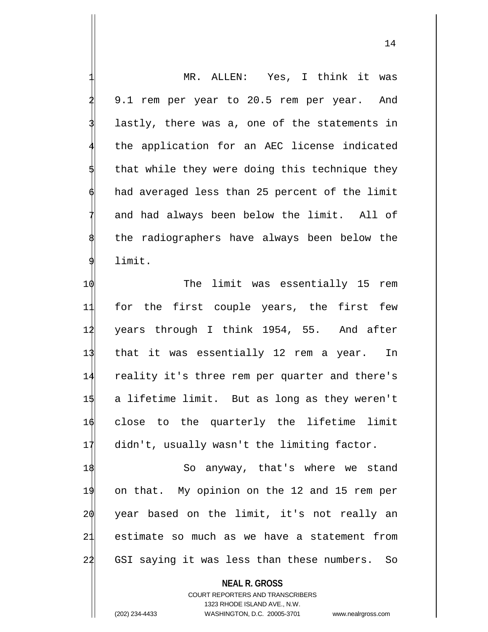MR. ALLEN: Yes, I think it was 9.1 rem per year to 20.5 rem per year. And lastly, there was a, one of the statements in the application for an AEC license indicated that while they were doing this technique they had averaged less than 25 percent of the limit and had always been below the limit. All of the radiographers have always been below the limit.

 $\phi$  10 The limit was essentially 15 rem for the first couple years, the first few 12 years through I think 1954, 55. And after that it was essentially 12 rem a year. In reality it's three rem per quarter and there's a lifetime limit. But as long as they weren't close to the quarterly the lifetime limit didn't, usually wasn't the limiting factor.

 So anyway, that's where we stand on that. My opinion on the 12 and 15 rem per year based on the limit, it's not really an estimate so much as we have a statement from GSI saying it was less than these numbers. So

**NEAL R. GROSS**

COURT REPORTERS AND TRANSCRIBERS 1323 RHODE ISLAND AVE., N.W. (202) 234-4433 WASHINGTON, D.C. 20005-3701 www.nealrgross.com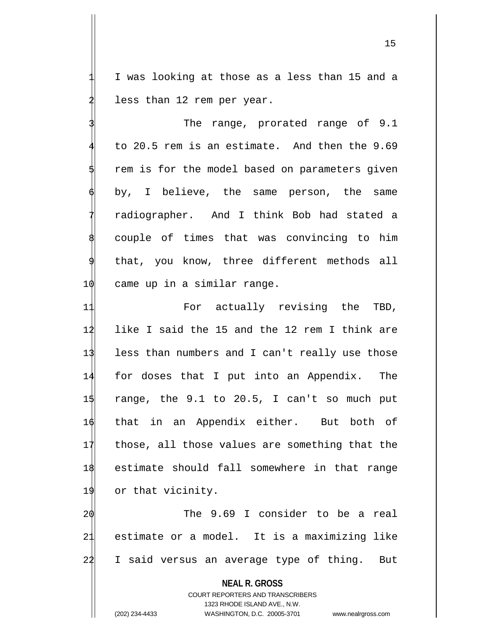I was looking at those as a less than 15 and a less than 12 rem per year.

The range, prorated range of 9.1 to 20.5 rem is an estimate. And then the 9.69 rem is for the model based on parameters given by, I believe, the same person, the same 7 radiographer. And I think Bob had stated a couple of times that was convincing to him that, you know, three different methods all  $10$  came up in a similar range.

11 For actually revising the TBD, like I said the 15 and the 12 rem I think are less than numbers and I can't really use those for doses that I put into an Appendix. The  $\frac{1}{3}$  range, the 9.1 to 20.5, I can't so much put that in an Appendix either. But both of those, all those values are something that the estimate should fall somewhere in that range 19 or that vicinity.

2 $\phi$  The 9.69 I consider to be a real 21 estimate or a model. It is a maximizing like 22 I said versus an average type of thing. But

**NEAL R. GROSS**

COURT REPORTERS AND TRANSCRIBERS 1323 RHODE ISLAND AVE., N.W. (202) 234-4433 WASHINGTON, D.C. 20005-3701 www.nealrgross.com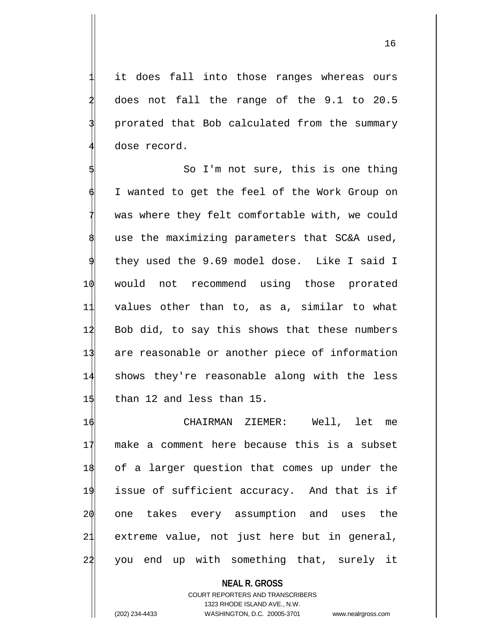it does fall into those ranges whereas ours 2 does not fall the range of the 9.1 to 20.5 prorated that Bob calculated from the summary dose record.

So I'm not sure, this is one thing I wanted to get the feel of the Work Group on was where they felt comfortable with, we could use the maximizing parameters that SC&A used, they used the 9.69 model dose. Like I said I 10 would not recommend using those prorated 11 values other than to, as a, similar to what 12 Bob did, to say this shows that these numbers 13 are reasonable or another piece of information 14 shows they're reasonable along with the less 15 than 12 and less than 15.

 CHAIRMAN ZIEMER: Well, let me make a comment here because this is a subset of a larger question that comes up under the issue of sufficient accuracy. And that is if one takes every assumption and uses the extreme value, not just here but in general, 22 you end up with something that, surely it

**NEAL R. GROSS** COURT REPORTERS AND TRANSCRIBERS 1323 RHODE ISLAND AVE., N.W. (202) 234-4433 WASHINGTON, D.C. 20005-3701 www.nealrgross.com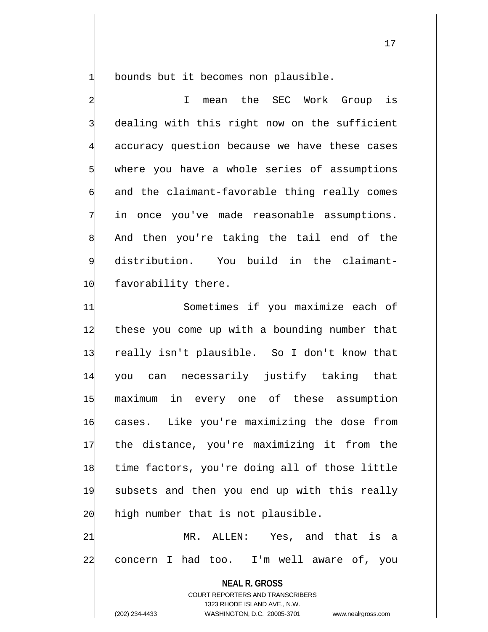bounds but it becomes non plausible.

I mean the SEC Work Group is dealing with this right now on the sufficient accuracy question because we have these cases where you have a whole series of assumptions and the claimant-favorable thing really comes in once you've made reasonable assumptions. And then you're taking the tail end of the distribution. You build in the claimant-10 favorability there.

 Sometimes if you maximize each of these you come up with a bounding number that really isn't plausible. So I don't know that you can necessarily justify taking that maximum in every one of these assumption cases. Like you're maximizing the dose from the distance, you're maximizing it from the time factors, you're doing all of those little subsets and then you end up with this really high number that is not plausible. MR. ALLEN: Yes, and that is a

22 concern I had too. I'm well aware of, you

**NEAL R. GROSS** COURT REPORTERS AND TRANSCRIBERS 1323 RHODE ISLAND AVE., N.W. (202) 234-4433 WASHINGTON, D.C. 20005-3701 www.nealrgross.com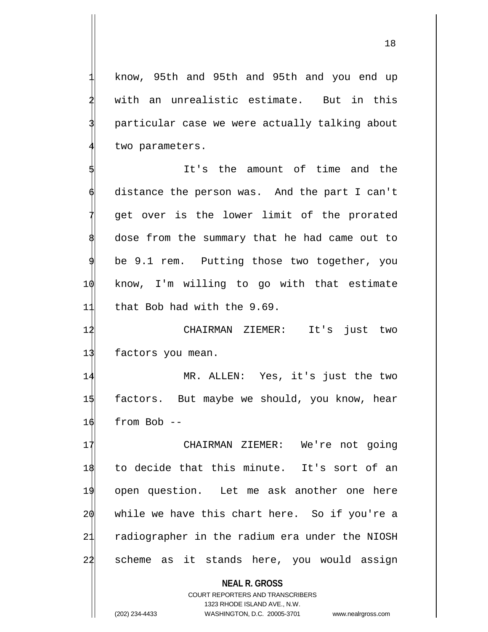know, 95th and 95th and 95th and you end up with an unrealistic estimate. But in this particular case we were actually talking about two parameters.

It's the amount of time and the distance the person was. And the part I can't get over is the lower limit of the prorated dose from the summary that he had came out to be 9.1 rem. Putting those two together, you 10 know, I'm willing to go with that estimate 11 that Bob had with the 9.69.

12 CHAIRMAN ZIEMER: It's just two 13 factors you mean.

14 MR. ALLEN: Yes, it's just the two 1\$ factors. But maybe we should, you know, hear  $16$  from Bob  $-$ 

17 CHAIRMAN ZIEMER: We're not going to decide that this minute. It's sort of an open question. Let me ask another one here while we have this chart here. So if you're a radiographer in the radium era under the NIOSH 24 scheme as it stands here, you would assign

**NEAL R. GROSS** COURT REPORTERS AND TRANSCRIBERS 1323 RHODE ISLAND AVE., N.W. (202) 234-4433 WASHINGTON, D.C. 20005-3701 www.nealrgross.com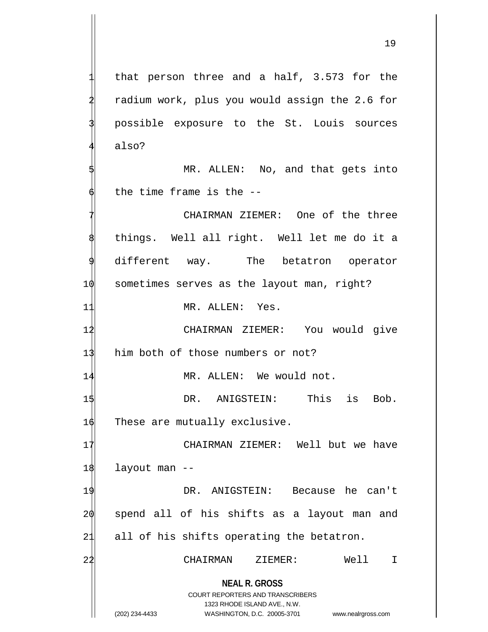2 radium work, plus you would assign the 2.6 for possible exposure to the St. Louis sources also? MR. ALLEN: No, and that gets into the time frame is the  $-$ -CHAIRMAN ZIEMER: One of the three things. Well all right. Well let me do it a different way. The betatron operator 10 sometimes serves as the layout man, right? 11 MR. ALLEN: Yes. 12 CHAIRMAN ZIEMER: You would give 13 him both of those numbers or not? 14 MR. ALLEN: We would not.

that person three and a half,  $3.573$  for the

1\$ DR. ANIGSTEIN: This is Bob.  $16$  These are mutually exclusive.

 CHAIRMAN ZIEMER: Well but we have 18 layout man -- DR. ANIGSTEIN: Because he can't spend all of his shifts as a layout man and 21 all of his shifts operating the betatron. CHAIRMAN ZIEMER: Well I

> **NEAL R. GROSS** COURT REPORTERS AND TRANSCRIBERS

> > 1323 RHODE ISLAND AVE., N.W.

(202) 234-4433 WASHINGTON, D.C. 20005-3701 www.nealrgross.com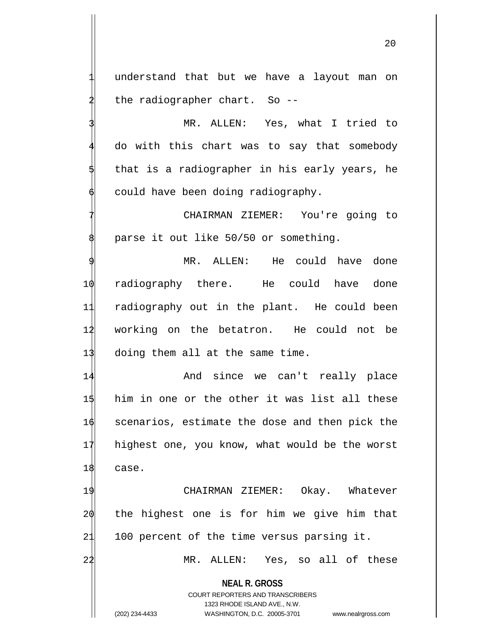understand that but we have a layout man on the radiographer chart. So --

MR. ALLEN: Yes, what I tried to 4 do with this chart was to say that somebody that is a radiographer in his early years, he could have been doing radiography.

CHAIRMAN ZIEMER: You're going to parse it out like 50/50 or something.

MR. ALLEN: He could have done 10 radiography there. He could have done 11 radiography out in the plant. He could been 12 working on the betatron. He could not be 13 doing them all at the same time.

14 And since we can't really place 15 him in one or the other it was list all these 16 scenarios, estimate the dose and then pick the 17 highest one, you know, what would be the worst 18 case.

19 CHAIRMAN ZIEMER: Okay. Whatever 20 the highest one is for him we give him that 21 100 percent of the time versus parsing it.

22 MR. ALLEN: Yes, so all of these

**NEAL R. GROSS**

COURT REPORTERS AND TRANSCRIBERS 1323 RHODE ISLAND AVE., N.W. (202) 234-4433 WASHINGTON, D.C. 20005-3701 www.nealrgross.com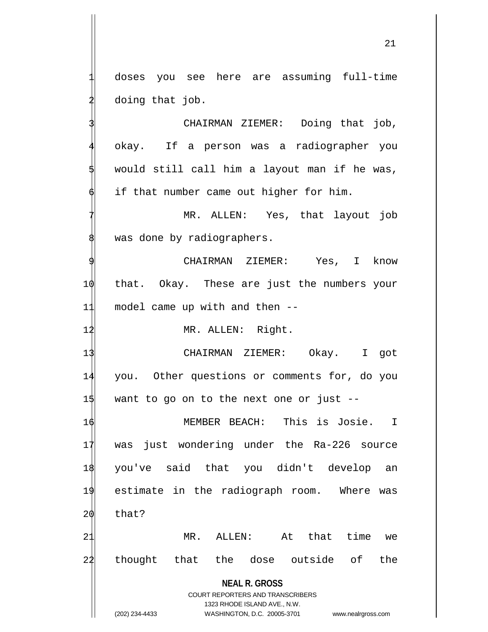doses you see here are assuming full-time doing that job.

CHAIRMAN ZIEMER: Doing that job, okay. If a person was a radiographer you would still call him a layout man if he was, if that number came out higher for him.

MR. ALLEN: Yes, that layout job was done by radiographers.

CHAIRMAN ZIEMER: Yes, I know 10 that. Okay. These are just the numbers your 11 model came up with and then --

12 MR. ALLEN: Right.

13 CHAIRMAN ZIEMER: Okay. I got 14 you. Other questions or comments for, do you  $1\frac{1}{9}$  want to go on to the next one or just --

16 MEMBER BEACH: This is Josie. I 17 was just wondering under the Ra-226 source 18 you've said that you didn't develop an 19 estimate in the radiograph room. Where was  $20$  that?

21 MR. ALLEN: At that time we 22 thought that the dose outside of the

**NEAL R. GROSS**

COURT REPORTERS AND TRANSCRIBERS 1323 RHODE ISLAND AVE., N.W. (202) 234-4433 WASHINGTON, D.C. 20005-3701 www.nealrgross.com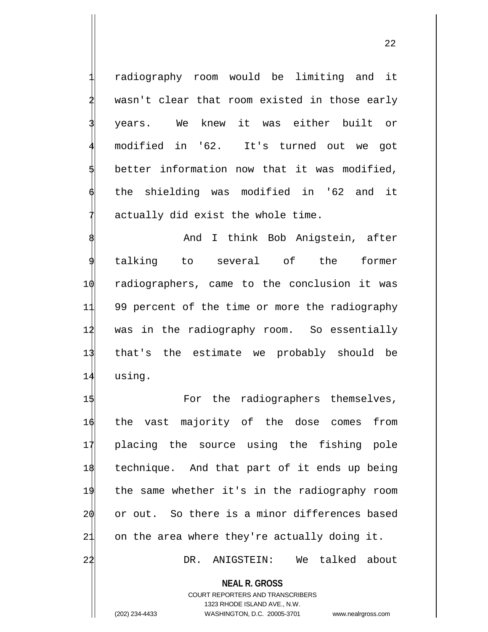radiography room would be limiting and it wasn't clear that room existed in those early years. We knew it was either built or 4 modified in '62. It's turned out we got better information now that it was modified, the shielding was modified in '62 and it actually did exist the whole time.

And I think Bob Anigstein, after talking to several of the former 1 $\phi$  radiographers, came to the conclusion it was 11 99 percent of the time or more the radiography 12 was in the radiography room. So essentially 13 that's the estimate we probably should be 14 using.

1\$ For the radiographers themselves, the vast majority of the dose comes from placing the source using the fishing pole technique. And that part of it ends up being the same whether it's in the radiography room or out. So there is a minor differences based 21 on the area where they're actually doing it.

22 DR. ANIGSTEIN: We talked about

**NEAL R. GROSS**

COURT REPORTERS AND TRANSCRIBERS 1323 RHODE ISLAND AVE., N.W. (202) 234-4433 WASHINGTON, D.C. 20005-3701 www.nealrgross.com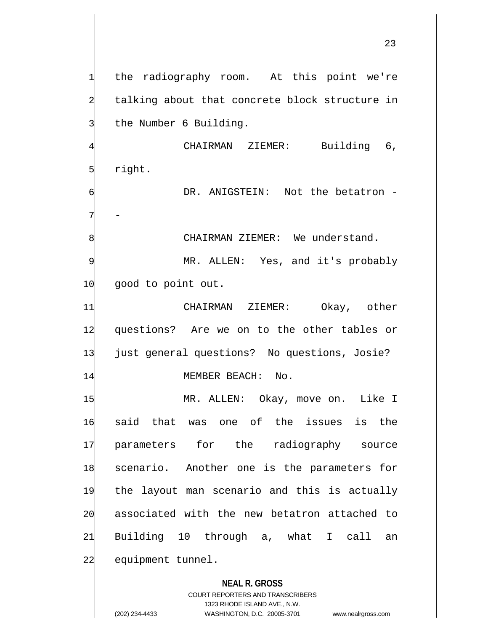the radiography room. At this point we're talking about that concrete block structure in the Number 6 Building.

CHAIRMAN ZIEMER: Building 6, 5 right.

DR. ANIGSTEIN: Not the betatron -7 -

CHAIRMAN ZIEMER: We understand.

MR. ALLEN: Yes, and it's probably 10 good to point out.

 CHAIRMAN ZIEMER: Okay, other questions? Are we on to the other tables or just general questions? No questions, Josie? 14 MEMBER BEACH: No.

15 MR. ALLEN: Okay, move on. Like I said that was one of the issues is the parameters for the radiography source scenario. Another one is the parameters for the layout man scenario and this is actually 20 associated with the new betatron attached to Building 10 through a, what I call an 22 equipment tunnel.

### **NEAL R. GROSS**

COURT REPORTERS AND TRANSCRIBERS 1323 RHODE ISLAND AVE., N.W. (202) 234-4433 WASHINGTON, D.C. 20005-3701 www.nealrgross.com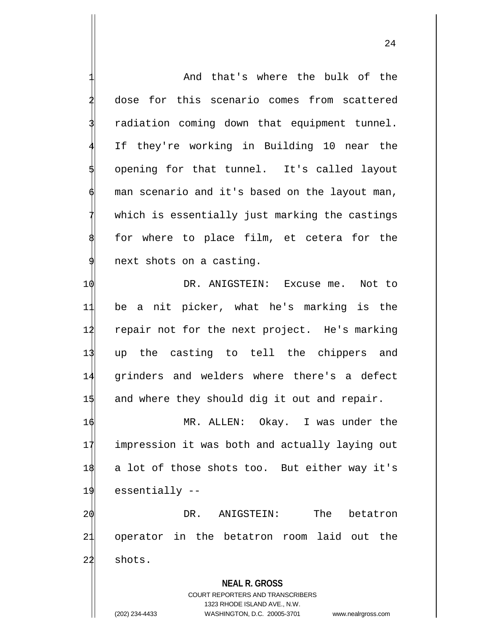**NEAL R. GROSS** COURT REPORTERS AND TRANSCRIBERS 1323 RHODE ISLAND AVE., N.W. And that's where the bulk of the dose for this scenario comes from scattered radiation coming down that equipment tunnel. If they're working in Building 10 near the 5 opening for that tunnel. It's called layout man scenario and it's based on the layout man, which is essentially just marking the castings for where to place film, et cetera for the next shots on a casting. 10 DR. ANIGSTEIN: Excuse me. Not to 11 be a nit picker, what he's marking is the 12 repair not for the next project. He's marking 13 up the casting to tell the chippers and 14 grinders and welders where there's a defect  $1\frac{1}{3}$  and where they should dig it out and repair. 16 MR. ALLEN: Okay. I was under the 17 impression it was both and actually laying out 18 a lot of those shots too. But either way it's 19 essentially -- 20 DR. ANIGSTEIN: The betatron 21 operator in the betatron room laid out the  $22$  shots.

(202) 234-4433 WASHINGTON, D.C. 20005-3701 www.nealrgross.com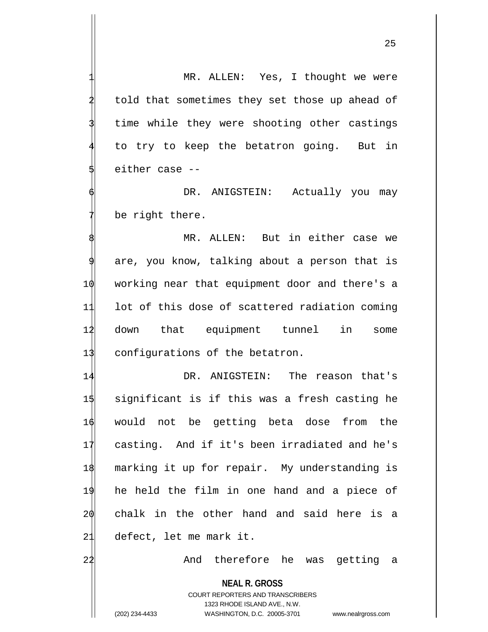25

MR. ALLEN: Yes, I thought we were told that sometimes they set those up ahead of time while they were shooting other castings to try to keep the betatron going. But in either case --DR. ANIGSTEIN: Actually you may be right there.

MR. ALLEN: But in either case we are, you know, talking about a person that is 1 $\phi$  working near that equipment door and there's a 11 lot of this dose of scattered radiation coming 12 down that equipment tunnel in some 13 configurations of the betatron.

 DR. ANIGSTEIN: The reason that's significant is if this was a fresh casting he would not be getting beta dose from the casting. And if it's been irradiated and he's marking it up for repair. My understanding is he held the film in one hand and a piece of chalk in the other hand and said here is a defect, let me mark it.

22 And therefore he was getting a

**NEAL R. GROSS** COURT REPORTERS AND TRANSCRIBERS 1323 RHODE ISLAND AVE., N.W. (202) 234-4433 WASHINGTON, D.C. 20005-3701 www.nealrgross.com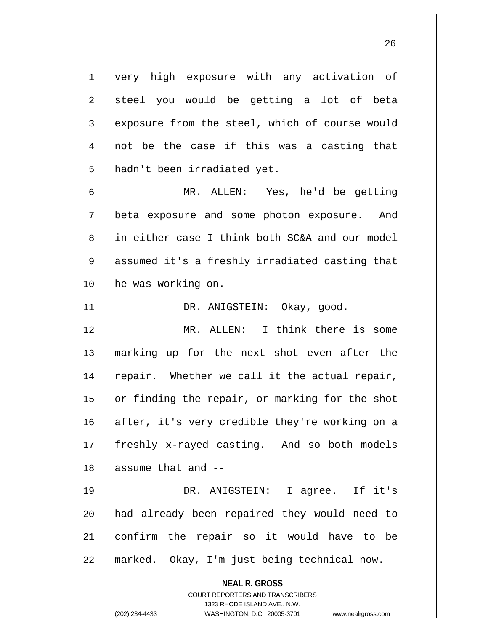very high exposure with any activation of steel you would be getting a lot of beta exposure from the steel, which of course would not be the case if this was a casting that hadn't been irradiated yet.

MR. ALLEN: Yes, he'd be getting beta exposure and some photon exposure. And in either case I think both SC&A and our model assumed it's a freshly irradiated casting that 10 he was working on.

11 DR. ANIGSTEIN: Okay, good.

12 MR. ALLEN: I think there is some marking up for the next shot even after the repair. Whether we call it the actual repair, or finding the repair, or marking for the shot after, it's very credible they're working on a freshly x-rayed casting. And so both models assume that and  $-$ 

19 DR. ANIGSTEIN: I agree. If it's had already been repaired they would need to confirm the repair so it would have to be marked. Okay, I'm just being technical now.

> **NEAL R. GROSS** COURT REPORTERS AND TRANSCRIBERS

> > 1323 RHODE ISLAND AVE., N.W.

(202) 234-4433 WASHINGTON, D.C. 20005-3701 www.nealrgross.com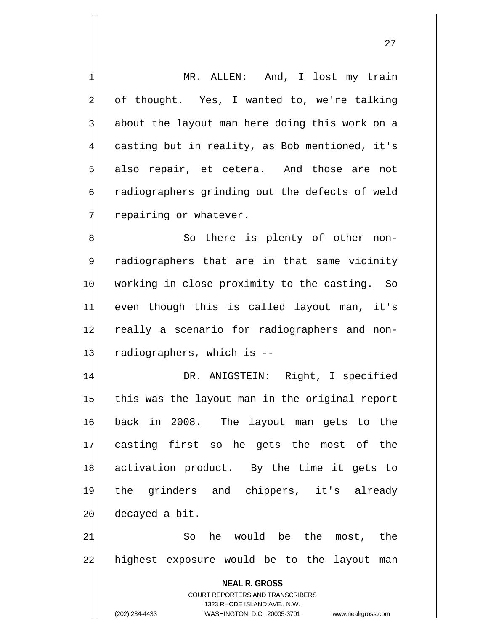MR. ALLEN: And, I lost my train of thought. Yes, I wanted to, we're talking about the layout man here doing this work on a casting but in reality, as Bob mentioned, it's also repair, et cetera. And those are not radiographers grinding out the defects of weld repairing or whatever.

So there is plenty of other nonradiographers that are in that same vicinity 10 working in close proximity to the casting. So 11 even though this is called layout man, it's 12 really a scenario for radiographers and non-13 radiographers, which is --

 DR. ANIGSTEIN: Right, I specified this was the layout man in the original report back in 2008. The layout man gets to the casting first so he gets the most of the activation product. By the time it gets to the grinders and chippers, it's already decayed a bit.

21 So he would be the most, the 22 highest exposure would be to the layout man

**NEAL R. GROSS** COURT REPORTERS AND TRANSCRIBERS 1323 RHODE ISLAND AVE., N.W. (202) 234-4433 WASHINGTON, D.C. 20005-3701 www.nealrgross.com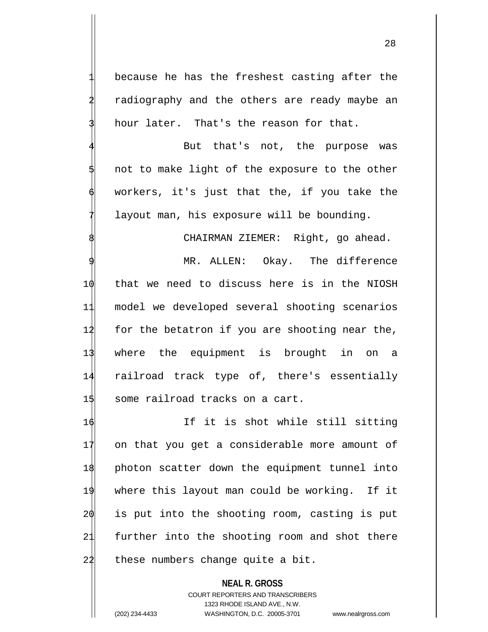because he has the freshest casting after the radiography and the others are ready maybe an hour later. That's the reason for that.

But that's not, the purpose was not to make light of the exposure to the other workers, it's just that the, if you take the layout man, his exposure will be bounding.

CHAIRMAN ZIEMER: Right, go ahead.

MR. ALLEN: Okay. The difference 10 that we need to discuss here is in the NIOSH 11 model we developed several shooting scenarios  $12$  for the betatron if you are shooting near the, 13 where the equipment is brought in on a 14 railroad track type of, there's essentially 15 some railroad tracks on a cart.

16 16 If it is shot while still sitting on that you get a considerable more amount of photon scatter down the equipment tunnel into where this layout man could be working. If it is put into the shooting room, casting is put further into the shooting room and shot there these numbers change quite a bit.

**NEAL R. GROSS** COURT REPORTERS AND TRANSCRIBERS 1323 RHODE ISLAND AVE., N.W. (202) 234-4433 WASHINGTON, D.C. 20005-3701 www.nealrgross.com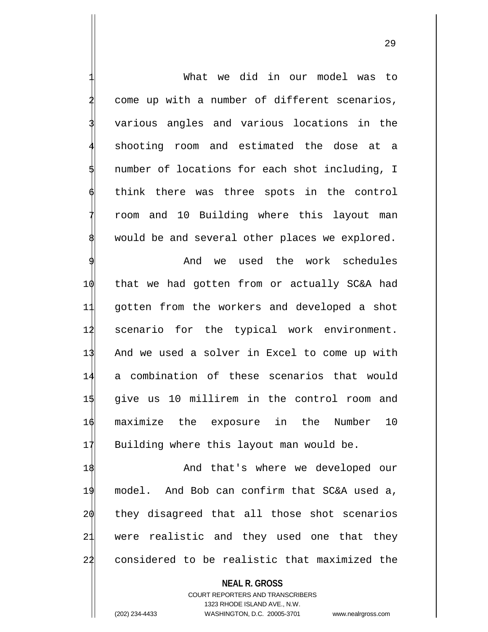What we did in our model was to come up with a number of different scenarios, various angles and various locations in the shooting room and estimated the dose at a number of locations for each shot including, I think there was three spots in the control 7 room and 10 Building where this layout man would be and several other places we explored. And we used the work schedules 10 that we had gotten from or actually SC&A had 11 gotten from the workers and developed a shot 12 scenario for the typical work environment. 13 And we used a solver in Excel to come up with 14 a combination of these scenarios that would 15 give us 10 millirem in the control room and 16 maximize the exposure in the Number 10 17 Building where this layout man would be. 18 And that's where we developed our 19 model. And Bob can confirm that SC&A used a,

20 they disagreed that all those shot scenarios 21 were realistic and they used one that they 22 considered to be realistic that maximized the

> **NEAL R. GROSS** COURT REPORTERS AND TRANSCRIBERS 1323 RHODE ISLAND AVE., N.W. (202) 234-4433 WASHINGTON, D.C. 20005-3701 www.nealrgross.com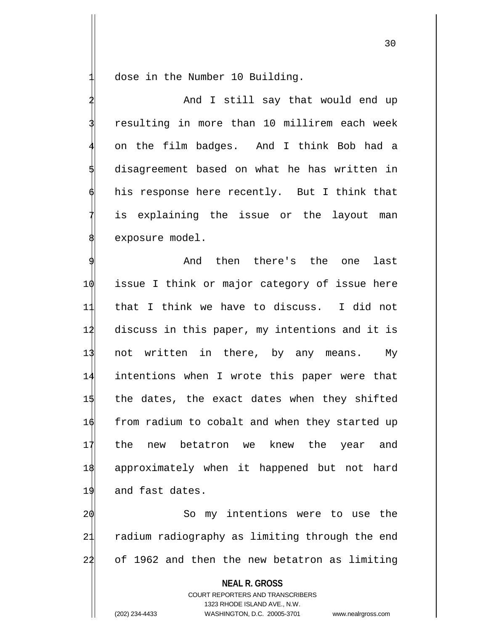dose in the Number 10 Building.

And I still say that would end up resulting in more than 10 millirem each week 4 on the film badges. And I think Bob had a disagreement based on what he has written in his response here recently. But I think that is explaining the issue or the layout man exposure model.

And then there's the one last issue I think or major category of issue here that I think we have to discuss. I did not discuss in this paper, my intentions and it is 13 not written in there, by any means. My intentions when I wrote this paper were that the dates, the exact dates when they shifted  $\phi$  from radium to cobalt and when they started up the new betatron we knew the year and approximately when it happened but not hard 19 and fast dates.

20 So my intentions were to use the 21 radium radiography as limiting through the end 22 of 1962 and then the new betatron as limiting

**NEAL R. GROSS** COURT REPORTERS AND TRANSCRIBERS 1323 RHODE ISLAND AVE., N.W. (202) 234-4433 WASHINGTON, D.C. 20005-3701 www.nealrgross.com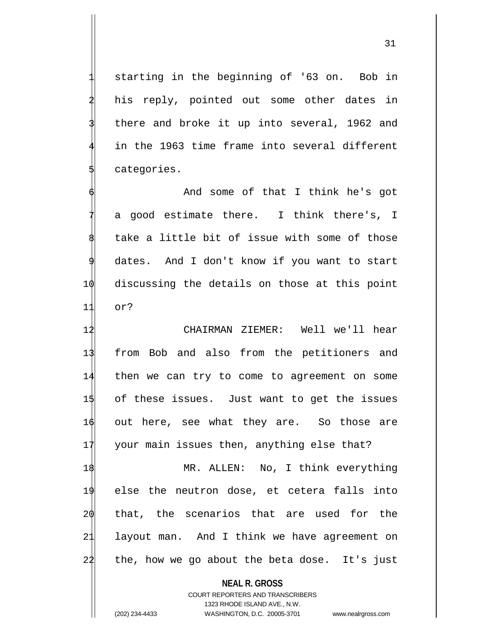starting in the beginning of '63 on. Bob in his reply, pointed out some other dates in there and broke it up into several, 1962 and in the 1963 time frame into several different categories.

And some of that I think he's got a good estimate there. I think there's, I take a little bit of issue with some of those dates. And I don't know if you want to start 10 discussing the details on those at this point 11 or?

 CHAIRMAN ZIEMER: Well we'll hear from Bob and also from the petitioners and then we can try to come to agreement on some of these issues. Just want to get the issues out here, see what they are. So those are 17 your main issues then, anything else that?

18 MR. ALLEN: No, I think everything 19 else the neutron dose, et cetera falls into 20 that, the scenarios that are used for the 21 layout man. And I think we have agreement on 22 the, how we go about the beta dose. It's just

**NEAL R. GROSS**

COURT REPORTERS AND TRANSCRIBERS 1323 RHODE ISLAND AVE., N.W. (202) 234-4433 WASHINGTON, D.C. 20005-3701 www.nealrgross.com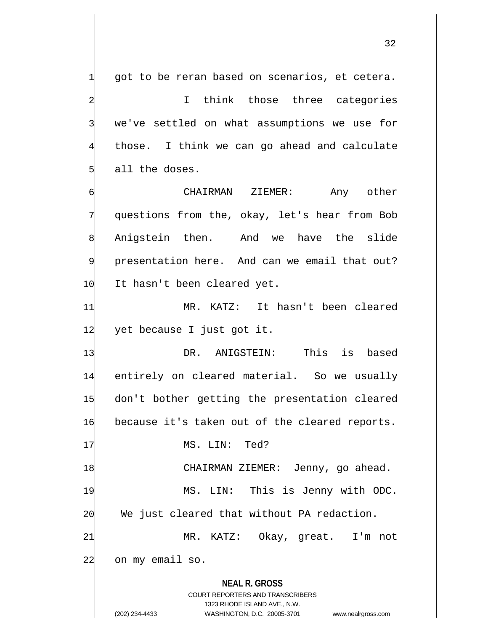32

2 I think those three categories we've settled on what assumptions we use for those. I think we can go ahead and calculate all the doses. 6 CHAIRMAN ZIEMER: Any other questions from the, okay, let's hear from Bob Anigstein then. And we have the slide presentation here. And can we email that out? 1 $\emptyset$  It hasn't been cleared yet. 11 MR. KATZ: It hasn't been cleared  $12$  yet because I just got it. 13 DR. ANIGSTEIN: This is based 14 entirely on cleared material. So we usually 15 don't bother getting the presentation cleared 1 $\phi$  because it's taken out of the cleared reports. 17 MS. LIN: Ted? 18 CHAIRMAN ZIEMER: Jenny, go ahead. 19 MS. LIN: This is Jenny with ODC.  $20$  We just cleared that without PA redaction. 21 MR. KATZ: Okay, great. I'm not 22 on my email so.

got to be reran based on scenarios, et cetera.

**NEAL R. GROSS** COURT REPORTERS AND TRANSCRIBERS

1323 RHODE ISLAND AVE., N.W.

(202) 234-4433 WASHINGTON, D.C. 20005-3701 www.nealrgross.com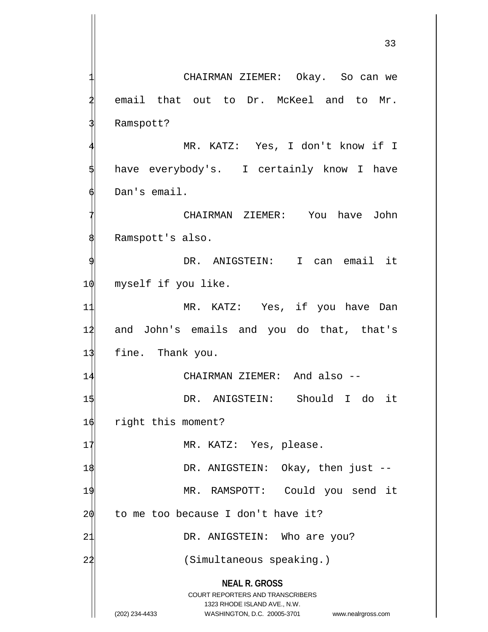**NEAL R. GROSS** COURT REPORTERS AND TRANSCRIBERS 1323 RHODE ISLAND AVE., N.W. 33 CHAIRMAN ZIEMER: Okay. So can we email that out to Dr. McKeel and to Mr. Ramspott? MR. KATZ: Yes, I don't know if I have everybody's. I certainly know I have Dan's email. 7 CHAIRMAN ZIEMER: You have John Ramspott's also. DR. ANIGSTEIN: I can email it 10 myself if you like. 11 MR. KATZ: Yes, if you have Dan 12 and John's emails and you do that, that's 13 fine. Thank you. 14 CHAIRMAN ZIEMER: And also --1\$ DR. ANIGSTEIN: Should I do it 16 right this moment? 17 MR. KATZ: Yes, please. 1\$ DR. ANIGSTEIN: Okay, then just --19 MR. RAMSPOTT: Could you send it  $20$  to me too because I don't have it? 21 DR. ANIGSTEIN: Who are you? 22 Simultaneous speaking.)

(202) 234-4433 WASHINGTON, D.C. 20005-3701 www.nealrgross.com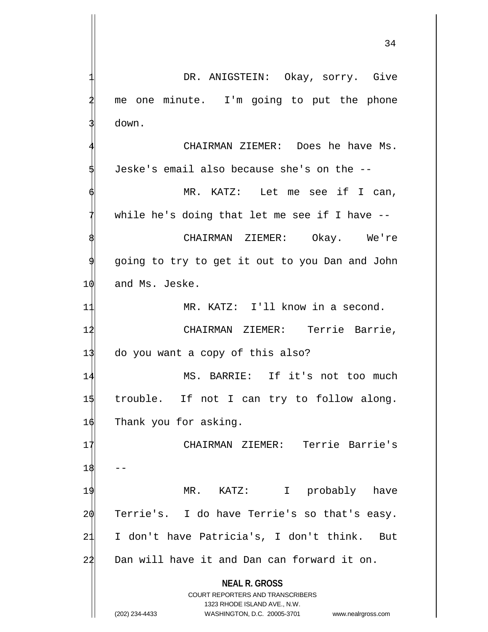34

**NEAL R. GROSS** COURT REPORTERS AND TRANSCRIBERS 1323 RHODE ISLAND AVE., N.W. (202) 234-4433 WASHINGTON, D.C. 20005-3701 www.nealrgross.com DR. ANIGSTEIN: Okay, sorry. Give me one minute. I'm going to put the phone down. CHAIRMAN ZIEMER: Does he have Ms. 5 Jeske's email also because she's on the -- MR. KATZ: Let me see if I can, while he's doing that let me see if I have  $-$ -CHAIRMAN ZIEMER: Okay. We're 9 going to try to get it out to you Dan and John 10 and Ms. Jeske. 11 MR. KATZ: I'll know in a second. 12 CHAIRMAN ZIEMER: Terrie Barrie, 13 do you want a copy of this also? 14 MS. BARRIE: If it's not too much  $1\frac{1}{3}$  trouble. If not I can try to follow along. 16 Thank you for asking. 17 CHAIRMAN ZIEMER: Terrie Barrie's  $18$ 19 MR. KATZ: I probably have 20 Terrie's. I do have Terrie's so that's easy. 21 I don't have Patricia's, I don't think. But 22 Dan will have it and Dan can forward it on.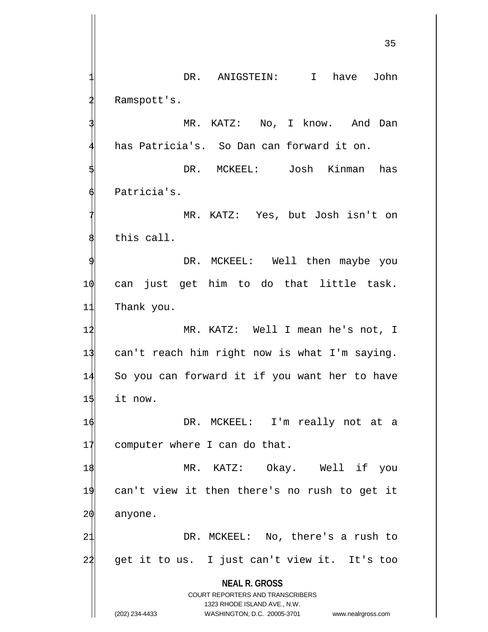**NEAL R. GROSS** COURT REPORTERS AND TRANSCRIBERS 1323 RHODE ISLAND AVE., N.W. DR. ANIGSTEIN: I have John Ramspott's. MR. KATZ: No, I know. And Dan has Patricia's. So Dan can forward it on. DR. MCKEEL: Josh Kinman has Patricia's. MR. KATZ: Yes, but Josh isn't on this call. DR. MCKEEL: Well then maybe you 10 can just get him to do that little task. 11 Thank you. 1 $\sharp$  MR. KATZ: Well I mean he's not, I 13 can't reach him right now is what I'm saying. 14 So you can forward it if you want her to have  $15$  it now. 16 DR. MCKEEL: I'm really not at a 17 computer where I can do that. 1\$ MR. KATZ: Okay. Well if you 19 can't view it then there's no rush to get it 20 anyone. 21 DR. MCKEEL: No, there's a rush to 22 get it to us. I just can't view it. It's too

<sup>(202) 234-4433</sup> WASHINGTON, D.C. 20005-3701 www.nealrgross.com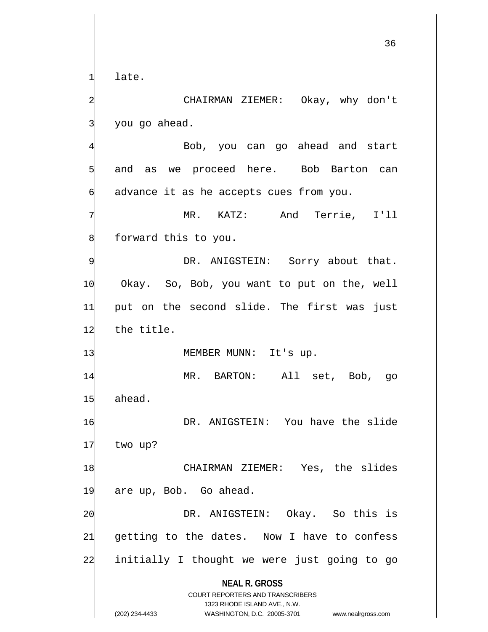late.

CHAIRMAN ZIEMER: Okay, why don't you go ahead.

4 Bob, you can go ahead and start and as we proceed here. Bob Barton can advance it as he accepts cues from you.

MR. KATZ: And Terrie, I'll forward this to you.

DR. ANIGSTEIN: Sorry about that. Okay. So, Bob, you want to put on the, well put on the second slide. The first was just the title.

13 MEMBER MUNN: It's up.

14 MR. BARTON: All set, Bob, go 15 ahead. 1 $\phi$  DR. ANIGSTEIN: You have the slide

17 two up?

18 CHAIRMAN ZIEMER: Yes, the slides 19 are up, Bob. Go ahead.

20 DR. ANIGSTEIN: Okay. So this is 21 getting to the dates. Now I have to confess 24 initially I thought we were just going to go

**NEAL R. GROSS**

COURT REPORTERS AND TRANSCRIBERS 1323 RHODE ISLAND AVE., N.W. (202) 234-4433 WASHINGTON, D.C. 20005-3701 www.nealrgross.com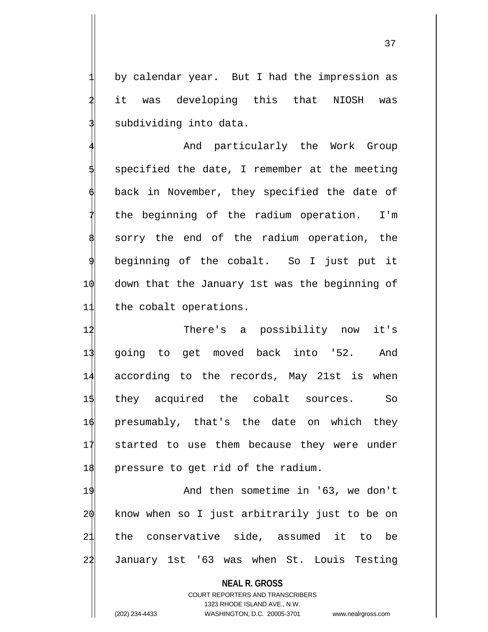by calendar year. But I had the impression as it was developing this that NIOSH was subdividing into data.

And particularly the Work Group 5 specified the date, I remember at the meeting back in November, they specified the date of the beginning of the radium operation. I'm sorry the end of the radium operation, the beginning of the cobalt. So I just put it 10 down that the January 1st was the beginning of 11 the cobalt operations.

 There's a possibility now it's going to get moved back into '52. And according to the records, May 21st is when they acquired the cobalt sources. So presumably, that's the date on which they started to use them because they were under  $1\frac{1}{8}$  pressure to get rid of the radium.

19 And then sometime in '63, we don't know when so I just arbitrarily just to be on the conservative side, assumed it to be January 1st '63 was when St. Louis Testing

**NEAL R. GROSS** COURT REPORTERS AND TRANSCRIBERS 1323 RHODE ISLAND AVE., N.W. (202) 234-4433 WASHINGTON, D.C. 20005-3701 www.nealrgross.com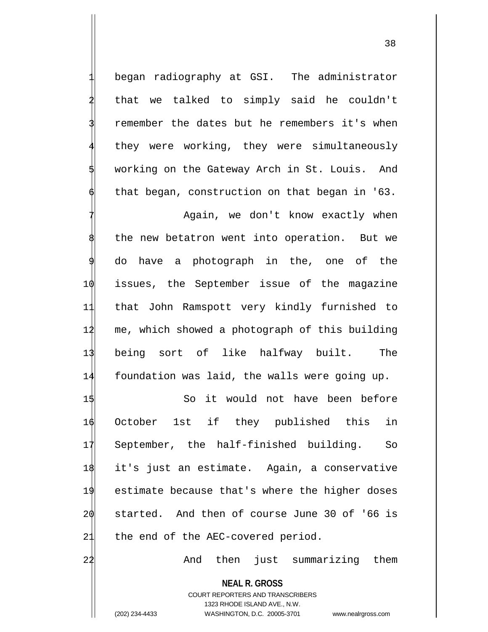1 began radiography at GSI. The administrator that we talked to simply said he couldn't remember the dates but he remembers it's when they were working, they were simultaneously working on the Gateway Arch in St. Louis. And that began, construction on that began in '63.

Again, we don't know exactly when the new betatron went into operation. But we do have a photograph in the, one of the issues, the September issue of the magazine that John Ramspott very kindly furnished to me, which showed a photograph of this building being sort of like halfway built. The foundation was laid, the walls were going up.

1\$ So it would not have been before October 1st if they published this in September, the half-finished building. So it's just an estimate. Again, a conservative estimate because that's where the higher doses started. And then of course June 30 of '66 is 21 the end of the AEC-covered period.

22 And then just summarizing them

**NEAL R. GROSS** COURT REPORTERS AND TRANSCRIBERS 1323 RHODE ISLAND AVE., N.W. (202) 234-4433 WASHINGTON, D.C. 20005-3701 www.nealrgross.com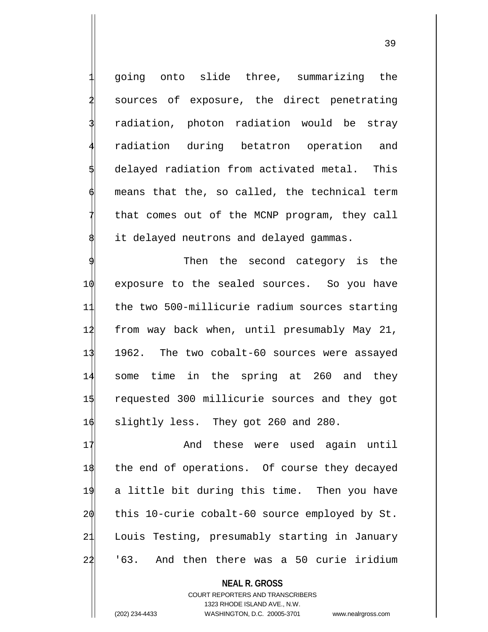1 going onto slide three, summarizing the sources of exposure, the direct penetrating radiation, photon radiation would be stray radiation during betatron operation and delayed radiation from activated metal. This means that the, so called, the technical term that comes out of the MCNP program, they call it delayed neutrons and delayed gammas.

Then the second category is the exposure to the sealed sources. So you have the two 500-millicurie radium sources starting 12 from way back when, until presumably May 21, 1962. The two cobalt-60 sources were assayed some time in the spring at 260 and they requested 300 millicurie sources and they got slightly less. They got 260 and 280.

17 And these were used again until the end of operations. Of course they decayed a little bit during this time. Then you have this 10-curie cobalt-60 source employed by St. Louis Testing, presumably starting in January '63. And then there was a 50 curie iridium

**NEAL R. GROSS** COURT REPORTERS AND TRANSCRIBERS 1323 RHODE ISLAND AVE., N.W. (202) 234-4433 WASHINGTON, D.C. 20005-3701 www.nealrgross.com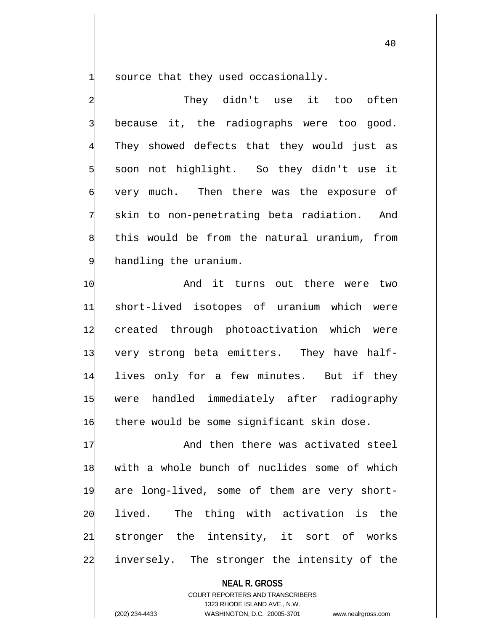source that they used occasionally.

They didn't use it too often because it, the radiographs were too good. They showed defects that they would just as 5 soon not highlight. So they didn't use it very much. Then there was the exposure of skin to non-penetrating beta radiation. And this would be from the natural uranium, from handling the uranium.

10 And it turns out there were two short-lived isotopes of uranium which were created through photoactivation which were very strong beta emitters. They have half- lives only for a few minutes. But if they were handled immediately after radiography 16 there would be some significant skin dose.

17 And then there was activated steel with a whole bunch of nuclides some of which are long-lived, some of them are very short- lived. The thing with activation is the stronger the intensity, it sort of works inversely. The stronger the intensity of the

**NEAL R. GROSS** COURT REPORTERS AND TRANSCRIBERS 1323 RHODE ISLAND AVE., N.W. (202) 234-4433 WASHINGTON, D.C. 20005-3701 www.nealrgross.com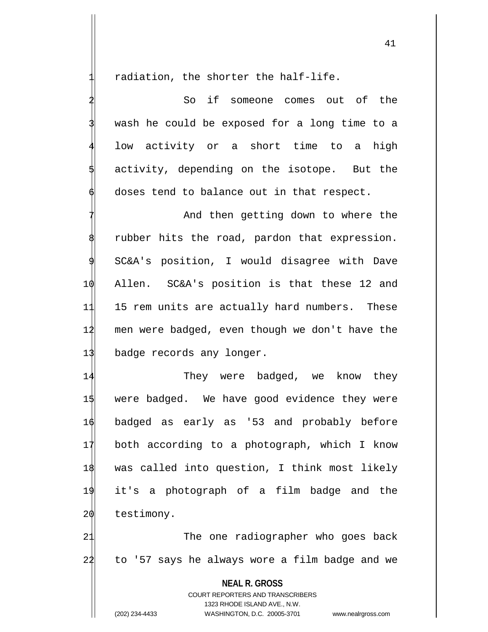radiation, the shorter the half-life.

So if someone comes out of the wash he could be exposed for a long time to a low activity or a short time to a high activity, depending on the isotope. But the doses tend to balance out in that respect.

And then getting down to where the rubber hits the road, pardon that expression. SC&A's position, I would disagree with Dave 10 Allen. SC&A's position is that these 12 and 11 15 rem units are actually hard numbers. These 12 men were badged, even though we don't have the 13 badge records any longer.

14 They were badged, we know they were badged. We have good evidence they were badged as early as '53 and probably before both according to a photograph, which I know was called into question, I think most likely it's a photograph of a film badge and the 20 testimony.

21 The one radiographer who goes back 22 to '57 says he always wore a film badge and we

**NEAL R. GROSS** COURT REPORTERS AND TRANSCRIBERS 1323 RHODE ISLAND AVE., N.W. (202) 234-4433 WASHINGTON, D.C. 20005-3701 www.nealrgross.com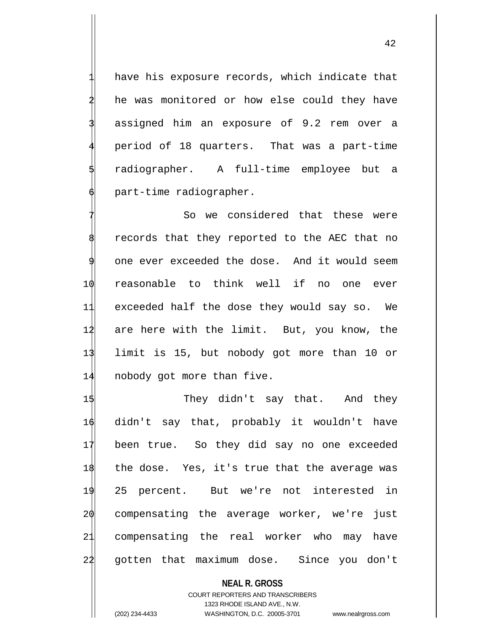have his exposure records, which indicate that he was monitored or how else could they have assigned him an exposure of 9.2 rem over a 4 period of 18 quarters. That was a part-time radiographer. A full-time employee but a 6 part-time radiographer.

So we considered that these were records that they reported to the AEC that no 9 one ever exceeded the dose. And it would seem 10 reasonable to think well if no one ever 11 exceeded half the dose they would say so. We 12 are here with the limit. But, you know, the 13 limit is 15, but nobody got more than 10 or 14 nobody got more than five.

1\$ They didn't say that. And they didn't say that, probably it wouldn't have been true. So they did say no one exceeded the dose. Yes, it's true that the average was 25 percent. But we're not interested in  $2\phi$  compensating the average worker, we're just compensating the real worker who may have 22 gotten that maximum dose. Since you don't

## **NEAL R. GROSS** COURT REPORTERS AND TRANSCRIBERS 1323 RHODE ISLAND AVE., N.W. (202) 234-4433 WASHINGTON, D.C. 20005-3701 www.nealrgross.com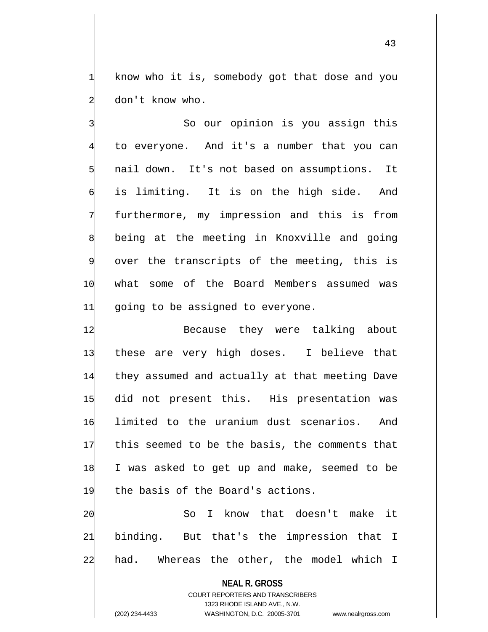know who it is, somebody got that dose and you don't know who.

So our opinion is you assign this to everyone. And it's a number that you can nail down. It's not based on assumptions. It is limiting. It is on the high side. And furthermore, my impression and this is from being at the meeting in Knoxville and going over the transcripts of the meeting, this is 10 what some of the Board Members assumed was 11 going to be assigned to everyone.

12 Because they were talking about these are very high doses. I believe that they assumed and actually at that meeting Dave did not present this. His presentation was limited to the uranium dust scenarios. And this seemed to be the basis, the comments that I was asked to get up and make, seemed to be 19 the basis of the Board's actions.

20 So I know that doesn't make it 21 binding. But that's the impression that I 22 had. Whereas the other, the model which I

**NEAL R. GROSS**

COURT REPORTERS AND TRANSCRIBERS 1323 RHODE ISLAND AVE., N.W. (202) 234-4433 WASHINGTON, D.C. 20005-3701 www.nealrgross.com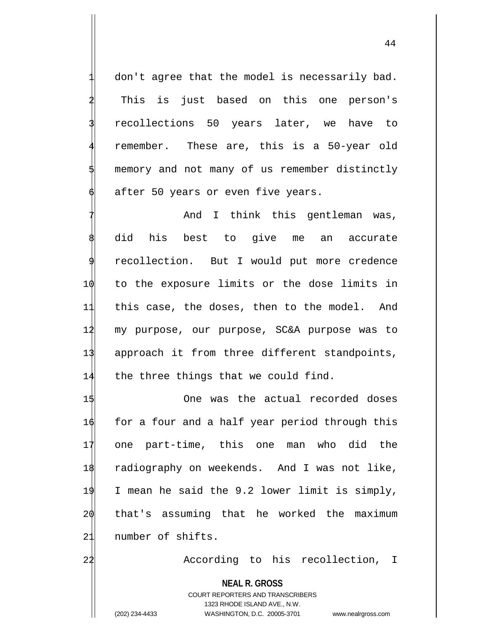don't agree that the model is necessarily bad. This is just based on this one person's 3 recollections 50 years later, we have to remember. These are, this is a 50-year old memory and not many of us remember distinctly after 50 years or even five years.

And I think this gentleman was, did his best to give me an accurate recollection. But I would put more credence 10 to the exposure limits or the dose limits in 11 this case, the doses, then to the model. And 12 my purpose, our purpose, SC&A purpose was to 13 approach it from three different standpoints, 14 the three things that we could find.

 One was the actual recorded doses  $\phi$  for a four and a half year period through this one part-time, this one man who did the radiography on weekends. And I was not like, I mean he said the 9.2 lower limit is simply, that's assuming that he worked the maximum 21 number of shifts.

22 According to his recollection, I

**NEAL R. GROSS**

COURT REPORTERS AND TRANSCRIBERS 1323 RHODE ISLAND AVE., N.W. (202) 234-4433 WASHINGTON, D.C. 20005-3701 www.nealrgross.com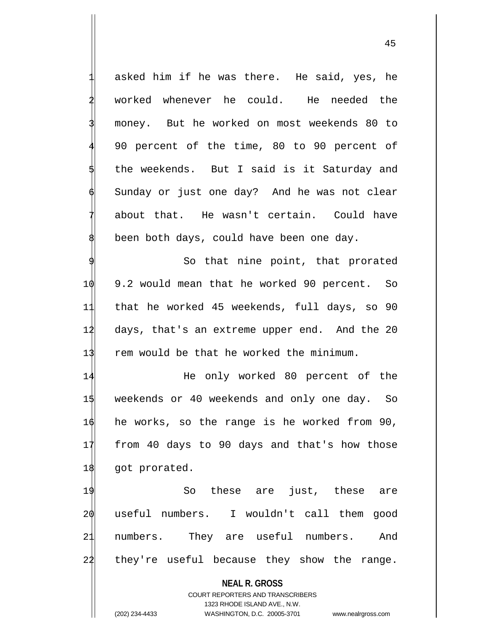asked him if he was there. He said, yes, he worked whenever he could. He needed the 3 money. But he worked on most weekends 80 to 4 90 percent of the time, 80 to 90 percent of the weekends. But I said is it Saturday and Sunday or just one day? And he was not clear about that. He wasn't certain. Could have been both days, could have been one day.

So that nine point, that prorated 10 9.2 would mean that he worked 90 percent. So 11 that he worked 45 weekends, full days, so 90 14 days, that's an extreme upper end. And the 20 13 rem would be that he worked the minimum.

14 He only worked 80 percent of the 15 weekends or 40 weekends and only one day. So 16 he works, so the range is he worked from 90, 17 from 40 days to 90 days and that's how those 18 got prorated.

19 So these are just, these are useful numbers. I wouldn't call them good numbers. They are useful numbers. And they're useful because they show the range.

**NEAL R. GROSS**

COURT REPORTERS AND TRANSCRIBERS 1323 RHODE ISLAND AVE., N.W. (202) 234-4433 WASHINGTON, D.C. 20005-3701 www.nealrgross.com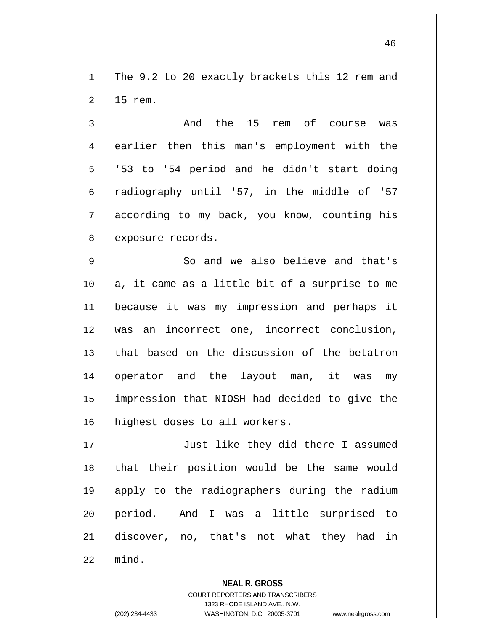The 9.2 to 20 exactly brackets this 12 rem and 15 rem.

And the 15 rem of course was earlier then this man's employment with the '53 to '54 period and he didn't start doing radiography until '57, in the middle of '57 according to my back, you know, counting his exposure records.

 So and we also believe and that's a, it came as a little bit of a surprise to me because it was my impression and perhaps it was an incorrect one, incorrect conclusion, 13 that based on the discussion of the betatron operator and the layout man, it was my impression that NIOSH had decided to give the 16 highest doses to all workers.

17 Just like they did there I assumed that their position would be the same would apply to the radiographers during the radium period. And I was a little surprised to discover, no, that's not what they had in  $22$  mind.

> **NEAL R. GROSS** COURT REPORTERS AND TRANSCRIBERS 1323 RHODE ISLAND AVE., N.W.

(202) 234-4433 WASHINGTON, D.C. 20005-3701 www.nealrgross.com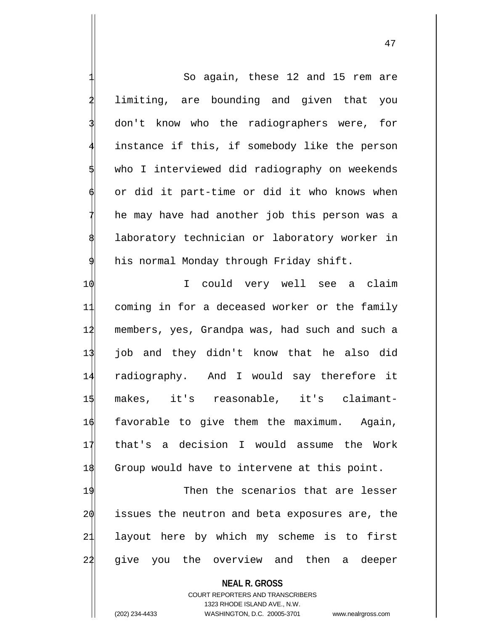So again, these 12 and 15 rem are limiting, are bounding and given that you don't know who the radiographers were, for instance if this, if somebody like the person who I interviewed did radiography on weekends or did it part-time or did it who knows when he may have had another job this person was a laboratory technician or laboratory worker in his normal Monday through Friday shift. 1 $\phi$  I could very well see a claim 11 coming in for a deceased worker or the family 12 members, yes, Grandpa was, had such and such a 13 job and they didn't know that he also did 14 radiography. And I would say therefore it 15 makes, it's reasonable, it's claimant-16 favorable to give them the maximum. Again, 17 that's a decision I would assume the Work 18 Group would have to intervene at this point. 19 Then the scenarios that are lesser 20 issues the neutron and beta exposures are, the 21 layout here by which my scheme is to first 22 give you the overview and then a deeper

> **NEAL R. GROSS** COURT REPORTERS AND TRANSCRIBERS 1323 RHODE ISLAND AVE., N.W.

(202) 234-4433 WASHINGTON, D.C. 20005-3701 www.nealrgross.com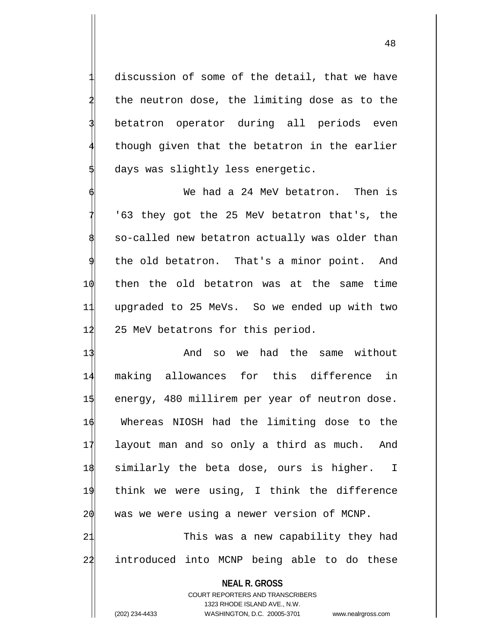discussion of some of the detail, that we have the neutron dose, the limiting dose as to the betatron operator during all periods even though given that the betatron in the earlier days was slightly less energetic.

We had a 24 MeV betatron. Then is 7 '63 they got the 25 MeV betatron that's, the so-called new betatron actually was older than the old betatron. That's a minor point. And 10 then the old betatron was at the same time 11 upgraded to 25 MeVs. So we ended up with two 12 25 MeV betatrons for this period.

13 And so we had the same without 14 making allowances for this difference in 15 energy, 480 millirem per year of neutron dose. 16 Whereas NIOSH had the limiting dose to the 17 layout man and so only a third as much. And 18 similarly the beta dose, ours is higher. I 19 think we were using, I think the difference  $2\phi$  was we were using a newer version of MCNP. 21 This was a new capability they had 22 introduced into MCNP being able to do these

**NEAL R. GROSS** COURT REPORTERS AND TRANSCRIBERS 1323 RHODE ISLAND AVE., N.W. (202) 234-4433 WASHINGTON, D.C. 20005-3701 www.nealrgross.com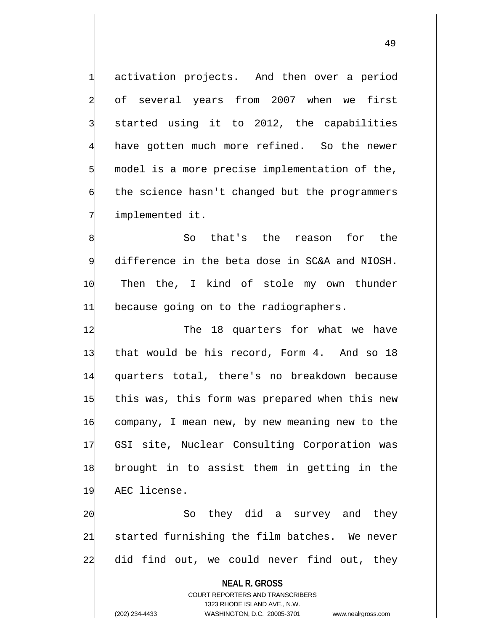activation projects. And then over a period of several years from 2007 when we first started using it to 2012, the capabilities have gotten much more refined. So the newer model is a more precise implementation of the, the science hasn't changed but the programmers implemented it.

So that's the reason for the 9 difference in the beta dose in SC&A and NIOSH. 10 Then the, I kind of stole my own thunder 11 because going on to the radiographers.

12 The 18 quarters for what we have that would be his record, Form 4. And so 18 quarters total, there's no breakdown because this was, this form was prepared when this new company, I mean new, by new meaning new to the GSI site, Nuclear Consulting Corporation was brought in to assist them in getting in the AEC license.

20 So they did a survey and they 21 started furnishing the film batches. We never 22 did find out, we could never find out, they

**NEAL R. GROSS** COURT REPORTERS AND TRANSCRIBERS 1323 RHODE ISLAND AVE., N.W. (202) 234-4433 WASHINGTON, D.C. 20005-3701 www.nealrgross.com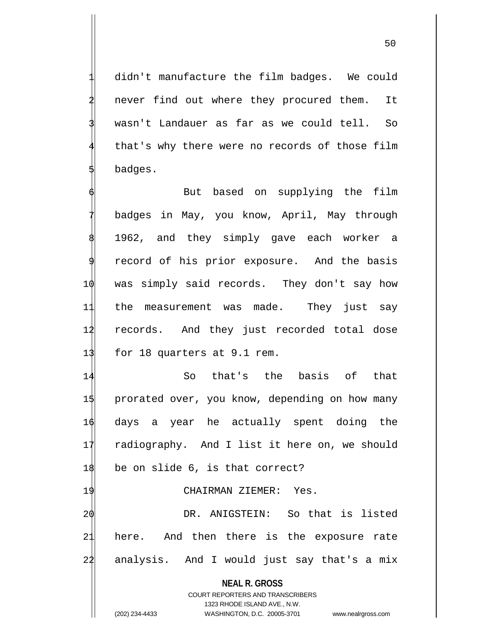didn't manufacture the film badges. We could never find out where they procured them. It wasn't Landauer as far as we could tell. So that's why there were no records of those film 5 badges.

But based on supplying the film badges in May, you know, April, May through 1962, and they simply gave each worker a record of his prior exposure. And the basis 10 was simply said records. They don't say how 11 the measurement was made. They just say 12 records. And they just recorded total dose 13 for 18 quarters at 9.1 rem.

14 So that's the basis of that 15 prorated over, you know, depending on how many 16 days a year he actually spent doing the 17 radiography. And I list it here on, we should  $1\frac{1}{8}$  be on slide 6, is that correct?

## 19 CHAIRMAN ZIEMER: Yes.

20 DR. ANIGSTEIN: So that is listed 21 here. And then there is the exposure rate 22 analysis. And I would just say that's a mix

**NEAL R. GROSS**

COURT REPORTERS AND TRANSCRIBERS 1323 RHODE ISLAND AVE., N.W. (202) 234-4433 WASHINGTON, D.C. 20005-3701 www.nealrgross.com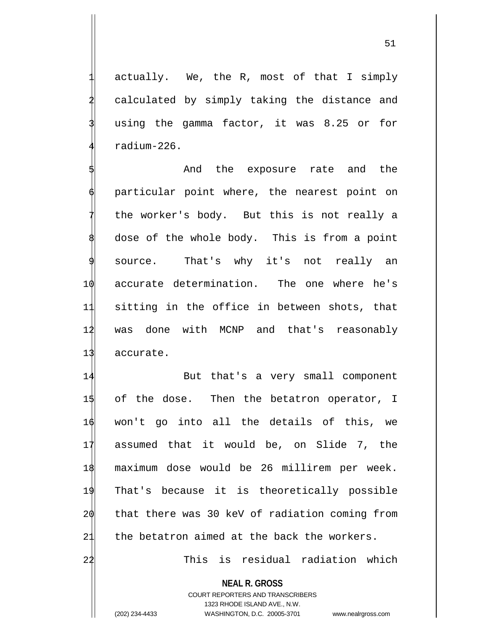actually. We, the R, most of that I simply calculated by simply taking the distance and using the gamma factor, it was 8.25 or for 4 radium-226.

And the exposure rate and the particular point where, the nearest point on the worker's body. But this is not really a dose of the whole body. This is from a point source. That's why it's not really an 10 accurate determination. The one where he's 11 sitting in the office in between shots, that 12 was done with MCNP and that's reasonably 13 accurate.

14 But that's a very small component 15 of the dose. Then the betatron operator, I won't go into all the details of this, we assumed that it would be, on Slide 7, the maximum dose would be 26 millirem per week. That's because it is theoretically possible that there was 30 keV of radiation coming from 21 the betatron aimed at the back the workers.

22 This is residual radiation which

**NEAL R. GROSS** COURT REPORTERS AND TRANSCRIBERS 1323 RHODE ISLAND AVE., N.W.

(202) 234-4433 WASHINGTON, D.C. 20005-3701 www.nealrgross.com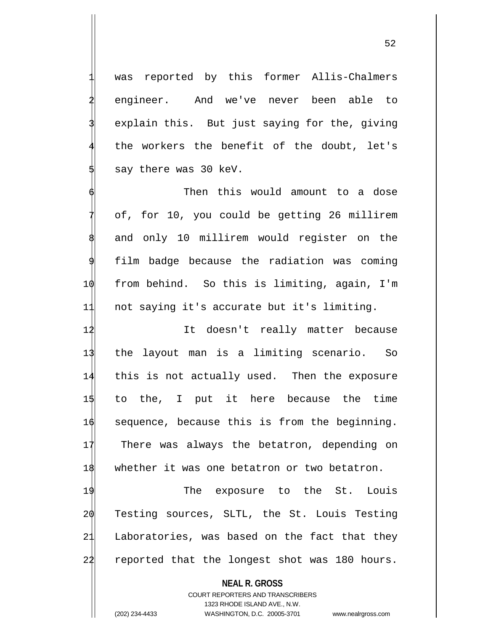was reported by this former Allis-Chalmers 2 engineer. And we've never been able to explain this. But just saying for the, giving the workers the benefit of the doubt, let's say there was 30 keV.

Then this would amount to a dose of, for 10, you could be getting 26 millirem and only 10 millirem would register on the film badge because the radiation was coming 10 from behind. So this is limiting, again, I'm 11 not saying it's accurate but it's limiting.

 It doesn't really matter because the layout man is a limiting scenario. So this is not actually used. Then the exposure to the, I put it here because the time sequence, because this is from the beginning. 17 There was always the betatron, depending on 18 whether it was one betatron or two betatron.

19 The exposure to the St. Louis 20 Testing sources, SLTL, the St. Louis Testing 21 Laboratories, was based on the fact that they 22 reported that the longest shot was 180 hours.

> **NEAL R. GROSS** COURT REPORTERS AND TRANSCRIBERS 1323 RHODE ISLAND AVE., N.W.

(202) 234-4433 WASHINGTON, D.C. 20005-3701 www.nealrgross.com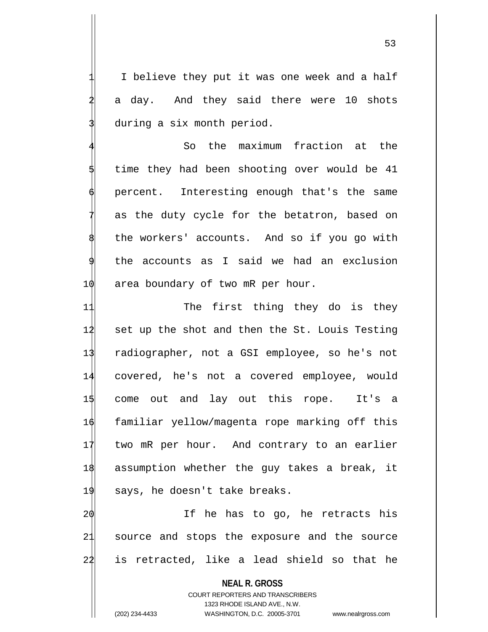I believe they put it was one week and a half a day. And they said there were 10 shots during a six month period.

So the maximum fraction at the time they had been shooting over would be 41 percent. Interesting enough that's the same as the duty cycle for the betatron, based on the workers' accounts. And so if you go with the accounts as I said we had an exclusion 1 $\phi$  area boundary of two mR per hour.

11 The first thing they do is they set up the shot and then the St. Louis Testing radiographer, not a GSI employee, so he's not covered, he's not a covered employee, would come out and lay out this rope. It's a familiar yellow/magenta rope marking off this 17 two mR per hour. And contrary to an earlier assumption whether the guy takes a break, it 19 says, he doesn't take breaks.

20 If he has to go, he retracts his 21 source and stops the exposure and the source 22 is retracted, like a lead shield so that he

**NEAL R. GROSS** COURT REPORTERS AND TRANSCRIBERS 1323 RHODE ISLAND AVE., N.W. (202) 234-4433 WASHINGTON, D.C. 20005-3701 www.nealrgross.com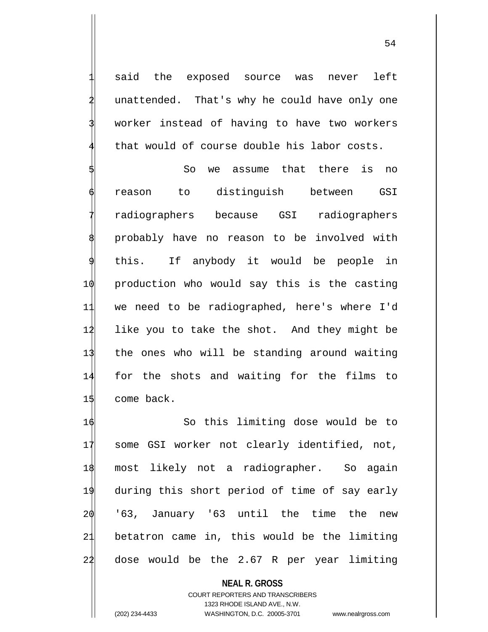said the exposed source was never left unattended. That's why he could have only one worker instead of having to have two workers that would of course double his labor costs.

So we assume that there is no reason to distinguish between GSI radiographers because GSI radiographers probably have no reason to be involved with this. If anybody it would be people in production who would say this is the casting we need to be radiographed, here's where I'd like you to take the shot. And they might be the ones who will be standing around waiting for the shots and waiting for the films to come back.

 So this limiting dose would be to some GSI worker not clearly identified, not, most likely not a radiographer. So again during this short period of time of say early '63, January '63 until the time the new betatron came in, this would be the limiting 22 dose would be the 2.67 R per year limiting

**NEAL R. GROSS** COURT REPORTERS AND TRANSCRIBERS 1323 RHODE ISLAND AVE., N.W. (202) 234-4433 WASHINGTON, D.C. 20005-3701 www.nealrgross.com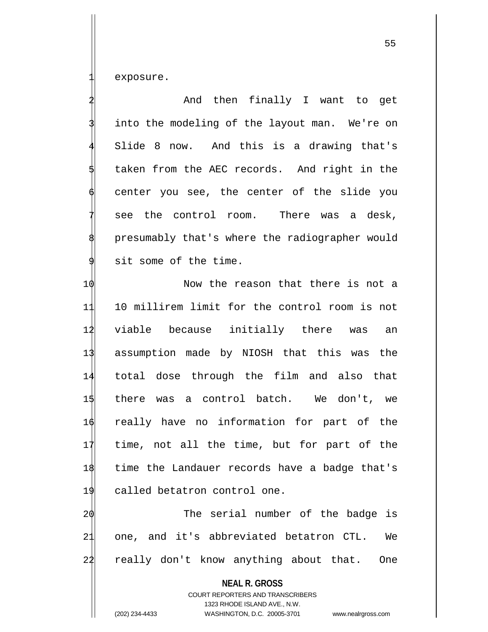exposure.

And then finally I want to get into the modeling of the layout man. We're on Slide 8 now. And this is a drawing that's taken from the AEC records. And right in the center you see, the center of the slide you see the control room. There was a desk, presumably that's where the radiographer would sit some of the time.

 $\phi$  Now the reason that there is not a 10 millirem limit for the control room is not viable because initially there was an assumption made by NIOSH that this was the total dose through the film and also that there was a control batch. We don't, we really have no information for part of the time, not all the time, but for part of the time the Landauer records have a badge that's called betatron control one.

20 The serial number of the badge is 21 one, and it's abbreviated betatron CTL. We 22 really don't know anything about that. One

> **NEAL R. GROSS** COURT REPORTERS AND TRANSCRIBERS 1323 RHODE ISLAND AVE., N.W.

(202) 234-4433 WASHINGTON, D.C. 20005-3701 www.nealrgross.com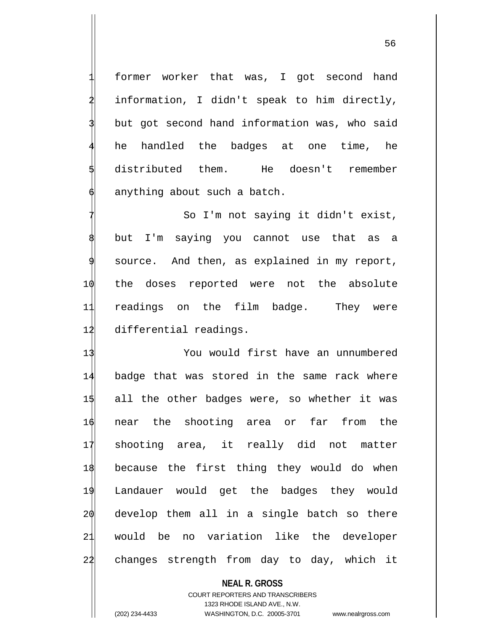former worker that was, I got second hand information, I didn't speak to him directly, but got second hand information was, who said he handled the badges at one time, he 5 distributed them. He doesn't remember anything about such a batch.

So I'm not saying it didn't exist, but I'm saying you cannot use that as a source. And then, as explained in my report, 10 the doses reported were not the absolute 11 readings on the film badge. They were 12 differential readings.

 You would first have an unnumbered badge that was stored in the same rack where all the other badges were, so whether it was near the shooting area or far from the shooting area, it really did not matter because the first thing they would do when Landauer would get the badges they would develop them all in a single batch so there would be no variation like the developer 22 changes strength from day to day, which it

## **NEAL R. GROSS**

COURT REPORTERS AND TRANSCRIBERS 1323 RHODE ISLAND AVE., N.W. (202) 234-4433 WASHINGTON, D.C. 20005-3701 www.nealrgross.com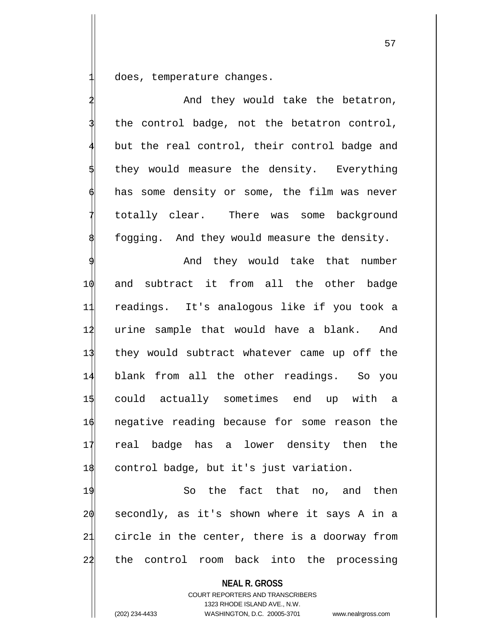does, temperature changes.

And they would take the betatron, the control badge, not the betatron control, but the real control, their control badge and they would measure the density. Everything has some density or some, the film was never totally clear. There was some background fogging. And they would measure the density.

And they would take that number and subtract it from all the other badge readings. It's analogous like if you took a 12 urine sample that would have a blank. And they would subtract whatever came up off the blank from all the other readings. So you could actually sometimes end up with a negative reading because for some reason the real badge has a lower density then the control badge, but it's just variation.

19 So the fact that no, and then 20 secondly, as it's shown where it says A in a 21 circle in the center, there is a doorway from 22 the control room back into the processing

**NEAL R. GROSS** COURT REPORTERS AND TRANSCRIBERS 1323 RHODE ISLAND AVE., N.W. (202) 234-4433 WASHINGTON, D.C. 20005-3701 www.nealrgross.com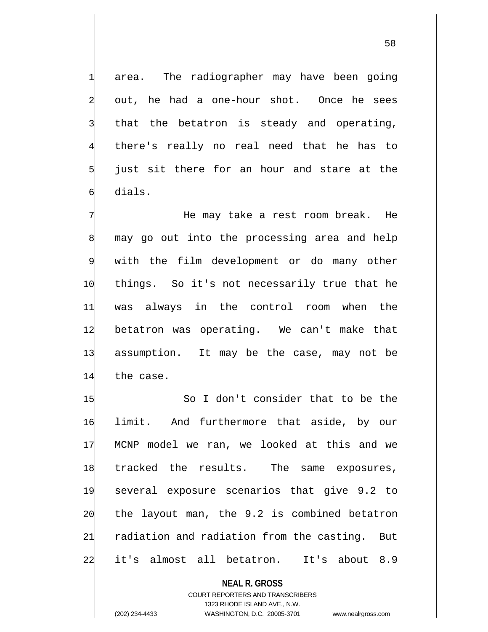area. The radiographer may have been going out, he had a one-hour shot. Once he sees that the betatron is steady and operating, there's really no real need that he has to just sit there for an hour and stare at the dials.

He may take a rest room break. He may go out into the processing area and help with the film development or do many other things. So it's not necessarily true that he was always in the control room when the betatron was operating. We can't make that assumption. It may be the case, may not be the case.

 So I don't consider that to be the limit. And furthermore that aside, by our MCNP model we ran, we looked at this and we tracked the results. The same exposures, several exposure scenarios that give 9.2 to the layout man, the 9.2 is combined betatron radiation and radiation from the casting. But 22 it's almost all betatron. It's about 8.9

> **NEAL R. GROSS** COURT REPORTERS AND TRANSCRIBERS 1323 RHODE ISLAND AVE., N.W.

(202) 234-4433 WASHINGTON, D.C. 20005-3701 www.nealrgross.com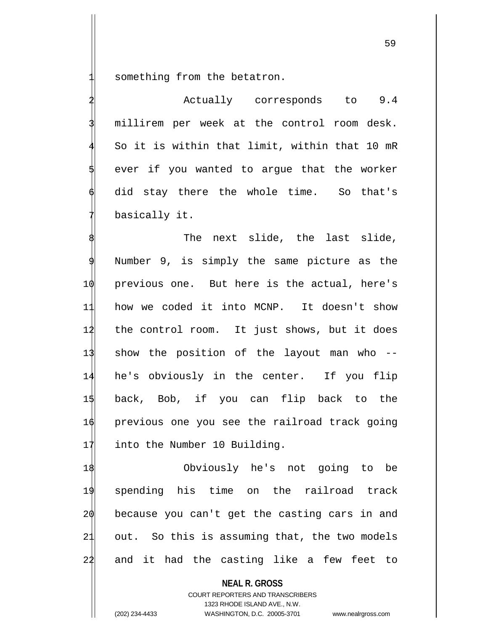something from the betatron.

Actually corresponds to 9.4 millirem per week at the control room desk. So it is within that limit, within that 10 mR ever if you wanted to argue that the worker did stay there the whole time. So that's basically it.

The next slide, the last slide, Number 9, is simply the same picture as the previous one. But here is the actual, here's how we coded it into MCNP. It doesn't show the control room. It just shows, but it does show the position of the layout man who -- he's obviously in the center. If you flip back, Bob, if you can flip back to the previous one you see the railroad track going into the Number 10 Building.

18 Obviously he's not going to be 19 spending his time on the railroad track 20 because you can't get the casting cars in and 21 out. So this is assuming that, the two models 22 and it had the casting like a few feet to

**NEAL R. GROSS**

COURT REPORTERS AND TRANSCRIBERS 1323 RHODE ISLAND AVE., N.W. (202) 234-4433 WASHINGTON, D.C. 20005-3701 www.nealrgross.com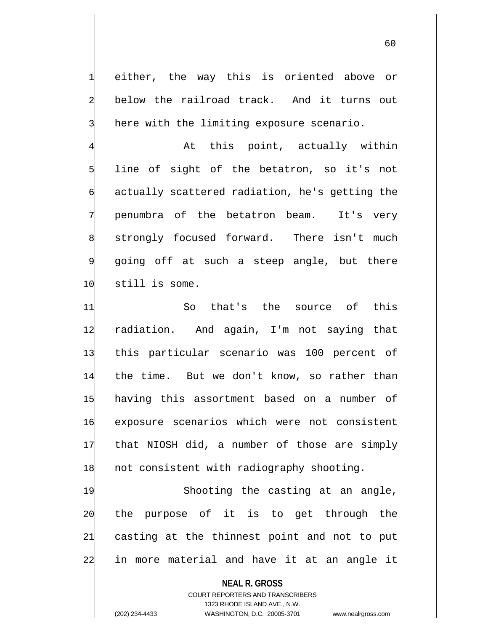either, the way this is oriented above or below the railroad track. And it turns out here with the limiting exposure scenario.

At this point, actually within line of sight of the betatron, so it's not actually scattered radiation, he's getting the 7 penumbra of the betatron beam. It's very strongly focused forward. There isn't much 9 going off at such a steep angle, but there 10 still is some.

 So that's the source of this radiation. And again, I'm not saying that this particular scenario was 100 percent of the time. But we don't know, so rather than having this assortment based on a number of exposure scenarios which were not consistent that NIOSH did, a number of those are simply 18 not consistent with radiography shooting.

19 Shooting the casting at an angle,  $20$  the purpose of it is to get through the 21 casting at the thinnest point and not to put 22 in more material and have it at an angle it

## **NEAL R. GROSS**

COURT REPORTERS AND TRANSCRIBERS 1323 RHODE ISLAND AVE., N.W. (202) 234-4433 WASHINGTON, D.C. 20005-3701 www.nealrgross.com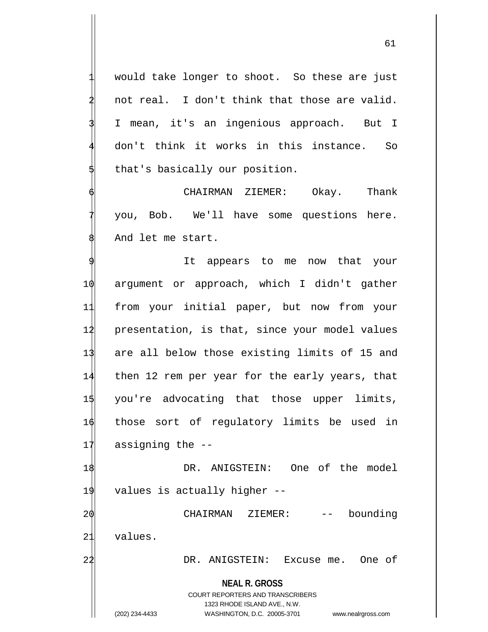would take longer to shoot. So these are just not real. I don't think that those are valid. I mean, it's an ingenious approach. But I don't think it works in this instance. So that's basically our position.

CHAIRMAN ZIEMER: Okay. Thank 7 you, Bob. We'll have some questions here. And let me start.

It appears to me now that your argument or approach, which I didn't gather from your initial paper, but now from your presentation, is that, since your model values are all below those existing limits of 15 and then 12 rem per year for the early years, that you're advocating that those upper limits, those sort of regulatory limits be used in assigning the --

18 DR. ANIGSTEIN: One of the model 19 values is actually higher --

2 $\phi$  CHAIRMAN ZIEMER: -- bounding 21 values.

22 DR. ANIGSTEIN: Excuse me. One of

**NEAL R. GROSS**

COURT REPORTERS AND TRANSCRIBERS 1323 RHODE ISLAND AVE., N.W. (202) 234-4433 WASHINGTON, D.C. 20005-3701 www.nealrgross.com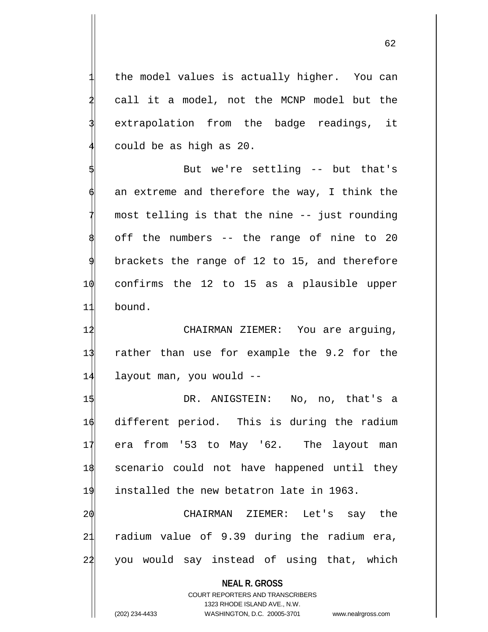the model values is actually higher. You can call it a model, not the MCNP model but the extrapolation from the badge readings, it could be as high as 20.

5 But we're settling -- but that's an extreme and therefore the way, I think the most telling is that the nine -- just rounding off the numbers -- the range of nine to 20 brackets the range of 12 to 15, and therefore 10 confirms the 12 to 15 as a plausible upper 11 bound.

12 CHAIRMAN ZIEMER: You are arguing, 13 rather than use for example the 9.2 for the 14 layout man, you would --

 DR. ANIGSTEIN: No, no, that's a different period. This is during the radium era from '53 to May '62. The layout man scenario could not have happened until they installed the new betatron late in 1963.

20 CHAIRMAN ZIEMER: Let's say the 21 radium value of 9.39 during the radium era, 22 you would say instead of using that, which

**NEAL R. GROSS** COURT REPORTERS AND TRANSCRIBERS 1323 RHODE ISLAND AVE., N.W. (202) 234-4433 WASHINGTON, D.C. 20005-3701 www.nealrgross.com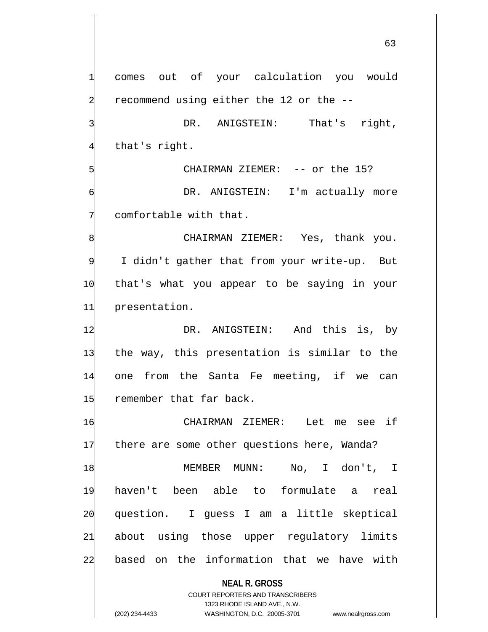**NEAL R. GROSS** COURT REPORTERS AND TRANSCRIBERS comes out of your calculation you would 2 recommend using either the 12 or the -- DR. ANIGSTEIN: That's right, that's right. CHAIRMAN ZIEMER: -- or the 15? DR. ANIGSTEIN: I'm actually more comfortable with that. CHAIRMAN ZIEMER: Yes, thank you. I didn't gather that from your write-up. But 10 that's what you appear to be saying in your 11 presentation. 12 DR. ANIGSTEIN: And this is, by 13 the way, this presentation is similar to the 14 one from the Santa Fe meeting, if we can 15 remember that far back. 16 CHAIRMAN ZIEMER: Let me see if 17 there are some other questions here, Wanda? 18 MEMBER MUNN: No, I don't, I 19 haven't been able to formulate a real 20 question. I guess I am a little skeptical 21 about using those upper regulatory limits 22 based on the information that we have with

1323 RHODE ISLAND AVE., N.W.

(202) 234-4433 WASHINGTON, D.C. 20005-3701 www.nealrgross.com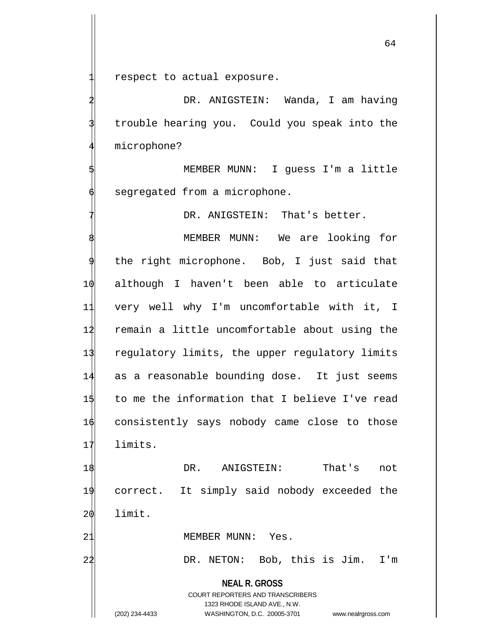respect to actual exposure.

DR. ANIGSTEIN: Wanda, I am having trouble hearing you. Could you speak into the microphone?

MEMBER MUNN: I guess I'm a little segregated from a microphone.

DR. ANIGSTEIN: That's better.

MEMBER MUNN: We are looking for the right microphone. Bob, I just said that although I haven't been able to articulate very well why I'm uncomfortable with it, I remain a little uncomfortable about using the regulatory limits, the upper regulatory limits as a reasonable bounding dose. It just seems to me the information that I believe I've read consistently says nobody came close to those 17 limits.

18 DR. ANIGSTEIN: That's not 19 correct. It simply said nobody exceeded the  $20$  limit.

21 MEMBER MUNN: Yes.

22 DR. NETON: Bob, this is Jim. I'm

**NEAL R. GROSS** COURT REPORTERS AND TRANSCRIBERS 1323 RHODE ISLAND AVE., N.W.

(202) 234-4433 WASHINGTON, D.C. 20005-3701 www.nealrgross.com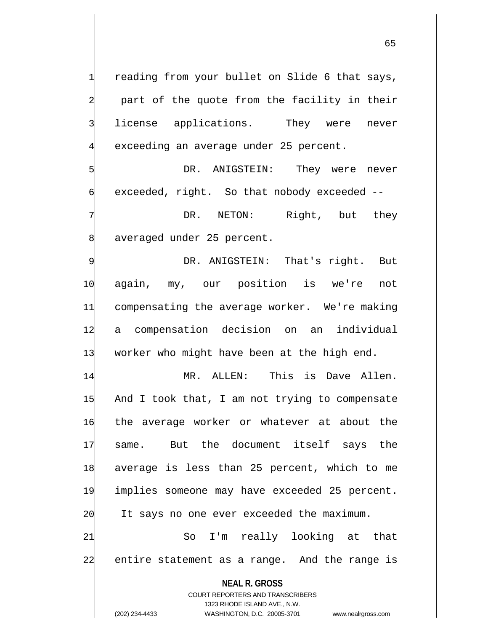65

reading from your bullet on Slide 6 that says, part of the quote from the facility in their license applications. They were never exceeding an average under 25 percent.

DR. ANIGSTEIN: They were never exceeded, right. So that nobody exceeded --

7 PR. NETON: Right, but they averaged under 25 percent.

DR. ANIGSTEIN: That's right. But 10 again, my, our position is we're not 11 compensating the average worker. We're making 12 a compensation decision on an individual 13 worker who might have been at the high end.

 MR. ALLEN: This is Dave Allen.  $1\frac{1}{3}$  And I took that, I am not trying to compensate the average worker or whatever at about the same. But the document itself says the average is less than 25 percent, which to me implies someone may have exceeded 25 percent. It says no one ever exceeded the maximum.

21 So I'm really looking at that 22 entire statement as a range. And the range is

**NEAL R. GROSS**

COURT REPORTERS AND TRANSCRIBERS 1323 RHODE ISLAND AVE., N.W. (202) 234-4433 WASHINGTON, D.C. 20005-3701 www.nealrgross.com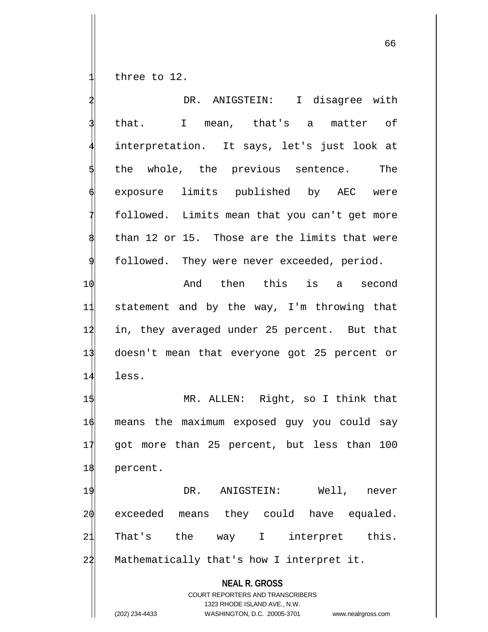three to 12.

|                | DR. ANIGSTEIN: I disagree with                                                                                                                                         |
|----------------|------------------------------------------------------------------------------------------------------------------------------------------------------------------------|
|                | that. I mean, that's a matter of                                                                                                                                       |
|                | interpretation. It says, let's just look at                                                                                                                            |
|                | the whole, the previous sentence. The                                                                                                                                  |
|                | exposure limits published by AEC were                                                                                                                                  |
|                | followed. Limits mean that you can't get more                                                                                                                          |
|                | than 12 or 15. Those are the limits that were                                                                                                                          |
|                | followed. They were never exceeded, period.                                                                                                                            |
| 10             | And then this is a second                                                                                                                                              |
| 11             | statement and by the way, I'm throwing that                                                                                                                            |
| 12             | in, they averaged under 25 percent. But that                                                                                                                           |
| 13             | doesn't mean that everyone got 25 percent or                                                                                                                           |
| 14             | less.                                                                                                                                                                  |
| 15             | MR. ALLEN: Right, so I think that                                                                                                                                      |
| 16             | means the maximum exposed guy you could say                                                                                                                            |
| 17             | got more than 25 percent, but less than 100                                                                                                                            |
| 18             | percent.                                                                                                                                                               |
| 1 <sup>1</sup> | DR.<br>Well,<br>ANIGSTEIN:<br>never                                                                                                                                    |
| 20             | exceeded<br>they could<br>have equaled.<br>means                                                                                                                       |
| 2.             | That's<br>the<br>interpret<br>this.<br>$\mathbf{I}$<br>way                                                                                                             |
| 22             | Mathematically that's how I interpret it.                                                                                                                              |
|                | <b>NEAL R. GROSS</b><br><b>COURT REPORTERS AND TRANSCRIBERS</b><br>1323 RHODE ISLAND AVE., N.W.<br>WASHINGTON, D.C. 20005-3701<br>(202) 234-4433<br>www.nealrgross.com |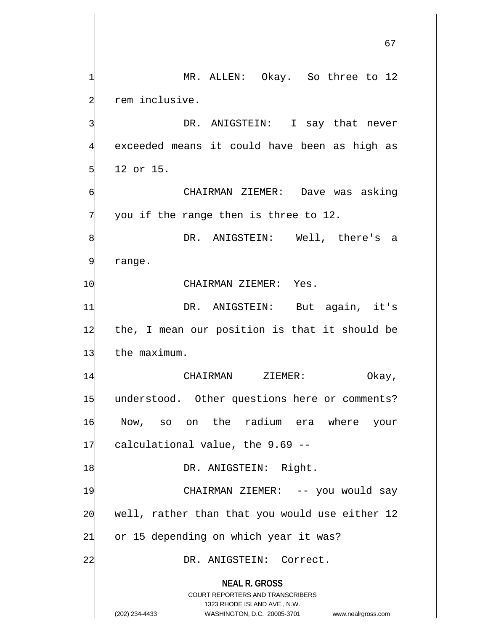**NEAL R. GROSS** COURT REPORTERS AND TRANSCRIBERS 1323 RHODE ISLAND AVE., N.W. (202) 234-4433 WASHINGTON, D.C. 20005-3701 www.nealrgross.com MR. ALLEN: Okay. So three to 12 rem inclusive. DR. ANIGSTEIN: I say that never exceeded means it could have been as high as 12 or 15. 6 CHAIRMAN ZIEMER: Dave was asking you if the range then is three to 12. DR. ANIGSTEIN: Well, there's a range. 10 CHAIRMAN ZIEMER: Yes. 11 DR. ANIGSTEIN: But again, it's 12 the, I mean our position is that it should be 13 the maximum. 14 CHAIRMAN ZIEMER: Okay, 1\$ understood. Other questions here or comments? 16 Now, so on the radium era where your  $17$  calculational value, the 9.69 --18 DR. ANIGSTEIN: Right. 19 CHAIRMAN ZIEMER: -- you would say  $20$  well, rather than that you would use either 12 21 or 15 depending on which year it was? 22 DR. ANIGSTEIN: Correct.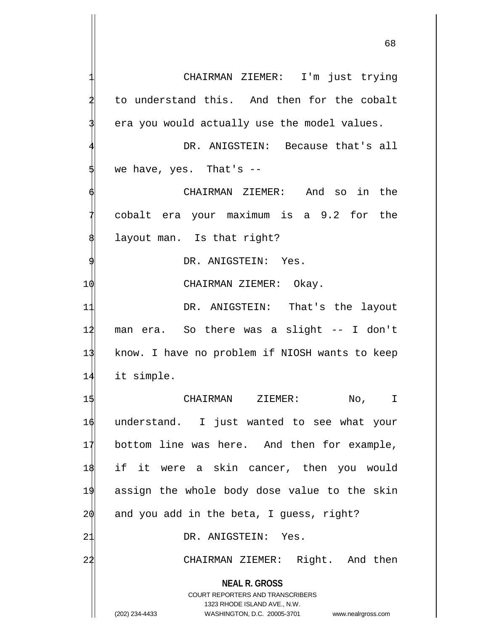**NEAL R. GROSS** COURT REPORTERS AND TRANSCRIBERS CHAIRMAN ZIEMER: I'm just trying to understand this. And then for the cobalt era you would actually use the model values. DR. ANIGSTEIN: Because that's all we have, yes. That's  $-$ 6 CHAIRMAN ZIEMER: And so in the 7 cobalt era your maximum is a 9.2 for the layout man. Is that right? DR. ANIGSTEIN: Yes. 10 CHAIRMAN ZIEMER: Okay. 11 DR. ANIGSTEIN: That's the layout 12 man era. So there was a slight -- I don't 13 know. I have no problem if NIOSH wants to keep 14 it simple. 15 CHAIRMAN ZIEMER: No, I 16 understand. I just wanted to see what your 17 bottom line was here. And then for example, 18 if it were a skin cancer, then you would 19 assign the whole body dose value to the skin  $20$  and you add in the beta, I guess, right? 21 DR. ANIGSTEIN: Yes. 22 CHAIRMAN ZIEMER: Right. And then

1323 RHODE ISLAND AVE., N.W. (202) 234-4433 WASHINGTON, D.C. 20005-3701 www.nealrgross.com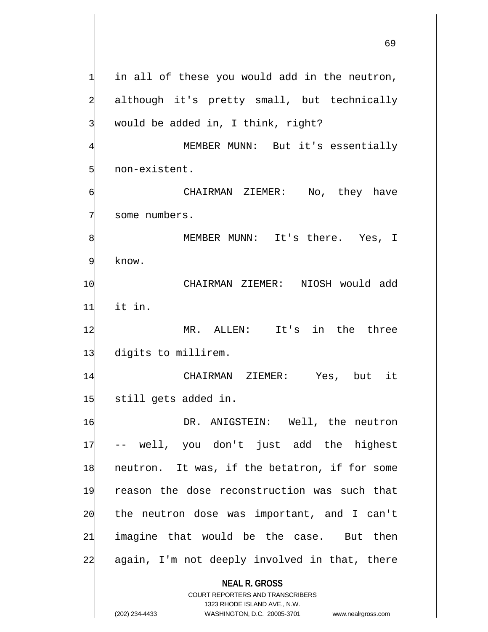**NEAL R. GROSS** COURT REPORTERS AND TRANSCRIBERS 1323 RHODE ISLAND AVE., N.W. in all of these you would add in the neutron, although it's pretty small, but technically would be added in, I think, right? MEMBER MUNN: But it's essentially 5 non-existent. CHAIRMAN ZIEMER: No, they have some numbers. MEMBER MUNN: It's there. Yes, I 9 know. 10 CHAIRMAN ZIEMER: NIOSH would add 11 it in. 12 MR. ALLEN: It's in the three 13 digits to millirem. 14 CHAIRMAN ZIEMER: Yes, but it 15 still gets added in. 16 DR. ANIGSTEIN: Well, the neutron 17 -- well, you don't just add the highest 18 neutron. It was, if the betatron, if for some 19 reason the dose reconstruction was such that 20 the neutron dose was important, and I can't 21 imagine that would be the case. But then 24 again, I'm not deeply involved in that, there

(202) 234-4433 WASHINGTON, D.C. 20005-3701 www.nealrgross.com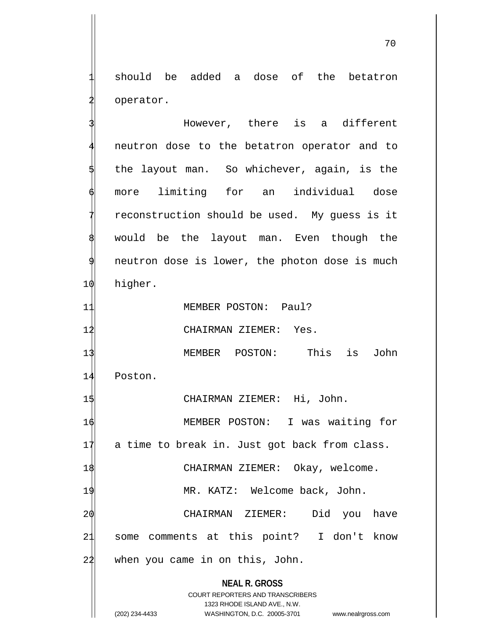should be added a dose of the betatron operator.

**NEAL R. GROSS** COURT REPORTERS AND TRANSCRIBERS 1323 RHODE ISLAND AVE., N.W. However, there is a different neutron dose to the betatron operator and to the layout man. So whichever, again, is the more limiting for an individual dose reconstruction should be used. My guess is it would be the layout man. Even though the neutron dose is lower, the photon dose is much 10 higher. 11 MEMBER POSTON: Paul? 12 CHAIRMAN ZIEMER: Yes. 13 MEMBER POSTON: This is John 14 Poston. 15 CHAIRMAN ZIEMER: Hi, John. 16 MEMBER POSTON: I was waiting for 17 a time to break in. Just got back from class. 1\$ CHAIRMAN ZIEMER: Okay, welcome. 19 MR. KATZ: Welcome back, John. 20 CHAIRMAN ZIEMER: Did you have 21 some comments at this point? I don't know 24 when you came in on this, John.

(202) 234-4433 WASHINGTON, D.C. 20005-3701 www.nealrgross.com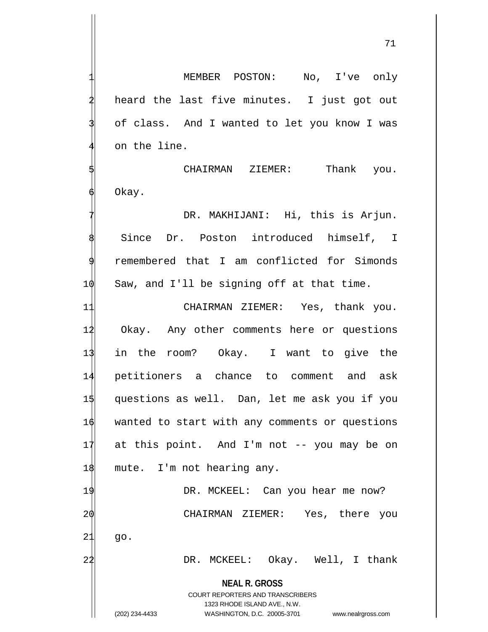71

MEMBER POSTON: No, I've only heard the last five minutes. I just got out of class. And I wanted to let you know I was on the line. CHAIRMAN ZIEMER: Thank you. Okay. DR. MAKHIJANI: Hi, this is Arjun. Since Dr. Poston introduced himself, I 9 remembered that I am conflicted for Simonds 1 $\phi$  Saw, and I'll be signing off at that time. 11 CHAIRMAN ZIEMER: Yes, thank you. 12 Okay. Any other comments here or questions

13 in the room? Okay. I want to give the petitioners a chance to comment and ask questions as well. Dan, let me ask you if you wanted to start with any comments or questions at this point. And I'm not -- you may be on 18 mute. I'm not hearing any.

19 DR. MCKEEL: Can you hear me now? 20 CHAIRMAN ZIEMER: Yes, there you

 $21$  go.

22 DR. MCKEEL: Okay. Well, I thank

**NEAL R. GROSS** COURT REPORTERS AND TRANSCRIBERS

1323 RHODE ISLAND AVE., N.W.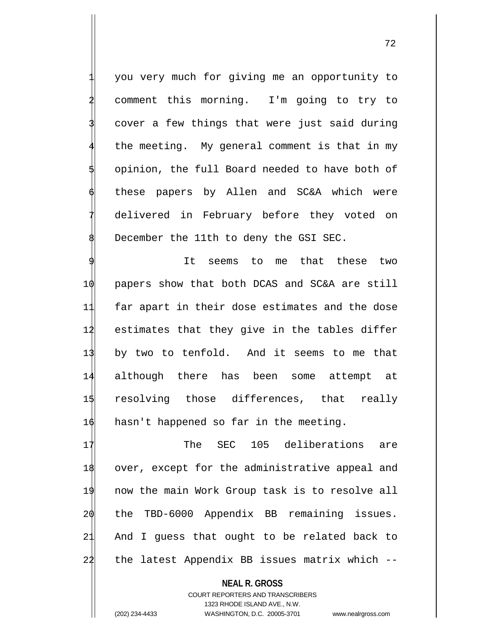1 you very much for giving me an opportunity to comment this morning. I'm going to try to cover a few things that were just said during the meeting. My general comment is that in my opinion, the full Board needed to have both of these papers by Allen and SC&A which were delivered in February before they voted on December the 11th to deny the GSI SEC.

It seems to me that these two 10 papers show that both DCAS and SC&A are still far apart in their dose estimates and the dose estimates that they give in the tables differ by two to tenfold. And it seems to me that although there has been some attempt at resolving those differences, that really 16 hasn't happened so far in the meeting.

17 The SEC 105 deliberations are over, except for the administrative appeal and now the main Work Group task is to resolve all the TBD-6000 Appendix BB remaining issues. And I guess that ought to be related back to the latest Appendix BB issues matrix which  $-$ 

**NEAL R. GROSS** COURT REPORTERS AND TRANSCRIBERS 1323 RHODE ISLAND AVE., N.W. (202) 234-4433 WASHINGTON, D.C. 20005-3701 www.nealrgross.com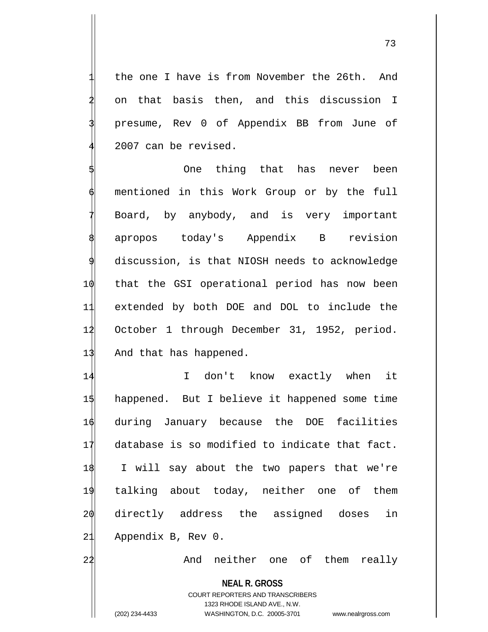the one I have is from November the 26th. And 2 on that basis then, and this discussion I 3 presume, Rev 0 of Appendix BB from June of 2007 can be revised.

One thing that has never been mentioned in this Work Group or by the full Board, by anybody, and is very important apropos today's Appendix B revision discussion, is that NIOSH needs to acknowledge 10 that the GSI operational period has now been 11 extended by both DOE and DOL to include the 12 October 1 through December 31, 1952, period. 13 And that has happened.

 I don't know exactly when it happened. But I believe it happened some time during January because the DOE facilities database is so modified to indicate that fact. I will say about the two papers that we're talking about today, neither one of them directly address the assigned doses in 21 Appendix B, Rev 0.

22 And neither one of them really

**NEAL R. GROSS** COURT REPORTERS AND TRANSCRIBERS 1323 RHODE ISLAND AVE., N.W. (202) 234-4433 WASHINGTON, D.C. 20005-3701 www.nealrgross.com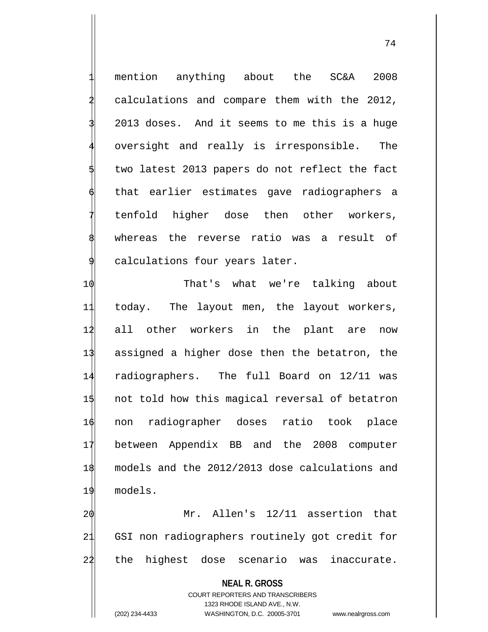mention anything about the SC&A 2008 2 calculations and compare them with the 2012, 3 2013 doses. And it seems to me this is a huge oversight and really is irresponsible. The two latest 2013 papers do not reflect the fact that earlier estimates gave radiographers a tenfold higher dose then other workers, whereas the reverse ratio was a result of calculations four years later.

 That's what we're talking about today. The layout men, the layout workers, all other workers in the plant are now assigned a higher dose then the betatron, the radiographers. The full Board on 12/11 was not told how this magical reversal of betatron non radiographer doses ratio took place between Appendix BB and the 2008 computer models and the 2012/2013 dose calculations and 19 models.

20 Mr. Allen's 12/11 assertion that 21 GSI non radiographers routinely got credit for 22 the highest dose scenario was inaccurate.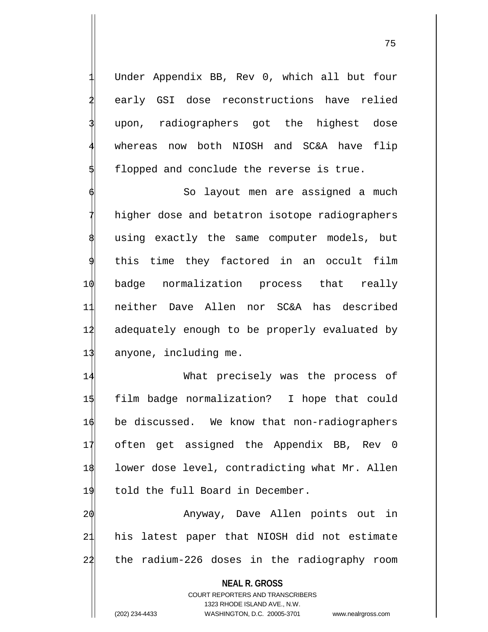Under Appendix BB, Rev 0, which all but four early GSI dose reconstructions have relied upon, radiographers got the highest dose whereas now both NIOSH and SC&A have flip flopped and conclude the reverse is true.

So layout men are assigned a much higher dose and betatron isotope radiographers using exactly the same computer models, but this time they factored in an occult film 10 badge normalization process that really 11 neither Dave Allen nor SC&A has described 12 adequately enough to be properly evaluated by 13 anyone, including me.

 What precisely was the process of film badge normalization? I hope that could be discussed. We know that non-radiographers often get assigned the Appendix BB, Rev 0 18 lower dose level, contradicting what Mr. Allen 19 told the full Board in December.

20 Anyway, Dave Allen points out in 21 his latest paper that NIOSH did not estimate 22 the radium-226 doses in the radiography room

**NEAL R. GROSS** COURT REPORTERS AND TRANSCRIBERS 1323 RHODE ISLAND AVE., N.W. (202) 234-4433 WASHINGTON, D.C. 20005-3701 www.nealrgross.com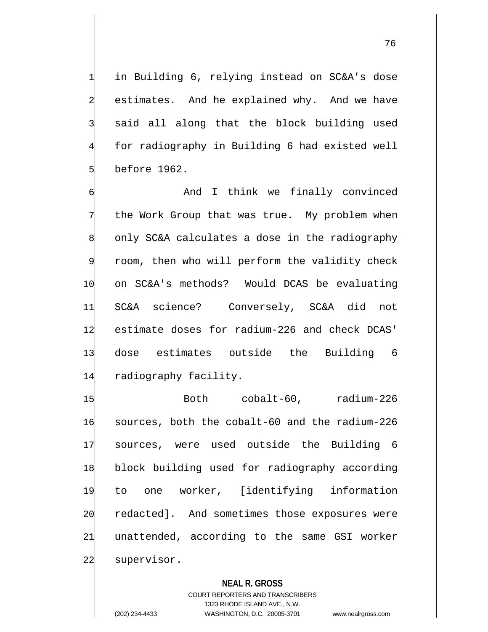in Building 6, relying instead on SC&A's dose estimates. And he explained why. And we have said all along that the block building used for radiography in Building 6 had existed well 5 before 1962.

And I think we finally convinced the Work Group that was true. My problem when only SC&A calculates a dose in the radiography room, then who will perform the validity check 10 on SC&A's methods? Would DCAS be evaluating 11 SC&A science? Conversely, SC&A did not 12 estimate doses for radium-226 and check DCAS' 13 dose estimates outside the Building 6 14 radiography facility.

 Both cobalt-60, radium-226 sources, both the cobalt-60 and the radium-226 sources, were used outside the Building 6 block building used for radiography according to one worker, [identifying information  $\phi$  redacted]. And sometimes those exposures were unattended, according to the same GSI worker 22 supervisor.

## **NEAL R. GROSS**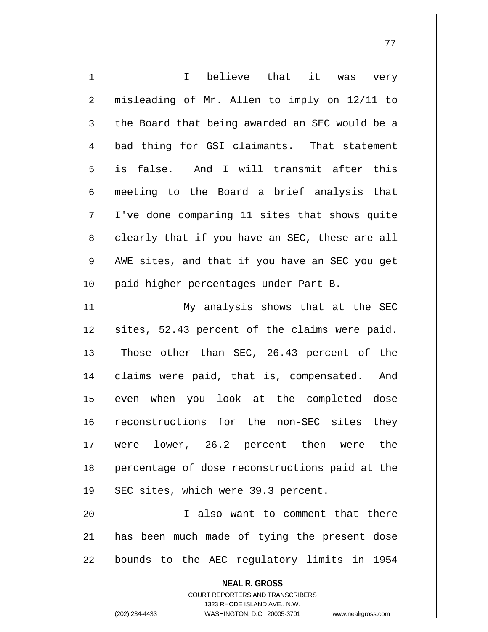|    | I believe that it was very                                              |
|----|-------------------------------------------------------------------------|
|    | misleading of Mr. Allen to imply on 12/11 to                            |
|    | the Board that being awarded an SEC would be a                          |
|    | bad thing for GSI claimants. That statement                             |
|    | is false. And I will transmit after this                                |
|    | meeting to the Board a brief analysis that                              |
|    | I've done comparing 11 sites that shows quite                           |
|    | clearly that if you have an SEC, these are all                          |
|    | AWE sites, and that if you have an SEC you get                          |
| 10 | paid higher percentages under Part B.                                   |
| 11 | My analysis shows that at the SEC                                       |
| 12 | sites, 52.43 percent of the claims were paid.                           |
| 13 | Those other than SEC, 26.43 percent of the                              |
| 14 | claims were paid, that is, compensated. And                             |
| 15 | even when you look at the completed dose                                |
| 16 | reconstructions for the non-SEC sites they                              |
| 17 | lower, 26.2 percent then<br>were the<br>were                            |
| 18 | percentage of dose reconstructions paid at the                          |
| 19 | SEC sites, which were 39.3 percent.                                     |
| 20 | I also want to comment that there                                       |
| 21 | has been much made of tying the present dose                            |
| 22 | bounds to the AEC regulatory limits in 1954                             |
|    | <b>NEAL R. GROSS</b>                                                    |
|    | <b>COURT REPORTERS AND TRANSCRIBERS</b><br>1323 RHODE ISLAND AVE., N.W. |
|    | (202) 234-4433<br>WASHINGTON, D.C. 20005-3701<br>www.nealrgross.com     |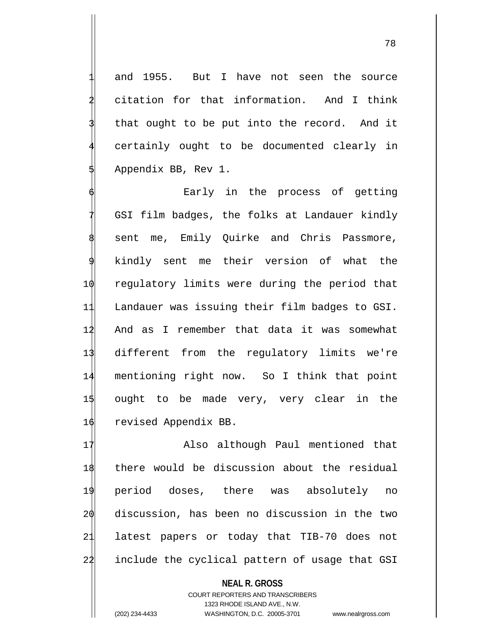78

and 1955. But I have not seen the source citation for that information. And I think that ought to be put into the record. And it certainly ought to be documented clearly in Appendix BB, Rev 1.

Early in the process of getting GSI film badges, the folks at Landauer kindly sent me, Emily Quirke and Chris Passmore, kindly sent me their version of what the regulatory limits were during the period that Landauer was issuing their film badges to GSI. And as I remember that data it was somewhat different from the regulatory limits we're mentioning right now. So I think that point ought to be made very, very clear in the revised Appendix BB.

17 Also although Paul mentioned that there would be discussion about the residual period doses, there was absolutely no discussion, has been no discussion in the two latest papers or today that TIB-70 does not 22 include the cyclical pattern of usage that GSI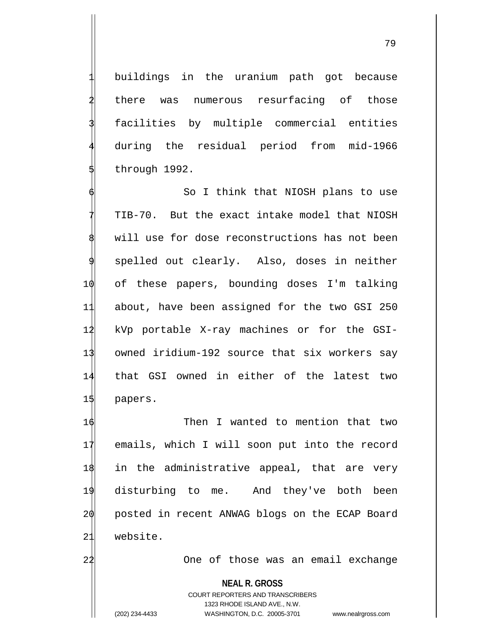buildings in the uranium path got because there was numerous resurfacing of those facilities by multiple commercial entities 4 during the residual period from mid-1966 5 through 1992.

So I think that NIOSH plans to use 7 TIB-70. But the exact intake model that NIOSH will use for dose reconstructions has not been spelled out clearly. Also, doses in neither 10 of these papers, bounding doses I'm talking 11 about, have been assigned for the two GSI 250 12 kVp portable X-ray machines or for the GSI-13 owned iridium-192 source that six workers say 14 that GSI owned in either of the latest two 15 papers.

 Then I wanted to mention that two emails, which I will soon put into the record in the administrative appeal, that are very disturbing to me. And they've both been 20 posted in recent ANWAG blogs on the ECAP Board 21 website.

22 One of those was an email exchange

**NEAL R. GROSS**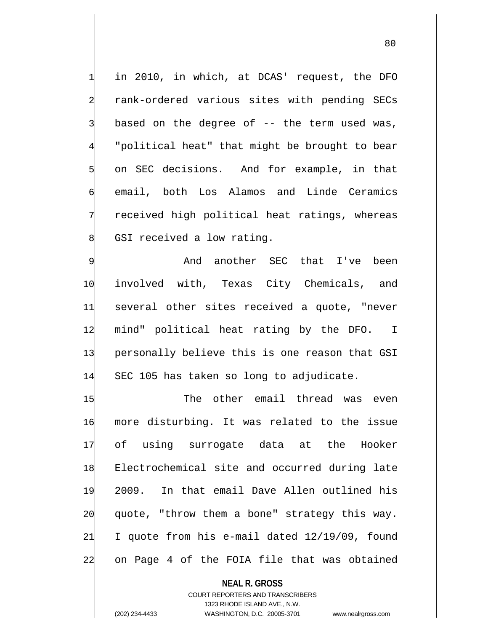in 2010, in which, at DCAS' request, the DFO 2 rank-ordered various sites with pending SECs based on the degree of -- the term used was, "political heat" that might be brought to bear on SEC decisions. And for example, in that email, both Los Alamos and Linde Ceramics received high political heat ratings, whereas GSI received a low rating.

And another SEC that I've been involved with, Texas City Chemicals, and several other sites received a quote, "never mind" political heat rating by the DFO. I personally believe this is one reason that GSI SEC 105 has taken so long to adjudicate.

 The other email thread was even more disturbing. It was related to the issue of using surrogate data at the Hooker Electrochemical site and occurred during late 2009. In that email Dave Allen outlined his  $2\phi$  quote, "throw them a bone" strategy this way. I quote from his e-mail dated 12/19/09, found 22 on Page 4 of the FOIA file that was obtained

**NEAL R. GROSS** COURT REPORTERS AND TRANSCRIBERS 1323 RHODE ISLAND AVE., N.W. (202) 234-4433 WASHINGTON, D.C. 20005-3701 www.nealrgross.com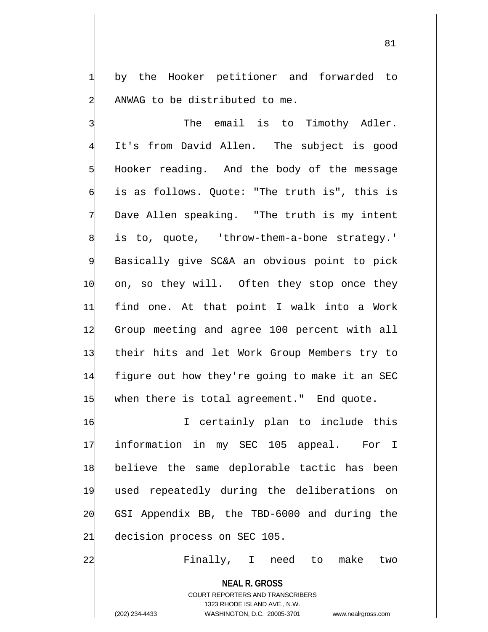by the Hooker petitioner and forwarded to ANWAG to be distributed to me.

The email is to Timothy Adler. It's from David Allen. The subject is good 5 Hooker reading. And the body of the message is as follows. Quote: "The truth is", this is Dave Allen speaking. "The truth is my intent is to, quote, 'throw-them-a-bone strategy.' Basically give SC&A an obvious point to pick 1 $\phi$  on, so they will. Often they stop once they 11 find one. At that point I walk into a Work 12 Group meeting and agree 100 percent with all 13 their hits and let Work Group Members try to 14 figure out how they're going to make it an SEC 15 when there is total agreement." End quote.

16 16 I certainly plan to include this information in my SEC 105 appeal. For I believe the same deplorable tactic has been used repeatedly during the deliberations on GSI Appendix BB, the TBD-6000 and during the decision process on SEC 105.

22 Finally, I need to make two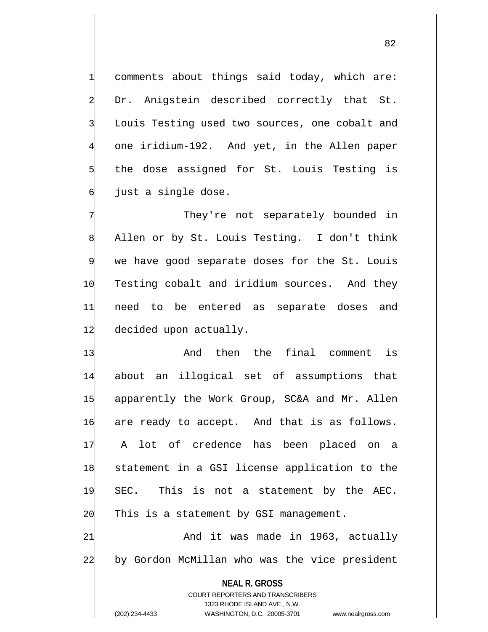comments about things said today, which are: Dr. Anigstein described correctly that St. Louis Testing used two sources, one cobalt and one iridium-192. And yet, in the Allen paper the dose assigned for St. Louis Testing is just a single dose.

They're not separately bounded in 8 Allen or by St. Louis Testing. I don't think we have good separate doses for the St. Louis 1 $\phi$  Testing cobalt and iridium sources. And they 11 need to be entered as separate doses and 12 decided upon actually.

 And then the final comment is about an illogical set of assumptions that apparently the Work Group, SC&A and Mr. Allen  $\phi$  are ready to accept. And that is as follows. A lot of credence has been placed on a statement in a GSI license application to the SEC. This is not a statement by the AEC. This is a statement by GSI management. 21 And it was made in 1963, actually

22 by Gordon McMillan who was the vice president

**NEAL R. GROSS**

COURT REPORTERS AND TRANSCRIBERS 1323 RHODE ISLAND AVE., N.W. (202) 234-4433 WASHINGTON, D.C. 20005-3701 www.nealrgross.com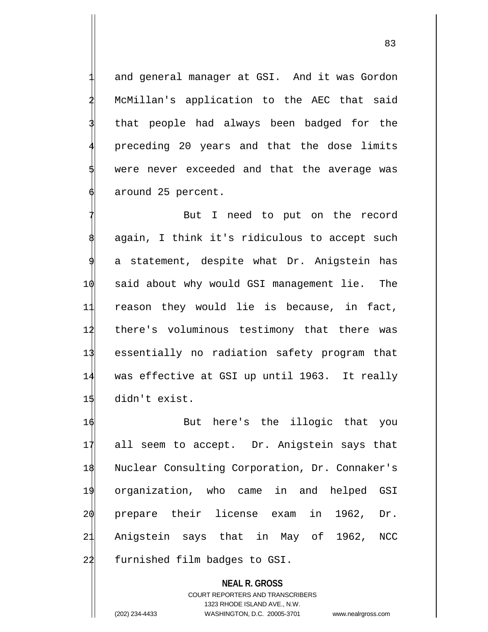and general manager at GSI. And it was Gordon McMillan's application to the AEC that said that people had always been badged for the preceding 20 years and that the dose limits were never exceeded and that the average was around 25 percent.

But I need to put on the record again, I think it's ridiculous to accept such a statement, despite what Dr. Anigstein has said about why would GSI management lie. The reason they would lie is because, in fact, there's voluminous testimony that there was essentially no radiation safety program that was effective at GSI up until 1963. It really didn't exist.

 But here's the illogic that you all seem to accept. Dr. Anigstein says that Nuclear Consulting Corporation, Dr. Connaker's organization, who came in and helped GSI prepare their license exam in 1962, Dr. Anigstein says that in May of 1962, NCC 22 furnished film badges to GSI.

**NEAL R. GROSS** COURT REPORTERS AND TRANSCRIBERS 1323 RHODE ISLAND AVE., N.W. (202) 234-4433 WASHINGTON, D.C. 20005-3701 www.nealrgross.com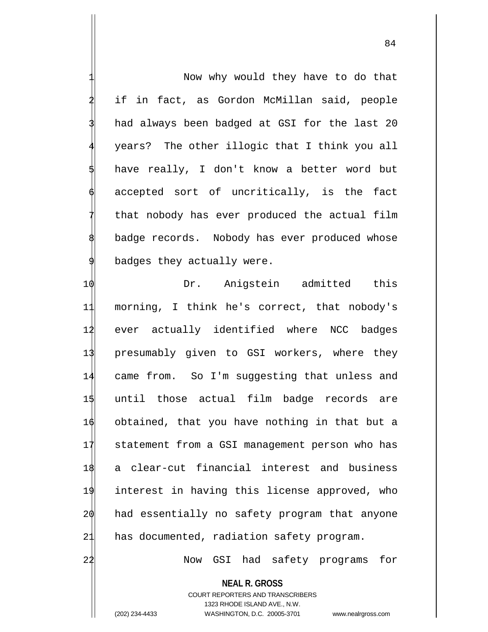Now why would they have to do that if in fact, as Gordon McMillan said, people had always been badged at GSI for the last 20 years? The other illogic that I think you all have really, I don't know a better word but accepted sort of uncritically, is the fact that nobody has ever produced the actual film badge records. Nobody has ever produced whose badges they actually were.

10 Dr. Anigstein admitted this morning, I think he's correct, that nobody's ever actually identified where NCC badges presumably given to GSI workers, where they came from. So I'm suggesting that unless and until those actual film badge records are obtained, that you have nothing in that but a statement from a GSI management person who has a clear-cut financial interest and business interest in having this license approved, who 20 had essentially no safety program that anyone 21 has documented, radiation safety program.

22 Now GSI had safety programs for

**NEAL R. GROSS** COURT REPORTERS AND TRANSCRIBERS 1323 RHODE ISLAND AVE., N.W.

(202) 234-4433 WASHINGTON, D.C. 20005-3701 www.nealrgross.com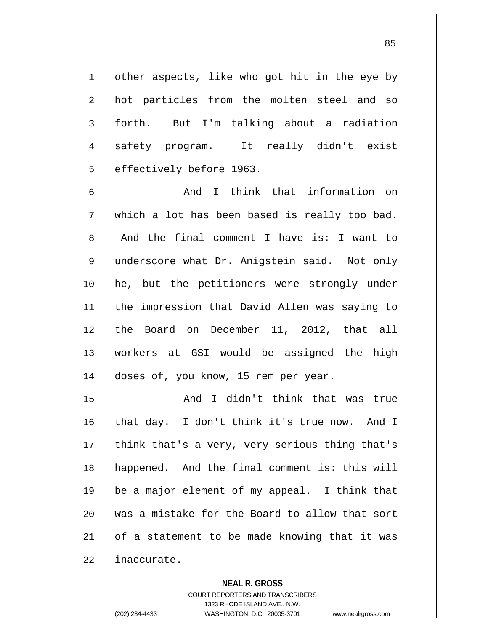other aspects, like who got hit in the eye by hot particles from the molten steel and so forth. But I'm talking about a radiation safety program. It really didn't exist 5 effectively before 1963.

And I think that information on which a lot has been based is really too bad. And the final comment I have is: I want to underscore what Dr. Anigstein said. Not only 1 $\phi$  he, but the petitioners were strongly under 11 the impression that David Allen was saying to 12 the Board on December 11, 2012, that all 13 workers at GSI would be assigned the high 14 doses of, you know, 15 rem per year.

 And I didn't think that was true that day. I don't think it's true now. And I think that's a very, very serious thing that's happened. And the final comment is: this will be a major element of my appeal. I think that was a mistake for the Board to allow that sort of a statement to be made knowing that it was 22 inaccurate.

## **NEAL R. GROSS**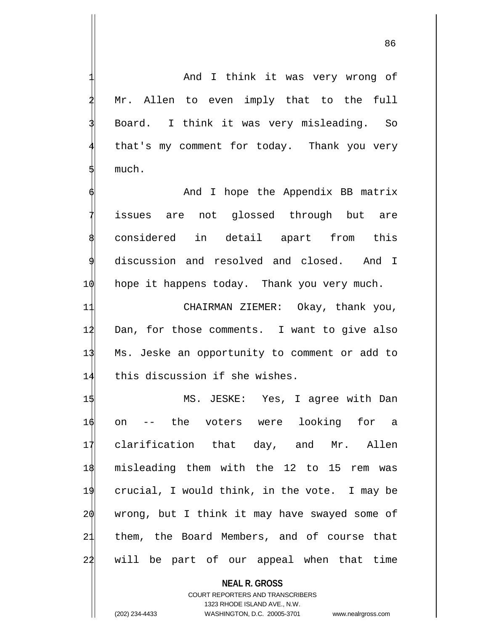And I think it was very wrong of Mr. Allen to even imply that to the full Board. I think it was very misleading. So that's my comment for today. Thank you very much.

And I hope the Appendix BB matrix issues are not glossed through but are considered in detail apart from this discussion and resolved and closed. And I 10 hope it happens today. Thank you very much.

 CHAIRMAN ZIEMER: Okay, thank you, Dan, for those comments. I want to give also Ms. Jeske an opportunity to comment or add to 14 this discussion if she wishes.

 MS. JESKE: Yes, I agree with Dan on -- the voters were looking for a clarification that day, and Mr. Allen misleading them with the 12 to 15 rem was crucial, I would think, in the vote. I may be wrong, but I think it may have swayed some of them, the Board Members, and of course that 22 will be part of our appeal when that time

**NEAL R. GROSS** COURT REPORTERS AND TRANSCRIBERS 1323 RHODE ISLAND AVE., N.W. (202) 234-4433 WASHINGTON, D.C. 20005-3701 www.nealrgross.com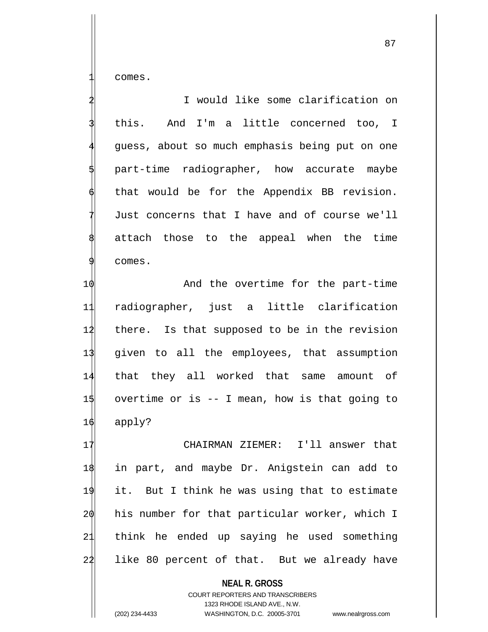1 comes.

2 I would like some clarification on this. And I'm a little concerned too, I guess, about so much emphasis being put on one part-time radiographer, how accurate maybe that would be for the Appendix BB revision. Just concerns that I have and of course we'll attach those to the appeal when the time 9 comes.

 $\phi$  And the overtime for the part-time radiographer, just a little clarification 12 there. Is that supposed to be in the revision given to all the employees, that assumption that they all worked that same amount of overtime or is -- I mean, how is that going to 16 apply?

17 CHAIRMAN ZIEMER: I'll answer that in part, and maybe Dr. Anigstein can add to it. But I think he was using that to estimate his number for that particular worker, which I think he ended up saying he used something 22 like 80 percent of that. But we already have

> **NEAL R. GROSS** COURT REPORTERS AND TRANSCRIBERS 1323 RHODE ISLAND AVE., N.W.

(202) 234-4433 WASHINGTON, D.C. 20005-3701 www.nealrgross.com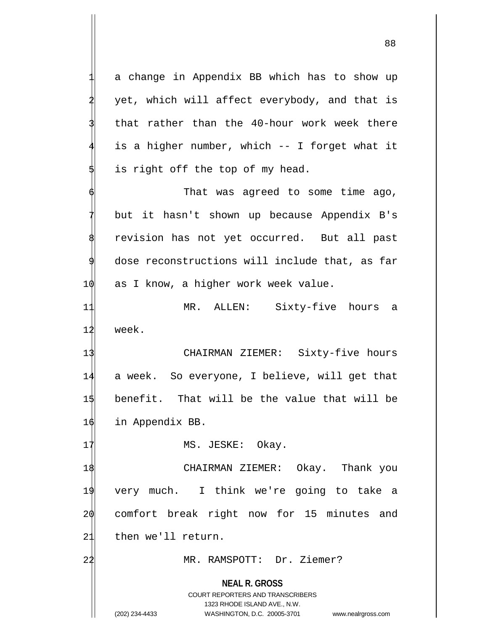**NEAL R. GROSS** COURT REPORTERS AND TRANSCRIBERS 1323 RHODE ISLAND AVE., N.W. a change in Appendix BB which has to show up yet, which will affect everybody, and that is that rather than the 40-hour work week there is a higher number, which -- I forget what it is right off the top of my head. That was agreed to some time ago, but it hasn't shown up because Appendix B's revision has not yet occurred. But all past dose reconstructions will include that, as far  $10$  as I know, a higher work week value. 11 MR. ALLEN: Sixty-five hours a 12 week. 13 CHAIRMAN ZIEMER: Sixty-five hours 14 a week. So everyone, I believe, will get that 15 benefit. That will be the value that will be 16 in Appendix BB. 17 MS. JESKE: Okay. 18 CHAIRMAN ZIEMER: Okay. Thank you 19 very much. I think we're going to take a 20 comfort break right now for 15 minutes and 21 then we'll return. 22 MR. RAMSPOTT: Dr. Ziemer?

(202) 234-4433 WASHINGTON, D.C. 20005-3701 www.nealrgross.com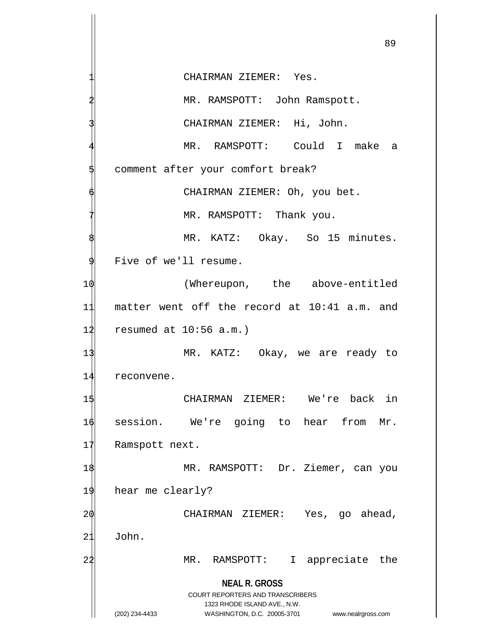**NEAL R. GROSS** COURT REPORTERS AND TRANSCRIBERS 1323 RHODE ISLAND AVE., N.W. (202) 234-4433 WASHINGTON, D.C. 20005-3701 www.nealrgross.com CHAIRMAN ZIEMER: Yes. MR. RAMSPOTT: John Ramspott. CHAIRMAN ZIEMER: Hi, John. MR. RAMSPOTT: Could I make a comment after your comfort break? CHAIRMAN ZIEMER: Oh, you bet. MR. RAMSPOTT: Thank you. MR. KATZ: Okay. So 15 minutes. Five of we'll resume. 10 (Whereupon, the above-entitled 11 matter went off the record at 10:41 a.m. and  $12$  resumed at  $10:56$  a.m.) 13 MR. KATZ: Okay, we are ready to 14 reconvene. 1\$ CHAIRMAN ZIEMER: We're back in 16 session. We're going to hear from Mr. 17 Ramspott next. 1\$ MR. RAMSPOTT: Dr. Ziemer, can you 19 hear me clearly? 2 $\phi$  CHAIRMAN ZIEMER: Yes, go ahead, 21 John. 2<sup>1</sup> MR. RAMSPOTT: I appreciate the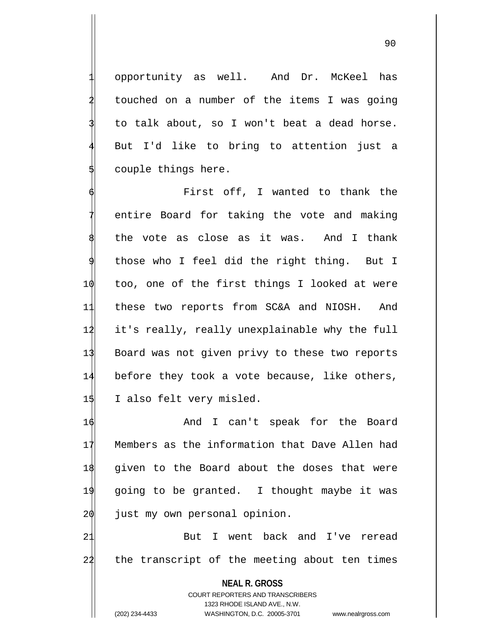1 opportunity as well. And Dr. McKeel has touched on a number of the items I was going to talk about, so I won't beat a dead horse.

90

But I'd like to bring to attention just a couple things here.

First off, I wanted to thank the entire Board for taking the vote and making the vote as close as it was. And I thank those who I feel did the right thing. But I 1 $\phi$  too, one of the first things I looked at were 11 these two reports from SC&A and NIOSH. And 12 it's really, really unexplainable why the full 13 Board was not given privy to these two reports 14 before they took a vote because, like others, 15 I also felt very misled.

 And I can't speak for the Board Members as the information that Dave Allen had given to the Board about the doses that were going to be granted. I thought maybe it was just my own personal opinion.

21 But I went back and I've reread 22 the transcript of the meeting about ten times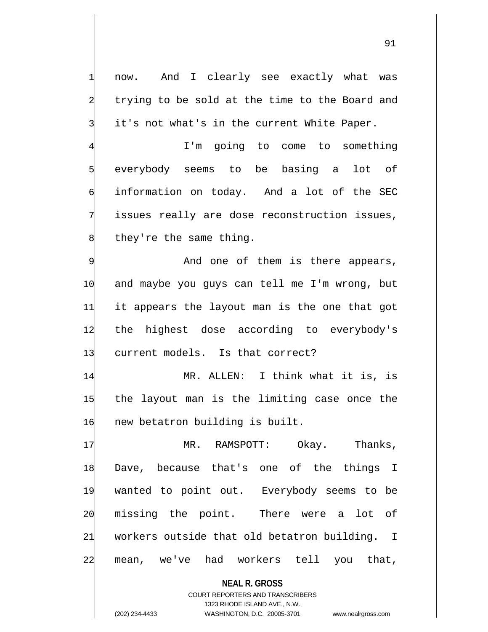now. And I clearly see exactly what was trying to be sold at the time to the Board and it's not what's in the current White Paper.

I'm going to come to something everybody seems to be basing a lot of information on today. And a lot of the SEC issues really are dose reconstruction issues, they're the same thing.

And one of them is there appears, 10 and maybe you guys can tell me I'm wrong, but 11 it appears the layout man is the one that got 12 the highest dose according to everybody's 13 current models. Is that correct?

14 MR. ALLEN: I think what it is, is 15 the layout man is the limiting case once the 16 new betatron building is built.

17 MR. RAMSPOTT: Okay. Thanks, Dave, because that's one of the things I wanted to point out. Everybody seems to be missing the point. There were a lot of workers outside that old betatron building. I mean, we've had workers tell you that,

**NEAL R. GROSS** COURT REPORTERS AND TRANSCRIBERS 1323 RHODE ISLAND AVE., N.W. (202) 234-4433 WASHINGTON, D.C. 20005-3701 www.nealrgross.com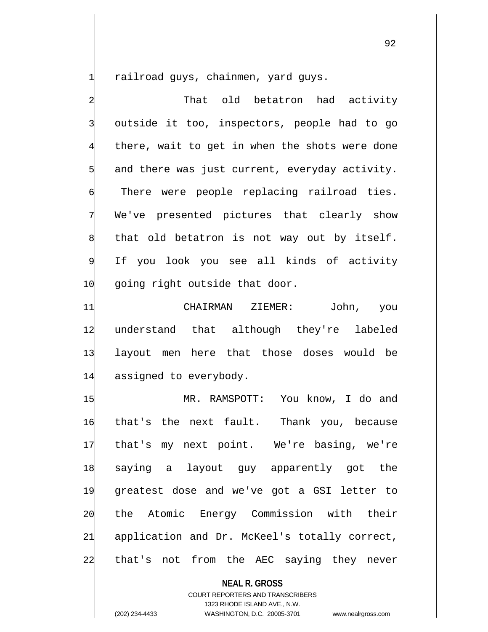railroad guys, chainmen, yard guys.

That old betatron had activity outside it too, inspectors, people had to go there, wait to get in when the shots were done and there was just current, everyday activity. There were people replacing railroad ties. We've presented pictures that clearly show that old betatron is not way out by itself. If you look you see all kinds of activity 1 $\phi$  going right outside that door.

 CHAIRMAN ZIEMER: John, you understand that although they're labeled layout men here that those doses would be assigned to everybody.

 MR. RAMSPOTT: You know, I do and that's the next fault. Thank you, because that's my next point. We're basing, we're saying a layout guy apparently got the greatest dose and we've got a GSI letter to the Atomic Energy Commission with their application and Dr. McKeel's totally correct, 22 that's not from the AEC saying they never

## **NEAL R. GROSS**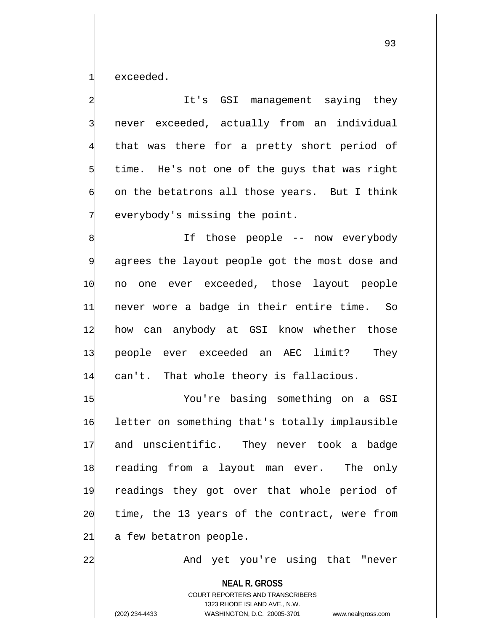exceeded.

It's GSI management saying they never exceeded, actually from an individual that was there for a pretty short period of time. He's not one of the guys that was right on the betatrons all those years. But I think everybody's missing the point.

If those people -- now everybody agrees the layout people got the most dose and 1 $\phi$  no one ever exceeded, those layout people 11 never wore a badge in their entire time. So 12 how can anybody at GSI know whether those 13 people ever exceeded an AEC limit? They 14 can't. That whole theory is fallacious.

 You're basing something on a GSI letter on something that's totally implausible and unscientific. They never took a badge reading from a layout man ever. The only readings they got over that whole period of time, the 13 years of the contract, were from 21 a few betatron people.

22 And yet you're using that "never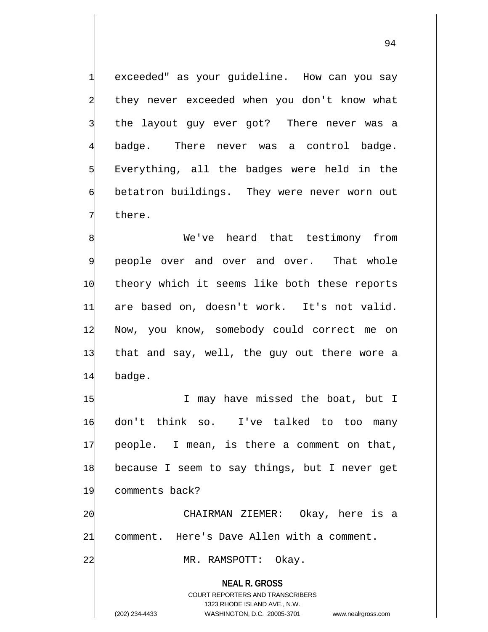exceeded" as your quideline. How can you say they never exceeded when you don't know what the layout guy ever got? There never was a badge. There never was a control badge. Everything, all the badges were held in the betatron buildings. They were never worn out there.

We've heard that testimony from people over and over and over. That whole 10 theory which it seems like both these reports 11 are based on, doesn't work. It's not valid. 12 Now, you know, somebody could correct me on 13 that and say, well, the guy out there wore a 14 badge.

1\$ I may have missed the boat, but I don't think so. I've talked to too many people. I mean, is there a comment on that, because I seem to say things, but I never get comments back? CHAIRMAN ZIEMER: Okay, here is a

21 comment. Here's Dave Allen with a comment.

22 MR. RAMSPOTT: Okay.

**NEAL R. GROSS**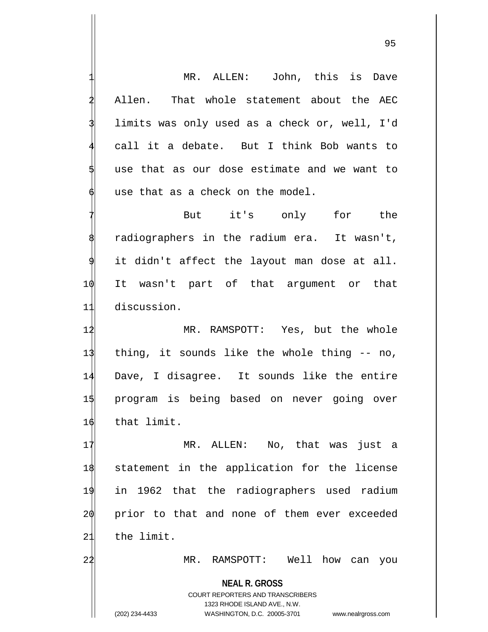**NEAL R. GROSS** COURT REPORTERS AND TRANSCRIBERS 1323 RHODE ISLAND AVE., N.W. (202) 234-4433 WASHINGTON, D.C. 20005-3701 www.nealrgross.com MR. ALLEN: John, this is Dave Allen. That whole statement about the AEC limits was only used as a check or, well, I'd call it a debate. But I think Bob wants to use that as our dose estimate and we want to use that as a check on the model. But it's only for the radiographers in the radium era. It wasn't, it didn't affect the layout man dose at all. 10 It wasn't part of that argument or that 11 discussion. 12 MR. RAMSPOTT: Yes, but the whole 13 thing, it sounds like the whole thing -- no, 14 Dave, I disagree. It sounds like the entire 15 program is being based on never going over 16 that limit. 17 MR. ALLEN: No, that was just a 18 statement in the application for the license 19 in 1962 that the radiographers used radium 20 prior to that and none of them ever exceeded 21 the limit. 24 MR. RAMSPOTT: Well how can you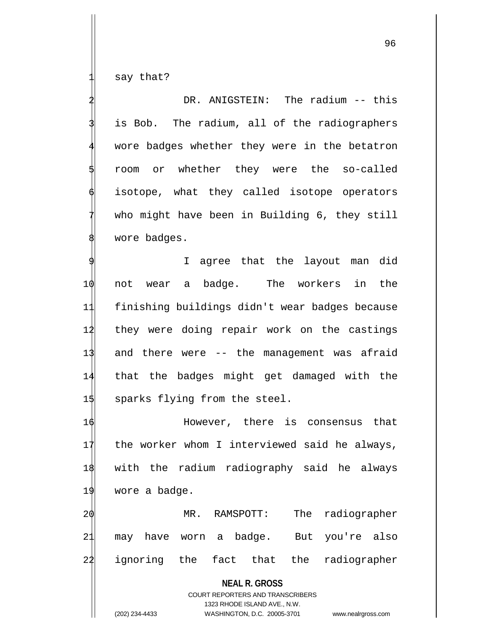say that?

DR. ANIGSTEIN: The radium -- this is Bob. The radium, all of the radiographers wore badges whether they were in the betatron 5 room or whether they were the so-called isotope, what they called isotope operators who might have been in Building 6, they still wore badges.

I agree that the layout man did 10 not wear a badge. The workers in the 11 finishing buildings didn't wear badges because 12 they were doing repair work on the castings 13 and there were -- the management was afraid 14 that the badges might get damaged with the  $1\frac{1}{3}$  sparks flying from the steel.

 However, there is consensus that 17 the worker whom I interviewed said he always, with the radium radiography said he always wore a badge.

2 $\phi$  MR. RAMSPOTT: The radiographer 21 may have worn a badge. But you're also 22 ignoring the fact that the radiographer

> **NEAL R. GROSS** COURT REPORTERS AND TRANSCRIBERS 1323 RHODE ISLAND AVE., N.W. (202) 234-4433 WASHINGTON, D.C. 20005-3701 www.nealrgross.com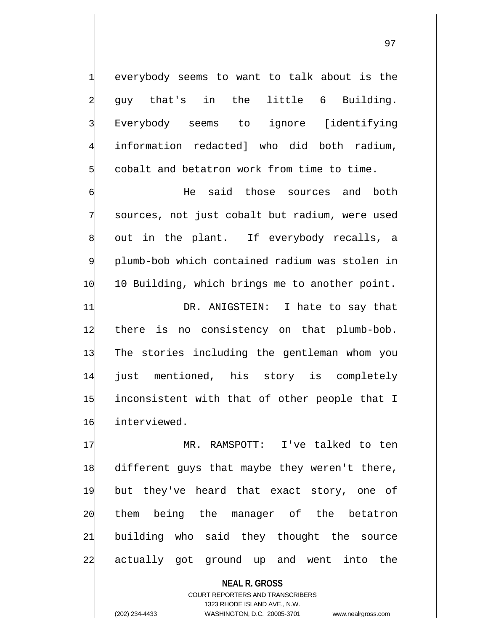everybody seems to want to talk about is the 2 guy that's in the little 6 Building. Everybody seems to ignore [identifying information redacted] who did both radium, cobalt and betatron work from time to time.

He said those sources and both sources, not just cobalt but radium, were used out in the plant. If everybody recalls, a 9 plumb-bob which contained radium was stolen in 1 $\phi$  10 Building, which brings me to another point.

11 DR. ANIGSTEIN: I hate to say that 14 there is no consistency on that plumb-bob. The stories including the gentleman whom you just mentioned, his story is completely inconsistent with that of other people that I interviewed.

 MR. RAMSPOTT: I've talked to ten different guys that maybe they weren't there, but they've heard that exact story, one of them being the manager of the betatron building who said they thought the source actually got ground up and went into the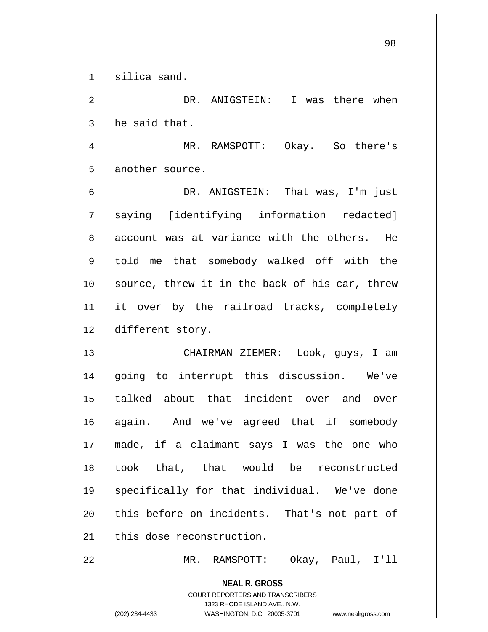silica sand.

DR. ANIGSTEIN: I was there when he said that.

MR. RAMSPOTT: Okay. So there's another source.

DR. ANIGSTEIN: That was, I'm just saying [identifying information redacted] account was at variance with the others. He 9 told me that somebody walked off with the  $10$  source, threw it in the back of his car, threw 11 it over by the railroad tracks, completely 12 different story.

 CHAIRMAN ZIEMER: Look, guys, I am going to interrupt this discussion. We've talked about that incident over and over again. And we've agreed that if somebody made, if a claimant says I was the one who took that, that would be reconstructed specifically for that individual. We've done 20 this before on incidents. That's not part of this dose reconstruction.

22 MR. RAMSPOTT: Okay, Paul, I'll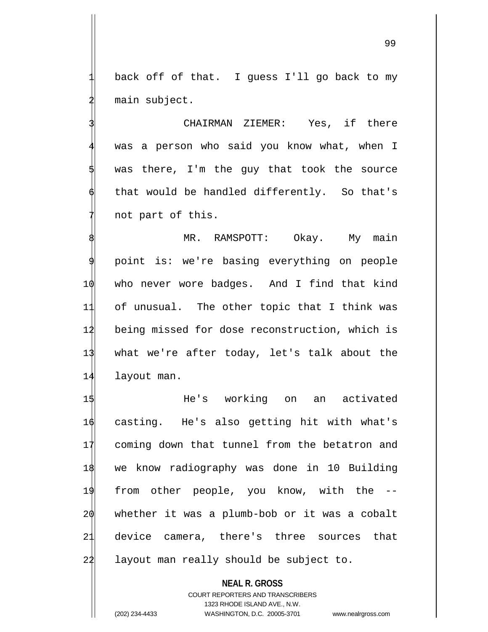back off of that. I guess I'll go back to my main subject.

CHAIRMAN ZIEMER: Yes, if there was a person who said you know what, when I was there, I'm the guy that took the source that would be handled differently. So that's not part of this.

MR. RAMSPOTT: Okay. My main point is: we're basing everything on people  $\phi$  who never wore badges. And I find that kind of unusual. The other topic that I think was being missed for dose reconstruction, which is what we're after today, let's talk about the layout man.

 He's working on an activated casting. He's also getting hit with what's coming down that tunnel from the betatron and we know radiography was done in 10 Building from other people, you know, with the -- whether it was a plumb-bob or it was a cobalt device camera, there's three sources that 22 layout man really should be subject to.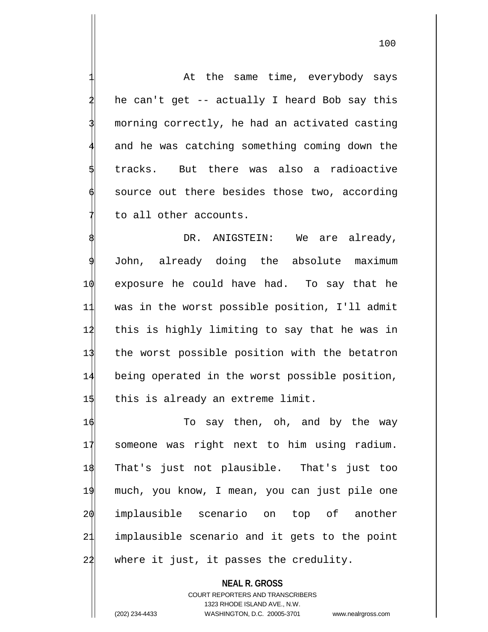At the same time, everybody says he can't get -- actually I heard Bob say this morning correctly, he had an activated casting and he was catching something coming down the tracks. But there was also a radioactive source out there besides those two, according to all other accounts.

DR. ANIGSTEIN: We are already, John, already doing the absolute maximum exposure he could have had. To say that he was in the worst possible position, I'll admit this is highly limiting to say that he was in the worst possible position with the betatron being operated in the worst possible position,  $1\frac{1}{1}$  this is already an extreme limit.

 To say then, oh, and by the way someone was right next to him using radium. That's just not plausible. That's just too much, you know, I mean, you can just pile one implausible scenario on top of another implausible scenario and it gets to the point where it just, it passes the credulity.

**NEAL R. GROSS** COURT REPORTERS AND TRANSCRIBERS 1323 RHODE ISLAND AVE., N.W. (202) 234-4433 WASHINGTON, D.C. 20005-3701 www.nealrgross.com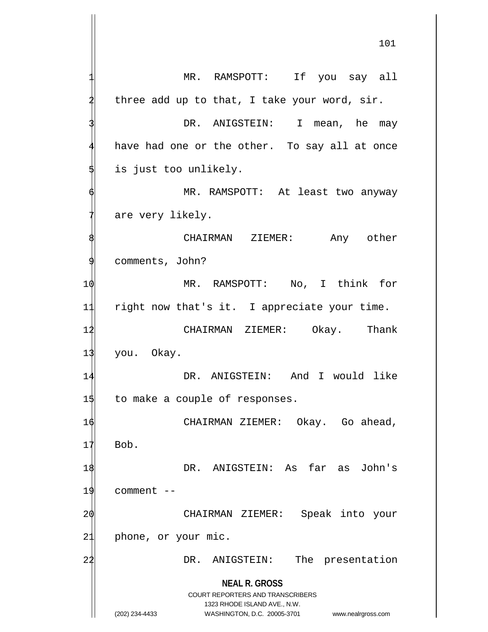**NEAL R. GROSS** COURT REPORTERS AND TRANSCRIBERS 1323 RHODE ISLAND AVE., N.W. (202) 234-4433 WASHINGTON, D.C. 20005-3701 www.nealrgross.com MR. RAMSPOTT: If you say all three add up to that, I take your word, sir. DR. ANIGSTEIN: I mean, he may have had one or the other. To say all at once is just too unlikely. MR. RAMSPOTT: At least two anyway are very likely. CHAIRMAN ZIEMER: Any other comments, John? 1 $\phi$  MR. RAMSPOTT: No, I think for 11 right now that's it. I appreciate your time. 12 CHAIRMAN ZIEMER: Okay. Thank 13 you. Okay. 14 DR. ANIGSTEIN: And I would like  $1\frac{4}{15}$  to make a couple of responses. 16 CHAIRMAN ZIEMER: Okay. Go ahead,  $17$  Bob. 1\$ DR. ANIGSTEIN: As far as John's  $19$  comment  $-$ 20 CHAIRMAN ZIEMER: Speak into your 21 phone, or your mic. 22 DR. ANIGSTEIN: The presentation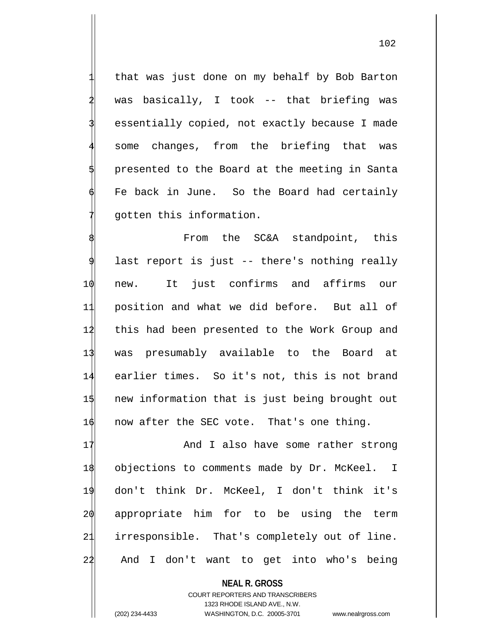that was just done on my behalf by Bob Barton was basically, I took -- that briefing was essentially copied, not exactly because I made some changes, from the briefing that was presented to the Board at the meeting in Santa Fe back in June. So the Board had certainly gotten this information.

From the SC&A standpoint, this last report is just -- there's nothing really 10 new. It just confirms and affirms our 11 position and what we did before. But all of 12 this had been presented to the Work Group and 13 was presumably available to the Board at 14 earlier times. So it's not, this is not brand 15 new information that is just being brought out 16 now after the SEC vote. That's one thing.

17 And I also have some rather strong 18 objections to comments made by Dr. McKeel. I 19 don't think Dr. McKeel, I don't think it's 20 appropriate him for to be using the term 21 irresponsible. That's completely out of line. 22 And I don't want to get into who's being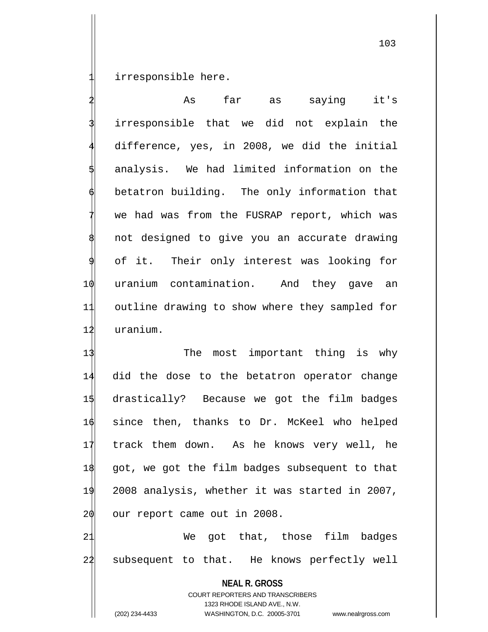irresponsible here.

As far as saying it's irresponsible that we did not explain the difference, yes, in 2008, we did the initial analysis. We had limited information on the betatron building. The only information that we had was from the FUSRAP report, which was not designed to give you an accurate drawing of it. Their only interest was looking for 10 uranium contamination. And they gave an 11 outline drawing to show where they sampled for 12 uranium.

13 The most important thing is why did the dose to the betatron operator change drastically? Because we got the film badges since then, thanks to Dr. McKeel who helped track them down. As he knows very well, he got, we got the film badges subsequent to that 2008 analysis, whether it was started in 2007,  $\phi$  our report came out in 2008.

21 We got that, those film badges 22 subsequent to that. He knows perfectly well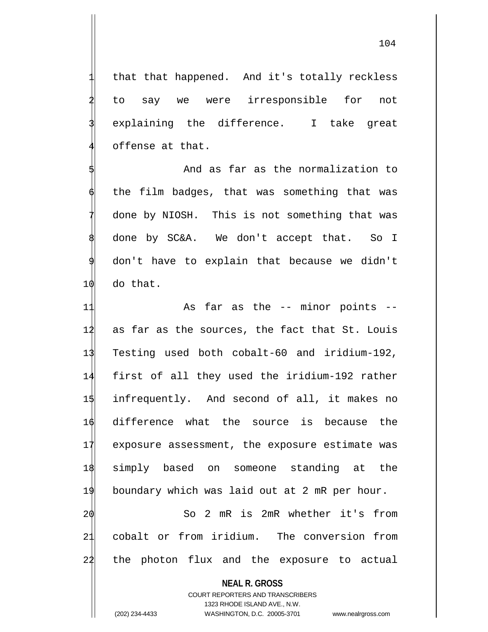that that happened. And it's totally reckless 2 to say we were irresponsible for not explaining the difference. I take great offense at that.

And as far as the normalization to the film badges, that was something that was done by NIOSH. This is not something that was done by SC&A. We don't accept that. So I don't have to explain that because we didn't 10 do that.

11 As far as the -- minor points --12 as far as the sources, the fact that St. Louis Testing used both cobalt-60 and iridium-192, first of all they used the iridium-192 rather infrequently. And second of all, it makes no difference what the source is because the 17 exposure assessment, the exposure estimate was simply based on someone standing at the boundary which was laid out at 2 mR per hour. So 2 mR is 2mR whether it's from cobalt or from iridium. The conversion from the photon flux and the exposure to actual

## **NEAL R. GROSS**

COURT REPORTERS AND TRANSCRIBERS 1323 RHODE ISLAND AVE., N.W. (202) 234-4433 WASHINGTON, D.C. 20005-3701 www.nealrgross.com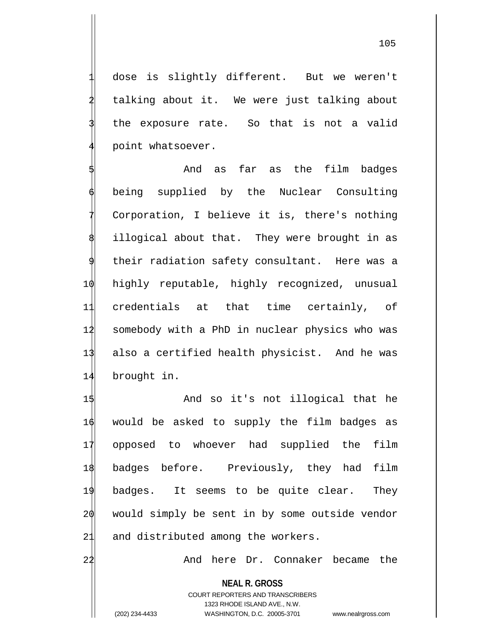dose is slightly different. But we weren't talking about it. We were just talking about the exposure rate. So that is not a valid point whatsoever.

And as far as the film badges being supplied by the Nuclear Consulting Corporation, I believe it is, there's nothing illogical about that. They were brought in as their radiation safety consultant. Here was a 10 highly reputable, highly recognized, unusual 11 credentials at that time certainly, of 12 somebody with a PhD in nuclear physics who was 13 also a certified health physicist. And he was 14 brought in.

1\$ And so it's not illogical that he 16 would be asked to supply the film badges as 17 opposed to whoever had supplied the film 18 badges before. Previously, they had film 19 badges. It seems to be quite clear. They 20 would simply be sent in by some outside vendor 21 and distributed among the workers.

22 And here Dr. Connaker became the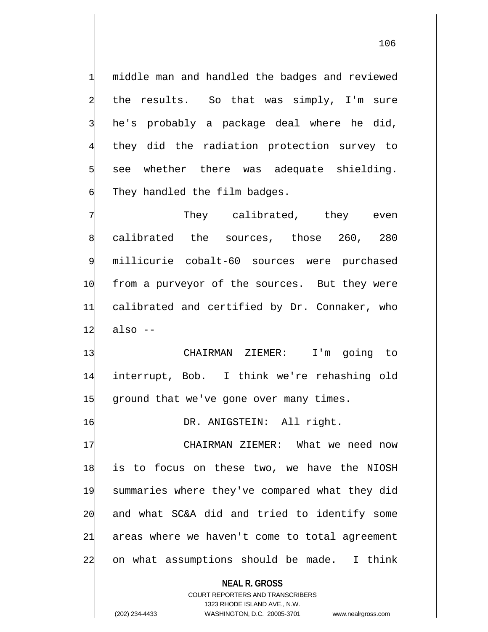middle man and handled the badges and reviewed the results. So that was simply, I'm sure he's probably a package deal where he did, they did the radiation protection survey to see whether there was adequate shielding. They handled the film badges.

They calibrated, they even calibrated the sources, those 260, 280 millicurie cobalt-60 sources were purchased  $\phi$  from a purveyor of the sources. But they were calibrated and certified by Dr. Connaker, who  $12$  also  $-$ 

13 CHAIRMAN ZIEMER: I'm going to 14 interrupt, Bob. I think we're rehashing old 15 ground that we've gone over many times.

16 DR. ANIGSTEIN: All right.

 CHAIRMAN ZIEMER: What we need now is to focus on these two, we have the NIOSH summaries where they've compared what they did and what SC&A did and tried to identify some areas where we haven't come to total agreement on what assumptions should be made. I think

**NEAL R. GROSS**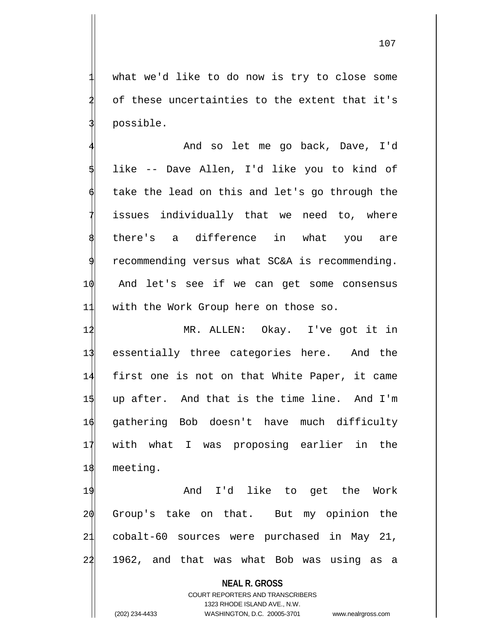what we'd like to do now is try to close some of these uncertainties to the extent that it's 3 possible.

And so let me go back, Dave, I'd like -- Dave Allen, I'd like you to kind of take the lead on this and let's go through the issues individually that we need to, where there's a difference in what you are recommending versus what SC&A is recommending. 10 And let's see if we can get some consensus 11 with the Work Group here on those so.

 MR. ALLEN: Okay. I've got it in essentially three categories here. And the first one is not on that White Paper, it came up after. And that is the time line. And I'm gathering Bob doesn't have much difficulty with what I was proposing earlier in the 18 meeting.

19 And I'd like to get the Work 20 Group's take on that. But my opinion the 21 cobalt-60 sources were purchased in May 21, 22 1962, and that was what Bob was using as a

> **NEAL R. GROSS** COURT REPORTERS AND TRANSCRIBERS 1323 RHODE ISLAND AVE., N.W.

(202) 234-4433 WASHINGTON, D.C. 20005-3701 www.nealrgross.com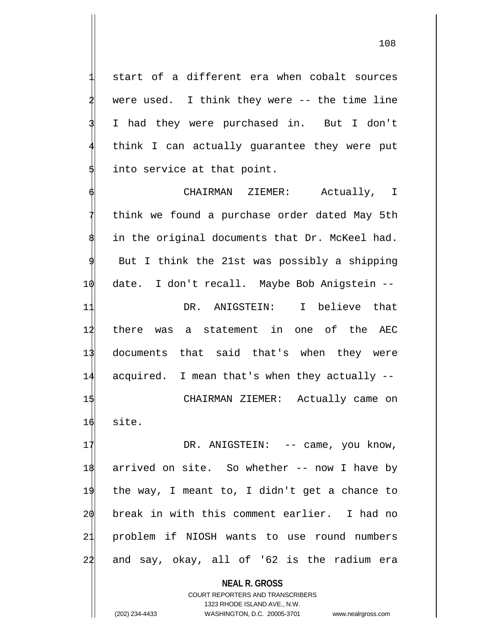start of a different era when cobalt sources were used. I think they were  $-$ - the time line I had they were purchased in. But I don't think I can actually guarantee they were put into service at that point.

CHAIRMAN ZIEMER: Actually, I think we found a purchase order dated May 5th in the original documents that Dr. McKeel had. But I think the 21st was possibly a shipping 10 date. I don't recall. Maybe Bob Anigstein -- 11 DR. ANIGSTEIN: I believe that 12 there was a statement in one of the AEC 13 documents that said that's when they were 14 acquired. I mean that's when they actually -- 15 CHAIRMAN ZIEMER: Actually came on 16 site. 17 DR. ANIGSTEIN: -- came, you know, 18 arrived on site. So whether -- now I have by 19 the way, I meant to, I didn't get a chance to 20 break in with this comment earlier. I had no 21 problem if NIOSH wants to use round numbers 24 and say, okay, all of '62 is the radium era

> **NEAL R. GROSS** COURT REPORTERS AND TRANSCRIBERS 1323 RHODE ISLAND AVE., N.W.

(202) 234-4433 WASHINGTON, D.C. 20005-3701 www.nealrgross.com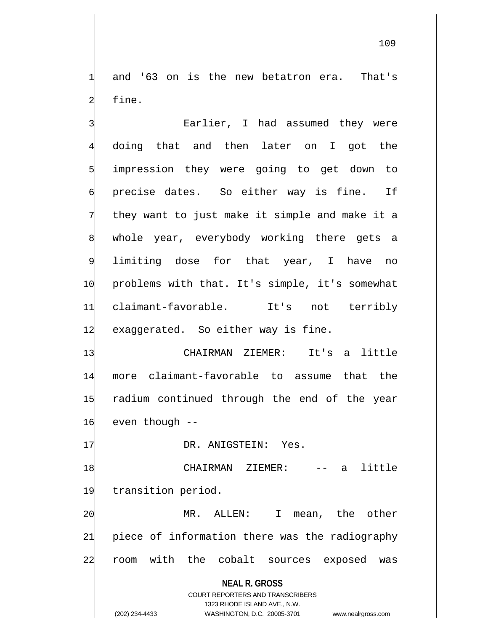and '63 on is the new betatron era. That's fine.

Earlier, I had assumed they were 4 doing that and then later on I got the impression they were going to get down to precise dates. So either way is fine. If they want to just make it simple and make it a whole year, everybody working there gets a 9 limiting dose for that year, I have no 10 problems with that. It's simple, it's somewhat 11 claimant-favorable. It's not terribly 12 exaggerated. So either way is fine.

 CHAIRMAN ZIEMER: It's a little more claimant-favorable to assume that the radium continued through the end of the year even though  $-$ 

17 DR. ANIGSTEIN: Yes.

18 CHAIRMAN ZIEMER: -- a little 19 transition period.

20 MR. ALLEN: I mean, the other 21 piece of information there was the radiography 22 room with the cobalt sources exposed was

**NEAL R. GROSS**

COURT REPORTERS AND TRANSCRIBERS 1323 RHODE ISLAND AVE., N.W. (202) 234-4433 WASHINGTON, D.C. 20005-3701 www.nealrgross.com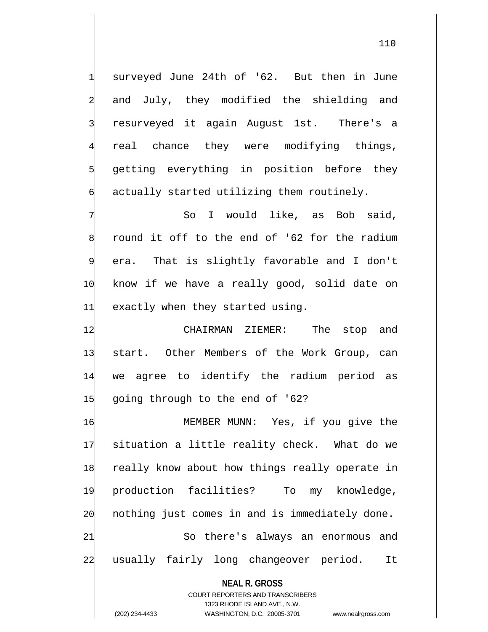surveyed June 24th of '62. But then in June and July, they modified the shielding and resurveyed it again August 1st. There's a real chance they were modifying things, getting everything in position before they actually started utilizing them routinely.

So I would like, as Bob said, round it off to the end of '62 for the radium era. That is slightly favorable and I don't 10 know if we have a really good, solid date on 11 exactly when they started using.

 CHAIRMAN ZIEMER: The stop and start. Other Members of the Work Group, can we agree to identify the radium period as 15 going through to the end of '62?

 MEMBER MUNN: Yes, if you give the situation a little reality check. What do we really know about how things really operate in production facilities? To my knowledge, nothing just comes in and is immediately done. 21 So there's always an enormous and 24 usually fairly long changeover period. It

**NEAL R. GROSS** COURT REPORTERS AND TRANSCRIBERS 1323 RHODE ISLAND AVE., N.W. (202) 234-4433 WASHINGTON, D.C. 20005-3701 www.nealrgross.com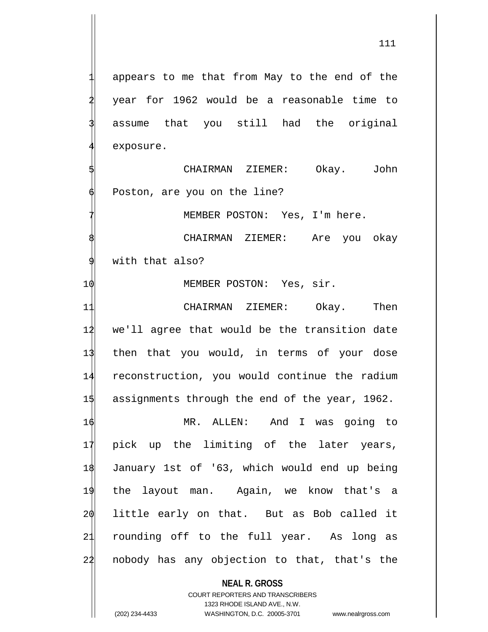appears to me that from May to the end of the year for 1962 would be a reasonable time to assume that you still had the original exposure.

CHAIRMAN ZIEMER: Okay. John Poston, are you on the line?

MEMBER POSTON: Yes, I'm here.

CHAIRMAN ZIEMER: Are you okay with that also?

1 $\phi$  MEMBER POSTON: Yes, sir.

11 CHAIRMAN ZIEMER: Okay. Then 12 we'll agree that would be the transition date 13 then that you would, in terms of your dose 14 reconstruction, you would continue the radium 15 assignments through the end of the year, 1962.

16 MR. ALLEN: And I was going to 17 pick up the limiting of the later years, 18 January 1st of '63, which would end up being 19 the layout man. Again, we know that's a 20 little early on that. But as Bob called it 21 rounding off to the full year. As long as 24 nobody has any objection to that, that's the

## **NEAL R. GROSS**

COURT REPORTERS AND TRANSCRIBERS 1323 RHODE ISLAND AVE., N.W. (202) 234-4433 WASHINGTON, D.C. 20005-3701 www.nealrgross.com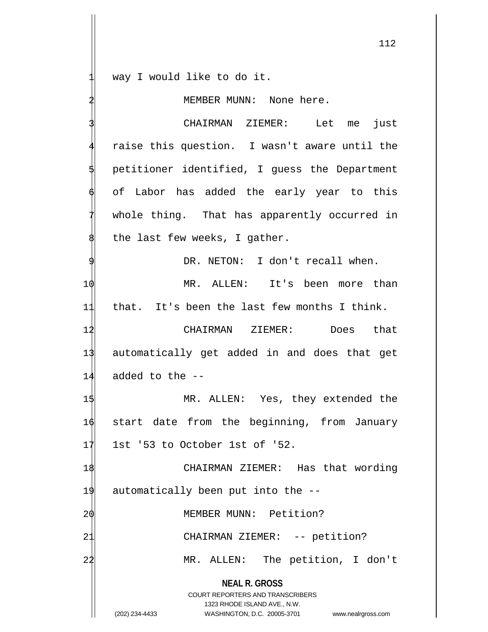way I would like to do it.

MEMBER MUNN: None here.

**NEAL R. GROSS** COURT REPORTERS AND TRANSCRIBERS 1323 RHODE ISLAND AVE., N.W. CHAIRMAN ZIEMER: Let me just raise this question. I wasn't aware until the 5 petitioner identified, I guess the Department of Labor has added the early year to this whole thing. That has apparently occurred in the last few weeks, I gather. DR. NETON: I don't recall when. 1 $\phi$  MR. ALLEN: It's been more than 11 that. It's been the last few months I think. 12 CHAIRMAN ZIEMER: Does that 13 automatically get added in and does that get  $14$  added to the  $-$ 15 MR. ALLEN: Yes, they extended the 16 start date from the beginning, from January  $17$  1st '53 to October 1st of '52. 18 CHAIRMAN ZIEMER: Has that wording 19 automatically been put into the -- 2 $\phi$  MEMBER MUNN: Petition? 21 CHAIRMAN ZIEMER: -- petition? 22 MR. ALLEN: The petition, I don't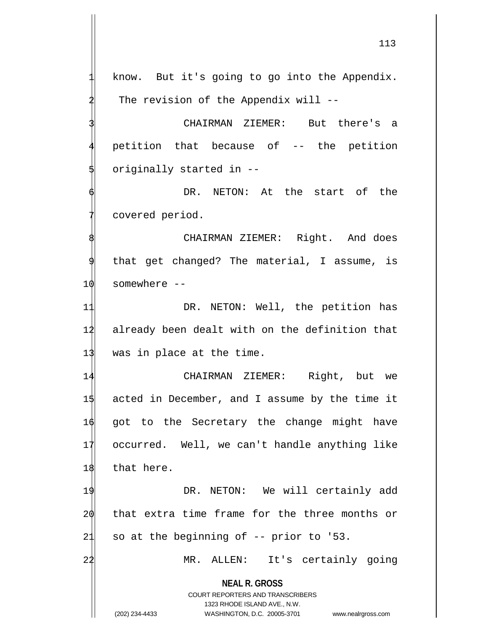113

know. But it's going to go into the Appendix. The revision of the Appendix will  $-$ -

CHAIRMAN ZIEMER: But there's a 4 petition that because of -- the petition originally started in --

DR. NETON: At the start of the covered period.

CHAIRMAN ZIEMER: Right. And does that get changed? The material, I assume, is 10 somewhere --

11 DR. NETON: Well, the petition has 12 already been dealt with on the definition that 13 was in place at the time.

 CHAIRMAN ZIEMER: Right, but we acted in December, and I assume by the time it got to the Secretary the change might have occurred. Well, we can't handle anything like 18 that here.

19 DR. NETON: We will certainly add 20 that extra time frame for the three months or  $21$  so at the beginning of  $-$ - prior to '53.

22 MR. ALLEN: It's certainly going

**NEAL R. GROSS**

COURT REPORTERS AND TRANSCRIBERS 1323 RHODE ISLAND AVE., N.W. (202) 234-4433 WASHINGTON, D.C. 20005-3701 www.nealrgross.com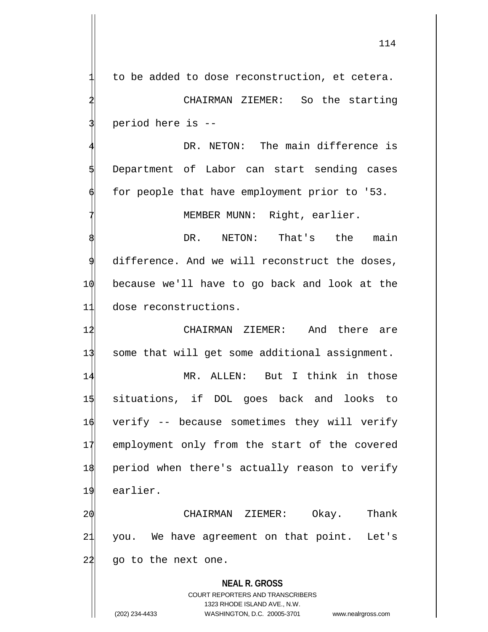114

to be added to dose reconstruction, et cetera.

CHAIRMAN ZIEMER: So the starting 3 period here is --

DR. NETON: The main difference is 5 Department of Labor can start sending cases for people that have employment prior to '53.

MEMBER MUNN: Right, earlier.

DR. NETON: That's the main difference. And we will reconstruct the doses, 10 because we'll have to go back and look at the 11 dose reconstructions.

12 CHAIRMAN ZIEMER: And there are 13 some that will get some additional assignment.

 MR. ALLEN: But I think in those situations, if DOL goes back and looks to verify -- because sometimes they will verify employment only from the start of the covered period when there's actually reason to verify 19 earlier.

20 CHAIRMAN ZIEMER: Okay. Thank 21 you. We have agreement on that point. Let's  $24$  go to the next one.

**NEAL R. GROSS** COURT REPORTERS AND TRANSCRIBERS 1323 RHODE ISLAND AVE., N.W. (202) 234-4433 WASHINGTON, D.C. 20005-3701 www.nealrgross.com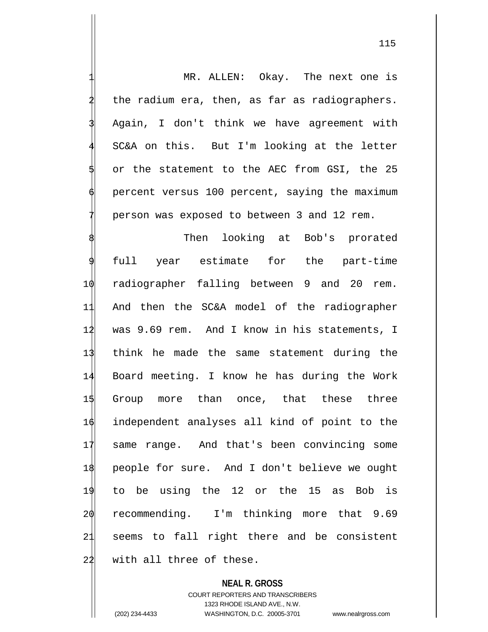MR. ALLEN: Okay. The next one is the radium era, then, as far as radiographers. Again, I don't think we have agreement with SC&A on this. But I'm looking at the letter or the statement to the AEC from GSI, the 25 percent versus 100 percent, saying the maximum 7 person was exposed to between 3 and 12 rem. Then looking at Bob's prorated full year estimate for the part-time 10 radiographer falling between 9 and 20 rem. 11 And then the SC&A model of the radiographer 12 was 9.69 rem. And I know in his statements, I

 think he made the same statement during the Board meeting. I know he has during the Work Group more than once, that these three independent analyses all kind of point to the same range. And that's been convincing some people for sure. And I don't believe we ought to be using the 12 or the 15 as Bob is recommending. I'm thinking more that 9.69 seems to fall right there and be consistent 22 with all three of these.

**NEAL R. GROSS**

COURT REPORTERS AND TRANSCRIBERS 1323 RHODE ISLAND AVE., N.W. (202) 234-4433 WASHINGTON, D.C. 20005-3701 www.nealrgross.com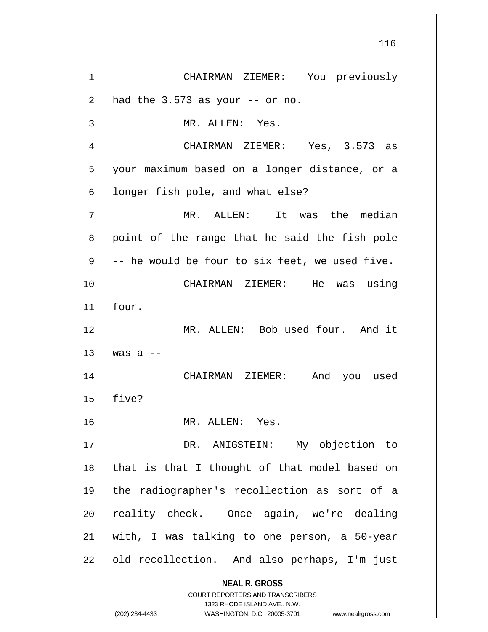**NEAL R. GROSS** COURT REPORTERS AND TRANSCRIBERS CHAIRMAN ZIEMER: You previously had the  $3.573$  as your  $-$  or no. MR. ALLEN: Yes. CHAIRMAN ZIEMER: Yes, 3.573 as 5 your maximum based on a longer distance, or a longer fish pole, and what else? MR. ALLEN: It was the median point of the range that he said the fish pole -- he would be four to six feet, we used five. 10 CHAIRMAN ZIEMER: He was using 11 four. 12 MR. ALLEN: Bob used four. And it  $13$  was a  $-$ 14 CHAIRMAN ZIEMER: And you used 15 five? 16 MR. ALLEN: Yes. 17 DR. ANIGSTEIN: My objection to 18 that is that I thought of that model based on 19 the radiographer's recollection as sort of a 20 reality check. Once again, we're dealing 21 with, I was talking to one person, a 50-year 24 old recollection. And also perhaps, I'm just

1323 RHODE ISLAND AVE., N.W.

(202) 234-4433 WASHINGTON, D.C. 20005-3701 www.nealrgross.com

116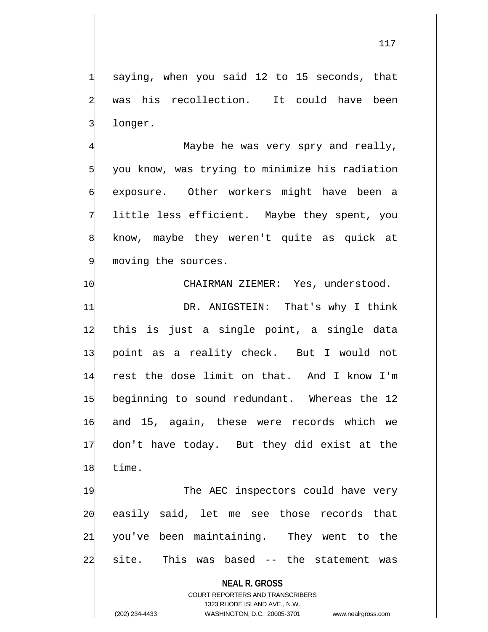saying, when you said 12 to 15 seconds, that was his recollection. It could have been longer.

Maybe he was very spry and really, you know, was trying to minimize his radiation exposure. Other workers might have been a little less efficient. Maybe they spent, you know, maybe they weren't quite as quick at moving the sources.

 CHAIRMAN ZIEMER: Yes, understood. 11 DR. ANIGSTEIN: That's why I think this is just a single point, a single data point as a reality check. But I would not rest the dose limit on that. And I know I'm beginning to sound redundant. Whereas the 12 and 15, again, these were records which we don't have today. But they did exist at the 18 time.

19 The AEC inspectors could have very easily said, let me see those records that you've been maintaining. They went to the site. This was based -- the statement was

## **NEAL R. GROSS**

COURT REPORTERS AND TRANSCRIBERS 1323 RHODE ISLAND AVE., N.W. (202) 234-4433 WASHINGTON, D.C. 20005-3701 www.nealrgross.com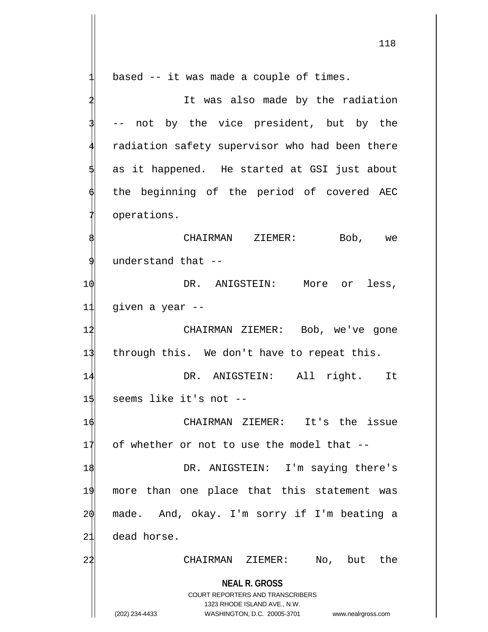**NEAL R. GROSS** COURT REPORTERS AND TRANSCRIBERS 1323 RHODE ISLAND AVE., N.W. (202) 234-4433 WASHINGTON, D.C. 20005-3701 www.nealrgross.com based  $-$  it was made a couple of times. It was also made by the radiation -- not by the vice president, but by the radiation safety supervisor who had been there as it happened. He started at GSI just about the beginning of the period of covered AEC operations. CHAIRMAN ZIEMER: Bob, we understand that --1 $\phi$  DR. ANIGSTEIN: More or less, 11 given a year -- 12 CHAIRMAN ZIEMER: Bob, we've gone 13 through this. We don't have to repeat this. 14 DR. ANIGSTEIN: All right. It 15 seems like it's not --16 CHAIRMAN ZIEMER: It's the issue  $17$  of whether or not to use the model that  $-$ 18 DR. ANIGSTEIN: I'm saying there's 19 more than one place that this statement was 20 made. And, okay. I'm sorry if I'm beating a 21 dead horse. 22 CHAIRMAN ZIEMER: No, but the

118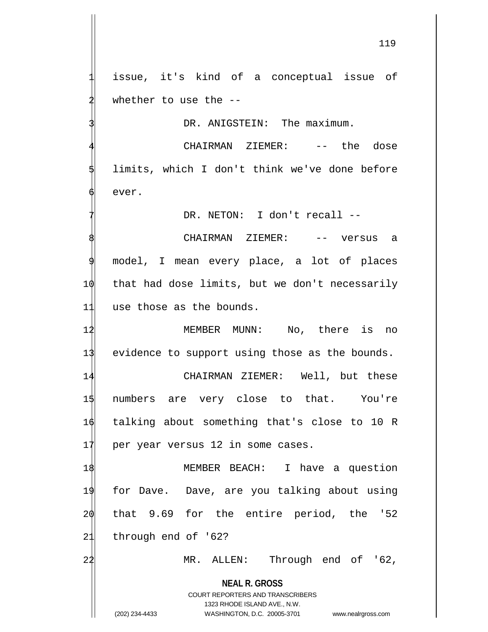issue, it's kind of a conceptual issue of whether to use the  $-$ -

DR. ANIGSTEIN: The maximum.

CHAIRMAN ZIEMER: -- the dose limits, which I don't think we've done before ever.

DR. NETON: I don't recall --

CHAIRMAN ZIEMER: -- versus a model, I mean every place, a lot of places 1 $\phi$  that had dose limits, but we don't necessarily 11 use those as the bounds.

12 MEMBER MUNN: No, there is no 13 evidence to support using those as the bounds.

 CHAIRMAN ZIEMER: Well, but these numbers are very close to that. You're talking about something that's close to 10 R 17 per year versus 12 in some cases.

 MEMBER BEACH: I have a question for Dave. Dave, are you talking about using that 9.69 for the entire period, the '52 through end of '62?

2 $\sharp$  MR. ALLEN: Through end of '62,

**NEAL R. GROSS** COURT REPORTERS AND TRANSCRIBERS

1323 RHODE ISLAND AVE., N.W.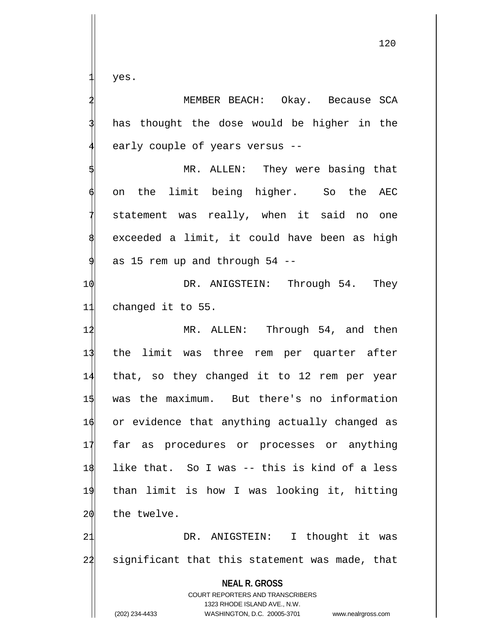yes.

MEMBER BEACH: Okay. Because SCA has thought the dose would be higher in the early couple of years versus --

MR. ALLEN: They were basing that on the limit being higher. So the AEC statement was really, when it said no one exceeded a limit, it could have been as high as 15 rem up and through 54 --

10 DR. ANIGSTEIN: Through 54. They 11 changed it to 55.

12 MR. ALLEN: Through 54, and then the limit was three rem per quarter after that, so they changed it to 12 rem per year was the maximum. But there's no information or evidence that anything actually changed as far as procedures or processes or anything like that. So I was -- this is kind of a less than limit is how I was looking it, hitting the twelve.

21 DR. ANIGSTEIN: I thought it was 22 significant that this statement was made, that

**NEAL R. GROSS** COURT REPORTERS AND TRANSCRIBERS 1323 RHODE ISLAND AVE., N.W. (202) 234-4433 WASHINGTON, D.C. 20005-3701 www.nealrgross.com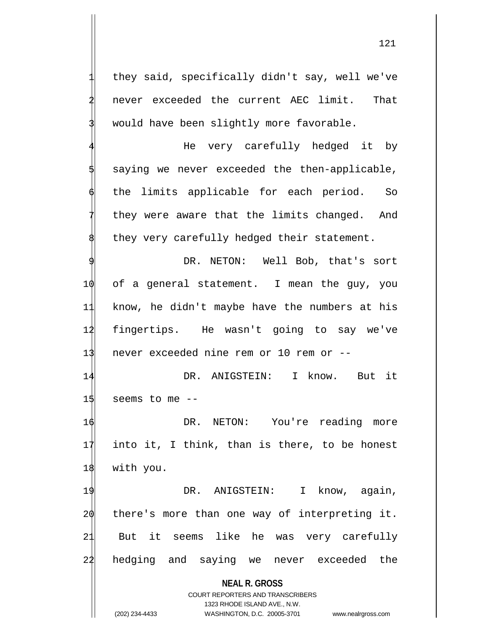they said, specifically didn't say, well we've never exceeded the current AEC limit. That would have been slightly more favorable.

4 He very carefully hedged it by saying we never exceeded the then-applicable, the limits applicable for each period. So they were aware that the limits changed. And they very carefully hedged their statement.

DR. NETON: Well Bob, that's sort 10 of a general statement. I mean the guy, you 11 know, he didn't maybe have the numbers at his 12 fingertips. He wasn't going to say we've 13 never exceeded nine rem or 10 rem or --

14 DR. ANIGSTEIN: I know. But it  $15$  seems to me  $-$ 

16 DR. NETON: You're reading more 17 into it, I think, than is there, to be honest 18 with you.

19 DR. ANIGSTEIN: I know, again, 20 there's more than one way of interpreting it. 21 But it seems like he was very carefully 24 hedging and saying we never exceeded the

**NEAL R. GROSS**

COURT REPORTERS AND TRANSCRIBERS 1323 RHODE ISLAND AVE., N.W. (202) 234-4433 WASHINGTON, D.C. 20005-3701 www.nealrgross.com

121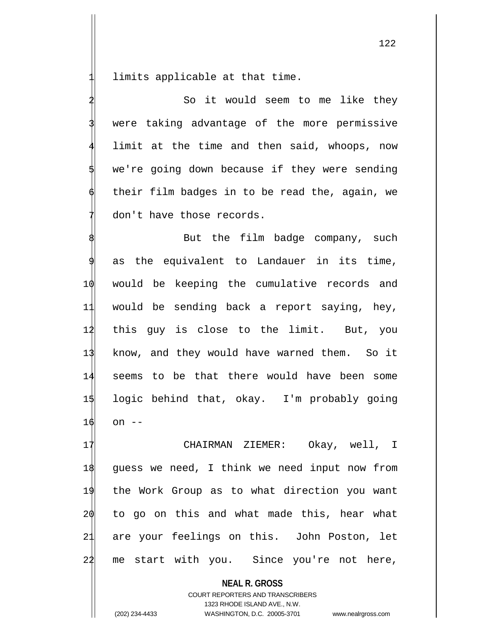limits applicable at that time.

So it would seem to me like they were taking advantage of the more permissive limit at the time and then said, whoops, now we're going down because if they were sending their film badges in to be read the, again, we don't have those records.

But the film badge company, such as the equivalent to Landauer in its time, 10 would be keeping the cumulative records and 11 would be sending back a report saying, hey, 12 this guy is close to the limit. But, you 13 know, and they would have warned them. So it 14 seems to be that there would have been some 15 logic behind that, okay. I'm probably going  $16$  on  $-$ 

 CHAIRMAN ZIEMER: Okay, well, I guess we need, I think we need input now from the Work Group as to what direction you want to go on this and what made this, hear what are your feelings on this. John Poston, let 22 me start with you. Since you're not here,

> **NEAL R. GROSS** COURT REPORTERS AND TRANSCRIBERS 1323 RHODE ISLAND AVE., N.W.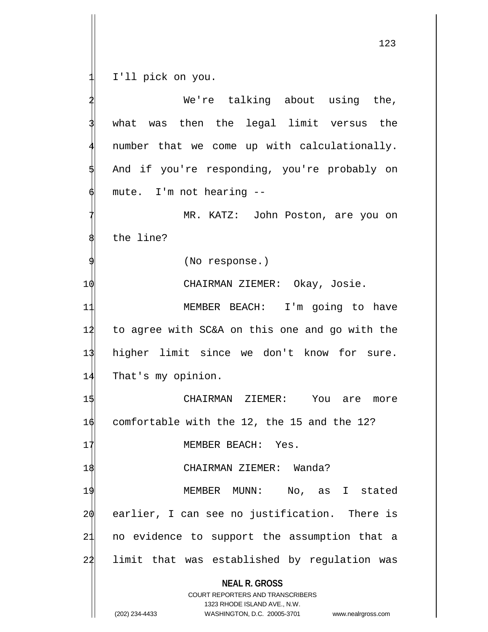1 I'll pick on you.

**NEAL R. GROSS** COURT REPORTERS AND TRANSCRIBERS 1323 RHODE ISLAND AVE., N.W. (202) 234-4433 WASHINGTON, D.C. 20005-3701 www.nealrgross.com We're talking about using the, what was then the legal limit versus the number that we come up with calculationally. And if you're responding, you're probably on mute. I'm not hearing --MR. KATZ: John Poston, are you on the line? 9 (No response.) 10 CHAIRMAN ZIEMER: Okay, Josie. 11 MEMBER BEACH: I'm going to have 12 to agree with SC&A on this one and go with the 13 higher limit since we don't know for sure. 14 That's my opinion. 15 CHAIRMAN ZIEMER: You are more 1 $\phi$  comfortable with the 12, the 15 and the 12? 17 MEMBER BEACH: Yes. 18 CHAIRMAN ZIEMER: Wanda? 19 MEMBER MUNN: No, as I stated 20 earlier, I can see no justification. There is 21 no evidence to support the assumption that a 24 limit that was established by regulation was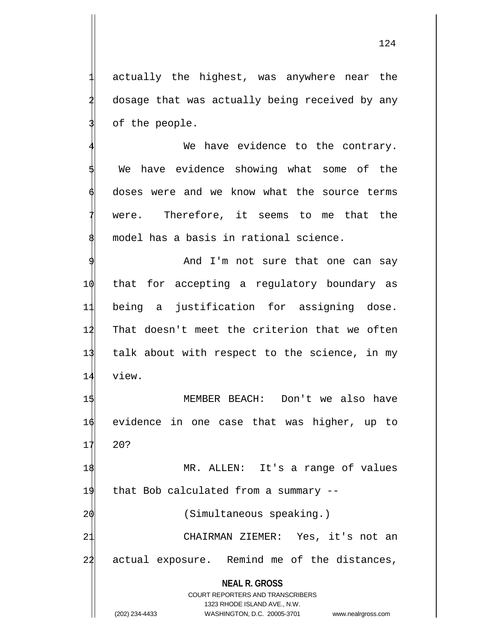actually the highest, was anywhere near the dosage that was actually being received by any of the people.

We have evidence to the contrary. We have evidence showing what some of the 6 doses were and we know what the source terms were. Therefore, it seems to me that the model has a basis in rational science.

And I'm not sure that one can say that for accepting a regulatory boundary as being a justification for assigning dose. That doesn't meet the criterion that we often talk about with respect to the science, in my 14 view.

15 MEMBER BEACH: Don't we also have 16 evidence in one case that was higher, up to 17 20?

18 MR. ALLEN: It's a range of values 19 that Bob calculated from a summary -- 2 $\phi$  (Simultaneous speaking.)

21 CHAIRMAN ZIEMER: Yes, it's not an 22 actual exposure. Remind me of the distances,

**NEAL R. GROSS** COURT REPORTERS AND TRANSCRIBERS 1323 RHODE ISLAND AVE., N.W. (202) 234-4433 WASHINGTON, D.C. 20005-3701 www.nealrgross.com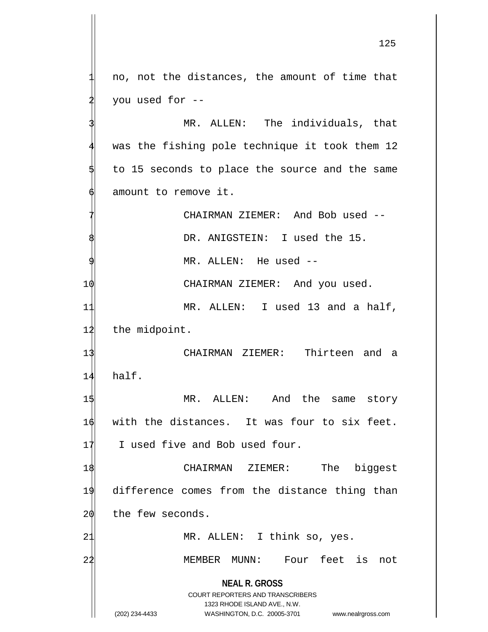1 no, not the distances, the amount of time that you used for --

MR. ALLEN: The individuals, that was the fishing pole technique it took them 12 to 15 seconds to place the source and the same amount to remove it.

CHAIRMAN ZIEMER: And Bob used --DR. ANIGSTEIN: I used the 15. MR. ALLEN: He used --10 CHAIRMAN ZIEMER: And you used. 11 MR. ALLEN: I used 13 and a half, 12 the midpoint. 13 CHAIRMAN ZIEMER: Thirteen and a 14 half. 1\$ MR. ALLEN: And the same story 16 with the distances. It was four to six feet. 17 I used five and Bob used four. 18 CHAIRMAN ZIEMER: The biggest 19 difference comes from the distance thing than  $20$  the few seconds. 21 MR. ALLEN: I think so, yes. 22 MEMBER MUNN: Four feet is not

> **NEAL R. GROSS** COURT REPORTERS AND TRANSCRIBERS 1323 RHODE ISLAND AVE., N.W.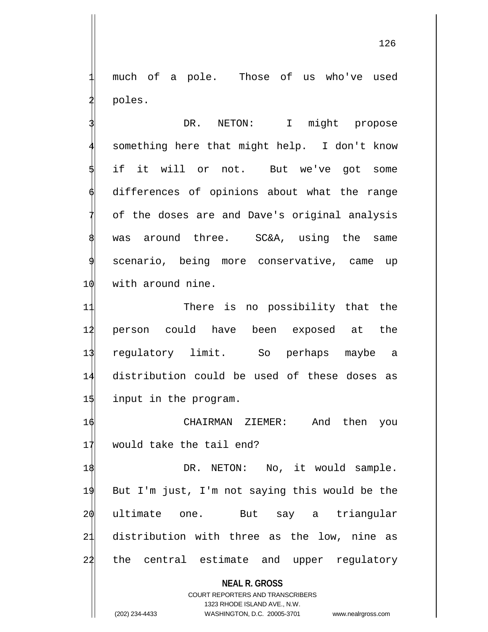much of a pole. Those of us who've used poles.

DR. NETON: I might propose something here that might help. I don't know if it will or not. But we've got some differences of opinions about what the range of the doses are and Dave's original analysis was around three. SC&A, using the same scenario, being more conservative, came up 10 with around nine.

11 There is no possibility that the 14 person could have been exposed at the 13 regulatory limit. So perhaps maybe a 14 distribution could be used of these doses as 15 input in the program.

16 CHAIRMAN ZIEMER: And then you 17 would take the tail end?

1\$ DR. NETON: No, it would sample. 19 But I'm just, I'm not saying this would be the 20 ultimate one. But say a triangular 21 distribution with three as the low, nine as 24 the central estimate and upper regulatory

## **NEAL R. GROSS**

COURT REPORTERS AND TRANSCRIBERS 1323 RHODE ISLAND AVE., N.W. (202) 234-4433 WASHINGTON, D.C. 20005-3701 www.nealrgross.com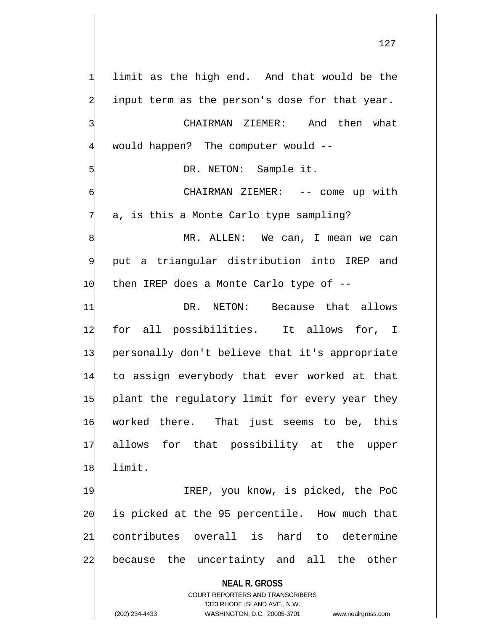**NEAL R. GROSS** COURT REPORTERS AND TRANSCRIBERS 1323 RHODE ISLAND AVE., N.W. (202) 234-4433 WASHINGTON, D.C. 20005-3701 www.nealrgross.com 1 limit as the high end. And that would be the input term as the person's dose for that year. CHAIRMAN ZIEMER: And then what would happen? The computer would --DR. NETON: Sample it. CHAIRMAN ZIEMER: -- come up with a, is this a Monte Carlo type sampling? MR. ALLEN: We can, I mean we can put a triangular distribution into IREP and 1 $\phi$  then IREP does a Monte Carlo type of --11 DR. NETON: Because that allows 12 for all possibilities. It allows for, I 13 personally don't believe that it's appropriate 14 to assign everybody that ever worked at that 15 plant the regulatory limit for every year they 16 worked there. That just seems to be, this 17 allows for that possibility at the upper 18 limit. 19 IREP, you know, is picked, the PoC  $20$  is picked at the 95 percentile. How much that 21 contributes overall is hard to determine 22 because the uncertainty and all the other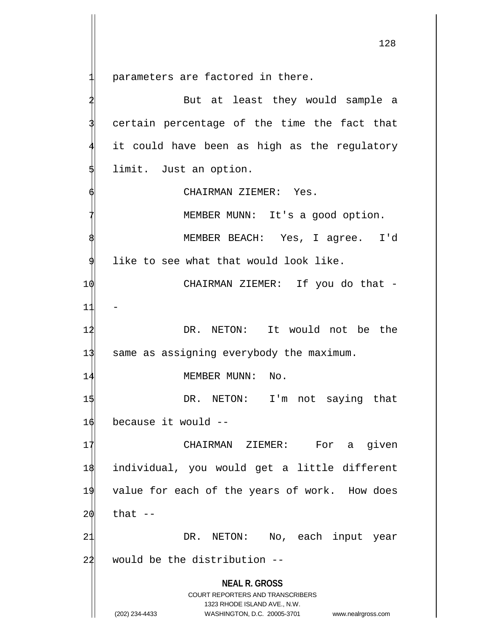parameters are factored in there.

**NEAL R. GROSS** COURT REPORTERS AND TRANSCRIBERS 1323 RHODE ISLAND AVE., N.W. (202) 234-4433 WASHINGTON, D.C. 20005-3701 www.nealrgross.com But at least they would sample a certain percentage of the time the fact that it could have been as high as the regulatory limit. Just an option. CHAIRMAN ZIEMER: Yes. MEMBER MUNN: It's a good option. MEMBER BEACH: Yes, I agree. I'd like to see what that would look like. 10 CHAIRMAN ZIEMER: If you do that -  $11$ 1<sup>2</sup> 12 DR. NETON: It would not be the 13 same as assigning everybody the maximum. 14 MEMBER MUNN: No. 1\$ DR. NETON: I'm not saying that 16 because it would -- 17 CHAIRMAN ZIEMER: For a given 18 individual, you would get a little different 19 value for each of the years of work. How does  $20$  that  $-$ 21 DR. NETON: No, each input year  $22$  would be the distribution  $-$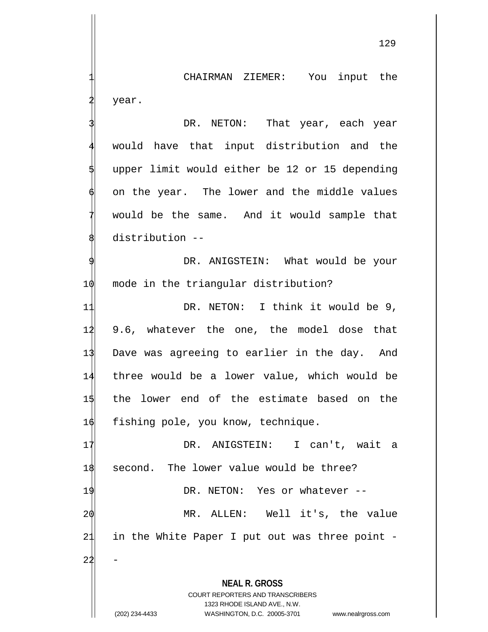CHAIRMAN ZIEMER: You input the year.

DR. NETON: That year, each year would have that input distribution and the upper limit would either be 12 or 15 depending on the year. The lower and the middle values would be the same. And it would sample that distribution --

DR. ANIGSTEIN: What would be your 1 $\phi$  mode in the triangular distribution?

11 DR. NETON: I think it would be 9, 9.6, whatever the one, the model dose that Dave was agreeing to earlier in the day. And three would be a lower value, which would be the lower end of the estimate based on the  $\phi$  fishing pole, you know, technique.

17 DR. ANIGSTEIN: I can't, wait a 18 second. The lower value would be three? 19 DR. NETON: Yes or whatever --20 MR. ALLEN: Well it's, the value 21 in the White Paper I put out was three point - $22$ 

**NEAL R. GROSS**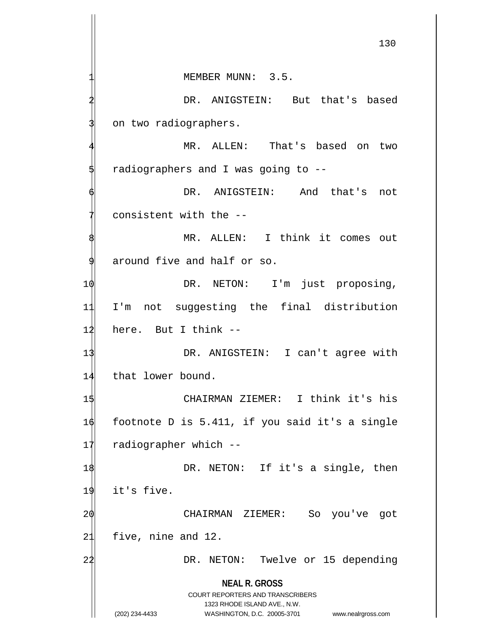**NEAL R. GROSS** COURT REPORTERS AND TRANSCRIBERS 1323 RHODE ISLAND AVE., N.W. 130 MEMBER MUNN: 3.5. DR. ANIGSTEIN: But that's based on two radiographers. MR. ALLEN: That's based on two radiographers and I was going to --DR. ANIGSTEIN: And that's not consistent with the --MR. ALLEN: I think it comes out around five and half or so. 1 $\phi$  DR. NETON: I'm just proposing, 11 I'm not suggesting the final distribution  $12$  here. But I think  $-$ 13 DR. ANIGSTEIN: I can't agree with 14 that lower bound. 15 CHAIRMAN ZIEMER: I think it's his 16 footnote D is 5.411, if you said it's a single 17 radiographer which --1\$ DR. NETON: If it's a single, then 19 it's five. 2 $\phi$  CHAIRMAN ZIEMER: So you've got 21 five, nine and 12. 22 DR. NETON: Twelve or 15 depending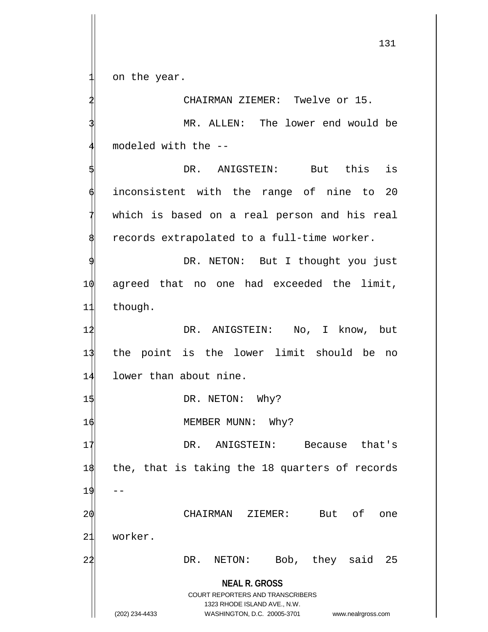on the year.

CHAIRMAN ZIEMER: Twelve or 15. MR. ALLEN: The lower end would be modeled with the --

DR. ANIGSTEIN: But this is inconsistent with the range of nine to 20 which is based on a real person and his real records extrapolated to a full-time worker.

DR. NETON: But I thought you just 1 $\phi$  agreed that no one had exceeded the limit, 11 though.

12 DR. ANIGSTEIN: No, I know, but 13 the point is the lower limit should be no 14 lower than about nine.

15 DR. NETON: Why?

16 MEMBER MUNN: Why?

**NEAL R. GROSS** 17 DR. ANIGSTEIN: Because that's 18 the, that is taking the 18 quarters of records  $19$  --20 CHAIRMAN ZIEMER: But of one 21 worker. 22 DR. NETON: Bob, they said 25

> COURT REPORTERS AND TRANSCRIBERS 1323 RHODE ISLAND AVE., N.W.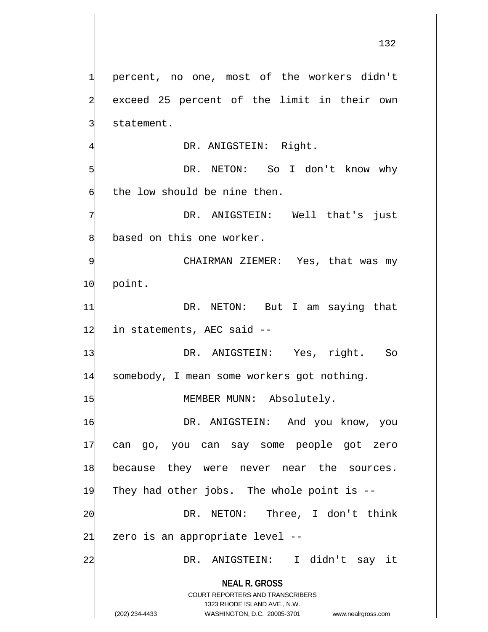**NEAL R. GROSS** COURT REPORTERS AND TRANSCRIBERS percent, no one, most of the workers didn't exceed 25 percent of the limit in their own statement. DR. ANIGSTEIN: Right. DR. NETON: So I don't know why the low should be nine then. DR. ANIGSTEIN: Well that's just based on this one worker. CHAIRMAN ZIEMER: Yes, that was my 10 point. 11 DR. NETON: But I am saying that 12 in statements, AEC said --13 DR. ANIGSTEIN: Yes, right. So 14 somebody, I mean some workers got nothing. 15 MEMBER MUNN: Absolutely. 16 DR. ANIGSTEIN: And you know, you 17 can go, you can say some people got zero 18 because they were never near the sources. 19 They had other jobs. The whole point is -- 20 DR. NETON: Three, I don't think 21 zero is an appropriate level --22 DR. ANIGSTEIN: I didn't say it

1323 RHODE ISLAND AVE., N.W.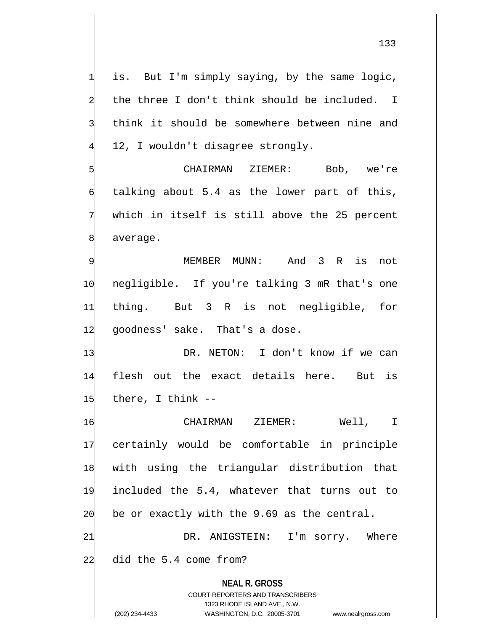is. But I'm simply saying, by the same logic, the three I don't think should be included. I think it should be somewhere between nine and 12, I wouldn't disagree strongly.

CHAIRMAN ZIEMER: Bob, we're talking about 5.4 as the lower part of this, which in itself is still above the 25 percent average.

MEMBER MUNN: And 3 R is not 10 negligible. If you're talking 3 mR that's one 11 thing. But 3 R is not negligible, for 12 goodness' sake. That's a dose.

13 DR. NETON: I don't know if we can 14 flesh out the exact details here. But is  $1\frac{1}{3}$  there, I think --

 CHAIRMAN ZIEMER: Well, I certainly would be comfortable in principle with using the triangular distribution that included the 5.4, whatever that turns out to be or exactly with the 9.69 as the central. 21 DR. ANIGSTEIN: I'm sorry. Where

22 did the 5.4 come from?

**NEAL R. GROSS** COURT REPORTERS AND TRANSCRIBERS

1323 RHODE ISLAND AVE., N.W.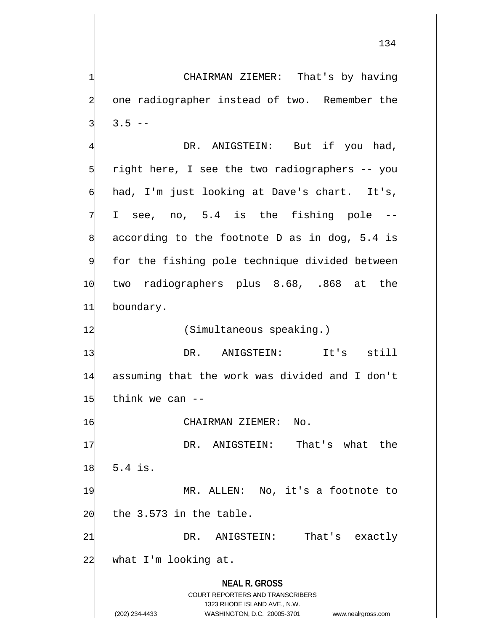CHAIRMAN ZIEMER: That's by having one radiographer instead of two. Remember the  $3.5 - -$ 

DR. ANIGSTEIN: But if you had, right here, I see the two radiographers -- you had, I'm just looking at Dave's chart. It's, I see, no, 5.4 is the fishing pole -according to the footnote D as in dog,  $5.4$  is for the fishing pole technique divided between 10 two radiographers plus 8.68, .868 at the 11 boundary. 12 (Simultaneous speaking.)

13 DR. ANIGSTEIN: It's still 14 assuming that the work was divided and I don't  $15$  think we can  $-$ 

16 CHAIRMAN ZIEMER: No.

17 DR. ANIGSTEIN: That's what the 18 5.4 is. 19 MR. ALLEN: No, it's a footnote to  $20$  the 3.573 in the table. 21 DR. ANIGSTEIN: That's exactly

 $22$  what I'm looking at.

**NEAL R. GROSS** COURT REPORTERS AND TRANSCRIBERS 1323 RHODE ISLAND AVE., N.W.

<sup>(202) 234-4433</sup> WASHINGTON, D.C. 20005-3701 www.nealrgross.com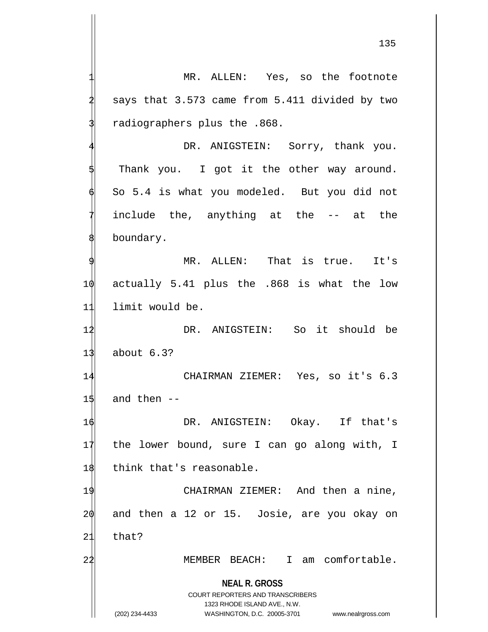MR. ALLEN: Yes, so the footnote says that 3.573 came from 5.411 divided by two 3 radiographers plus the .868. DR. ANIGSTEIN: Sorry, thank you. Thank you. I got it the other way around. 6 So 5.4 is what you modeled. But you did not include the, anything at the -- at the

MR. ALLEN: That is true. It's 10 actually 5.41 plus the .868 is what the low 11 limit would be.

12 DR. ANIGSTEIN: So it should be 13 about 6.3?

14 CHAIRMAN ZIEMER: Yes, so it's 6.3  $15$  and then  $-$ 

16 DR. ANIGSTEIN: Okay. If that's 17 the lower bound, sure I can go along with, I 18 think that's reasonable.

19 CHAIRMAN ZIEMER: And then a nine, 20 and then a 12 or 15. Josie, are you okay on 21 that?

2<sup>1</sup> MEMBER BEACH: I am comfortable.

**NEAL R. GROSS** COURT REPORTERS AND TRANSCRIBERS

1323 RHODE ISLAND AVE., N.W.

boundary.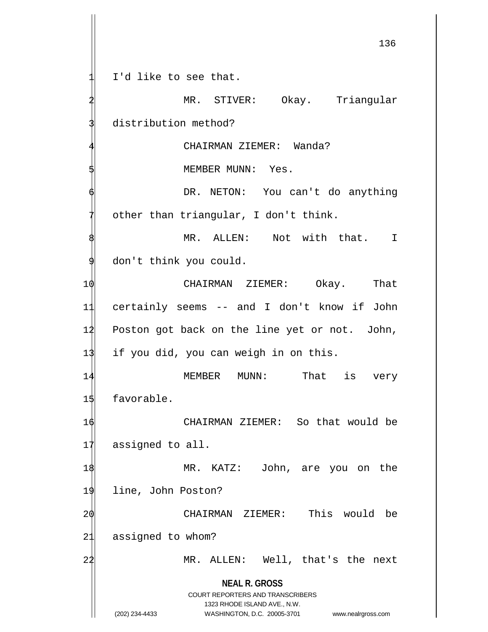1 I'd like to see that.

**NEAL R. GROSS** COURT REPORTERS AND TRANSCRIBERS 1323 RHODE ISLAND AVE., N.W. (202) 234-4433 WASHINGTON, D.C. 20005-3701 www.nealrgross.com MR. STIVER: Okay. Triangular distribution method? CHAIRMAN ZIEMER: Wanda? MEMBER MUNN: Yes. DR. NETON: You can't do anything other than triangular, I don't think. MR. ALLEN: Not with that. I don't think you could. 10 CHAIRMAN ZIEMER: Okay. That 11 certainly seems -- and I don't know if John 12 Poston got back on the line yet or not. John, 13 if you did, you can weigh in on this. 14 MEMBER MUNN: That is very 15 favorable. 16 CHAIRMAN ZIEMER: So that would be 17 assigned to all. 1\$ MR. KATZ: John, are you on the 19 line, John Poston? 20 CHAIRMAN ZIEMER: This would be 21 assigned to whom? 22 MR. ALLEN: Well, that's the next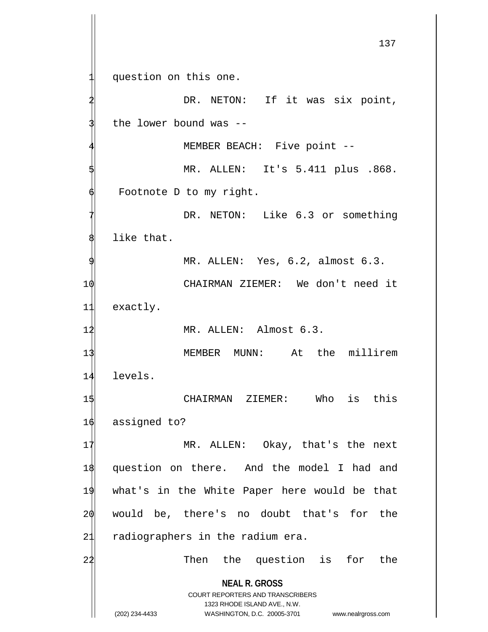**NEAL R. GROSS** COURT REPORTERS AND TRANSCRIBERS 1323 RHODE ISLAND AVE., N.W. (202) 234-4433 WASHINGTON, D.C. 20005-3701 www.nealrgross.com 137 question on this one. DR. NETON: If it was six point, the lower bound was --MEMBER BEACH: Five point --5 MR. ALLEN: It's 5.411 plus .868. Footnote D to my right. DR. NETON: Like 6.3 or something like that. MR. ALLEN: Yes, 6.2, almost 6.3. 10 CHAIRMAN ZIEMER: We don't need it 11 exactly. 1<sup>2</sup> MR. ALLEN: Almost 6.3. 13 MEMBER MUNN: At the millirem 14 levels. 15 CHAIRMAN ZIEMER: Who is this 16 assigned to? 17 MR. ALLEN: Okay, that's the next 18 question on there. And the model I had and 19 what's in the White Paper here would be that 20 would be, there's no doubt that's for the 21 radiographers in the radium era. 22 Then the question is for the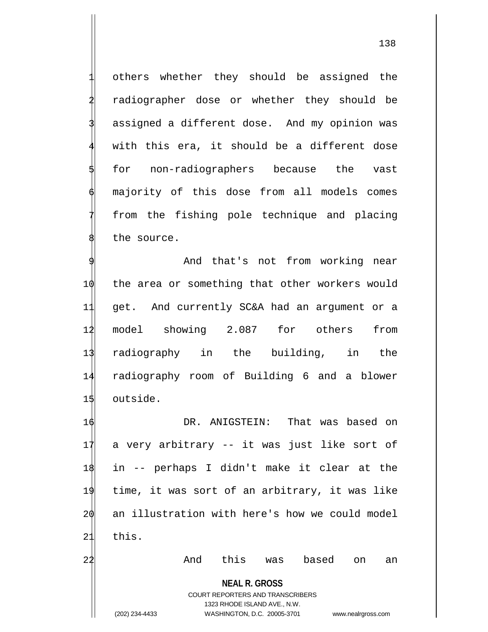others whether they should be assigned the radiographer dose or whether they should be assigned a different dose. And my opinion was with this era, it should be a different dose for non-radiographers because the vast majority of this dose from all models comes from the fishing pole technique and placing the source.

And that's not from working near the area or something that other workers would get. And currently SC&A had an argument or a model showing 2.087 for others from radiography in the building, in the radiography room of Building 6 and a blower 15 outside.

**NEAL R. GROSS** DR. ANIGSTEIN: That was based on a very arbitrary -- it was just like sort of in -- perhaps I didn't make it clear at the time, it was sort of an arbitrary, it was like an illustration with here's how we could model 21 this. 22 And this was based on an

> COURT REPORTERS AND TRANSCRIBERS 1323 RHODE ISLAND AVE., N.W.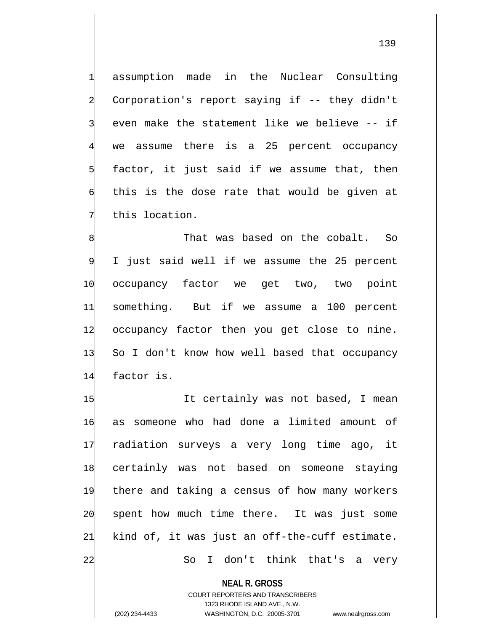assumption made in the Nuclear Consulting 2 Corporation's report saying if -- they didn't even make the statement like we believe -- if we assume there is a 25 percent occupancy factor, it just said if we assume that, then this is the dose rate that would be given at this location.

That was based on the cobalt. So I just said well if we assume the 25 percent 10 occupancy factor we get two, two point 11 something. But if we assume a 100 percent 14 occupancy factor then you get close to nine. 13 So I don't know how well based that occupancy 14 factor is.

1\$ It certainly was not based, I mean as someone who had done a limited amount of radiation surveys a very long time ago, it certainly was not based on someone staying there and taking a census of how many workers  $\phi$  spent how much time there. It was just some kind of, it was just an off-the-cuff estimate. So I don't think that's a very

**NEAL R. GROSS**

COURT REPORTERS AND TRANSCRIBERS 1323 RHODE ISLAND AVE., N.W. (202) 234-4433 WASHINGTON, D.C. 20005-3701 www.nealrgross.com

139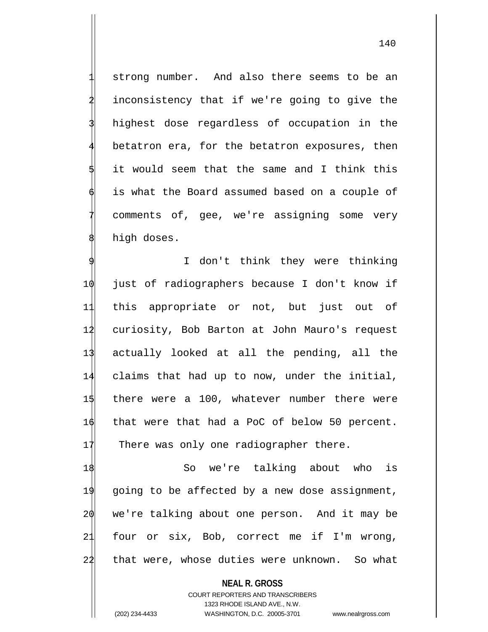strong number. And also there seems to be an inconsistency that if we're going to give the highest dose regardless of occupation in the betatron era, for the betatron exposures, then it would seem that the same and I think this is what the Board assumed based on a couple of comments of, gee, we're assigning some very high doses.

I don't think they were thinking just of radiographers because I don't know if this appropriate or not, but just out of curiosity, Bob Barton at John Mauro's request actually looked at all the pending, all the claims that had up to now, under the initial, there were a 100, whatever number there were that were that had a PoC of below 50 percent. 17 There was only one radiographer there.

18 So we're talking about who is 19 going to be affected by a new dose assignment,  $2\phi$  we're talking about one person. And it may be 21 four or six, Bob, correct me if I'm wrong, 22 that were, whose duties were unknown. So what

**NEAL R. GROSS** COURT REPORTERS AND TRANSCRIBERS 1323 RHODE ISLAND AVE., N.W. (202) 234-4433 WASHINGTON, D.C. 20005-3701 www.nealrgross.com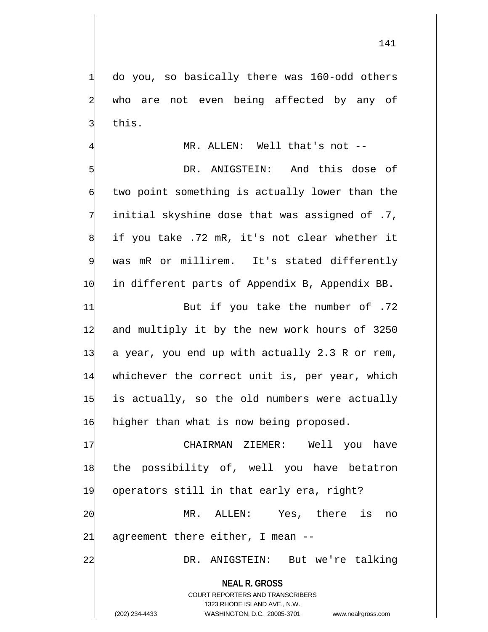1 do you, so basically there was 160-odd others who are not even being affected by any of this.

MR. ALLEN: Well that's not --

DR. ANIGSTEIN: And this dose of two point something is actually lower than the 7 initial skyshine dose that was assigned of .7, if you take .72 mR, it's not clear whether it was mR or millirem. It's stated differently 10 in different parts of Appendix B, Appendix BB.

11 But if you take the number of .72 12 and multiply it by the new work hours of 3250 13 a year, you end up with actually 2.3 R or rem, 14 whichever the correct unit is, per year, which 15 is actually, so the old numbers were actually 1 $\phi$  higher than what is now being proposed.

 CHAIRMAN ZIEMER: Well you have the possibility of, well you have betatron operators still in that early era, right? MR. ALLEN: Yes, there is no agreement there either, I mean  $-$ 

22 DR. ANIGSTEIN: But we're talking

**NEAL R. GROSS** COURT REPORTERS AND TRANSCRIBERS

1323 RHODE ISLAND AVE., N.W. (202) 234-4433 WASHINGTON, D.C. 20005-3701 www.nealrgross.com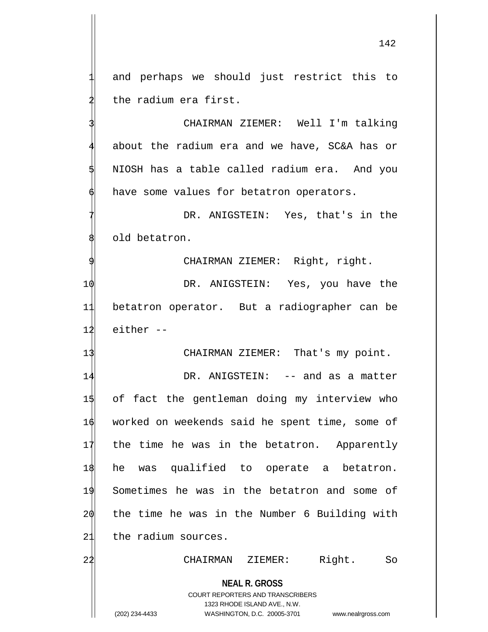and perhaps we should just restrict this to the radium era first.

CHAIRMAN ZIEMER: Well I'm talking about the radium era and we have, SC&A has or NIOSH has a table called radium era. And you have some values for betatron operators.

DR. ANIGSTEIN: Yes, that's in the old betatron.

CHAIRMAN ZIEMER: Right, right.

10 DR. ANIGSTEIN: Yes, you have the 11 betatron operator. But a radiographer can be 12 either --

13 CHAIRMAN ZIEMER: That's my point.

14 DR. ANIGSTEIN: -- and as a matter of fact the gentleman doing my interview who worked on weekends said he spent time, some of 17 the time he was in the betatron. Apparently he was qualified to operate a betatron. Sometimes he was in the betatron and some of the time he was in the Number 6 Building with 21 the radium sources.

22 CHAIRMAN ZIEMER: Right. So

**NEAL R. GROSS** COURT REPORTERS AND TRANSCRIBERS

1323 RHODE ISLAND AVE., N.W.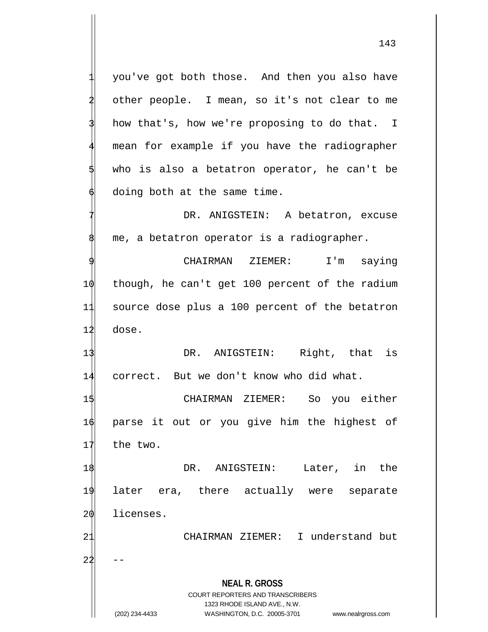you've got both those. And then you also have other people. I mean, so it's not clear to me how that's, how we're proposing to do that. I mean for example if you have the radiographer who is also a betatron operator, he can't be doing both at the same time. DR. ANIGSTEIN: A betatron, excuse

CHAIRMAN ZIEMER: I'm saying 10 though, he can't get 100 percent of the radium 11 source dose plus a 100 percent of the betatron 12 dose.

me, a betatron operator is a radiographer.

13 DR. ANIGSTEIN: Right, that is 14 correct. But we don't know who did what.

15 CHAIRMAN ZIEMER: So you either 16 parse it out or you give him the highest of 17 the two.

18 DR. ANIGSTEIN: Later, in the 19 later era, there actually were separate 20 licenses.

21 CHAIRMAN ZIEMER: I understand but

 $22$ 

**NEAL R. GROSS** COURT REPORTERS AND TRANSCRIBERS

1323 RHODE ISLAND AVE., N.W.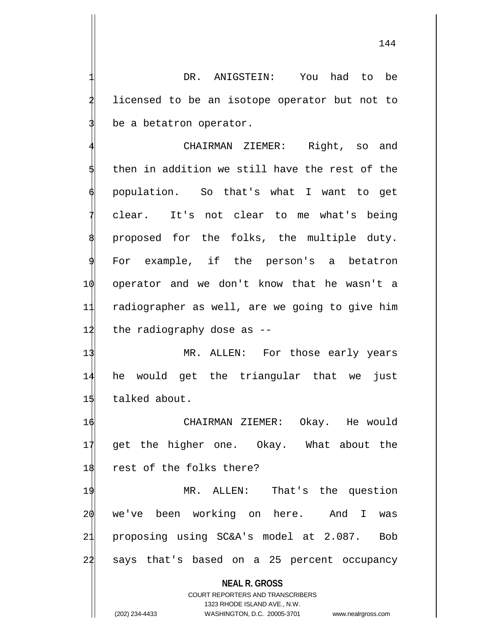DR. ANIGSTEIN: You had to be licensed to be an isotope operator but not to be a betatron operator.

CHAIRMAN ZIEMER: Right, so and then in addition we still have the rest of the 6 population. So that's what I want to get clear. It's not clear to me what's being proposed for the folks, the multiple duty. For example, if the person's a betatron 10 operator and we don't know that he wasn't a 11 radiographer as well, are we going to give him  $12$  the radiography dose as  $-$ 

13 MR. ALLEN: For those early years 14 he would get the triangular that we just 15 talked about.

16 CHAIRMAN ZIEMER: Okay. He would 17 get the higher one. Okay. What about the 18 rest of the folks there?

19 MR. ALLEN: That's the question we've been working on here. And I was proposing using SC&A's model at 2.087. Bob says that's based on a 25 percent occupancy

**NEAL R. GROSS**

COURT REPORTERS AND TRANSCRIBERS 1323 RHODE ISLAND AVE., N.W. (202) 234-4433 WASHINGTON, D.C. 20005-3701 www.nealrgross.com

144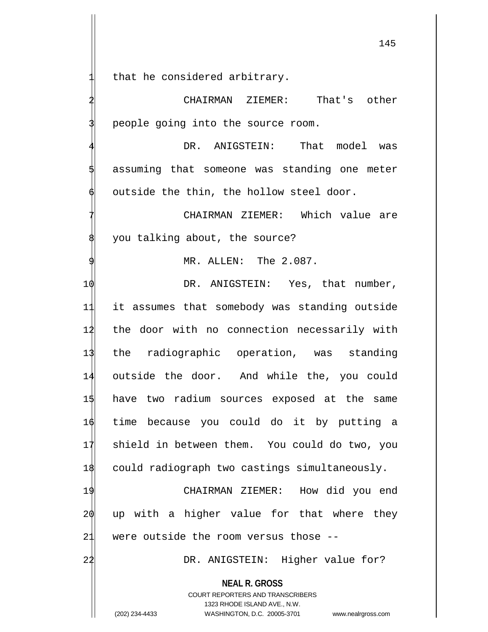that he considered arbitrary.

2 CHAIRMAN ZIEMER: That's other people going into the source room.

DR. ANIGSTEIN: That model was assuming that someone was standing one meter outside the thin, the hollow steel door.

CHAIRMAN ZIEMER: Which value are you talking about, the source?

MR. ALLEN: The 2.087.

 $\phi$  DR. ANIGSTEIN: Yes, that number, it assumes that somebody was standing outside the door with no connection necessarily with the radiographic operation, was standing outside the door. And while the, you could have two radium sources exposed at the same time because you could do it by putting a shield in between them. You could do two, you could radiograph two castings simultaneously.

19 CHAIRMAN ZIEMER: How did you end 20 up with a higher value for that where they 21 were outside the room versus those --

22 DR. ANIGSTEIN: Higher value for?

**NEAL R. GROSS**

COURT REPORTERS AND TRANSCRIBERS 1323 RHODE ISLAND AVE., N.W. (202) 234-4433 WASHINGTON, D.C. 20005-3701 www.nealrgross.com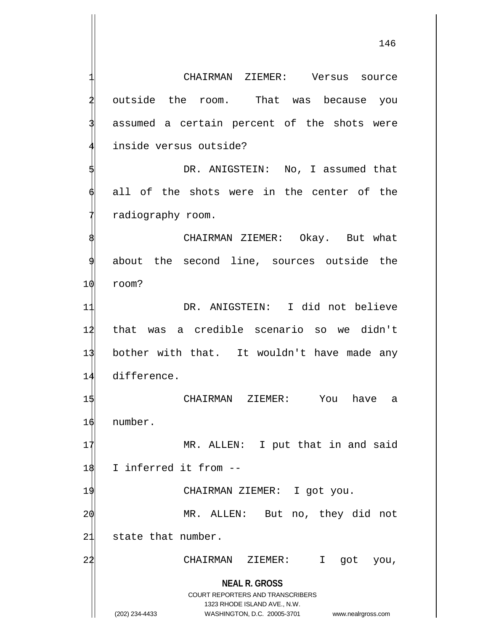**NEAL R. GROSS** COURT REPORTERS AND TRANSCRIBERS 1323 RHODE ISLAND AVE., N.W. (202) 234-4433 WASHINGTON, D.C. 20005-3701 www.nealrgross.com CHAIRMAN ZIEMER: Versus source outside the room. That was because you assumed a certain percent of the shots were inside versus outside? DR. ANIGSTEIN: No, I assumed that all of the shots were in the center of the radiography room. CHAIRMAN ZIEMER: Okay. But what about the second line, sources outside the 10 room? 11 DR. ANIGSTEIN: I did not believe 12 that was a credible scenario so we didn't 13 bother with that. It wouldn't have made any 14 difference. 15 CHAIRMAN ZIEMER: You have a 16 number. 17 MR. ALLEN: I put that in and said 18 I inferred it from --19 CHAIRMAN ZIEMER: I got you. 2 $\phi$  MR. ALLEN: But no, they did not 21 state that number. 22 CHAIRMAN ZIEMER: I got you,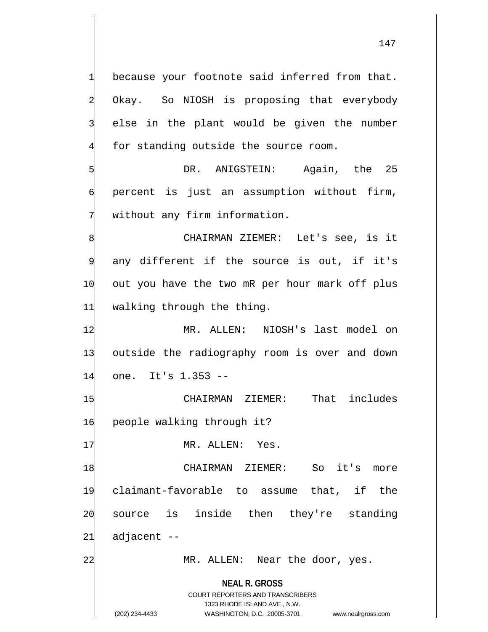**NEAL R. GROSS** COURT REPORTERS AND TRANSCRIBERS 1323 RHODE ISLAND AVE., N.W. because your footnote said inferred from that. Okay. So NIOSH is proposing that everybody else in the plant would be given the number for standing outside the source room. DR. ANIGSTEIN: Again, the 25 percent is just an assumption without firm, without any firm information. 8 CHAIRMAN ZIEMER: Let's see, is it any different if the source is out, if it's  $10$  out you have the two mR per hour mark off plus 11 walking through the thing. 12 MR. ALLEN: NIOSH's last model on 13 outside the radiography room is over and down 14 one. It's 1.353 -- 15 CHAIRMAN ZIEMER: That includes 16 people walking through it? 17 MR. ALLEN: Yes. 18 CHAIRMAN ZIEMER: So it's more 19 claimant-favorable to assume that, if the 20 source is inside then they're standing  $21$  adjacent  $-$ 22 MR. ALLEN: Near the door, yes.

<sup>(202) 234-4433</sup> WASHINGTON, D.C. 20005-3701 www.nealrgross.com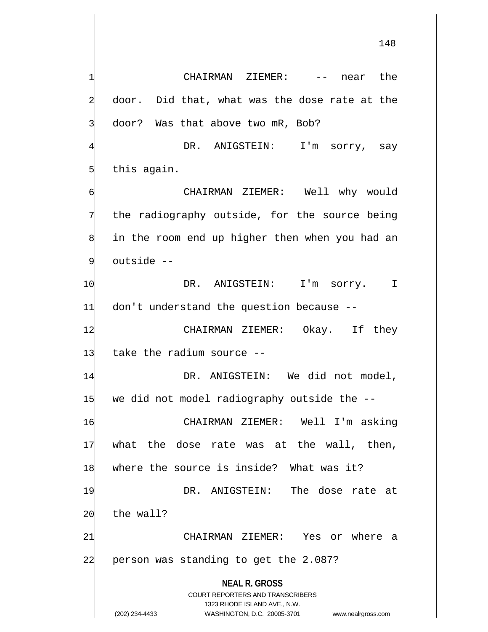148

**NEAL R. GROSS** COURT REPORTERS AND TRANSCRIBERS 1323 RHODE ISLAND AVE., N.W. (202) 234-4433 WASHINGTON, D.C. 20005-3701 www.nealrgross.com CHAIRMAN ZIEMER: -- near the door. Did that, what was the dose rate at the door? Was that above two mR, Bob? DR. ANIGSTEIN: I'm sorry, say this again. 6 CHAIRMAN ZIEMER: Well why would the radiography outside, for the source being in the room end up higher then when you had an outside --10 DR. ANIGSTEIN: I'm sorry. I 11 don't understand the question because -- 12 CHAIRMAN ZIEMER: Okay. If they 13 take the radium source -- 14 DR. ANIGSTEIN: We did not model, 15 we did not model radiography outside the --16 CHAIRMAN ZIEMER: Well I'm asking  $17$  what the dose rate was at the wall, then, 18 where the source is inside? What was it? 19 DR. ANIGSTEIN: The dose rate at 20 the wall? 21 CHAIRMAN ZIEMER: Yes or where a 22 person was standing to get the 2.087?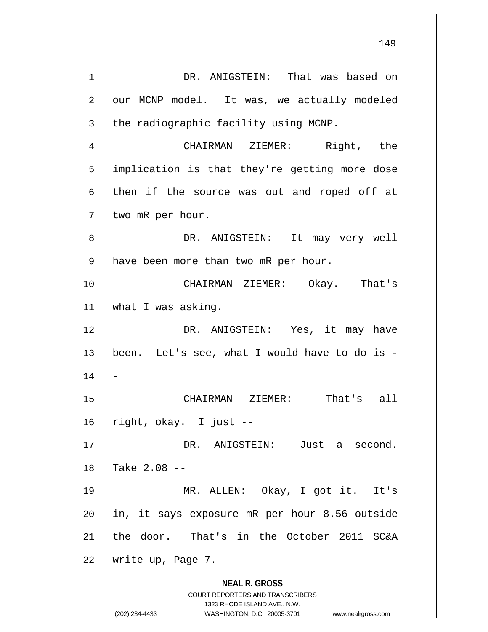**NEAL R. GROSS** COURT REPORTERS AND TRANSCRIBERS 1323 RHODE ISLAND AVE., N.W. (202) 234-4433 WASHINGTON, D.C. 20005-3701 www.nealrgross.com DR. ANIGSTEIN: That was based on our MCNP model. It was, we actually modeled the radiographic facility using MCNP. CHAIRMAN ZIEMER: Right, the implication is that they're getting more dose then if the source was out and roped off at two mR per hour. DR. ANIGSTEIN: It may very well have been more than two mR per hour. 10 CHAIRMAN ZIEMER: Okay. That's 11 what I was asking. 12 DR. ANIGSTEIN: Yes, it may have 13 been. Let's see, what I would have to do is -  $14$ 15 CHAIRMAN ZIEMER: That's all 16 right, okay. I just -- 17 DR. ANIGSTEIN: Just a second. 18 Take 2.08 --19 MR. ALLEN: Okay, I got it. It's 20 in, it says exposure mR per hour 8.56 outside 21 the door. That's in the October 2011 SC&A  $22$  write up, Page 7.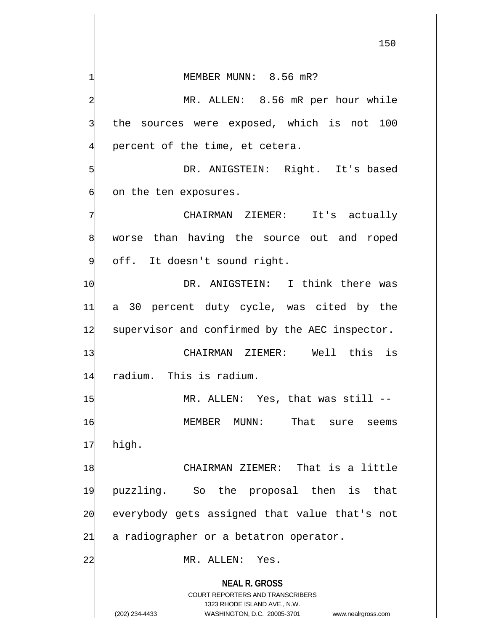MEMBER MUNN: 8.56 mR?

MR. ALLEN: 8.56 mR per hour while the sources were exposed, which is not 100 percent of the time, et cetera.

DR. ANIGSTEIN: Right. It's based on the ten exposures.

CHAIRMAN ZIEMER: It's actually worse than having the source out and roped off. It doesn't sound right.

10 DR. ANIGSTEIN: I think there was 11 a 30 percent duty cycle, was cited by the 12 supervisor and confirmed by the AEC inspector.

13 CHAIRMAN ZIEMER: Well this is 14 radium. This is radium.

1\$ MR. ALLEN: Yes, that was still --16 MEMBER MUNN: That sure seems 17 high.

 CHAIRMAN ZIEMER: That is a little puzzling. So the proposal then is that everybody gets assigned that value that's not 21 a radiographer or a betatron operator.

22 MR. ALLEN: Yes.

**NEAL R. GROSS**

COURT REPORTERS AND TRANSCRIBERS 1323 RHODE ISLAND AVE., N.W. (202) 234-4433 WASHINGTON, D.C. 20005-3701 www.nealrgross.com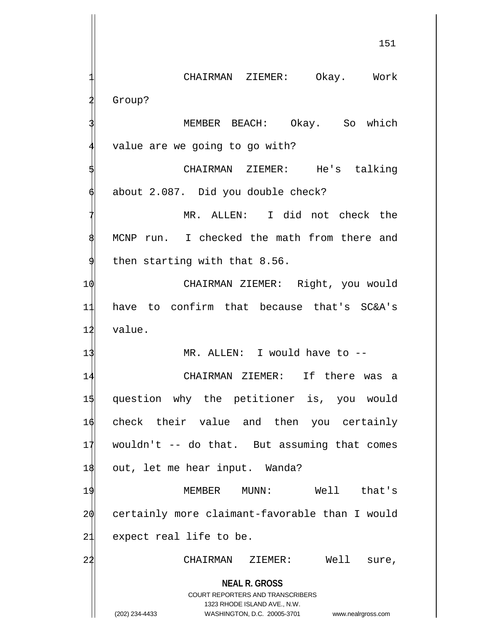CHAIRMAN ZIEMER: Okay. Work Group? MEMBER BEACH: Okay. So which value are we going to go with?

CHAIRMAN ZIEMER: He's talking about 2.087. Did you double check?

MR. ALLEN: I did not check the MCNP run. I checked the math from there and then starting with that 8.56.

10 CHAIRMAN ZIEMER: Right, you would 11 have to confirm that because that's SC&A's 12 value.

13 MR. ALLEN: I would have to --

 CHAIRMAN ZIEMER: If there was a question why the petitioner is, you would check their value and then you certainly wouldn't -- do that. But assuming that comes 18 out, let me hear input. Wanda? MEMBER MUNN: Well that's

20 certainly more claimant-favorable than I would 21 expect real life to be.

22 CHAIRMAN ZIEMER: Well sure,

**NEAL R. GROSS** COURT REPORTERS AND TRANSCRIBERS

1323 RHODE ISLAND AVE., N.W.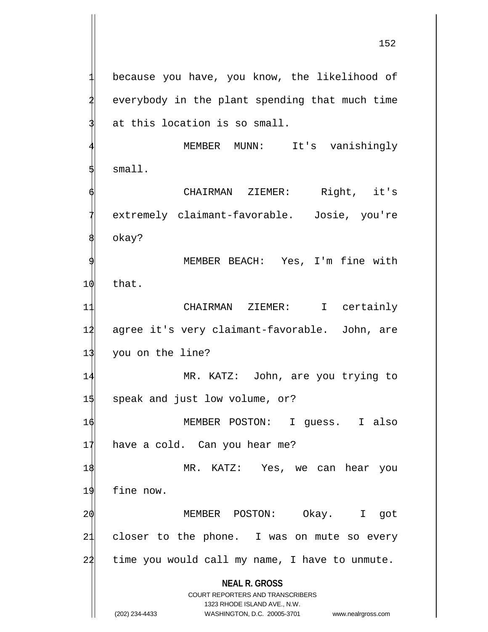**NEAL R. GROSS** COURT REPORTERS AND TRANSCRIBERS because you have, you know, the likelihood of everybody in the plant spending that much time at this location is so small. MEMBER MUNN: It's vanishingly small. CHAIRMAN ZIEMER: Right, it's extremely claimant-favorable. Josie, you're okay? MEMBER BEACH: Yes, I'm fine with 10 that. 11 CHAIRMAN ZIEMER: I certainly 12 agree it's very claimant-favorable. John, are 13 you on the line? 14 MR. KATZ: John, are you trying to 1\$ speak and just low volume, or? 1 $\phi$  MEMBER POSTON: I guess. I also 17 have a cold. Can you hear me? 18 MR. KATZ: Yes, we can hear you 19 fine now. 20 MEMBER POSTON: Okay. I got 21 closer to the phone. I was on mute so every  $24$  time you would call my name, I have to unmute.

1323 RHODE ISLAND AVE., N.W.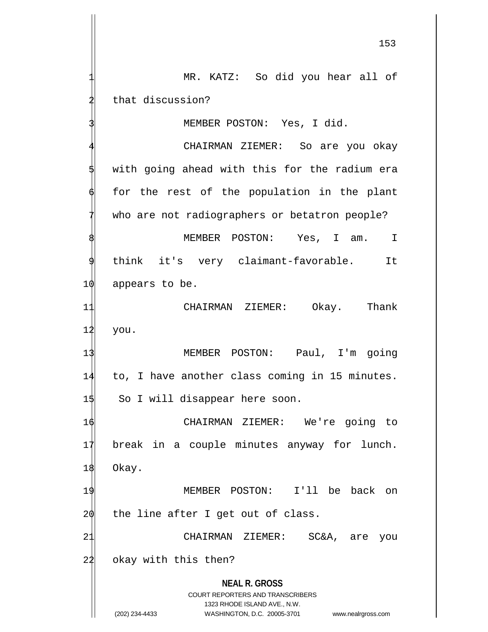MR. KATZ: So did you hear all of that discussion? MEMBER POSTON: Yes, I did.

**NEAL R. GROSS** COURT REPORTERS AND TRANSCRIBERS 1323 RHODE ISLAND AVE., N.W. CHAIRMAN ZIEMER: So are you okay with going ahead with this for the radium era for the rest of the population in the plant who are not radiographers or betatron people? MEMBER POSTON: Yes, I am. I think it's very claimant-favorable. It 1 $\phi$  appears to be. 11 CHAIRMAN ZIEMER: Okay. Thank  $12$  you. 13 MEMBER POSTON: Paul, I'm going 14 to, I have another class coming in 15 minutes. 15 So I will disappear here soon. 16 CHAIRMAN ZIEMER: We're going to 17 break in a couple minutes anyway for lunch. 18 Okay. 19 MEMBER POSTON: I'll be back on  $20$  the line after I get out of class. 21 CHAIRMAN ZIEMER: SC&A, are you 22 okay with this then?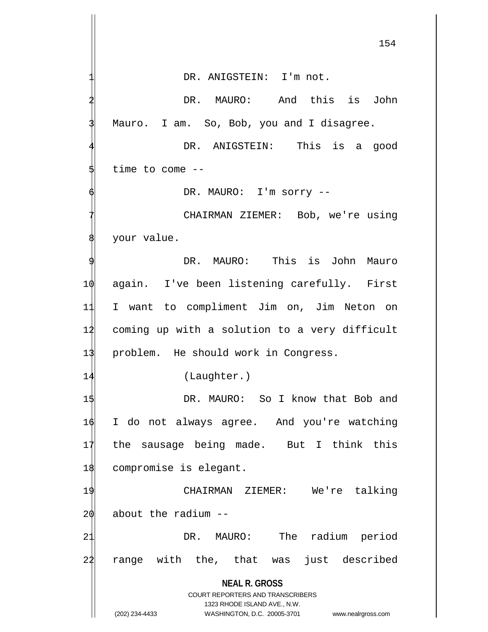**NEAL R. GROSS** COURT REPORTERS AND TRANSCRIBERS 1323 RHODE ISLAND AVE., N.W. DR. ANIGSTEIN: I'm not. DR. MAURO: And this is John Mauro. I am. So, Bob, you and I disagree. DR. ANIGSTEIN: This is a good time to come  $-$ DR. MAURO: I'm sorry --CHAIRMAN ZIEMER: Bob, we're using your value. DR. MAURO: This is John Mauro 10 again. I've been listening carefully. First 11 I want to compliment Jim on, Jim Neton on 12 coming up with a solution to a very difficult 13 problem. He should work in Congress. 14 (Laughter.) 15 DR. MAURO: So I know that Bob and 16 I do not always agree. And you're watching 17 the sausage being made. But I think this 18 compromise is elegant. 19 CHAIRMAN ZIEMER: We're talking  $20$  about the radium  $-$ 21 DR. MAURO: The radium period 22 range with the, that was just described

(202) 234-4433 WASHINGTON, D.C. 20005-3701 www.nealrgross.com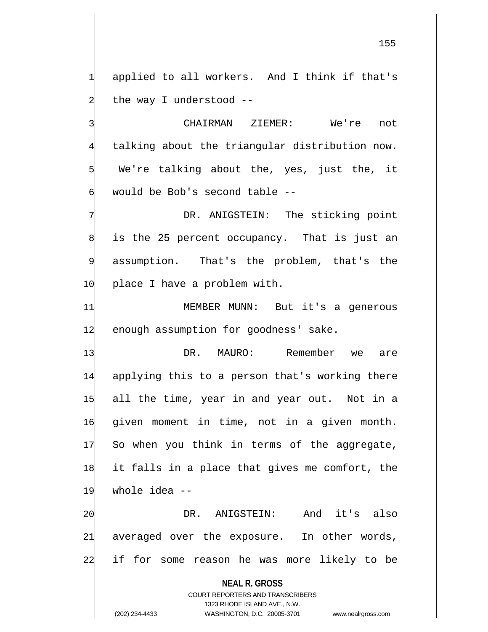applied to all workers. And I think if that's the way I understood  $-$ -

CHAIRMAN ZIEMER: We're not talking about the triangular distribution now. We're talking about the, yes, just the, it would be Bob's second table --

DR. ANIGSTEIN: The sticking point is the 25 percent occupancy. That is just an assumption. That's the problem, that's the 1 $\emptyset$  place I have a problem with.

11 MEMBER MUNN: But it's a generous 12 enough assumption for goodness' sake.

 DR. MAURO: Remember we are applying this to a person that's working there all the time, year in and year out. Not in a  $\phi$  given moment in time, not in a given month. 17 So when you think in terms of the aggregate, it falls in a place that gives me comfort, the whole idea --

20 DR. ANIGSTEIN: And it's also 21 averaged over the exposure. In other words, 22 if for some reason he was more likely to be

**NEAL R. GROSS**

COURT REPORTERS AND TRANSCRIBERS 1323 RHODE ISLAND AVE., N.W. (202) 234-4433 WASHINGTON, D.C. 20005-3701 www.nealrgross.com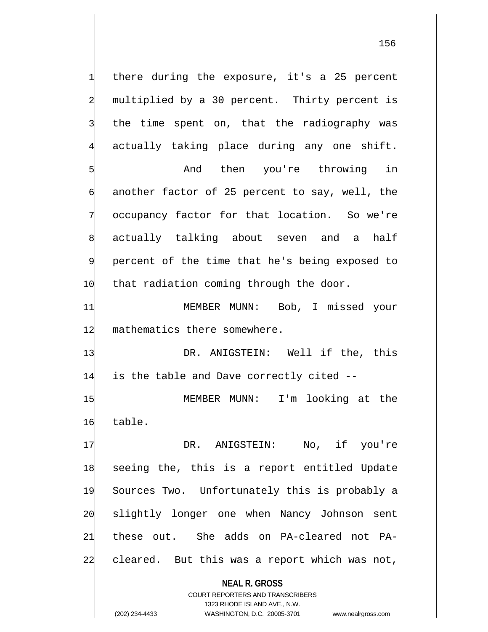there during the exposure, it's a 25 percent multiplied by a 30 percent. Thirty percent is the time spent on, that the radiography was actually taking place during any one shift.

And then you're throwing in another factor of 25 percent to say, well, the occupancy factor for that location. So we're actually talking about seven and a half 9 percent of the time that he's being exposed to 1 $\phi$  that radiation coming through the door.

11 MEMBER MUNN: Bob, I missed your 12 mathematics there somewhere.

13 DR. ANIGSTEIN: Well if the, this 14 is the table and Dave correctly cited --

15 MEMBER MUNN: I'm looking at the 16 table.

17 DR. ANIGSTEIN: No, if you're seeing the, this is a report entitled Update Sources Two. Unfortunately this is probably a slightly longer one when Nancy Johnson sent these out. She adds on PA-cleared not PA-22 cleared. But this was a report which was not,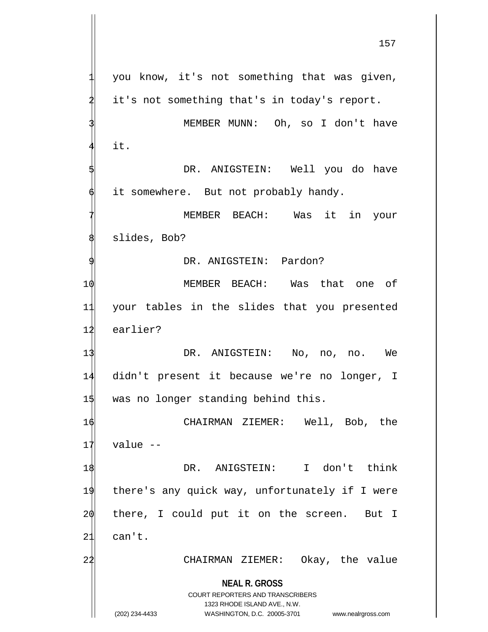**NEAL R. GROSS** COURT REPORTERS AND TRANSCRIBERS 1323 RHODE ISLAND AVE., N.W. you know, it's not something that was given, it's not something that's in today's report. MEMBER MUNN: Oh, so I don't have it. DR. ANIGSTEIN: Well you do have it somewhere. But not probably handy. MEMBER BEACH: Was it in your slides, Bob? DR. ANIGSTEIN: Pardon? 10 MEMBER BEACH: Was that one of 11 your tables in the slides that you presented 12 earlier? 13 DR. ANIGSTEIN: No, no, no. We 14 didn't present it because we're no longer, I 15 was no longer standing behind this. 16 CHAIRMAN ZIEMER: Well, Bob, the  $17$  value  $-$ 18 DR. ANIGSTEIN: I don't think 19 there's any quick way, unfortunately if I were 20 there, I could put it on the screen. But I 21 can't. 22 CHAIRMAN ZIEMER: Okay, the value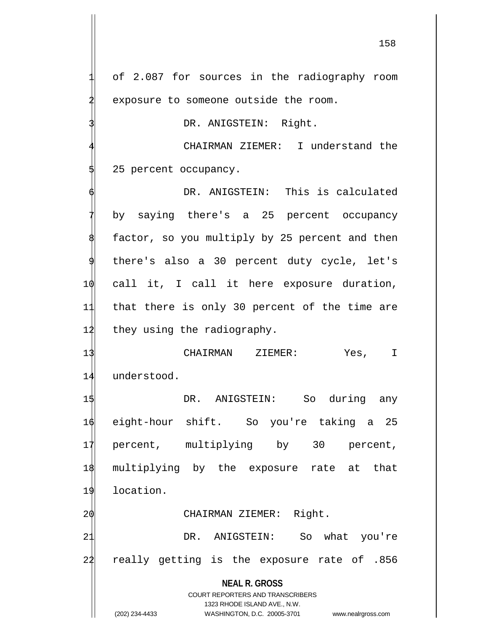of 2.087 for sources in the radiography room exposure to someone outside the room.

DR. ANIGSTEIN: Right.

CHAIRMAN ZIEMER: I understand the 5 25 percent occupancy.

DR. ANIGSTEIN: This is calculated by saying there's a 25 percent occupancy factor, so you multiply by 25 percent and then there's also a 30 percent duty cycle, let's 10 call it, I call it here exposure duration, 11 that there is only 30 percent of the time are 12 they using the radiography.

13 CHAIRMAN ZIEMER: Yes, I 14 understood.

 DR. ANIGSTEIN: So during any eight-hour shift. So you're taking a 25 percent, multiplying by 30 percent, multiplying by the exposure rate at that location.

20 CHAIRMAN ZIEMER: Right.

21 DR. ANIGSTEIN: So what you're 22 really getting is the exposure rate of .856

**NEAL R. GROSS**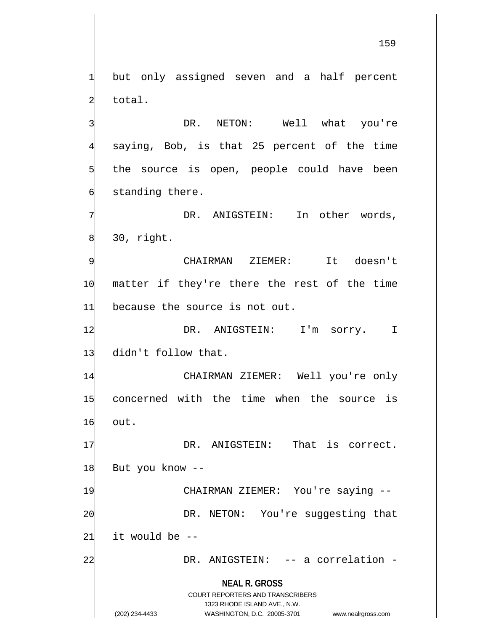but only assigned seven and a half percent total.

DR. NETON: Well what you're saying, Bob, is that 25 percent of the time the source is open, people could have been standing there.

DR. ANIGSTEIN: In other words, 30, right.

CHAIRMAN ZIEMER: It doesn't 10 matter if they're there the rest of the time 11 because the source is not out.

12 DR. ANIGSTEIN: I'm sorry. I 13 didn't follow that.

14 CHAIRMAN ZIEMER: Well you're only 15 concerned with the time when the source is 16 out.

17 DR. ANIGSTEIN: That is correct. 18 But you know --

19 CHAIRMAN ZIEMER: You're saying --2 $\phi$  DR. NETON: You're suggesting that  $21$  it would be  $-$ 

22 DR. ANIGSTEIN: -- a correlation -

**NEAL R. GROSS**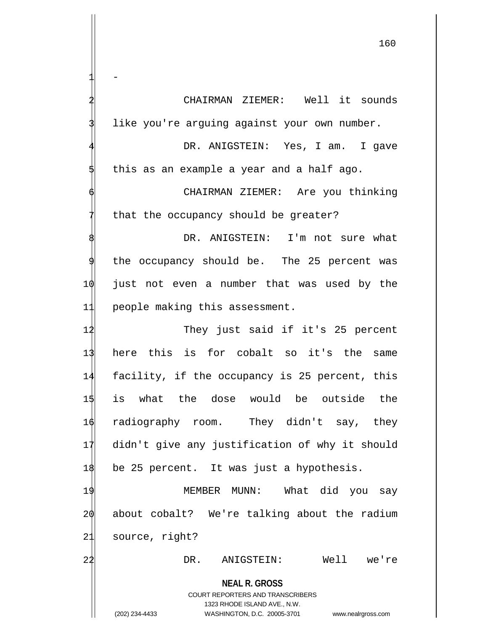**NEAL R. GROSS** COURT REPORTERS AND TRANSCRIBERS 1323 RHODE ISLAND AVE., N.W. 160  $1 -$ 2 CHAIRMAN ZIEMER: Well it sounds like you're arguing against your own number. DR. ANIGSTEIN: Yes, I am. I gave this as an example a year and a half ago. 6 CHAIRMAN ZIEMER: Are you thinking that the occupancy should be greater? DR. ANIGSTEIN: I'm not sure what the occupancy should be. The 25 percent was 10 just not even a number that was used by the 11 people making this assessment. 12 They just said if it's 25 percent 13 here this is for cobalt so it's the same 14 facility, if the occupancy is 25 percent, this 15 is what the dose would be outside the 16 radiography room. They didn't say, they 17 didn't give any justification of why it should 18 be 25 percent. It was just a hypothesis. 19 MEMBER MUNN: What did you say 20 about cobalt? We're talking about the radium 21 source, right? 22 DR. ANIGSTEIN: Well we're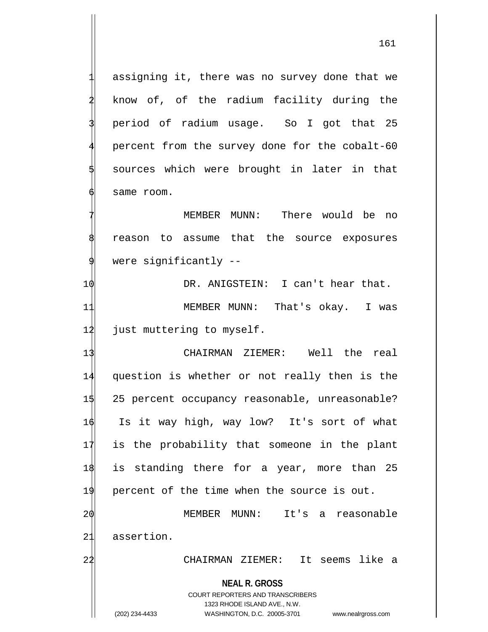assigning it, there was no survey done that we know of, of the radium facility during the 3 period of radium usage. So I got that 25 percent from the survey done for the cobalt-60 5 sources which were brought in later in that same room.

MEMBER MUNN: There would be no reason to assume that the source exposures were significantly  $-$ -

10 DR. ANIGSTEIN: I can't hear that. 11 MEMBER MUNN: That's okay. I was 12 just muttering to myself.

**NEAL R. GROSS** CHAIRMAN ZIEMER: Well the real question is whether or not really then is the 25 percent occupancy reasonable, unreasonable? Is it way high, way low? It's sort of what is the probability that someone in the plant is standing there for a year, more than 25 percent of the time when the source is out. MEMBER MUNN: It's a reasonable assertion. CHAIRMAN ZIEMER: It seems like a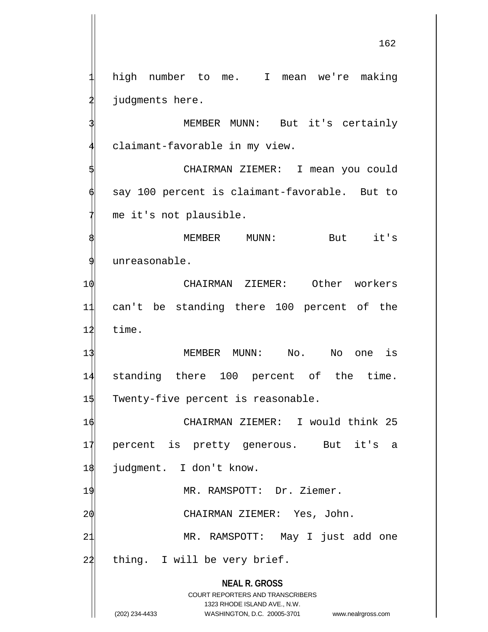**NEAL R. GROSS** COURT REPORTERS AND TRANSCRIBERS high number to me. I mean we're making judgments here. MEMBER MUNN: But it's certainly claimant-favorable in my view. 5 CHAIRMAN ZIEMER: I mean you could say 100 percent is claimant-favorable. But to me it's not plausible. MEMBER MUNN: But it's 9 unreasonable. 10 CHAIRMAN ZIEMER: Other workers 11 can't be standing there 100 percent of the  $12$  time. 13 MEMBER MUNN: No. No one is 14 standing there 100 percent of the time. 1\$ Twenty-five percent is reasonable. 16 CHAIRMAN ZIEMER: I would think 25 17 percent is pretty generous. But it's a 18 judgment. I don't know. 19 MR. RAMSPOTT: Dr. Ziemer. 20 CHAIRMAN ZIEMER: Yes, John. 21 MR. RAMSPOTT: May I just add one 22 thing. I will be very brief.

1323 RHODE ISLAND AVE., N.W. (202) 234-4433 WASHINGTON, D.C. 20005-3701 www.nealrgross.com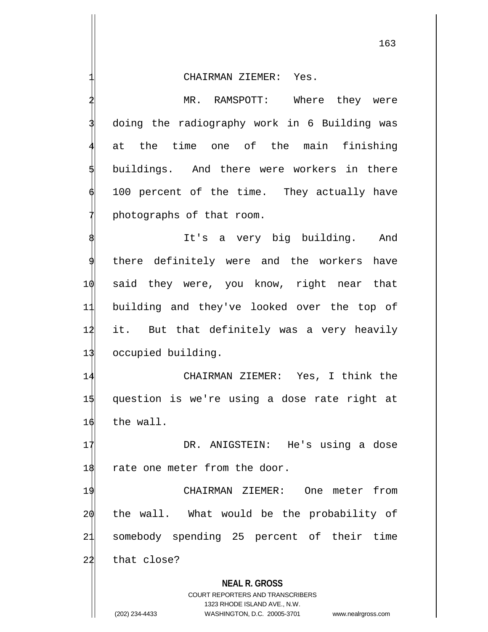MR. RAMSPOTT: Where they were 3 doing the radiography work in 6 Building was at the time one of the main finishing buildings. And there were workers in there 100 percent of the time. They actually have photographs of that room.

It's a very big building. And there definitely were and the workers have 10 said they were, you know, right near that 11 building and they've looked over the top of 12 it. But that definitely was a very heavily 13 occupied building.

14 CHAIRMAN ZIEMER: Yes, I think the 15 question is we're using a dose rate right at 16 the wall.

17 DR. ANIGSTEIN: He's using a dose 18 rate one meter from the door.

 CHAIRMAN ZIEMER: One meter from the wall. What would be the probability of somebody spending 25 percent of their time 22 that close?

**NEAL R. GROSS**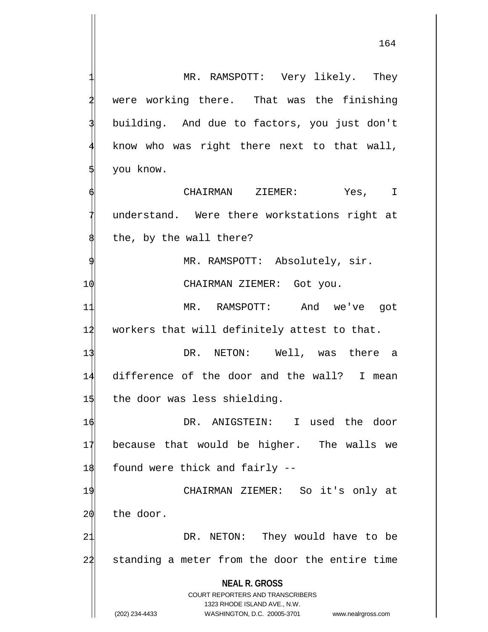**NEAL R. GROSS** COURT REPORTERS AND TRANSCRIBERS MR. RAMSPOTT: Very likely. They were working there. That was the finishing building. And due to factors, you just don't know who was right there next to that wall, 5 you know. CHAIRMAN ZIEMER: Yes, I understand. Were there workstations right at the, by the wall there? MR. RAMSPOTT: Absolutely, sir. 10 CHAIRMAN ZIEMER: Got you. 11 MR. RAMSPOTT: And we've got 12 workers that will definitely attest to that. 13 DR. NETON: Well, was there a 14 difference of the door and the wall? I mean  $1\frac{1}{3}$  the door was less shielding. 16 DR. ANIGSTEIN: I used the door 17 because that would be higher. The walls we  $1\frac{1}{8}$  found were thick and fairly --19 CHAIRMAN ZIEMER: So it's only at 20 the door. 21 DR. NETON: They would have to be 22 standing a meter from the door the entire time

1323 RHODE ISLAND AVE., N.W.

(202) 234-4433 WASHINGTON, D.C. 20005-3701 www.nealrgross.com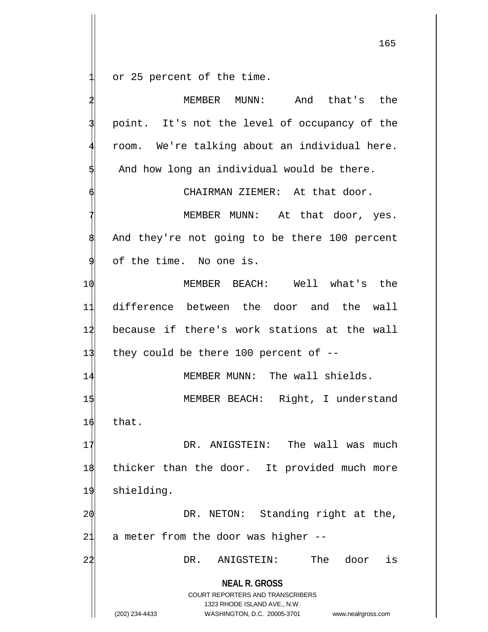or 25 percent of the time.

**NEAL R. GROSS** COURT REPORTERS AND TRANSCRIBERS 1323 RHODE ISLAND AVE., N.W. (202) 234-4433 WASHINGTON, D.C. 20005-3701 www.nealrgross.com MEMBER MUNN: And that's the point. It's not the level of occupancy of the room. We're talking about an individual here. And how long an individual would be there. CHAIRMAN ZIEMER: At that door. MEMBER MUNN: At that door, yes. And they're not going to be there 100 percent of the time. No one is. 10 MEMBER BEACH: Well what's the 11 difference between the door and the wall 12 because if there's work stations at the wall 1 $\frac{1}{3}$  they could be there 100 percent of --14 MEMBER MUNN: The wall shields. 15 MEMBER BEACH: Right, I understand 16 that. 17 OR. ANIGSTEIN: The wall was much 18 thicker than the door. It provided much more 19 shielding. 2 $\phi$  DR. NETON: Standing right at the,  $21$  a meter from the door was higher  $-$ -22 DR. ANIGSTEIN: The door is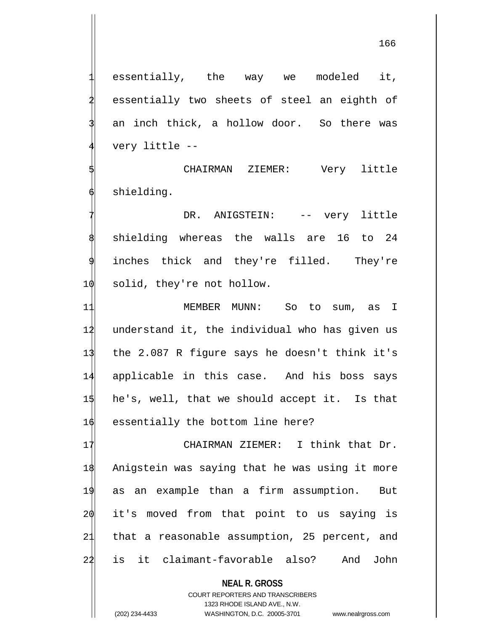essentially, the way we modeled it, essentially two sheets of steel an eighth of an inch thick, a hollow door. So there was very little --

CHAIRMAN ZIEMER: Very little shielding.

DR. ANIGSTEIN: -- very little 8 shielding whereas the walls are 16 to 24 inches thick and they're filled. They're 1 $\emptyset$  solid, they're not hollow.

 MEMBER MUNN: So to sum, as I 12 understand it, the individual who has given us the 2.087 R figure says he doesn't think it's applicable in this case. And his boss says he's, well, that we should accept it. Is that  $\phi$  essentially the bottom line here?

17 CHAIRMAN ZIEMER: I think that Dr. Anigstein was saying that he was using it more as an example than a firm assumption. But it's moved from that point to us saying is that a reasonable assumption, 25 percent, and is it claimant-favorable also? And John

> **NEAL R. GROSS** COURT REPORTERS AND TRANSCRIBERS 1323 RHODE ISLAND AVE., N.W.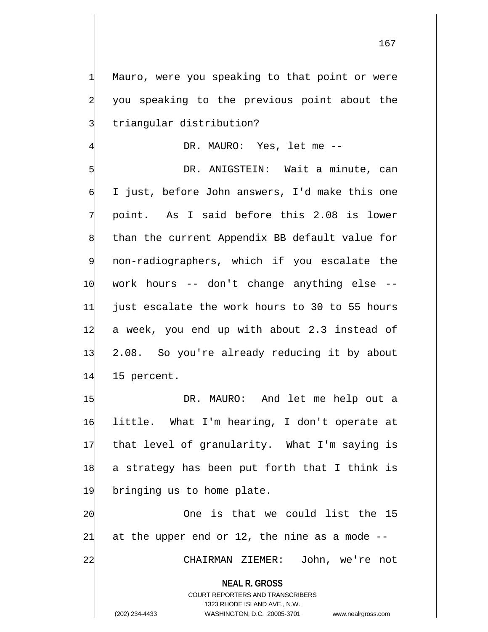Mauro, were you speaking to that point or were 2 you speaking to the previous point about the triangular distribution?

DR. MAURO: Yes, let me --

DR. ANIGSTEIN: Wait a minute, can I just, before John answers, I'd make this one 7 point. As I said before this 2.08 is lower than the current Appendix BB default value for non-radiographers, which if you escalate the 10 work hours -- don't change anything else -- 11 just escalate the work hours to 30 to 55 hours 12 a week, you end up with about 2.3 instead of 13 2.08. So you're already reducing it by about 14 15 percent.

 DR. MAURO: And let me help out a little. What I'm hearing, I don't operate at that level of granularity. What I'm saying is a strategy has been put forth that I think is bringing us to home plate.

2 $\phi$  20 One is that we could list the 15 21 at the upper end or 12, the nine as a mode  $-$ 22 CHAIRMAN ZIEMER: John, we're not

**NEAL R. GROSS**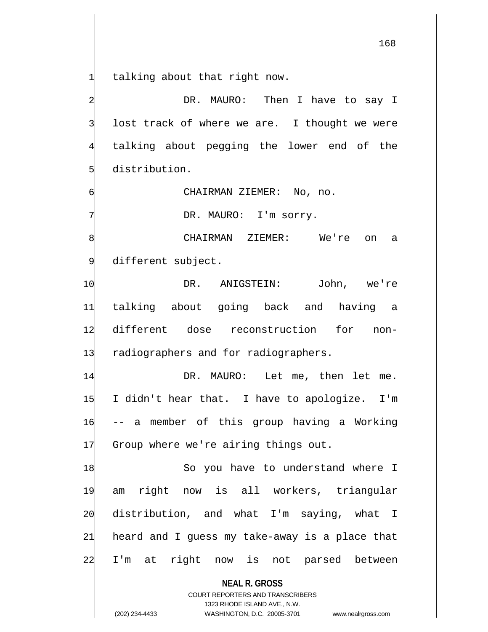talking about that right now.

DR. MAURO: Then I have to say I lost track of where we are. I thought we were talking about pegging the lower end of the distribution.

6 CHAIRMAN ZIEMER: No, no.

DR. MAURO: I'm sorry.

CHAIRMAN ZIEMER: We're on a different subject.

 DR. ANIGSTEIN: John, we're talking about going back and having a different dose reconstruction for non-13 radiographers and for radiographers.

14 DR. MAURO: Let me, then let me. 15 I didn't hear that. I have to apologize. I'm 16 -- a member of this group having a Working 17 Group where we're airing things out.

 So you have to understand where I am right now is all workers, triangular  $\phi$  distribution, and what I'm saying, what I heard and I guess my take-away is a place that I'm at right now is not parsed between

**NEAL R. GROSS**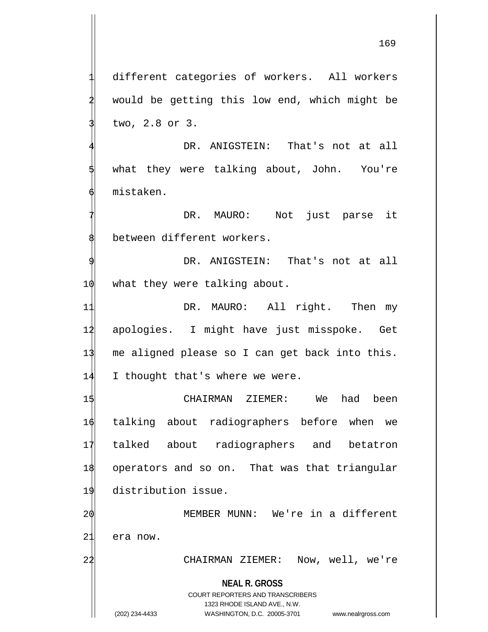different categories of workers. All workers would be getting this low end, which might be 3 two, 2.8 or 3.

DR. ANIGSTEIN: That's not at all what they were talking about, John. You're 6 mistaken.

DR. MAURO: Not just parse it between different workers.

DR. ANIGSTEIN: That's not at all 1 $\phi$  what they were talking about.

11 DR. MAURO: All right. Then my 12 apologies. I might have just misspoke. Get 13 me aligned please so I can get back into this. 14 I thought that's where we were.

 CHAIRMAN ZIEMER: We had been talking about radiographers before when we talked about radiographers and betatron operators and so on. That was that triangular distribution issue.

2 $\phi$  MEMBER MUNN: We're in a different 21 era now.

22 CHAIRMAN ZIEMER: Now, well, we're

**NEAL R. GROSS**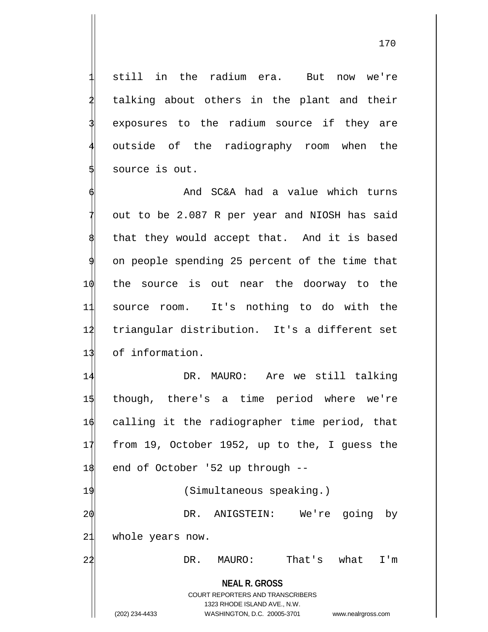still in the radium era. But now we're talking about others in the plant and their exposures to the radium source if they are outside of the radiography room when the 5 source is out.

And SC&A had a value which turns out to be 2.087 R per year and NIOSH has said that they would accept that. And it is based on people spending 25 percent of the time that 10 the source is out near the doorway to the 11 source room. It's nothing to do with the 12 triangular distribution. It's a different set 13 of information.

14 DR. MAURO: Are we still talking 15 though, there's a time period where we're 16 calling it the radiographer time period, that 17 from 19, October 1952, up to the, I guess the 18 end of October '52 up through --

19 (Simultaneous speaking.) 20 DR. ANIGSTEIN: We're going by 21 whole years now.

22 DR. MAURO: That's what I'm

**NEAL R. GROSS** COURT REPORTERS AND TRANSCRIBERS

1323 RHODE ISLAND AVE., N.W.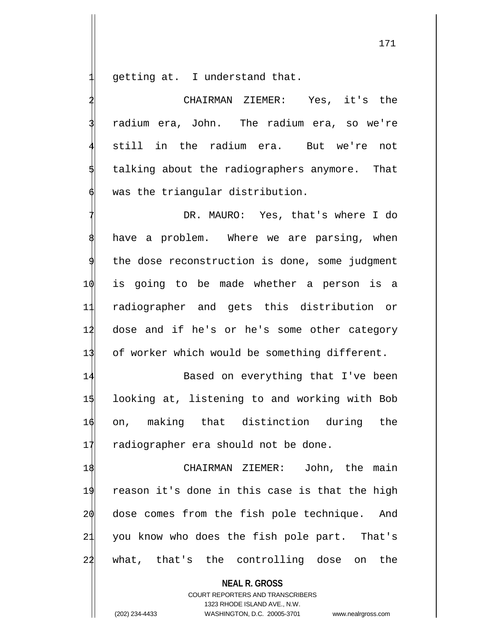getting at. I understand that.

2 CHAIRMAN ZIEMER: Yes, it's the radium era, John. The radium era, so we're still in the radium era. But we're not talking about the radiographers anymore. That was the triangular distribution.

DR. MAURO: Yes, that's where I do have a problem. Where we are parsing, when the dose reconstruction is done, some judgment 10 is going to be made whether a person is a 11 radiographer and gets this distribution or 12 dose and if he's or he's some other category 13 of worker which would be something different.

14 Based on everything that I've been 15 looking at, listening to and working with Bob 16 on, making that distinction during the 17 radiographer era should not be done.

18 CHAIRMAN ZIEMER: John, the main 19 reason it's done in this case is that the high 20 dose comes from the fish pole technique. And 21 you know who does the fish pole part. That's 22 what, that's the controlling dose on the

**NEAL R. GROSS**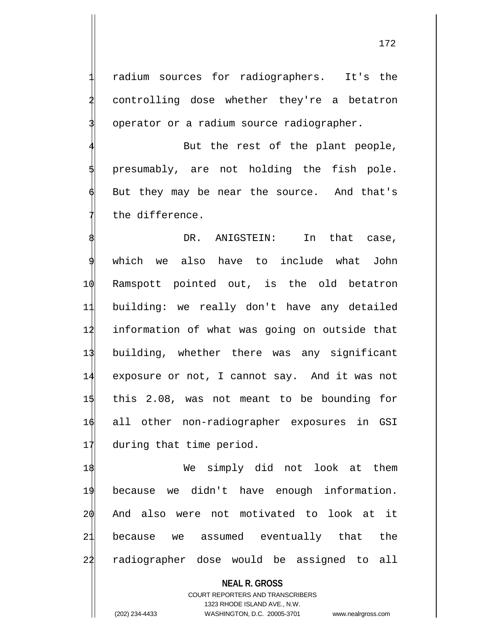radium sources for radiographers. It's the controlling dose whether they're a betatron operator or a radium source radiographer.

But the rest of the plant people, presumably, are not holding the fish pole. But they may be near the source. And that's the difference.

DR. ANIGSTEIN: In that case, which we also have to include what John Ramspott pointed out, is the old betatron building: we really don't have any detailed information of what was going on outside that building, whether there was any significant exposure or not, I cannot say. And it was not this 2.08, was not meant to be bounding for all other non-radiographer exposures in GSI 17 during that time period.

1\$ We simply did not look at them because we didn't have enough information. And also were not motivated to look at it because we assumed eventually that the radiographer dose would be assigned to all

**NEAL R. GROSS**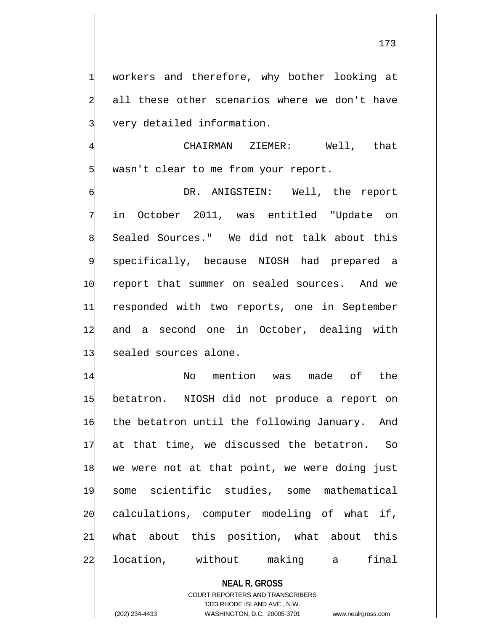workers and therefore, why bother looking at all these other scenarios where we don't have very detailed information.

CHAIRMAN ZIEMER: Well, that wasn't clear to me from your report.

DR. ANIGSTEIN: Well, the report in October 2011, was entitled "Update on Sealed Sources." We did not talk about this 9 specifically, because NIOSH had prepared a 10 report that summer on sealed sources. And we 11 responded with two reports, one in September 12 and a second one in October, dealing with 13 sealed sources alone.

 No mention was made of the betatron. NIOSH did not produce a report on  $\phi$  the betatron until the following January. And at that time, we discussed the betatron. So we were not at that point, we were doing just some scientific studies, some mathematical  $2\phi$  calculations, computer modeling of what if, what about this position, what about this location, without making a final

**NEAL R. GROSS**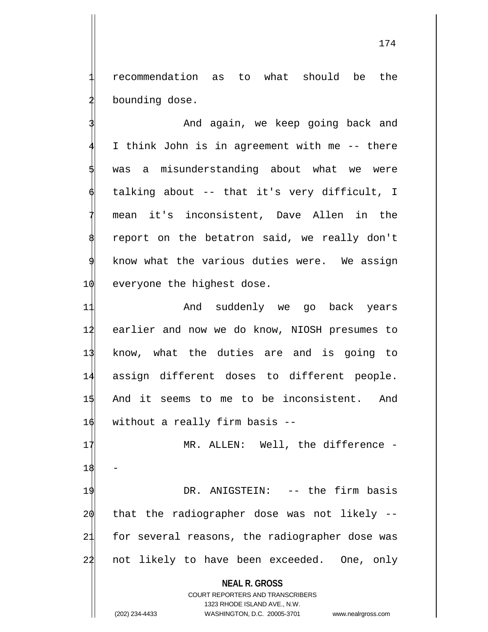1 recommendation as to what should be the bounding dose.

And again, we keep going back and I think John is in agreement with me -- there was a misunderstanding about what we were talking about -- that it's very difficult, I mean it's inconsistent, Dave Allen in the report on the betatron said, we really don't know what the various duties were. We assign 1 $\phi$  everyone the highest dose.

11 And suddenly we go back years 12 earlier and now we do know, NIOSH presumes to 13 know, what the duties are and is going to 14 assign different doses to different people. 15 And it seems to me to be inconsistent. And 16 without a really firm basis --

17 MR. ALLEN: Well, the difference -18 19 DR. ANIGSTEIN: -- the firm basis  $20$  that the radiographer dose was not likely  $-$ 21 for several reasons, the radiographer dose was 22 not likely to have been exceeded. One, only

> **NEAL R. GROSS** COURT REPORTERS AND TRANSCRIBERS 1323 RHODE ISLAND AVE., N.W.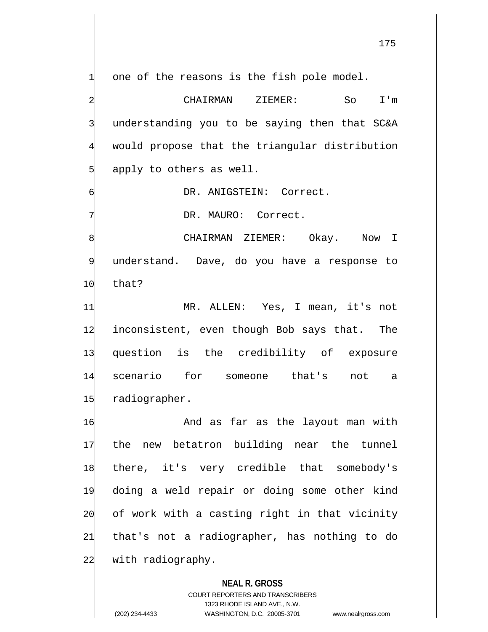one of the reasons is the fish pole model.

2 CHAIRMAN ZIEMER: So I'm understanding you to be saying then that SC&A would propose that the triangular distribution apply to others as well.

DR. ANIGSTEIN: Correct.

DR. MAURO: Correct.

CHAIRMAN ZIEMER: Okay. Now I understand. Dave, do you have a response to 10 that?

 MR. ALLEN: Yes, I mean, it's not inconsistent, even though Bob says that. The question is the credibility of exposure scenario for someone that's not a radiographer.

16 And as far as the layout man with 17 the new betatron building near the tunnel 18 there, it's very credible that somebody's 19 doing a weld repair or doing some other kind 20 of work with a casting right in that vicinity 21 that's not a radiographer, has nothing to do 22 with radiography.

## **NEAL R. GROSS**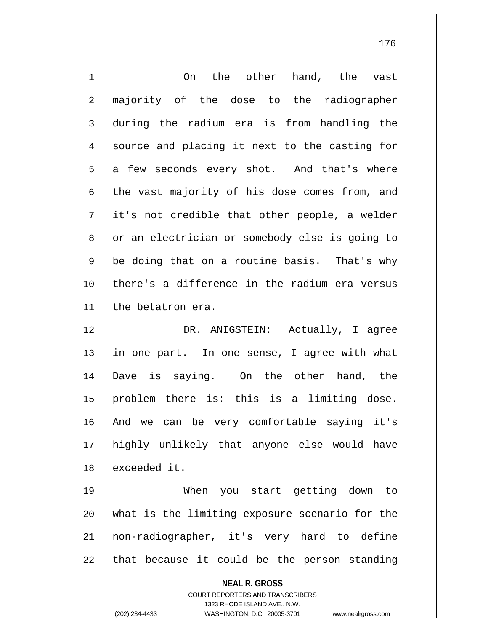1 On the other hand, the vast majority of the dose to the radiographer during the radium era is from handling the source and placing it next to the casting for a few seconds every shot. And that's where the vast majority of his dose comes from, and it's not credible that other people, a welder or an electrician or somebody else is going to be doing that on a routine basis. That's why 10 there's a difference in the radium era versus 11 the betatron era.

 DR. ANIGSTEIN: Actually, I agree in one part. In one sense, I agree with what Dave is saying. On the other hand, the problem there is: this is a limiting dose. And we can be very comfortable saying it's highly unlikely that anyone else would have exceeded it.

 When you start getting down to what is the limiting exposure scenario for the non-radiographer, it's very hard to define 22 that because it could be the person standing

**NEAL R. GROSS** COURT REPORTERS AND TRANSCRIBERS 1323 RHODE ISLAND AVE., N.W. (202) 234-4433 WASHINGTON, D.C. 20005-3701 www.nealrgross.com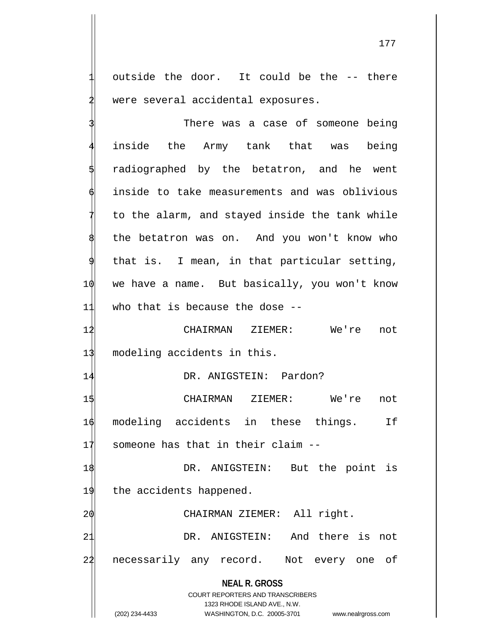outside the door. It could be the -- there were several accidental exposures.

**NEAL R. GROSS** COURT REPORTERS AND TRANSCRIBERS 1323 RHODE ISLAND AVE., N.W. There was a case of someone being inside the Army tank that was being radiographed by the betatron, and he went inside to take measurements and was oblivious to the alarm, and stayed inside the tank while the betatron was on. And you won't know who 9 that is. I mean, in that particular setting, 10 we have a name. But basically, you won't know 11 who that is because the dose -- 12 CHAIRMAN ZIEMER: We're not 13 modeling accidents in this. 14 DR. ANIGSTEIN: Pardon? 15 CHAIRMAN ZIEMER: We're not 16 modeling accidents in these things. If  $17$  someone has that in their claim  $-$ 1\$ DR. ANIGSTEIN: But the point is 19 the accidents happened. 2 $\phi$  CHAIRMAN ZIEMER: All right. 21 DR. ANIGSTEIN: And there is not 24 necessarily any record. Not every one of

(202) 234-4433 WASHINGTON, D.C. 20005-3701 www.nealrgross.com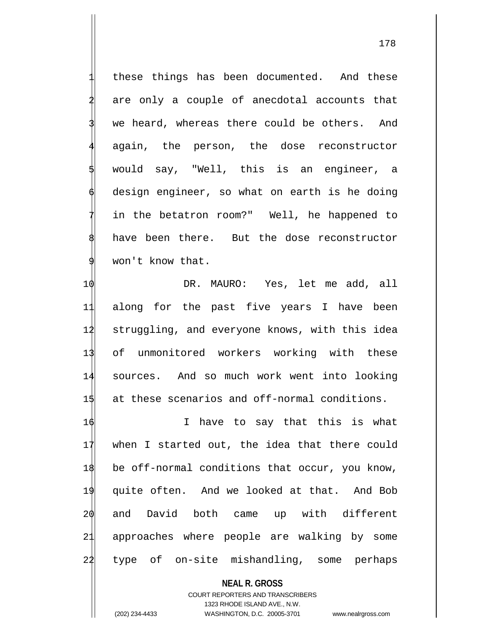these things has been documented. And these are only a couple of anecdotal accounts that we heard, whereas there could be others. And again, the person, the dose reconstructor would say, "Well, this is an engineer, a design engineer, so what on earth is he doing in the betatron room?" Well, he happened to have been there. But the dose reconstructor won't know that.

10 DR. MAURO: Yes, let me add, all along for the past five years I have been 12 struggling, and everyone knows, with this idea of unmonitored workers working with these sources. And so much work went into looking at these scenarios and off-normal conditions.

 $\phi$  I have to say that this is what when I started out, the idea that there could be off-normal conditions that occur, you know, quite often. And we looked at that. And Bob and David both came up with different approaches where people are walking by some type of on-site mishandling, some perhaps

**NEAL R. GROSS** COURT REPORTERS AND TRANSCRIBERS 1323 RHODE ISLAND AVE., N.W. (202) 234-4433 WASHINGTON, D.C. 20005-3701 www.nealrgross.com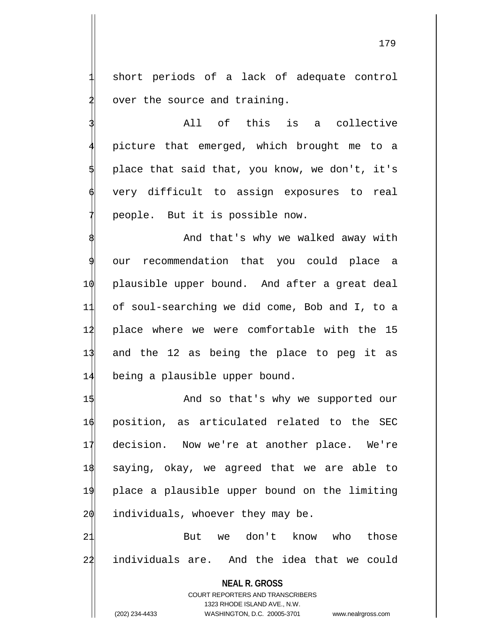short periods of a lack of adequate control over the source and training.

3 All of this is a collective 4 picture that emerged, which brought me to a place that said that, you know, we don't, it's very difficult to assign exposures to real people. But it is possible now.

And that's why we walked away with our recommendation that you could place a 10 plausible upper bound. And after a great deal 11 of soul-searching we did come, Bob and I, to a 12 place where we were comfortable with the 15 13 and the 12 as being the place to peg it as 14 being a plausible upper bound.

1\$ And so that's why we supported our position, as articulated related to the SEC decision. Now we're at another place. We're saying, okay, we agreed that we are able to place a plausible upper bound on the limiting individuals, whoever they may be.

21 But we don't know who those 22 individuals are. And the idea that we could

**NEAL R. GROSS** COURT REPORTERS AND TRANSCRIBERS 1323 RHODE ISLAND AVE., N.W. (202) 234-4433 WASHINGTON, D.C. 20005-3701 www.nealrgross.com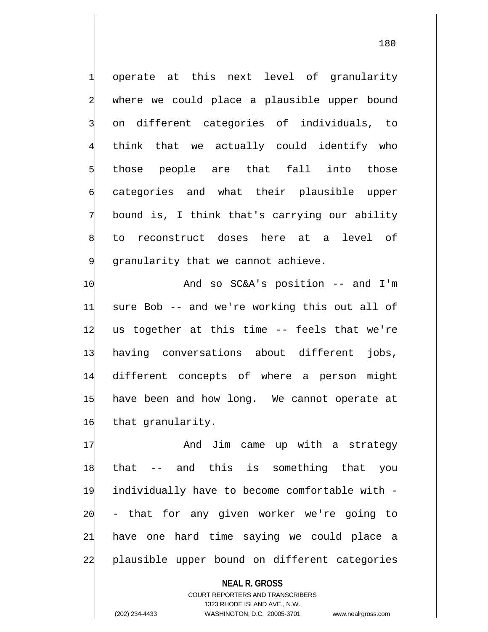operate at this next level of granularity where we could place a plausible upper bound 3 on different categories of individuals, to think that we actually could identify who those people are that fall into those categories and what their plausible upper bound is, I think that's carrying our ability 8 to reconstruct doses here at a level of granularity that we cannot achieve.

 $\phi$  and so SC&A's position -- and I'm sure Bob -- and we're working this out all of 12 us together at this time -- feels that we're having conversations about different jobs, different concepts of where a person might have been and how long. We cannot operate at 16 that granularity.

17 And Jim came up with a strategy that -- and this is something that you individually have to become comfortable with - - that for any given worker we're going to have one hard time saying we could place a plausible upper bound on different categories

**NEAL R. GROSS** COURT REPORTERS AND TRANSCRIBERS 1323 RHODE ISLAND AVE., N.W. (202) 234-4433 WASHINGTON, D.C. 20005-3701 www.nealrgross.com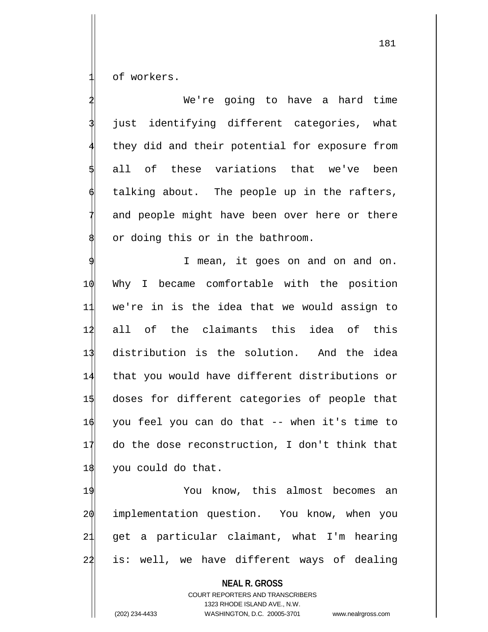of workers.

We're going to have a hard time just identifying different categories, what they did and their potential for exposure from all of these variations that we've been talking about. The people up in the rafters, and people might have been over here or there or doing this or in the bathroom. I mean, it goes on and on and on. 10 Why I became comfortable with the position 11 we're in is the idea that we would assign to 1<sup>1</sup> all of the claimants this idea of this 13 distribution is the solution. And the idea 14 that you would have different distributions or 15 doses for different categories of people that 16 you feel you can do that -- when it's time to 17 do the dose reconstruction, I don't think that 18 you could do that. 19 You know, this almost becomes an 20 implementation question. You know, when you 21 get a particular claimant, what I'm hearing  $24$  is: well, we have different ways of dealing

**NEAL R. GROSS**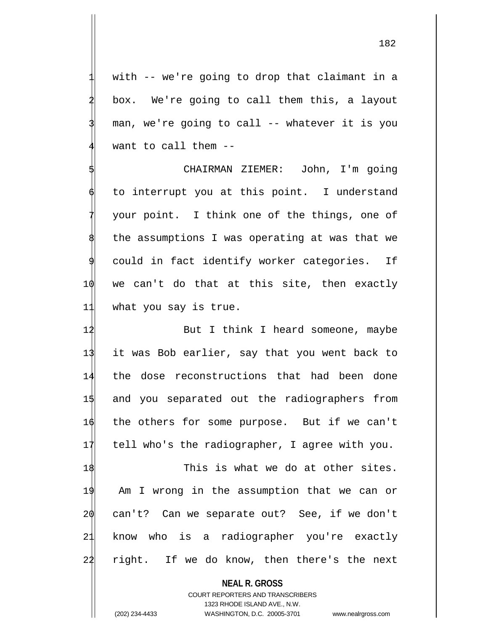with -- we're going to drop that claimant in a box. We're going to call them this, a layout man, we're going to call -- whatever it is you want to call them  $-$ -

5 CHAIRMAN ZIEMER: John, I'm going to interrupt you at this point. I understand your point. I think one of the things, one of the assumptions I was operating at was that we could in fact identify worker categories. If  $10$  we can't do that at this site, then exactly 11 what you say is true.

12 But I think I heard someone, maybe it was Bob earlier, say that you went back to the dose reconstructions that had been done and you separated out the radiographers from the others for some purpose. But if we can't 17 tell who's the radiographer, I agree with you.

18 This is what we do at other sites. 19 Am I wrong in the assumption that we can or 20 can't? Can we separate out? See, if we don't 21 know who is a radiographer you're exactly 22 right. If we do know, then there's the next

**NEAL R. GROSS**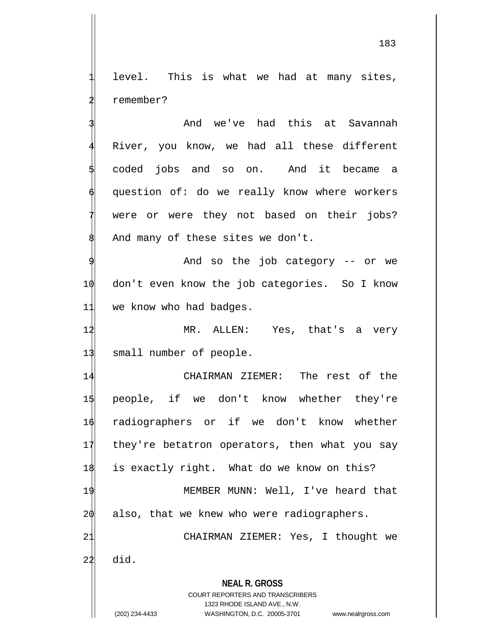level. This is what we had at many sites, 2 remember?

And we've had this at Savannah River, you know, we had all these different 5 coded jobs and so on. And it became a question of: do we really know where workers were or were they not based on their jobs? And many of these sites we don't.

And so the job category -- or we 10 don't even know the job categories. So I know 11 we know who had badges.

12 MR. ALLEN: Yes, that's a very 13 small number of people.

**NEAL R. GROSS** CHAIRMAN ZIEMER: The rest of the people, if we don't know whether they're radiographers or if we don't know whether they're betatron operators, then what you say 18 is exactly right. What do we know on this? MEMBER MUNN: Well, I've heard that also, that we knew who were radiographers. CHAIRMAN ZIEMER: Yes, I thought we  $22$  did.

> COURT REPORTERS AND TRANSCRIBERS 1323 RHODE ISLAND AVE., N.W.

(202) 234-4433 WASHINGTON, D.C. 20005-3701 www.nealrgross.com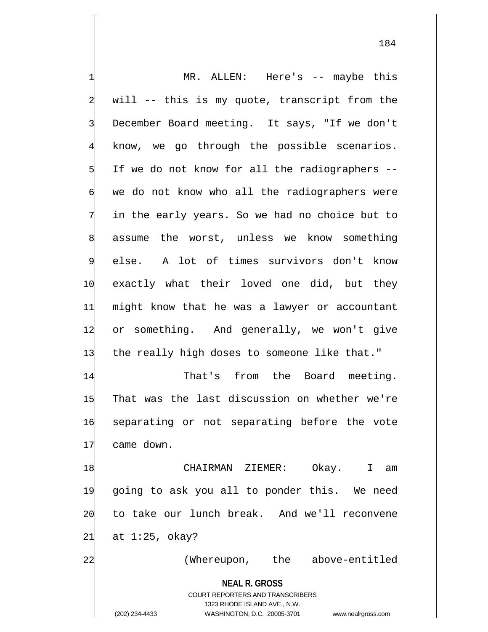|    | MR. ALLEN: Here's -- maybe this                                     |
|----|---------------------------------------------------------------------|
|    | will -- this is my quote, transcript from the                       |
|    | December Board meeting. It says, "If we don't                       |
|    | know, we go through the possible scenarios.                         |
|    | If we do not know for all the radiographers --                      |
|    | we do not know who all the radiographers were                       |
|    | in the early years. So we had no choice but to                      |
|    | assume the worst, unless we know something                          |
| 9  | else. A lot of times survivors don't know                           |
| 10 | exactly what their loved one did, but they                          |
| 11 | might know that he was a lawyer or accountant                       |
| 12 | or something. And generally, we won't give                          |
| 13 | the really high doses to someone like that."                        |
| 14 | That's from the Board meeting.                                      |
| 15 | That was the last discussion on whether we're                       |
| 16 | separating or not separating before the vote                        |
| 11 | came down.                                                          |
| 18 | CHAIRMAN ZIEMER:<br>Okay. I<br>am                                   |
| 19 | going to ask you all to ponder this. We need                        |
| 20 | to take our lunch break. And we'll reconvene                        |
| 21 | at $1:25$ , okay?                                                   |
| 22 | (Whereupon, the above-entitled                                      |
|    | <b>NEAL R. GROSS</b><br><b>COURT REPORTERS AND TRANSCRIBERS</b>     |
|    | 1323 RHODE ISLAND AVE., N.W.                                        |
|    | (202) 234-4433<br>WASHINGTON, D.C. 20005-3701<br>www.nealrgross.com |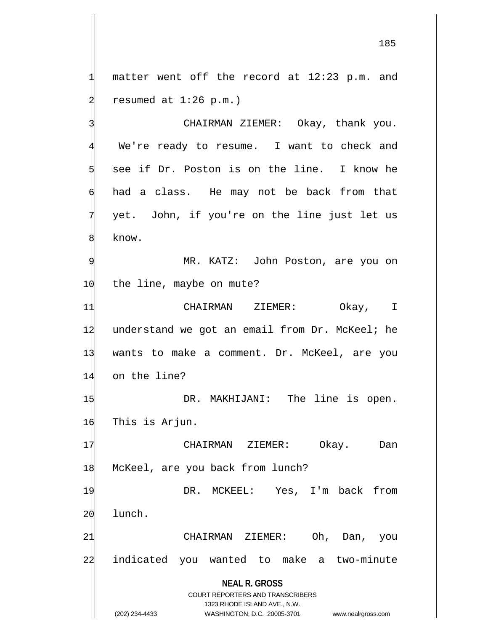matter went off the record at 12:23 p.m. and resumed at  $1:26$  p.m.)

CHAIRMAN ZIEMER: Okay, thank you. We're ready to resume. I want to check and 5 see if Dr. Poston is on the line. I know he had a class. He may not be back from that yet. John, if you're on the line just let us know.

MR. KATZ: John Poston, are you on 1 $\phi$  the line, maybe on mute?

 CHAIRMAN ZIEMER: Okay, I understand we got an email from Dr. McKeel; he wants to make a comment. Dr. McKeel, are you on the line?

1\$ DR. MAKHIJANI: The line is open. 16 This is Arjun.

17 CHAIRMAN ZIEMER: Okay. Dan 18 McKeel, are you back from lunch?

19 DR. MCKEEL: Yes, I'm back from 20 lunch.

21 CHAIRMAN ZIEMER: Oh, Dan, you 22 indicated you wanted to make a two-minute

> **NEAL R. GROSS** COURT REPORTERS AND TRANSCRIBERS

> > 1323 RHODE ISLAND AVE., N.W.

(202) 234-4433 WASHINGTON, D.C. 20005-3701 www.nealrgross.com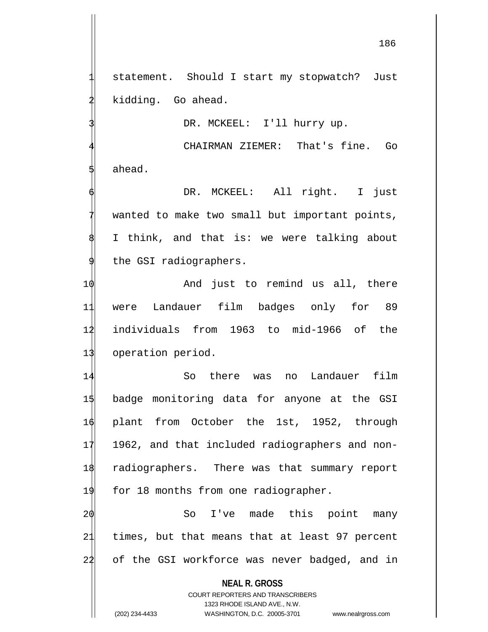statement. Should I start my stopwatch? Just kidding. Go ahead.

DR. MCKEEL: I'll hurry up.

CHAIRMAN ZIEMER: That's fine. Go ahead.

DR. MCKEEL: All right. I just wanted to make two small but important points, I think, and that is: we were talking about the GSI radiographers.

 $\phi$  and just to remind us all, there were Landauer film badges only for 89 individuals from 1963 to mid-1966 of the 13 operation period.

 So there was no Landauer film badge monitoring data for anyone at the GSI plant from October the 1st, 1952, through 17 1962, and that included radiographers and non- radiographers. There was that summary report 19 for 18 months from one radiographer.

20 So I've made this point many 21 times, but that means that at least 97 percent 22 of the GSI workforce was never badged, and in

**NEAL R. GROSS**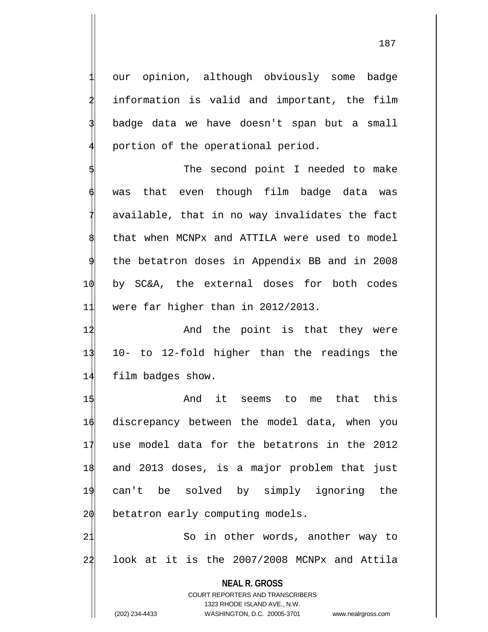our opinion, although obviously some badge information is valid and important, the film badge data we have doesn't span but a small portion of the operational period.

The second point I needed to make was that even though film badge data was available, that in no way invalidates the fact that when MCNPx and ATTILA were used to model 9 the betatron doses in Appendix BB and in 2008 10 by SC&A, the external doses for both codes 11 were far higher than in 2012/2013.

12 And the point is that they were 13 10- to 12-fold higher than the readings the 14 film badges show.

 And it seems to me that this discrepancy between the model data, when you use model data for the betatrons in the 2012 and 2013 doses, is a major problem that just can't be solved by simply ignoring the  $2\phi$  betatron early computing models.

21 So in other words, another way to 22 look at it is the 2007/2008 MCNPx and Attila

> **NEAL R. GROSS** COURT REPORTERS AND TRANSCRIBERS 1323 RHODE ISLAND AVE., N.W.

187

(202) 234-4433 WASHINGTON, D.C. 20005-3701 www.nealrgross.com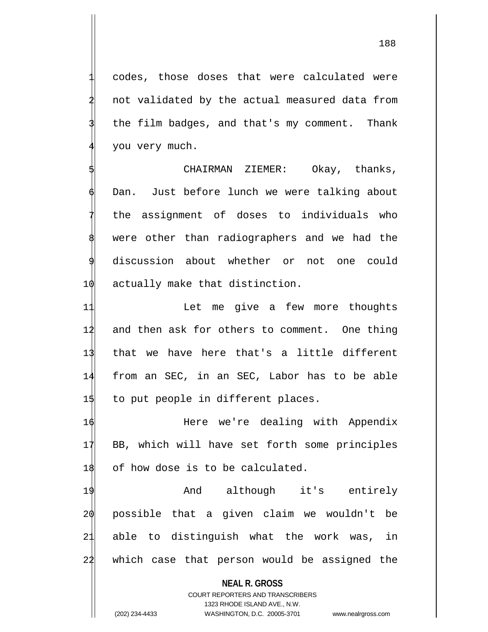codes, those doses that were calculated were not validated by the actual measured data from the film badges, and that's my comment. Thank you very much.

CHAIRMAN ZIEMER: Okay, thanks, Dan. Just before lunch we were talking about the assignment of doses to individuals who were other than radiographers and we had the discussion about whether or not one could 1 $\phi$  actually make that distinction.

11 11 Let me give a few more thoughts 12 and then ask for others to comment. One thing 13 that we have here that's a little different 14 from an SEC, in an SEC, Labor has to be able  $1\frac{1}{3}$  to put people in different places.

1 $\phi$  Here we're dealing with Appendix 17 BB, which will have set forth some principles 18 of how dose is to be calculated.

19 And although it's entirely possible that a given claim we wouldn't be able to distinguish what the work was, in which case that person would be assigned the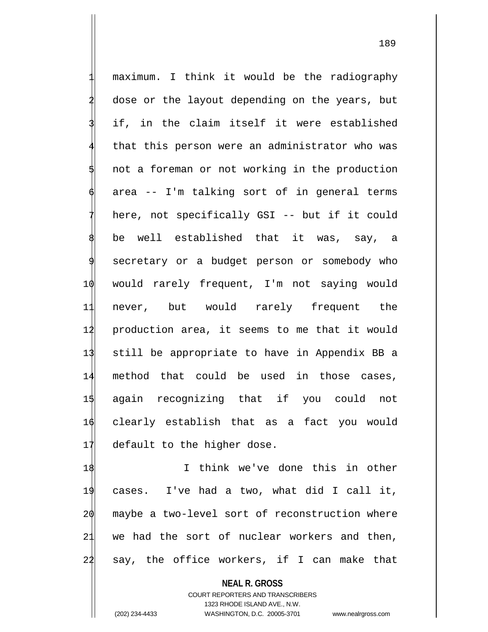maximum. I think it would be the radiography dose or the layout depending on the years, but if, in the claim itself it were established that this person were an administrator who was not a foreman or not working in the production area -- I'm talking sort of in general terms here, not specifically GSI -- but if it could be well established that it was, say, a secretary or a budget person or somebody who 10 would rarely frequent, I'm not saying would 11 never, but would rarely frequent the 12 production area, it seems to me that it would 13 still be appropriate to have in Appendix BB a 14 method that could be used in those cases, 15 again recognizing that if you could not 16 clearly establish that as a fact you would 17 default to the higher dose.

 I think we've done this in other cases. I've had a two, what did I call it, maybe a two-level sort of reconstruction where we had the sort of nuclear workers and then, say, the office workers, if I can make that

**NEAL R. GROSS**

COURT REPORTERS AND TRANSCRIBERS 1323 RHODE ISLAND AVE., N.W. (202) 234-4433 WASHINGTON, D.C. 20005-3701 www.nealrgross.com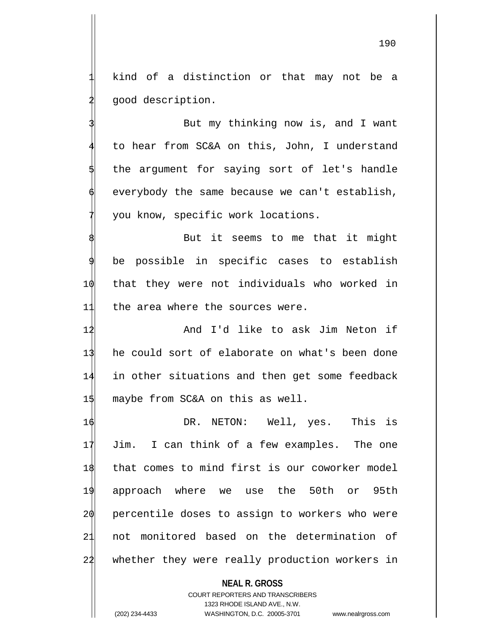kind of a distinction or that may not be a good description.

But my thinking now is, and I want 4 to hear from SC&A on this, John, I understand the argument for saying sort of let's handle everybody the same because we can't establish, you know, specific work locations.

But it seems to me that it might be possible in specific cases to establish 10 that they were not individuals who worked in 11 the area where the sources were.

 And I'd like to ask Jim Neton if he could sort of elaborate on what's been done in other situations and then get some feedback  $1\frac{1}{3}$  maybe from SC&A on this as well.

 DR. NETON: Well, yes. This is Jim. I can think of a few examples. The one that comes to mind first is our coworker model approach where we use the 50th or 95th 20 percentile doses to assign to workers who were not monitored based on the determination of 22 whether they were really production workers in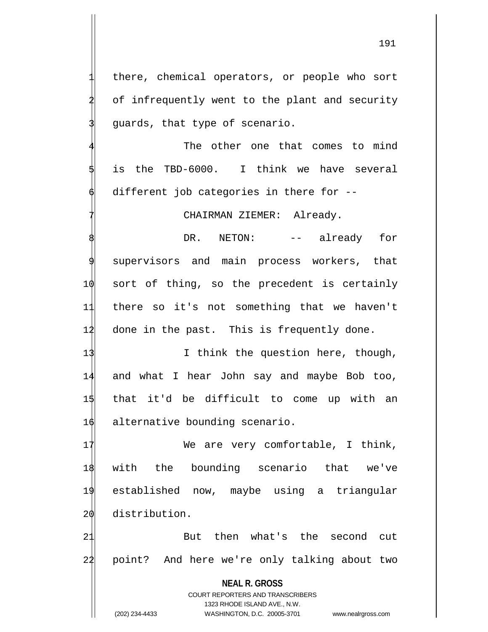there, chemical operators, or people who sort of infrequently went to the plant and security quards, that type of scenario.

The other one that comes to mind is the TBD-6000. I think we have several different job categories in there for  $-$ -

CHAIRMAN ZIEMER: Already.

DR. NETON: -- already for supervisors and main process workers, that 10 sort of thing, so the precedent is certainly 11 there so it's not something that we haven't 12 done in the past. This is frequently done.

13 I think the question here, though, and what I hear John say and maybe Bob too, that it'd be difficult to come up with an  $\phi$  alternative bounding scenario.

17 We are very comfortable, I think, with the bounding scenario that we've established now, maybe using a triangular distribution.

21 But then what's the second cut 22 point? And here we're only talking about two

**NEAL R. GROSS**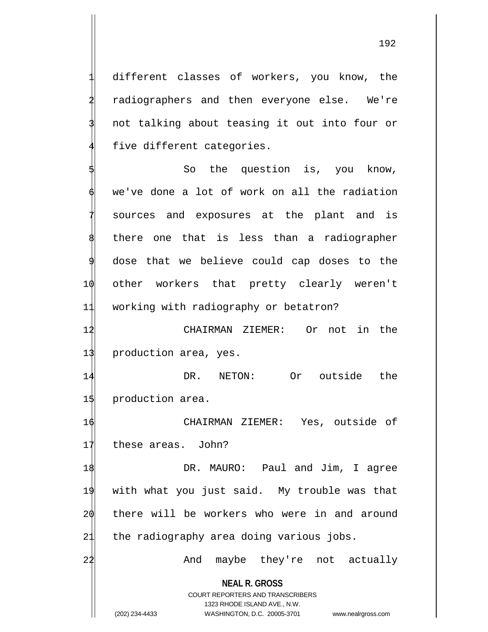different classes of workers, you know, the radiographers and then everyone else. We're not talking about teasing it out into four or five different categories.

So the question is, you know, we've done a lot of work on all the radiation sources and exposures at the plant and is there one that is less than a radiographer dose that we believe could cap doses to the 10 other workers that pretty clearly weren't 11 working with radiography or betatron?

12 CHAIRMAN ZIEMER: Or not in the 13 production area, yes.

14 DR. NETON: Or outside the 15 production area.

16 CHAIRMAN ZIEMER: Yes, outside of 17 these areas. John?

 DR. MAURO: Paul and Jim, I agree with what you just said. My trouble was that there will be workers who were in and around 21 the radiography area doing various jobs.

22 And maybe they're not actually

**NEAL R. GROSS**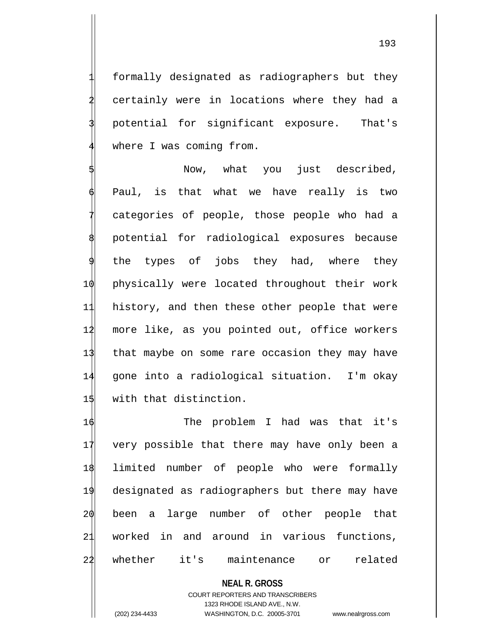1 formally designated as radiographers but they certainly were in locations where they had a 3 potential for significant exposure. That's where I was coming from.

Now, what you just described, Paul, is that what we have really is two categories of people, those people who had a potential for radiological exposures because the types of jobs they had, where they 10 physically were located throughout their work 11 history, and then these other people that were 14 more like, as you pointed out, office workers 13 that maybe on some rare occasion they may have 14 gone into a radiological situation. I'm okay 15 with that distinction.

 The problem I had was that it's very possible that there may have only been a limited number of people who were formally designated as radiographers but there may have been a large number of other people that worked in and around in various functions, whether it's maintenance or related

**NEAL R. GROSS** COURT REPORTERS AND TRANSCRIBERS 1323 RHODE ISLAND AVE., N.W. (202) 234-4433 WASHINGTON, D.C. 20005-3701 www.nealrgross.com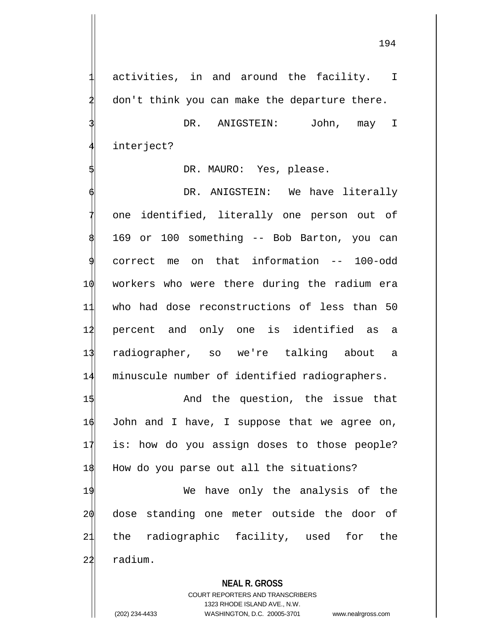activities, in and around the facility. I don't think you can make the departure there.

DR. ANIGSTEIN: John, may I interject?

DR. MAURO: Yes, please.

DR. ANIGSTEIN: We have literally one identified, literally one person out of 169 or 100 something -- Bob Barton, you can correct me on that information -- 100-odd workers who were there during the radium era who had dose reconstructions of less than 50 percent and only one is identified as a radiographer, so we're talking about a minuscule number of identified radiographers.

1\$ And the question, the issue that  $16$  John and I have, I suppose that we agree on, 17 is: how do you assign doses to those people? 18 How do you parse out all the situations?

19 We have only the analysis of the 20 dose standing one meter outside the door of 21 the radiographic facility, used for the 22 radium.

## **NEAL R. GROSS**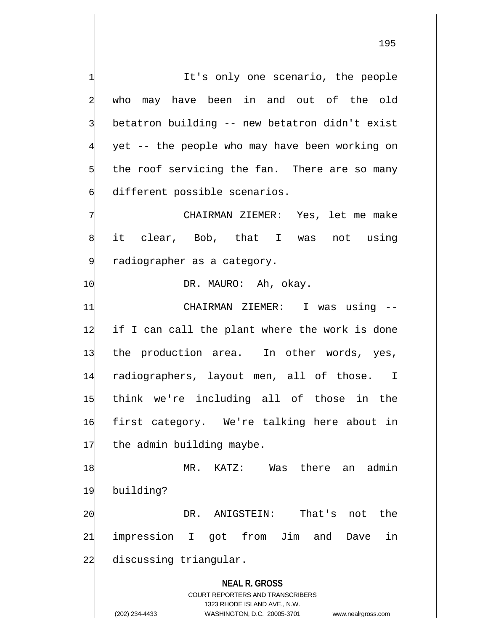It's only one scenario, the people who may have been in and out of the old betatron building -- new betatron didn't exist yet -- the people who may have been working on the roof servicing the fan. There are so many different possible scenarios. CHAIRMAN ZIEMER: Yes, let me make it clear, Bob, that I was not using 9 radiographer as a category.

## 1 $\phi$  DR. MAURO: Ah, okay.

 CHAIRMAN ZIEMER: I was using -- if I can call the plant where the work is done 13 the production area. In other words, yes, radiographers, layout men, all of those. I think we're including all of those in the first category. We're talking here about in 17 the admin building maybe.

18 MR. KATZ: Was there an admin 19 building? 20 DR. ANIGSTEIN: That's not the

21 impression I got from Jim and Dave in 22 discussing triangular.

**NEAL R. GROSS**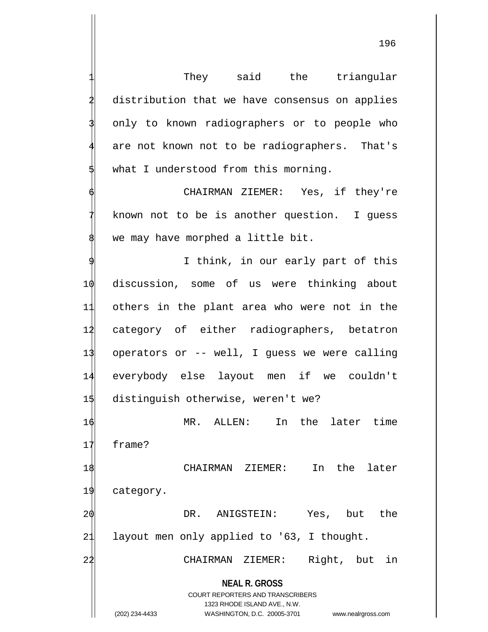They said the triangular distribution that we have consensus on applies only to known radiographers or to people who are not known not to be radiographers. That's what I understood from this morning. CHAIRMAN ZIEMER: Yes, if they're

known not to be is another question. I guess we may have morphed a little bit.

I think, in our early part of this discussion, some of us were thinking about others in the plant area who were not in the category of either radiographers, betatron operators or -- well, I guess we were calling everybody else layout men if we couldn't 15 distinguish otherwise, weren't we?

16 MR. ALLEN: In the later time 17 frame? 18 CHAIRMAN ZIEMER: In the later

19 category.

20 DR. ANIGSTEIN: Yes, but the 21 layout men only applied to '63, I thought.

2<sup>1</sup> CHAIRMAN ZIEMER: Right, but in

**NEAL R. GROSS**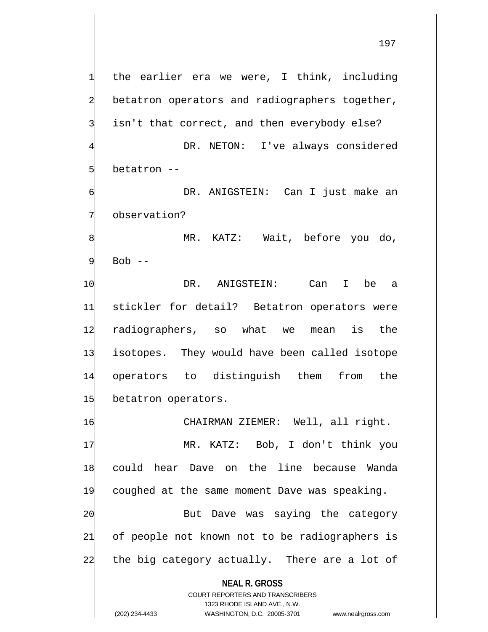**NEAL R. GROSS** COURT REPORTERS AND TRANSCRIBERS 1323 RHODE ISLAND AVE., N.W. the earlier era we were, I think, including betatron operators and radiographers together, isn't that correct, and then everybody else? DR. NETON: I've always considered betatron --DR. ANIGSTEIN: Can I just make an observation? MR. KATZ: Wait, before you do,  $Bob$   $--$ 10 DR. ANIGSTEIN: Can I be a 11 stickler for detail? Betatron operators were 12 radiographers, so what we mean is the 13 isotopes. They would have been called isotope 14 operators to distinguish them from the 15 betatron operators. 16 CHAIRMAN ZIEMER: Well, all right. 17 MR. KATZ: Bob, I don't think you 18 could hear Dave on the line because Wanda 19 coughed at the same moment Dave was speaking. 20 But Dave was saying the category 21 of people not known not to be radiographers is 24 the big category actually. There are a lot of

(202) 234-4433 WASHINGTON, D.C. 20005-3701 www.nealrgross.com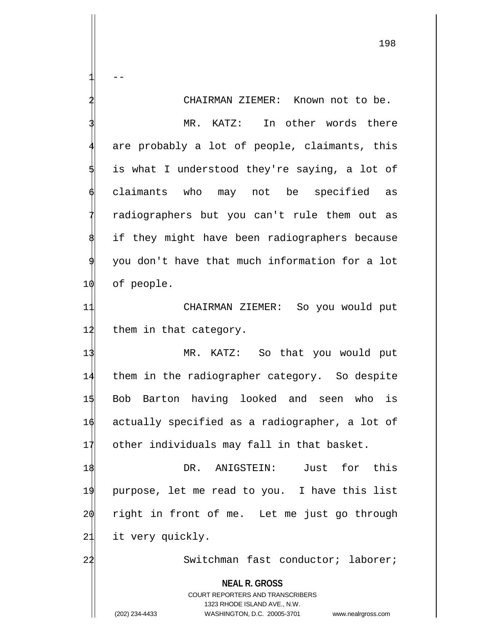**NEAL R. GROSS** COURT REPORTERS AND TRANSCRIBERS 1323 RHODE ISLAND AVE., N.W. (202) 234-4433 WASHINGTON, D.C. 20005-3701 www.nealrgross.com  $1 \qquad -$ CHAIRMAN ZIEMER: Known not to be. MR. KATZ: In other words there are probably a lot of people, claimants, this is what I understood they're saying, a lot of 6 claimants who may not be specified as radiographers but you can't rule them out as if they might have been radiographers because 9 you don't have that much information for a lot 10 of people. 11 CHAIRMAN ZIEMER: So you would put 12 them in that category. 13 MR. KATZ: So that you would put 14 them in the radiographer category. So despite 15 Bob Barton having looked and seen who is 16 actually specified as a radiographer, a lot of 17 other individuals may fall in that basket. 18 DR. ANIGSTEIN: Just for this 19 purpose, let me read to you. I have this list 20 right in front of me. Let me just go through 21 it very quickly. 2<sup>1</sup> Switchman fast conductor; laborer;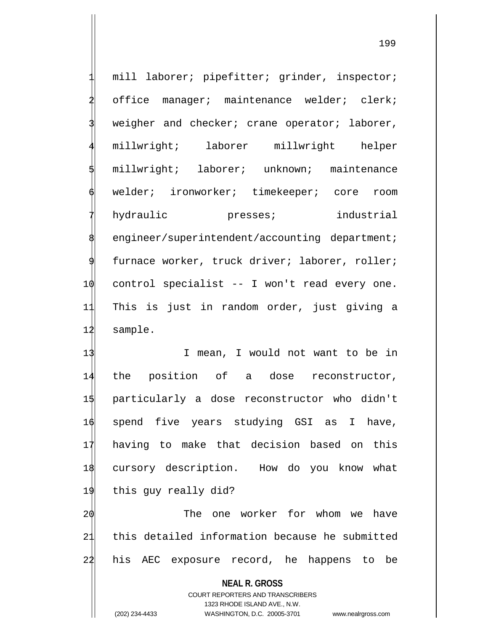mill laborer; pipefitter; grinder, inspector; office manager; maintenance welder; clerk; weigher and checker; crane operator; laborer, 4 millwright; laborer millwright helper millwright; laborer; unknown; maintenance welder; ironworker; timekeeper; core room hydraulic presses; industrial engineer/superintendent/accounting department; furnace worker, truck driver; laborer, roller; 10 control specialist -- I won't read every one. 11 This is just in random order, just giving a 12 sample. 13 I mean, I would not want to be in 14 the position of a dose reconstructor, 15 particularly a dose reconstructor who didn't 16 spend five years studying GSI as I have,

17 having to make that decision based on this 18 cursory description. How do you know what 19 this guy really did?

 $20$  The one worker for whom we have 21 this detailed information because he submitted 22 his AEC exposure record, he happens to be

> **NEAL R. GROSS** COURT REPORTERS AND TRANSCRIBERS 1323 RHODE ISLAND AVE., N.W.

(202) 234-4433 WASHINGTON, D.C. 20005-3701 www.nealrgross.com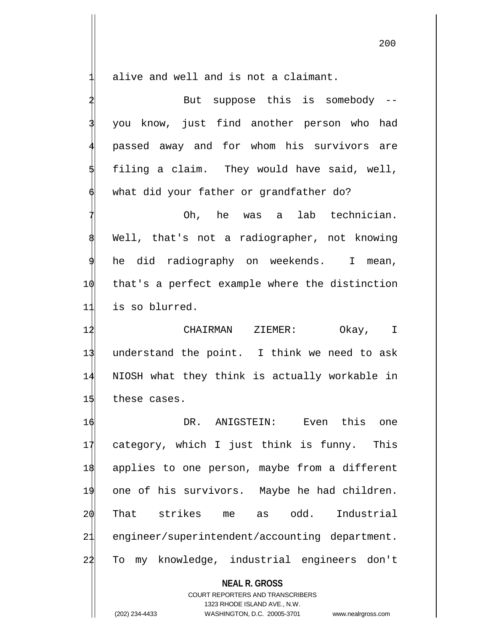alive and well and is not a claimant.

|    | But suppose this is somebody --                          |
|----|----------------------------------------------------------|
|    | you know, just find another person who had               |
|    | passed away and for whom his survivors are               |
|    | filing a claim. They would have said, well,              |
|    | what did your father or grandfather do?                  |
|    | Oh, he was a lab technician.                             |
|    | Well, that's not a radiographer, not knowing             |
| 9  | he did radiography on weekends. I mean,                  |
| 10 | that's a perfect example where the distinction           |
| 11 | is so blurred.                                           |
| 12 | CHAIRMAN ZIEMER:<br>Okay, I                              |
| 13 | understand the point. I think we need to ask             |
| 14 | NIOSH what they think is actually workable in            |
| 15 | these cases.                                             |
| 16 | DR. ANIGSTEIN: Even this one                             |
| 11 | category, which I just think is funny. This              |
| 18 | applies to one person, maybe from a different            |
| 19 | one of his survivors. Maybe he had children.             |
| 20 | That strikes me as odd.<br>Industrial                    |
| 21 | engineer/superintendent/accounting department.           |
| 22 | To my knowledge, industrial engineers don't              |
|    | <b>NEAL R. GROSS</b><br>COURT REPORTERS AND TRANSCRIBERS |

1323 RHODE ISLAND AVE., N.W.

 $\mathop{\parallel}$ 

(202) 234-4433 WASHINGTON, D.C. 20005-3701 www.nealrgross.com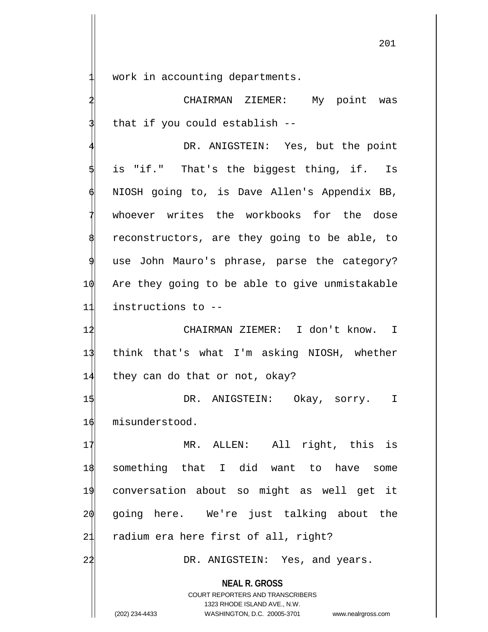work in accounting departments.

CHAIRMAN ZIEMER: My point was that if you could establish --

DR. ANIGSTEIN: Yes, but the point is "if." That's the biggest thing, if. Is 6 NIOSH going to, is Dave Allen's Appendix BB, whoever writes the workbooks for the dose reconstructors, are they going to be able, to use John Mauro's phrase, parse the category? 10 Are they going to be able to give unmistakable 11 instructions to --

12 CHAIRMAN ZIEMER: I don't know. I 13 think that's what I'm asking NIOSH, whether 14 they can do that or not, okay?

15 DR. ANIGSTEIN: Okay, sorry. I 16 misunderstood.

17 MR. ALLEN: All right, this is 18 something that I did want to have some 19 conversation about so might as well get it 20 going here. We're just talking about the 21 radium era here first of all, right?

22 DR. ANIGSTEIN: Yes, and years.

**NEAL R. GROSS** COURT REPORTERS AND TRANSCRIBERS

1323 RHODE ISLAND AVE., N.W.

(202) 234-4433 WASHINGTON, D.C. 20005-3701 www.nealrgross.com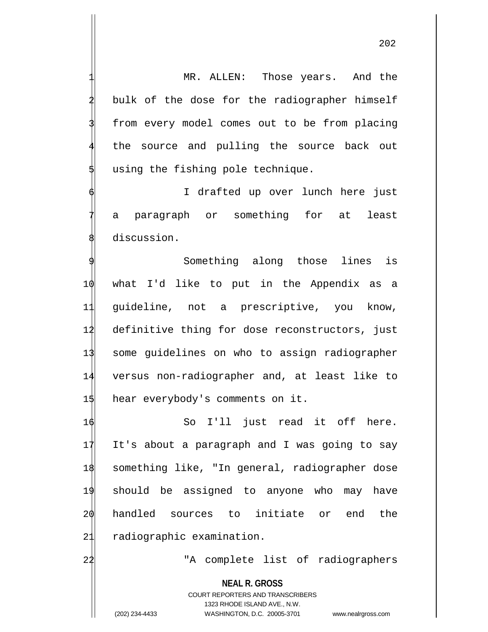202

MR. ALLEN: Those years. And the bulk of the dose for the radiographer himself from every model comes out to be from placing the source and pulling the source back out using the fishing pole technique. I drafted up over lunch here just

a paragraph or something for at least discussion.

Something along those lines is what I'd like to put in the Appendix as a guideline, not a prescriptive, you know, definitive thing for dose reconstructors, just some guidelines on who to assign radiographer versus non-radiographer and, at least like to 15 hear everybody's comments on it.

 So I'll just read it off here. It's about a paragraph and I was going to say something like, "In general, radiographer dose should be assigned to anyone who may have handled sources to initiate or end the radiographic examination.

22 TA complete list of radiographers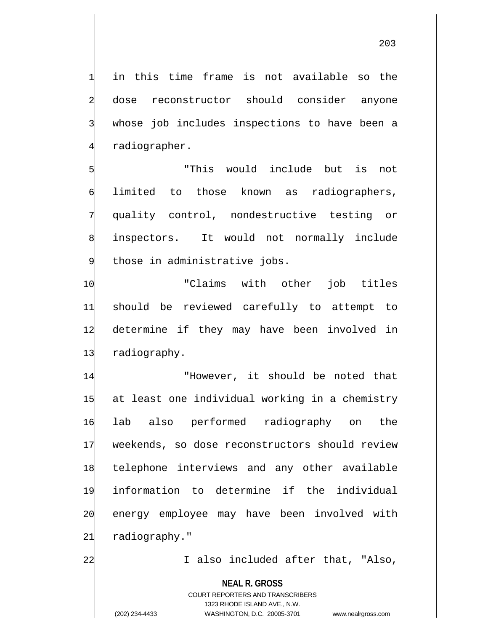in this time frame is not available so the dose reconstructor should consider anyone whose job includes inspections to have been a radiographer.

"This would include but is not limited to those known as radiographers, quality control, nondestructive testing or inspectors. It would not normally include those in administrative jobs.

 "Claims with other job titles should be reviewed carefully to attempt to determine if they may have been involved in radiography.

 "However, it should be noted that at least one individual working in a chemistry lab also performed radiography on the weekends, so dose reconstructors should review telephone interviews and any other available information to determine if the individual energy employee may have been involved with 21 radiography."

22 I also included after that, "Also,

**NEAL R. GROSS**

COURT REPORTERS AND TRANSCRIBERS 1323 RHODE ISLAND AVE., N.W. (202) 234-4433 WASHINGTON, D.C. 20005-3701 www.nealrgross.com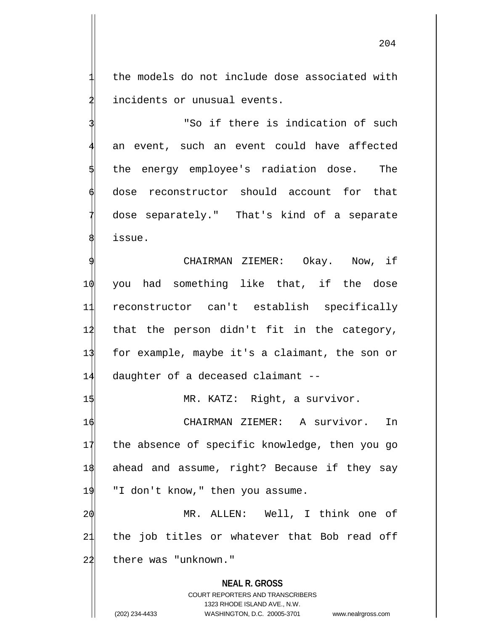the models do not include dose associated with incidents or unusual events.

"So if there is indication of such an event, such an event could have affected the energy employee's radiation dose. The dose reconstructor should account for that dose separately." That's kind of a separate issue.

CHAIRMAN ZIEMER: Okay. Now, if 10 you had something like that, if the dose 11 reconstructor can't establish specifically 12 that the person didn't fit in the category, 13 for example, maybe it's a claimant, the son or 14 daughter of a deceased claimant --

15 MR. KATZ: Right, a survivor.

16 CHAIRMAN ZIEMER: A survivor. In 17 the absence of specific knowledge, then you go 1\$ ahead and assume, right? Because if they say 19 "I don't know," then you assume.

20 MR. ALLEN: Well, I think one of 21 the job titles or whatever that Bob read off 22 there was "unknown."

**NEAL R. GROSS** COURT REPORTERS AND TRANSCRIBERS 1323 RHODE ISLAND AVE., N.W. (202) 234-4433 WASHINGTON, D.C. 20005-3701 www.nealrgross.com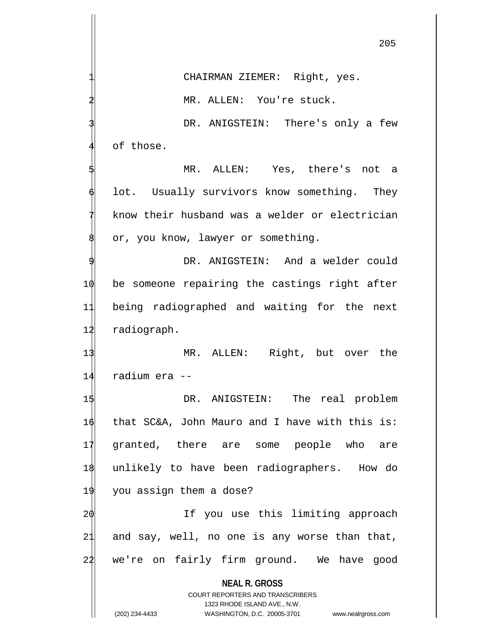**NEAL R. GROSS** COURT REPORTERS AND TRANSCRIBERS CHAIRMAN ZIEMER: Right, yes. MR. ALLEN: You're stuck. DR. ANIGSTEIN: There's only a few of those. MR. ALLEN: Yes, there's not a lot. Usually survivors know something. They know their husband was a welder or electrician or, you know, lawyer or something. DR. ANIGSTEIN: And a welder could 10 be someone repairing the castings right after 11 being radiographed and waiting for the next 12 radiograph. 13 MR. ALLEN: Right, but over the 14 radium era -- 15 DR. ANIGSTEIN: The real problem 16 that SC&A, John Mauro and I have with this is: 17 granted, there are some people who are 18 unlikely to have been radiographers. How do 19 you assign them a dose? 20 If you use this limiting approach 21 and say, well, no one is any worse than that, 22 we're on fairly firm ground. We have good

1323 RHODE ISLAND AVE., N.W.

(202) 234-4433 WASHINGTON, D.C. 20005-3701 www.nealrgross.com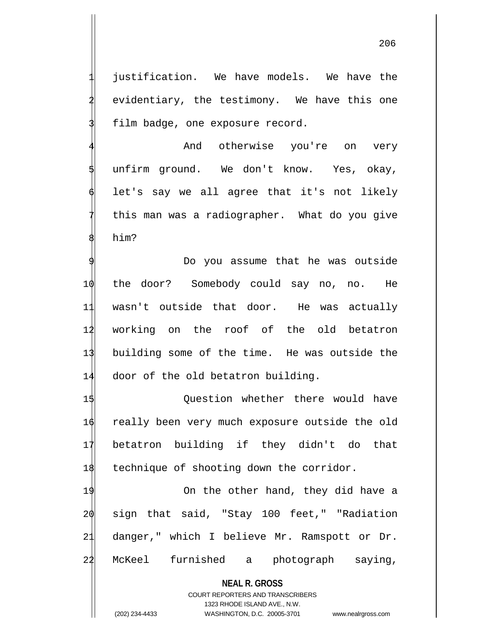iustification. We have models. We have the evidentiary, the testimony. We have this one film badge, one exposure record.

And otherwise you're on very unfirm ground. We don't know. Yes, okay, let's say we all agree that it's not likely this man was a radiographer. What do you give him?

Do you assume that he was outside the door? Somebody could say no, no. He wasn't outside that door. He was actually working on the roof of the old betatron building some of the time. He was outside the 14 door of the old betatron building.

 Question whether there would have really been very much exposure outside the old betatron building if they didn't do that 18 technique of shooting down the corridor.

19 On the other hand, they did have a sign that said, "Stay 100 feet," "Radiation danger," which I believe Mr. Ramspott or Dr. McKeel furnished a photograph saying,

**NEAL R. GROSS** COURT REPORTERS AND TRANSCRIBERS 1323 RHODE ISLAND AVE., N.W. (202) 234-4433 WASHINGTON, D.C. 20005-3701 www.nealrgross.com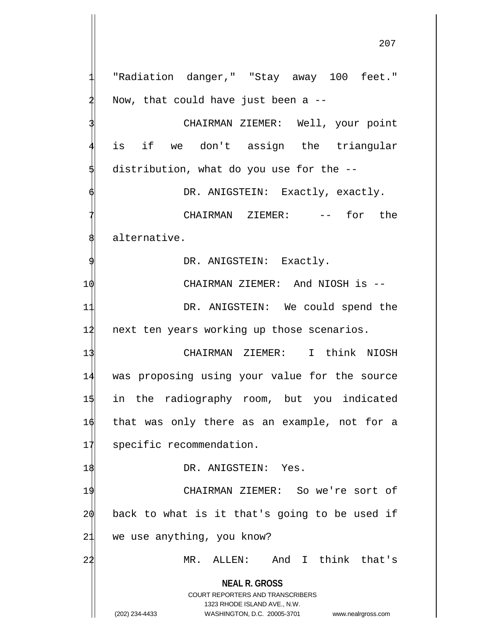**NEAL R. GROSS** COURT REPORTERS AND TRANSCRIBERS 1323 RHODE ISLAND AVE., N.W. "Radiation danger," "Stay away 100 feet." Now, that could have just been a  $-$ -CHAIRMAN ZIEMER: Well, your point is if we don't assign the triangular distribution, what do you use for the --DR. ANIGSTEIN: Exactly, exactly. CHAIRMAN ZIEMER: -- for the alternative. DR. ANIGSTEIN: Exactly. 10 CHAIRMAN ZIEMER: And NIOSH is --11 DR. ANIGSTEIN: We could spend the 12 next ten years working up those scenarios. 13 CHAIRMAN ZIEMER: I think NIOSH 14 was proposing using your value for the source 15 in the radiography room, but you indicated 16 that was only there as an example, not for a 17 specific recommendation. 18 DR. ANIGSTEIN: Yes. 19 CHAIRMAN ZIEMER: So we're sort of  $20$  back to what is it that's going to be used if 21 we use anything, you know? 22 MR. ALLEN: And I think that's

(202) 234-4433 WASHINGTON, D.C. 20005-3701 www.nealrgross.com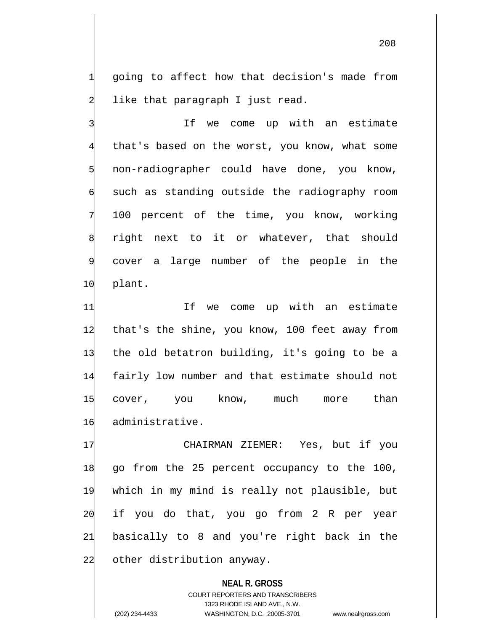1 going to affect how that decision's made from like that paragraph I just read.

If we come up with an estimate that's based on the worst, you know, what some 5 non-radiographer could have done, you know, such as standing outside the radiography room 100 percent of the time, you know, working right next to it or whatever, that should cover a large number of the people in the 10 plant.

11 11 If we come up with an estimate 12 that's the shine, you know, 100 feet away from the old betatron building, it's going to be a fairly low number and that estimate should not cover, you know, much more than administrative.

 CHAIRMAN ZIEMER: Yes, but if you go from the 25 percent occupancy to the 100, which in my mind is really not plausible, but if you do that, you go from 2 R per year basically to 8 and you're right back in the 22 other distribution anyway.

**NEAL R. GROSS** COURT REPORTERS AND TRANSCRIBERS 1323 RHODE ISLAND AVE., N.W. (202) 234-4433 WASHINGTON, D.C. 20005-3701 www.nealrgross.com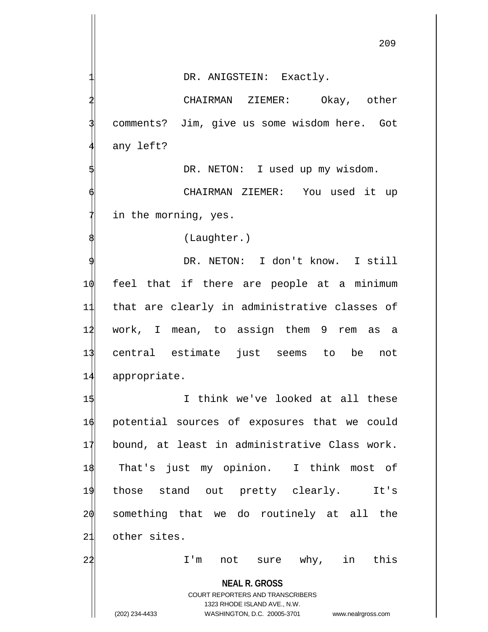DR. ANIGSTEIN: Exactly.

2 CHAIRMAN ZIEMER: Okay, other comments? Jim, give us some wisdom here. Got any left?

DR. NETON: I used up my wisdom.

6 CHAIRMAN ZIEMER: You used it up in the morning, yes.

(Laughter.)

DR. NETON: I don't know. I still feel that if there are people at a minimum that are clearly in administrative classes of work, I mean, to assign them 9 rem as a central estimate just seems to be not appropriate.

1\$ I think we've looked at all these potential sources of exposures that we could bound, at least in administrative Class work. That's just my opinion. I think most of those stand out pretty clearly. It's something that we do routinely at all the other sites.

22 I'm not sure why, in this

**NEAL R. GROSS**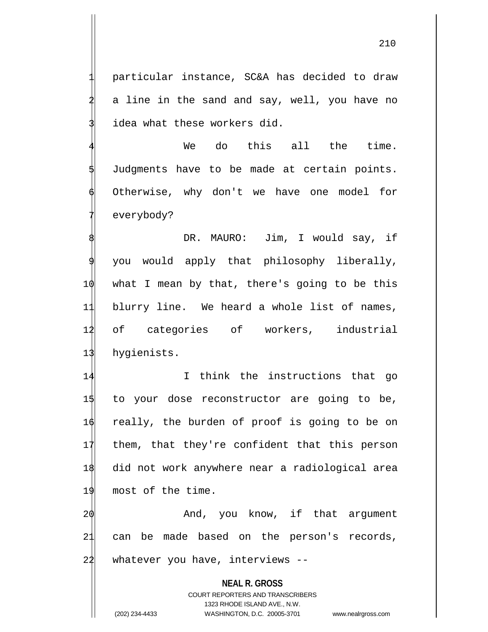1 particular instance, SC&A has decided to draw a line in the sand and say, well, you have no idea what these workers did.

We do this all the time. 5 Judgments have to be made at certain points. 6 Otherwise, why don't we have one model for everybody?

DR. MAURO: Jim, I would say, if you would apply that philosophy liberally,  $\phi$  what I mean by that, there's going to be this blurry line. We heard a whole list of names, of categories of workers, industrial hygienists.

 I think the instructions that go to your dose reconstructor are going to be, really, the burden of proof is going to be on them, that they're confident that this person did not work anywhere near a radiological area 19 most of the time.

2 $\phi$  20 And, you know, if that argument 21 can be made based on the person's records, 22 whatever you have, interviews --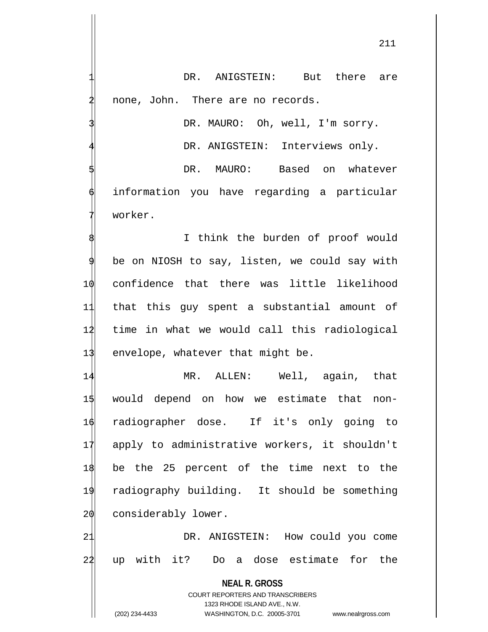DR. ANIGSTEIN: But there are none, John. There are no records.

DR. MAURO: Oh, well, I'm sorry.

DR. ANIGSTEIN: Interviews only.

DR. MAURO: Based on whatever information you have regarding a particular worker.

I think the burden of proof would be on NIOSH to say, listen, we could say with 10 confidence that there was little likelihood 11 that this guy spent a substantial amount of 12 time in what we would call this radiological 13 envelope, whatever that might be.

 MR. ALLEN: Well, again, that would depend on how we estimate that non- radiographer dose. If it's only going to apply to administrative workers, it shouldn't be the 25 percent of the time next to the radiography building. It should be something 20 considerably lower.

21 DR. ANIGSTEIN: How could you come 22 up with it? Do a dose estimate for the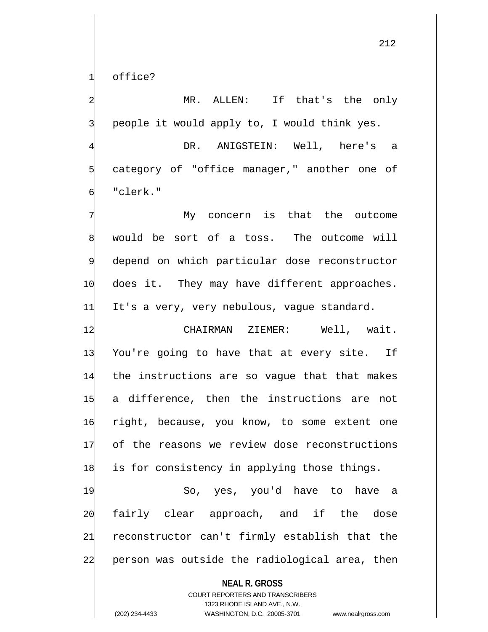office?

MR. ALLEN: If that's the only people it would apply to, I would think yes.

DR. ANIGSTEIN: Well, here's a category of "office manager," another one of "clerk."

My concern is that the outcome would be sort of a toss. The outcome will depend on which particular dose reconstructor 10 does it. They may have different approaches. 11 It's a very, very nebulous, vague standard.

12 CHAIRMAN ZIEMER: Well, wait. You're going to have that at every site. If the instructions are so vague that that makes a difference, then the instructions are not right, because, you know, to some extent one of the reasons we review dose reconstructions is for consistency in applying those things.

19 So, yes, you'd have to have a 20 fairly clear approach, and if the dose 21 reconstructor can't firmly establish that the 22 person was outside the radiological area, then

**NEAL R. GROSS**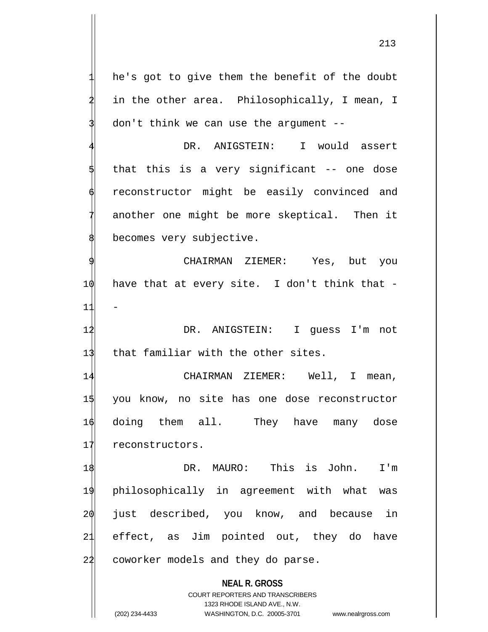he's got to give them the benefit of the doubt in the other area. Philosophically, I mean, I  $don't think we can use the argument --$ 

DR. ANIGSTEIN: I would assert that this is a very significant -- one dose reconstructor might be easily convinced and another one might be more skeptical. Then it becomes very subjective.

CHAIRMAN ZIEMER: Yes, but you 1 $\phi$  have that at every site. I don't think that - $11$ 12 DR. ANIGSTEIN: I guess I'm not

13 that familiar with the other sites.

 CHAIRMAN ZIEMER: Well, I mean, you know, no site has one dose reconstructor doing them all. They have many dose 17 reconstructors.

 DR. MAURO: This is John. I'm philosophically in agreement with what was just described, you know, and because in effect, as Jim pointed out, they do have 22 coworker models and they do parse.

> **NEAL R. GROSS** COURT REPORTERS AND TRANSCRIBERS 1323 RHODE ISLAND AVE., N.W.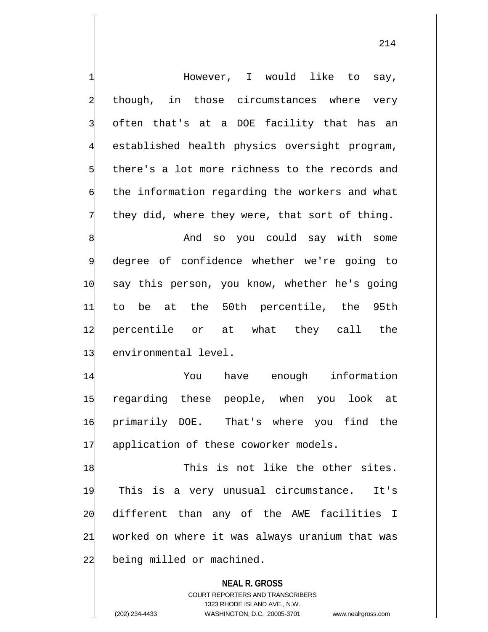**NEAL R. GROSS** COURT REPORTERS AND TRANSCRIBERS However, I would like to say, though, in those circumstances where very often that's at a DOE facility that has an established health physics oversight program, there's a lot more richness to the records and the information regarding the workers and what they did, where they were, that sort of thing. And so you could say with some degree of confidence whether we're going to 10 say this person, you know, whether he's going 11 to be at the 50th percentile, the 95th 12 percentile or at what they call the 13 environmental level. 14 You have enough information 15 regarding these people, when you look at 16 primarily DOE. That's where you find the 17 application of these coworker models. 18 This is not like the other sites. 19 This is a very unusual circumstance. It's 20 different than any of the AWE facilities I 21 worked on where it was always uranium that was 22 being milled or machined.

1323 RHODE ISLAND AVE., N.W.

(202) 234-4433 WASHINGTON, D.C. 20005-3701 www.nealrgross.com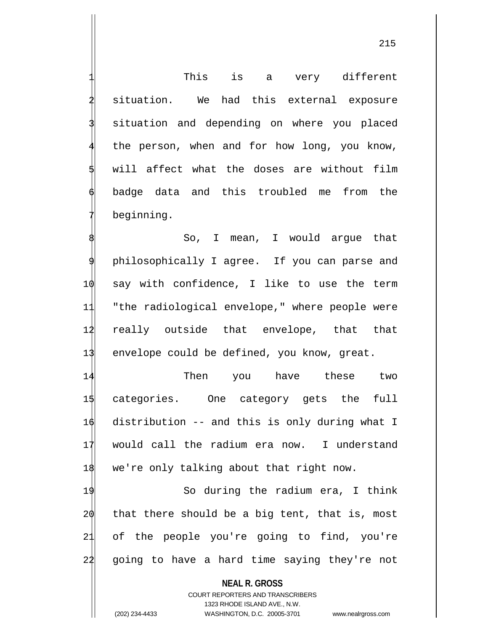This is a very different situation. We had this external exposure situation and depending on where you placed the person, when and for how long, you know, will affect what the doses are without film 6 badge data and this troubled me from the beginning.

 So, I mean, I would argue that philosophically I agree. If you can parse and say with confidence, I like to use the term "the radiological envelope," where people were really outside that envelope, that that 13 envelope could be defined, you know, great.

14 Then you have these two 15 categories. One category gets the full 16 distribution -- and this is only during what I 17 would call the radium era now. I understand 18 we're only talking about that right now.

19 So during the radium era, I think  $20$  that there should be a big tent, that is, most 21 of the people you're going to find, you're 22 going to have a hard time saying they're not

**NEAL R. GROSS** COURT REPORTERS AND TRANSCRIBERS 1323 RHODE ISLAND AVE., N.W. (202) 234-4433 WASHINGTON, D.C. 20005-3701 www.nealrgross.com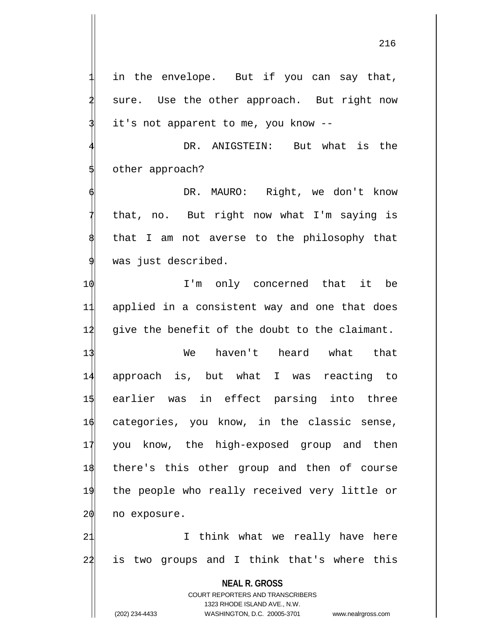in the envelope. But if you can say that, sure. Use the other approach. But right now it's not apparent to me, you know --

DR. ANIGSTEIN: But what is the other approach?

DR. MAURO: Right, we don't know that, no. But right now what I'm saying is that I am not averse to the philosophy that was just described.

1 $\phi$  I'm only concerned that it be 11 applied in a consistent way and one that does  $12$  give the benefit of the doubt to the claimant.

13 We haven't heard what that approach is, but what I was reacting to earlier was in effect parsing into three categories, you know, in the classic sense, you know, the high-exposed group and then there's this other group and then of course the people who really received very little or no exposure.

21 1 I think what we really have here 22 is two groups and I think that's where this

> **NEAL R. GROSS** COURT REPORTERS AND TRANSCRIBERS

> > 1323 RHODE ISLAND AVE., N.W.

(202) 234-4433 WASHINGTON, D.C. 20005-3701 www.nealrgross.com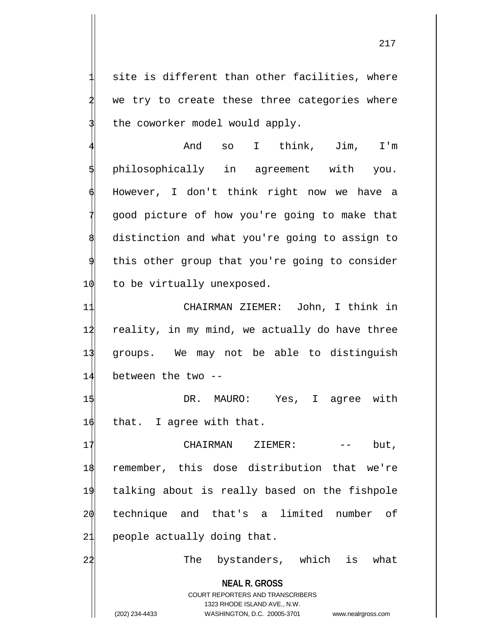site is different than other facilities, where we try to create these three categories where the coworker model would apply.

4 And so I think, Jim, I'm philosophically in agreement with you. However, I don't think right now we have a 7 good picture of how you're going to make that distinction and what you're going to assign to this other group that you're going to consider 10 to be virtually unexposed.

 CHAIRMAN ZIEMER: John, I think in 12 reality, in my mind, we actually do have three groups. We may not be able to distinguish between the two --

1\$ DR. MAURO: Yes, I agree with 16 that. I agree with that.

17 CHAIRMAN ZIEMER: -- but, 18 remember, this dose distribution that we're 19 talking about is really based on the fishpole 20 technique and that's a limited number of 21 people actually doing that.

22 The bystanders, which is what

**NEAL R. GROSS** COURT REPORTERS AND TRANSCRIBERS 1323 RHODE ISLAND AVE., N.W.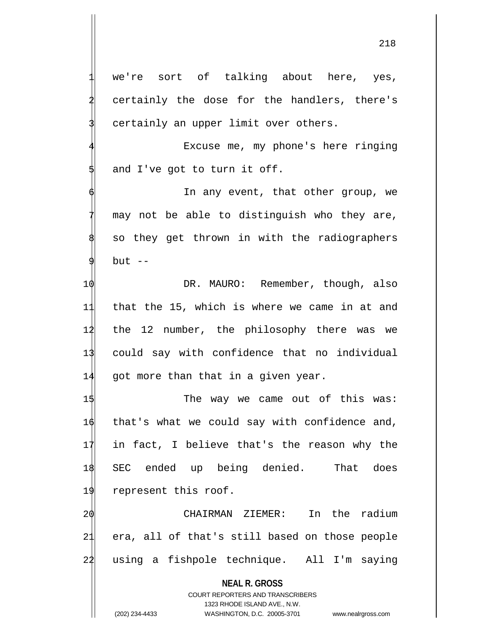we're sort of talking about here, yes, certainly the dose for the handlers, there's certainly an upper limit over others.

Excuse me, my phone's here ringing and I've got to turn it off.

In any event, that other group, we may not be able to distinguish who they are, so they get thrown in with the radiographers but  $--$ 

 $\phi$  DR. MAURO: Remember, though, also that the 15, which is where we came in at and the 12 number, the philosophy there was we could say with confidence that no individual got more than that in a given year.

1\$ The way we came out of this was: 1 $\phi$  that's what we could say with confidence and, 17 in fact, I believe that's the reason why the 18 SEC ended up being denied. That does 19 represent this roof.

20 CHAIRMAN ZIEMER: In the radium 21 era, all of that's still based on those people 22 using a fishpole technique. All I'm saying

**NEAL R. GROSS**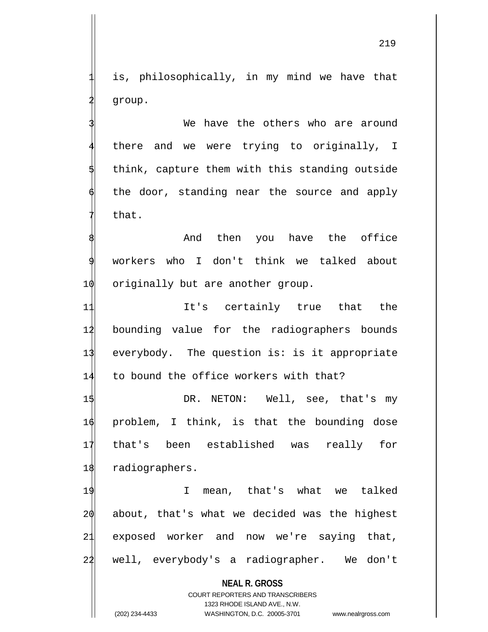is, philosophically, in my mind we have that group.

We have the others who are around there and we were trying to originally, I think, capture them with this standing outside the door, standing near the source and apply that.

And then you have the office 9 workers who I don't think we talked about 1 $\phi$  originally but are another group.

11 11 It's certainly true that the 12 bounding value for the radiographers bounds 13 everybody. The question is: is it appropriate 14 to bound the office workers with that?

 DR. NETON: Well, see, that's my problem, I think, is that the bounding dose that's been established was really for radiographers.

 I mean, that's what we talked about, that's what we decided was the highest exposed worker and now we're saying that, 22 well, everybody's a radiographer. We don't

> **NEAL R. GROSS** COURT REPORTERS AND TRANSCRIBERS 1323 RHODE ISLAND AVE., N.W.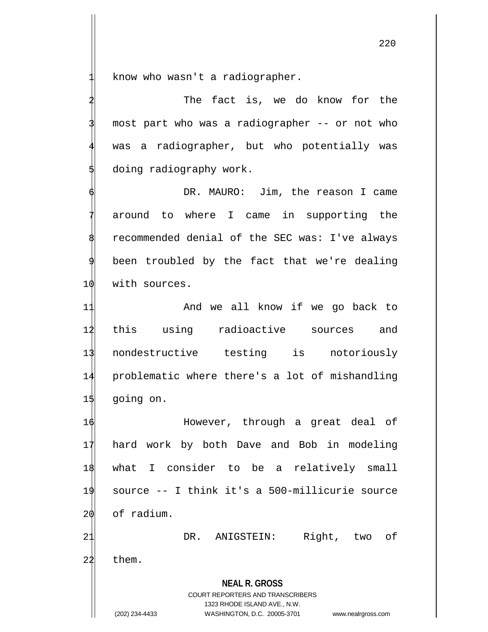know who wasn't a radiographer.

The fact is, we do know for the most part who was a radiographer -- or not who was a radiographer, but who potentially was doing radiography work.

DR. MAURO: Jim, the reason I came around to where I came in supporting the recommended denial of the SEC was: I've always been troubled by the fact that we're dealing 10 with sources.

11 And we all know if we go back to this using radioactive sources and nondestructive testing is notoriously problematic where there's a lot of mishandling going on.

 However, through a great deal of hard work by both Dave and Bob in modeling what I consider to be a relatively small source -- I think it's a 500-millicurie source of radium. DR. ANIGSTEIN: Right, two of

**NEAL R. GROSS** 22 them.

> COURT REPORTERS AND TRANSCRIBERS 1323 RHODE ISLAND AVE., N.W.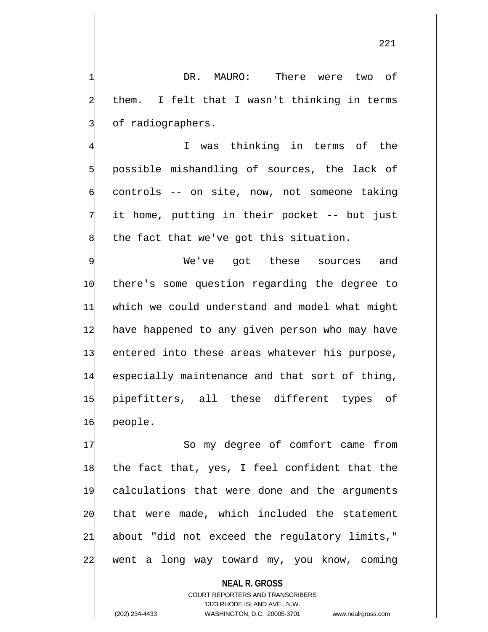DR. MAURO: There were two of them. I felt that I wasn't thinking in terms of radiographers.

I was thinking in terms of the 5 possible mishandling of sources, the lack of 6 controls -- on site, now, not someone taking it home, putting in their pocket -- but just the fact that we've got this situation.

 We've got these sources and there's some question regarding the degree to which we could understand and model what might 12 have happened to any given person who may have entered into these areas whatever his purpose, especially maintenance and that sort of thing, pipefitters, all these different types of 16 people.

17 So my degree of comfort came from the fact that, yes, I feel confident that the calculations that were done and the arguments that were made, which included the statement about "did not exceed the regulatory limits," 24 went a long way toward my, you know, coming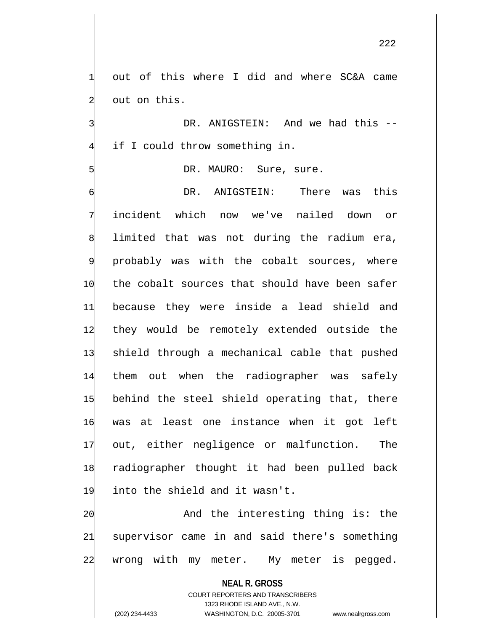out of this where I did and where SC&A came out on this.

DR. ANIGSTEIN: And we had this -if I could throw something in.

DR. MAURO: Sure, sure.

DR. ANIGSTEIN: There was this incident which now we've nailed down or limited that was not during the radium era, probably was with the cobalt sources, where the cobalt sources that should have been safer because they were inside a lead shield and they would be remotely extended outside the shield through a mechanical cable that pushed them out when the radiographer was safely behind the steel shield operating that, there was at least one instance when it got left out, either negligence or malfunction. The radiographer thought it had been pulled back into the shield and it wasn't.

20 And the interesting thing is: the 21 supervisor came in and said there's something 22 wrong with my meter. My meter is pegged.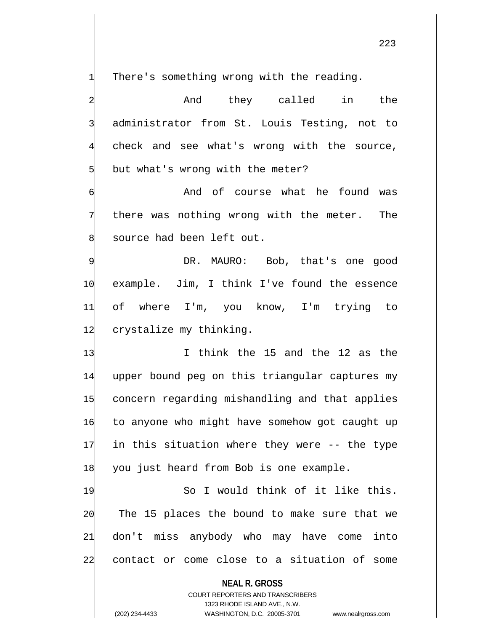There's something wrong with the reading.

4 And they called in the administrator from St. Louis Testing, not to check and see what's wrong with the source, but what's wrong with the meter?

And of course what he found was there was nothing wrong with the meter. The source had been left out.

DR. MAURO: Bob, that's one good 10 example. Jim, I think I've found the essence 11 of where I'm, you know, I'm trying to 12 crystalize my thinking.

13 I think the 15 and the 12 as the upper bound peg on this triangular captures my concern regarding mishandling and that applies to anyone who might have somehow got caught up in this situation where they were -- the type 18 you just heard from Bob is one example.

19 So I would think of it like this. The 15 places the bound to make sure that we don't miss anybody who may have come into contact or come close to a situation of some

**NEAL R. GROSS**

COURT REPORTERS AND TRANSCRIBERS 1323 RHODE ISLAND AVE., N.W. (202) 234-4433 WASHINGTON, D.C. 20005-3701 www.nealrgross.com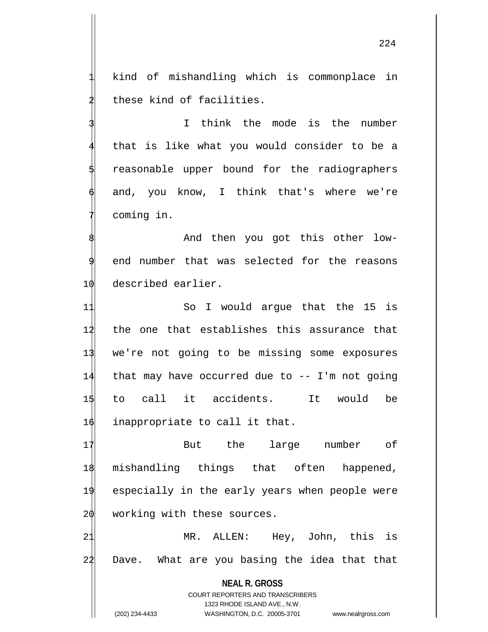kind of mishandling which is commonplace in these kind of facilities.

I think the mode is the number that is like what you would consider to be a reasonable upper bound for the radiographers and, you know, I think that's where we're coming in.

And then you got this other lowend number that was selected for the reasons 10 described earlier.

 So I would argue that the 15 is the one that establishes this assurance that we're not going to be missing some exposures that may have occurred due to -- I'm not going to call it accidents. It would be 16 inappropriate to call it that.

17 But the large number of mishandling things that often happened, especially in the early years when people were working with these sources.

21 MR. ALLEN: Hey, John, this is 22 Dave. What are you basing the idea that that

**NEAL R. GROSS** COURT REPORTERS AND TRANSCRIBERS 1323 RHODE ISLAND AVE., N.W. (202) 234-4433 WASHINGTON, D.C. 20005-3701 www.nealrgross.com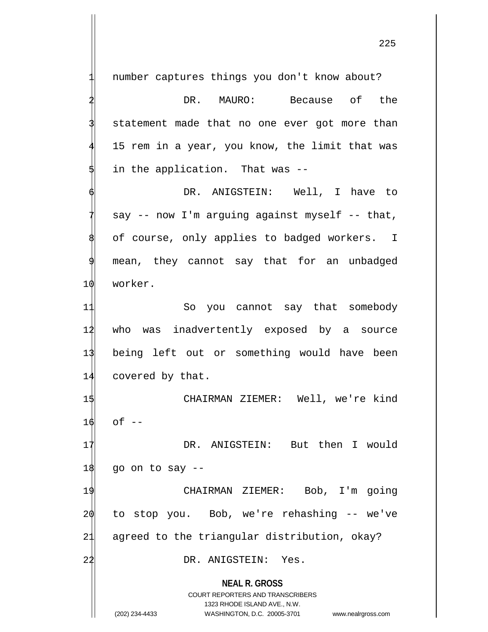**NEAL R. GROSS** number captures things you don't know about? DR. MAURO: Because of the statement made that no one ever got more than 15 rem in a year, you know, the limit that was in the application. That was --DR. ANIGSTEIN: Well, I have to  $say$  -- now I'm arguing against myself -- that, of course, only applies to badged workers. I mean, they cannot say that for an unbadged 10 worker. 11 So you cannot say that somebody 12 who was inadvertently exposed by a source 13 being left out or something would have been 14 covered by that. 1\$ CHAIRMAN ZIEMER: Well, we're kind  $16$  of  $-$ 17 DR. ANIGSTEIN: But then I would  $18$  go on to say  $-$ 19 CHAIRMAN ZIEMER: Bob, I'm going 20 to stop you. Bob, we're rehashing -- we've 21 agreed to the triangular distribution, okay? 22 DR. ANIGSTEIN: Yes.

> COURT REPORTERS AND TRANSCRIBERS 1323 RHODE ISLAND AVE., N.W.

(202) 234-4433 WASHINGTON, D.C. 20005-3701 www.nealrgross.com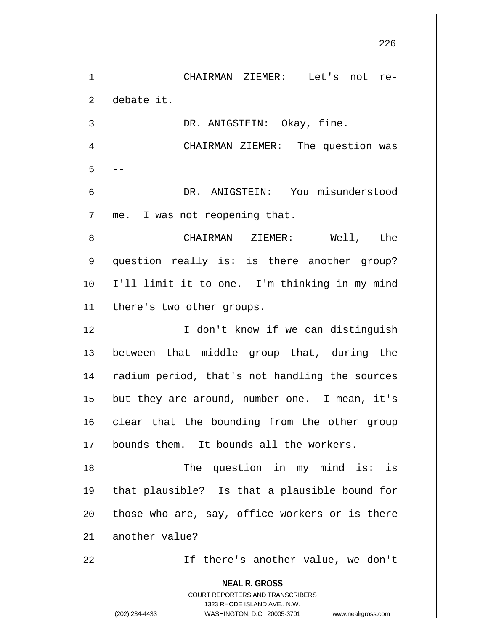CHAIRMAN ZIEMER: Let's not redebate it.

DR. ANIGSTEIN: Okay, fine.

CHAIRMAN ZIEMER: The question was 5| --DR. ANIGSTEIN: You misunderstood

me. I was not reopening that.

CHAIRMAN ZIEMER: Well, the question really is: is there another group? 10 I'll limit it to one. I'm thinking in my mind 11 there's two other groups.

1<sup>2</sup> I don't know if we can distinguish between that middle group that, during the radium period, that's not handling the sources but they are around, number one. I mean, it's clear that the bounding from the other group bounds them. It bounds all the workers.

1\$ The question in my mind is: is that plausible? Is that a plausible bound for those who are, say, office workers or is there another value?

22 If there's another value, we don't

**NEAL R. GROSS**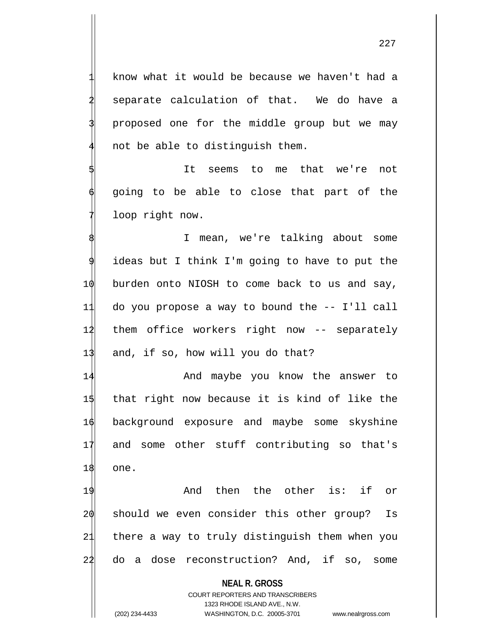know what it would be because we haven't had a separate calculation of that. We do have a proposed one for the middle group but we may not be able to distinguish them.

It seems to me that we're not going to be able to close that part of the loop right now.

I mean, we're talking about some ideas but I think I'm going to have to put the burden onto NIOSH to come back to us and say, do you propose a way to bound the -- I'll call them office workers right now -- separately and, if so, how will you do that?

14 And maybe you know the answer to 15 that right now because it is kind of like the 16 background exposure and maybe some skyshine 17 and some other stuff contributing so that's 18 one.

19 And then the other is: if or 20 should we even consider this other group? Is 21 there a way to truly distinguish them when you 22 do a dose reconstruction? And, if so, some

**NEAL R. GROSS**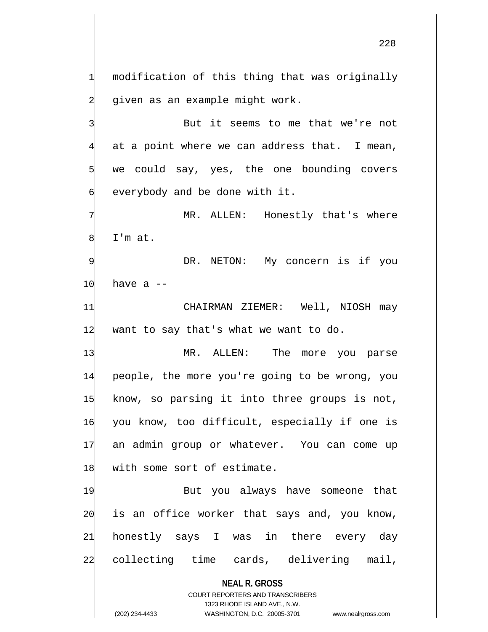modification of this thing that was originally given as an example might work.

But it seems to me that we're not at a point where we can address that. I mean, we could say, yes, the one bounding covers everybody and be done with it.

MR. ALLEN: Honestly that's where I'm at.

DR. NETON: My concern is if you  $10$  have a  $-$ 

11 CHAIRMAN ZIEMER: Well, NIOSH may  $12$  want to say that's what we want to do.

13 MR. ALLEN: The more you parse people, the more you're going to be wrong, you know, so parsing it into three groups is not, you know, too difficult, especially if one is an admin group or whatever. You can come up 18 with some sort of estimate.

19 But you always have someone that is an office worker that says and, you know, honestly says I was in there every day collecting time cards, delivering mail,

**NEAL R. GROSS**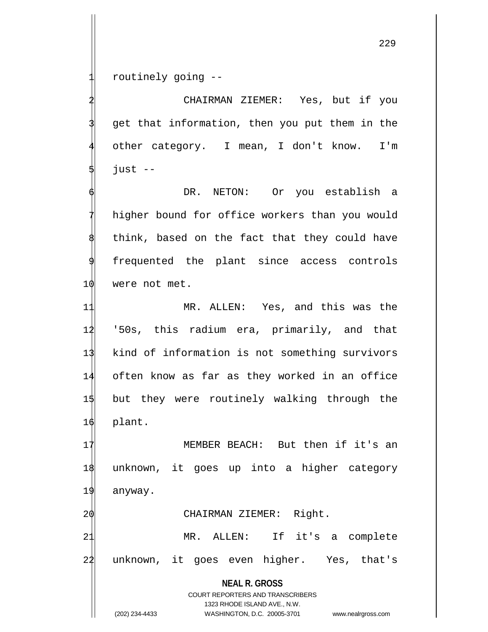routinely going --

2 CHAIRMAN ZIEMER: Yes, but if you get that information, then you put them in the other category. I mean, I don't know. I'm  $just$  --

DR. NETON: Or you establish a higher bound for office workers than you would think, based on the fact that they could have frequented the plant since access controls 10 were not met.

 MR. ALLEN: Yes, and this was the '50s, this radium era, primarily, and that kind of information is not something survivors often know as far as they worked in an office but they were routinely walking through the 16 plant.

17 MEMBER BEACH: But then if it's an 18 unknown, it goes up into a higher category 19 anyway.

20 CHAIRMAN ZIEMER: Right.

21 MR. ALLEN: If it's a complete 24 unknown, it goes even higher. Yes, that's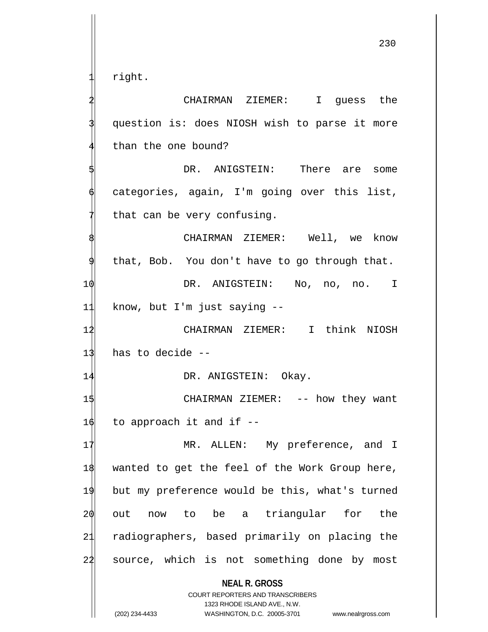right.

**NEAL R. GROSS** COURT REPORTERS AND TRANSCRIBERS 1323 RHODE ISLAND AVE., N.W. 2 CHAIRMAN ZIEMER: I guess the question is: does NIOSH wish to parse it more than the one bound? DR. ANIGSTEIN: There are some categories, again, I'm going over this list, that can be very confusing. CHAIRMAN ZIEMER: Well, we know that, Bob. You don't have to go through that. 1 $\phi$  DR. ANIGSTEIN: No, no, no. I 11 know, but I'm just saying -- 12 CHAIRMAN ZIEMER: I think NIOSH  $13$  has to decide  $-$ 14 DR. ANIGSTEIN: Okay. 1\$ CHAIRMAN ZIEMER: -- how they want  $16$  to approach it and if  $-$ 17 MR. ALLEN: My preference, and I 18 wanted to get the feel of the Work Group here, 19 but my preference would be this, what's turned 20 out now to be a triangular for the 21 radiographers, based primarily on placing the 24 source, which is not something done by most

<sup>(202) 234-4433</sup> WASHINGTON, D.C. 20005-3701 www.nealrgross.com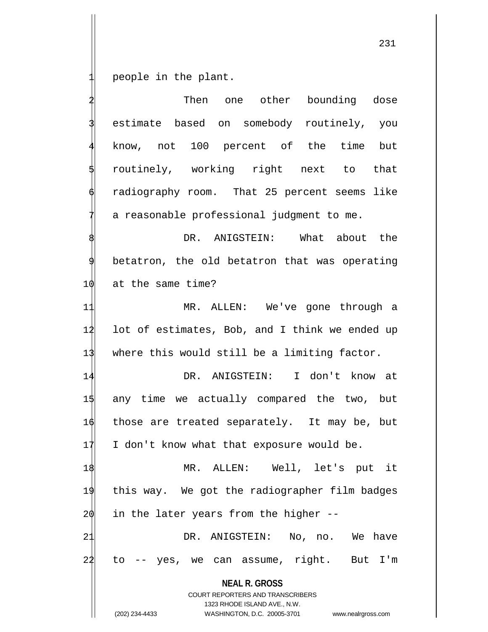people in the plant.

**NEAL R. GROSS** COURT REPORTERS AND TRANSCRIBERS 1323 RHODE ISLAND AVE., N.W. Then one other bounding dose estimate based on somebody routinely, you know, not 100 percent of the time but 5 routinely, working right next to that radiography room. That 25 percent seems like a reasonable professional judgment to me. DR. ANIGSTEIN: What about the betatron, the old betatron that was operating 10 at the same time? 11 MR. ALLEN: We've gone through a 12 lot of estimates, Bob, and I think we ended up 13 where this would still be a limiting factor. 14 DR. ANIGSTEIN: I don't know at 15 any time we actually compared the two, but 16 those are treated separately. It may be, but  $17$  I don't know what that exposure would be. 1\$ MR. ALLEN: Well, let's put it 19 this way. We got the radiographer film badges  $20$  in the later years from the higher  $-$ -21 DR. ANIGSTEIN: No, no. We have 22 to -- yes, we can assume, right. But I'm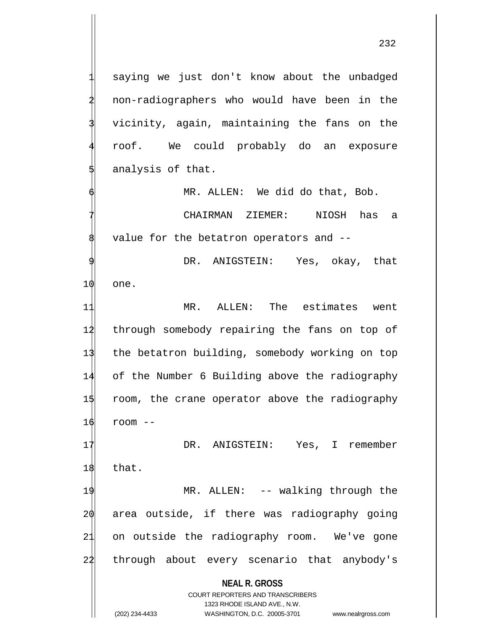saying we just don't know about the unbadged 2 non-radiographers who would have been in the vicinity, again, maintaining the fans on the 4 roof. We could probably do an exposure analysis of that.

MR. ALLEN: We did do that, Bob.

7 CHAIRMAN ZIEMER: NIOSH has a value for the betatron operators and --

DR. ANIGSTEIN: Yes, okay, that 10 one.

 MR. ALLEN: The estimates went 12 through somebody repairing the fans on top of the betatron building, somebody working on top of the Number 6 Building above the radiography room, the crane operator above the radiography  $16$  room  $-$ 

17 DR. ANIGSTEIN: Yes, I remember 18 that.

19 MR. ALLEN: -- walking through the 20 area outside, if there was radiography going 21 on outside the radiography room. We've gone 24 through about every scenario that anybody's

**NEAL R. GROSS**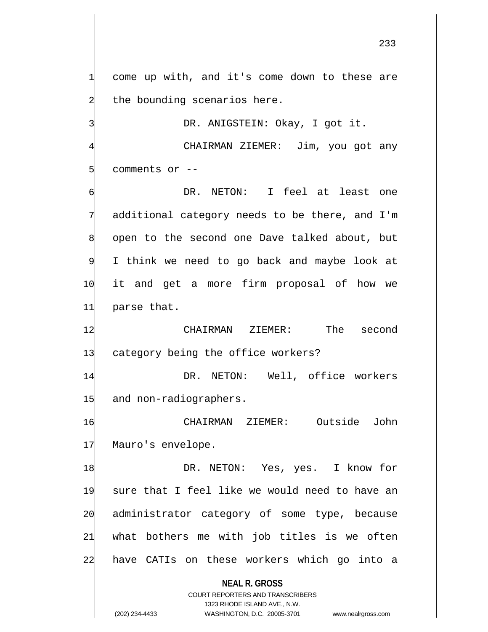233

come up with, and it's come down to these are the bounding scenarios here.

DR. ANIGSTEIN: Okay, I got it.

CHAIRMAN ZIEMER: Jim, you got any comments or --

DR. NETON: I feel at least one additional category needs to be there, and I'm open to the second one Dave talked about, but I think we need to go back and maybe look at 10 it and get a more firm proposal of how we 11 parse that.

12 CHAIRMAN ZIEMER: The second 13 category being the office workers?

14 DR. NETON: Well, office workers 15 and non-radiographers.

16 CHAIRMAN ZIEMER: Outside John 17 Mauro's envelope.

1\$ DR. NETON: Yes, yes. I know for 19 sure that I feel like we would need to have an 20 administrator category of some type, because 21 what bothers me with job titles is we often 22 have CATIs on these workers which go into a

> **NEAL R. GROSS** COURT REPORTERS AND TRANSCRIBERS

1323 RHODE ISLAND AVE., N.W. (202) 234-4433 WASHINGTON, D.C. 20005-3701 www.nealrgross.com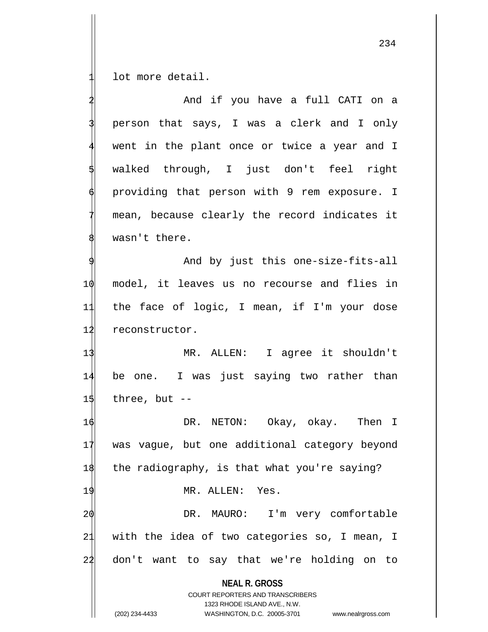lot more detail.

|    | And if you have a full CATI on a                                                                                                                                       |
|----|------------------------------------------------------------------------------------------------------------------------------------------------------------------------|
|    | person that says, I was a clerk and I only                                                                                                                             |
|    | went in the plant once or twice a year and I                                                                                                                           |
|    | walked through, I just don't feel right                                                                                                                                |
|    | providing that person with 9 rem exposure. I                                                                                                                           |
|    | mean, because clearly the record indicates it                                                                                                                          |
|    | wasn't there.                                                                                                                                                          |
|    | And by just this one-size-fits-all                                                                                                                                     |
| 10 | model, it leaves us no recourse and flies in                                                                                                                           |
| 11 | the face of logic, I mean, if I'm your dose                                                                                                                            |
| 12 | reconstructor.                                                                                                                                                         |
| 13 | MR. ALLEN: I agree it shouldn't                                                                                                                                        |
| 14 | be one. I was just saying two rather than                                                                                                                              |
| 15 | three, but --                                                                                                                                                          |
| 16 | DR. NETON: Okay, okay. Then I                                                                                                                                          |
| 17 | was vague, but one additional category beyond                                                                                                                          |
| 18 | the radiography, is that what you're saying?                                                                                                                           |
| 19 | MR. ALLEN: Yes.                                                                                                                                                        |
| 20 | MAURO: I'm very comfortable<br>DR.                                                                                                                                     |
| 21 | with the idea of two categories so, I mean, I                                                                                                                          |
| 22 | don't want to say that we're holding on to                                                                                                                             |
|    | <b>NEAL R. GROSS</b><br><b>COURT REPORTERS AND TRANSCRIBERS</b><br>1323 RHODE ISLAND AVE., N.W.<br>(202) 234-4433<br>WASHINGTON, D.C. 20005-3701<br>www.nealrgross.com |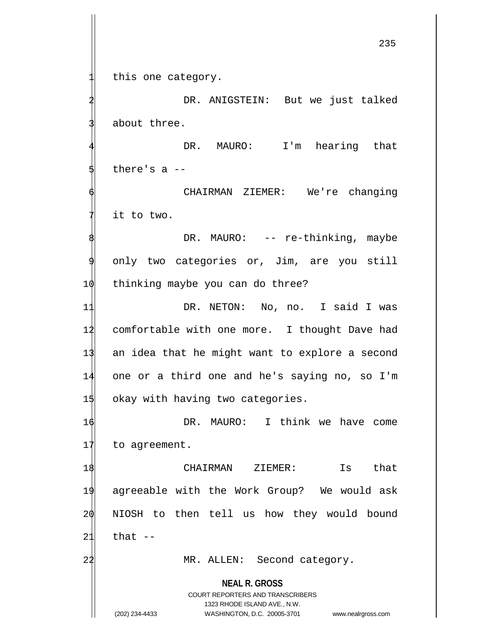this one category.

DR. ANIGSTEIN: But we just talked about three.

DR. MAURO: I'm hearing that there's  $a$  --

CHAIRMAN ZIEMER: We're changing it to two.

DR. MAURO: -- re-thinking, maybe only two categories or, Jim, are you still 10 thinking maybe you can do three?

 DR. NETON: No, no. I said I was comfortable with one more. I thought Dave had an idea that he might want to explore a second one or a third one and he's saying no, so I'm 15 okay with having two categories.

16 DR. MAURO: I think we have come 17 to agreement.

 CHAIRMAN ZIEMER: Is that agreeable with the Work Group? We would ask NIOSH to then tell us how they would bound  $21$  that  $-$ 

22 MR. ALLEN: Second category.

**NEAL R. GROSS** COURT REPORTERS AND TRANSCRIBERS

1323 RHODE ISLAND AVE., N.W.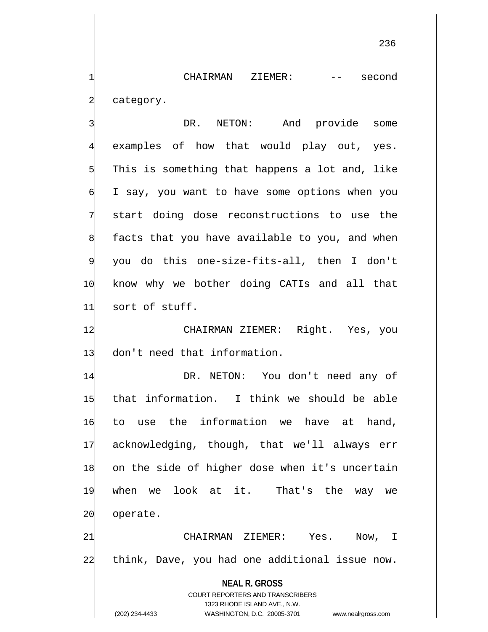CHAIRMAN ZIEMER: -- second category.

DR. NETON: And provide some examples of how that would play out, yes. This is something that happens a lot and, like I say, you want to have some options when you start doing dose reconstructions to use the facts that you have available to you, and when 9 you do this one-size-fits-all, then I don't 10 know why we bother doing CATIs and all that 11 sort of stuff.

12 CHAIRMAN ZIEMER: Right. Yes, you 13 don't need that information.

14 DR. NETON: You don't need any of that information. I think we should be able to use the information we have at hand, acknowledging, though, that we'll always err on the side of higher dose when it's uncertain when we look at it. That's the way we 20 operate.

21 CHAIRMAN ZIEMER: Yes. Now, I 22 think, Dave, you had one additional issue now.

> **NEAL R. GROSS** COURT REPORTERS AND TRANSCRIBERS 1323 RHODE ISLAND AVE., N.W.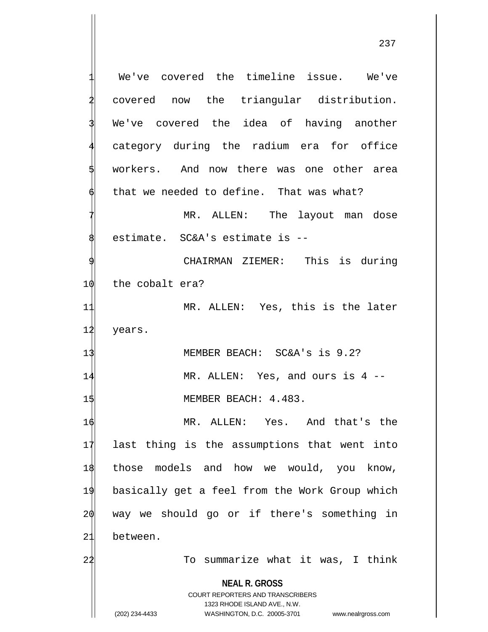**NEAL R. GROSS** COURT REPORTERS AND TRANSCRIBERS 1323 RHODE ISLAND AVE., N.W. We've covered the timeline issue. We've covered now the triangular distribution. We've covered the idea of having another category during the radium era for office workers. And now there was one other area that we needed to define. That was what? MR. ALLEN: The layout man dose estimate. SC&A's estimate is --CHAIRMAN ZIEMER: This is during 10 the cobalt era? 11 MR. ALLEN: Yes, this is the later 12 years. 13 MEMBER BEACH: SC&A's is 9.2? 14 MR. ALLEN: Yes, and ours is 4 --15 MEMBER BEACH: 4.483. 16 MR. ALLEN: Yes. And that's the 17 last thing is the assumptions that went into 18 those models and how we would, you know, 19 basically get a feel from the Work Group which  $20$  way we should go or if there's something in 21 between. 22 To summarize what it was, I think

(202) 234-4433 WASHINGTON, D.C. 20005-3701 www.nealrgross.com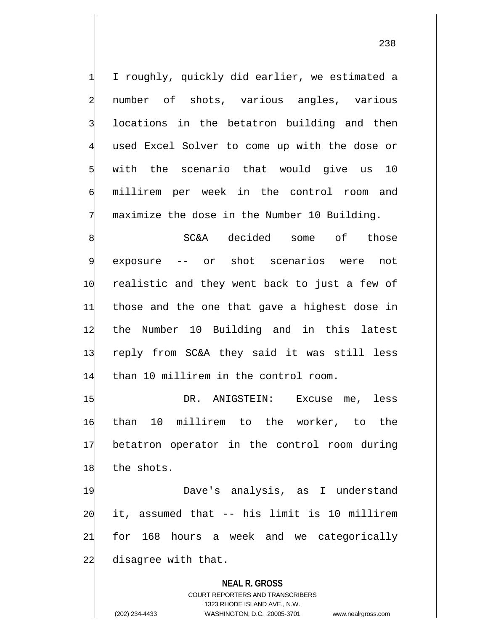1 I roughly, quickly did earlier, we estimated a number of shots, various angles, various locations in the betatron building and then used Excel Solver to come up with the dose or with the scenario that would give us 10 millirem per week in the control room and maximize the dose in the Number 10 Building.

 SC&A decided some of those exposure -- or shot scenarios were not realistic and they went back to just a few of those and the one that gave a highest dose in the Number 10 Building and in this latest reply from SC&A they said it was still less than 10 millirem in the control room.

15 DR. ANIGSTEIN: Excuse me, less 16 than 10 millirem to the worker, to the 17 betatron operator in the control room during 18 the shots.

 Dave's analysis, as I understand it, assumed that -- his limit is 10 millirem for 168 hours a week and we categorically 22 disagree with that.

## **NEAL R. GROSS**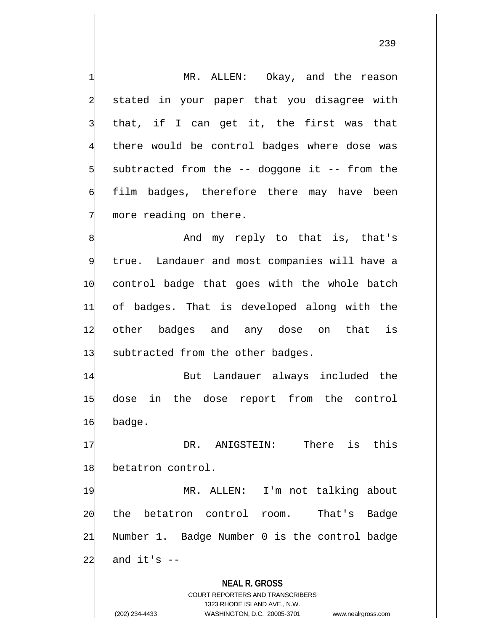**NEAL R. GROSS** COURT REPORTERS AND TRANSCRIBERS 1323 RHODE ISLAND AVE., N.W. (202) 234-4433 WASHINGTON, D.C. 20005-3701 www.nealrgross.com MR. ALLEN: Okay, and the reason stated in your paper that you disagree with that, if I can get it, the first was that there would be control badges where dose was subtracted from the  $-$ - doggone it  $-$ - from the film badges, therefore there may have been more reading on there. And my reply to that is, that's true. Landauer and most companies will have a 10 control badge that goes with the whole batch 11 of badges. That is developed along with the 12 other badges and any dose on that is 13 subtracted from the other badges. 14 But Landauer always included the 15 dose in the dose report from the control 16 badge. 17 OR. ANIGSTEIN: There is this 18 betatron control. 19 MR. ALLEN: I'm not talking about 20 the betatron control room. That's Badge 21 Number 1. Badge Number 0 is the control badge  $22$  and it's  $-$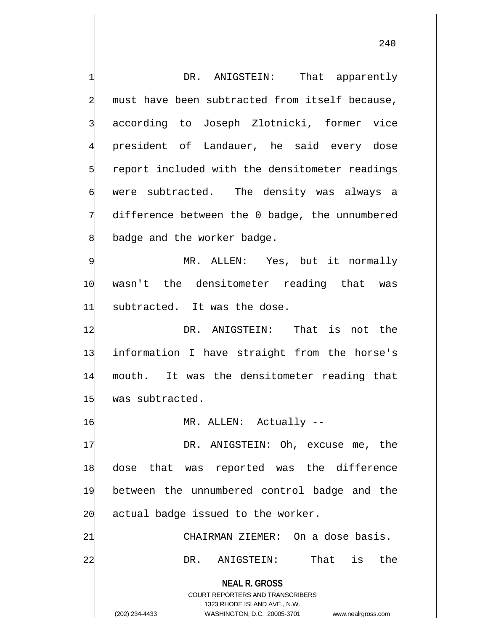**NEAL R. GROSS** COURT REPORTERS AND TRANSCRIBERS 1323 RHODE ISLAND AVE., N.W. (202) 234-4433 WASHINGTON, D.C. 20005-3701 www.nealrgross.com DR. ANIGSTEIN: That apparently must have been subtracted from itself because, according to Joseph Zlotnicki, former vice 4 president of Landauer, he said every dose report included with the densitometer readings were subtracted. The density was always a difference between the 0 badge, the unnumbered badge and the worker badge. MR. ALLEN: Yes, but it normally 10 wasn't the densitometer reading that was 11 subtracted. It was the dose. 12 DR. ANIGSTEIN: That is not the 13 information I have straight from the horse's 14 mouth. It was the densitometer reading that 15 was subtracted. 16 MR. ALLEN: Actually --17 DR. ANIGSTEIN: Oh, excuse me, the 18 dose that was reported was the difference 19 between the unnumbered control badge and the  $2\phi$  actual badge issued to the worker. 21 CHAIRMAN ZIEMER: On a dose basis. 22 DR. ANIGSTEIN: That is the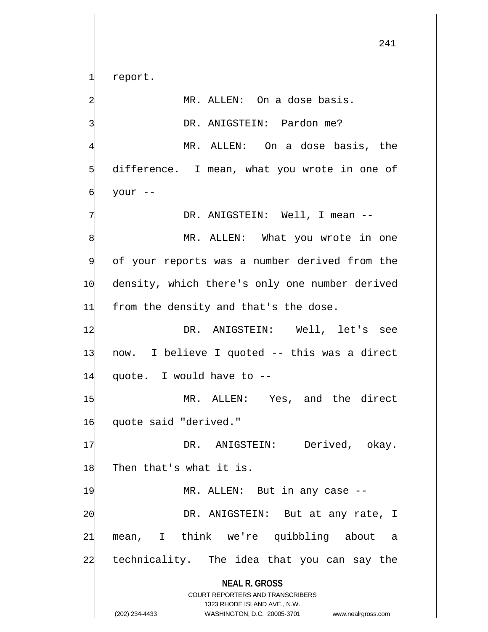report.

MR. ALLEN: On a dose basis.

DR. ANIGSTEIN: Pardon me?

MR. ALLEN: On a dose basis, the difference. I mean, what you wrote in one of your --

DR. ANIGSTEIN: Well, I mean --

MR. ALLEN: What you wrote in one of your reports was a number derived from the 10 density, which there's only one number derived 11 from the density and that's the dose.

12 DR. ANIGSTEIN: Well, let's see 13 now. I believe I quoted -- this was a direct 14 quote. I would have to --

1\$ MR. ALLEN: Yes, and the direct 16 quote said "derived."

17 DR. ANIGSTEIN: Derived, okay. 18 Then that's what it is.

19 MR. ALLEN: But in any case --2 $\phi$  DR. ANIGSTEIN: But at any rate, I 21 mean, I think we're quibbling about a 24 technicality. The idea that you can say the

**NEAL R. GROSS**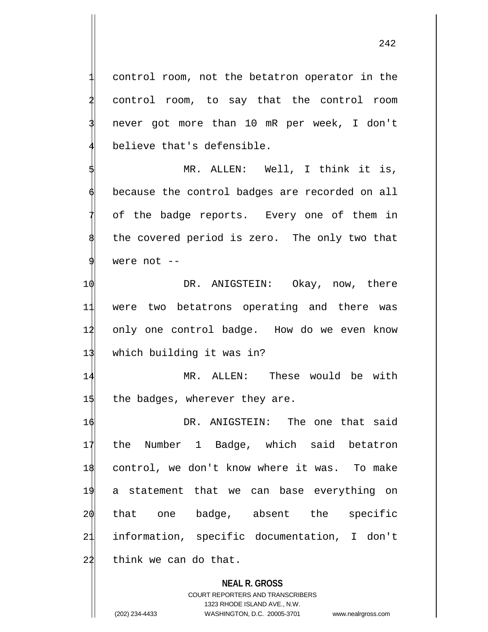control room, not the betatron operator in the control room, to say that the control room 3 never got more than 10 mR per week, I don't believe that's defensible.

MR. ALLEN: Well, I think it is, because the control badges are recorded on all of the badge reports. Every one of them in the covered period is zero. The only two that were not  $--$ 

 DR. ANIGSTEIN: Okay, now, there were two betatrons operating and there was only one control badge. How do we even know 13 which building it was in?

14 MR. ALLEN: These would be with  $1\frac{1}{3}$  the badges, wherever they are.

 DR. ANIGSTEIN: The one that said the Number 1 Badge, which said betatron control, we don't know where it was. To make a statement that we can base everything on that one badge, absent the specific information, specific documentation, I don't think we can do that.

## **NEAL R. GROSS**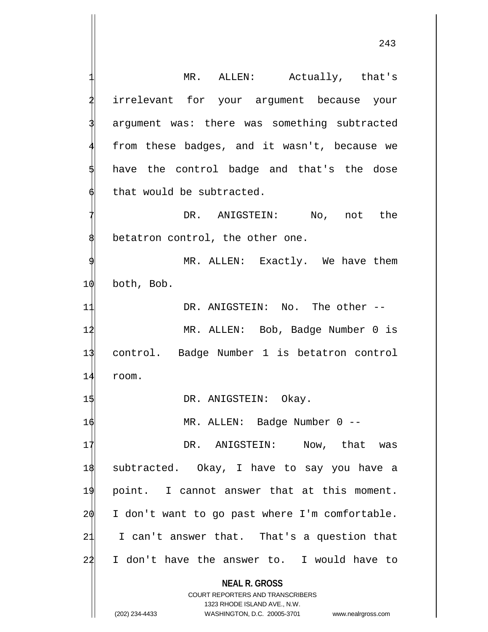**NEAL R. GROSS** COURT REPORTERS AND TRANSCRIBERS 1323 RHODE ISLAND AVE., N.W. MR. ALLEN: Actually, that's irrelevant for your argument because your argument was: there was something subtracted from these badges, and it wasn't, because we have the control badge and that's the dose that would be subtracted. DR. ANIGSTEIN: No, not the betatron control, the other one. MR. ALLEN: Exactly. We have them 10 both, Bob. 11 DR. ANIGSTEIN: No. The other -- 12 MR. ALLEN: Bob, Badge Number 0 is 13 control. Badge Number 1 is betatron control 14 room. 1\$ DR. ANIGSTEIN: Okay. 16 MR. ALLEN: Badge Number 0 -- 17 DR. ANIGSTEIN: Now, that was 18 subtracted. Okay, I have to say you have a 19 point. I cannot answer that at this moment.  $20$  I don't want to go past where I'm comfortable. 21 I can't answer that. That's a question that  $24$  I don't have the answer to. I would have to

(202) 234-4433 WASHINGTON, D.C. 20005-3701 www.nealrgross.com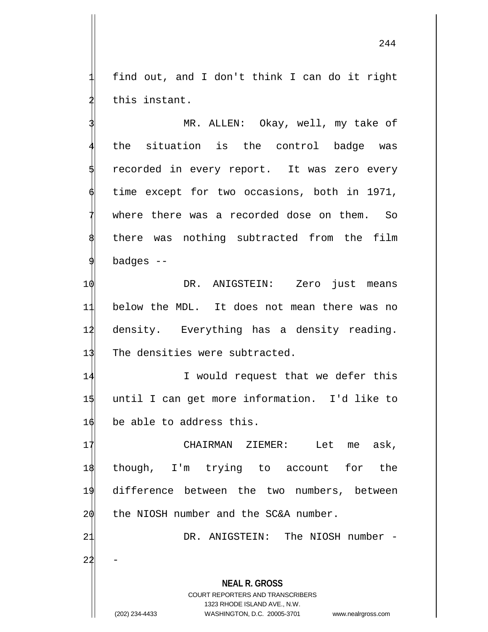find out, and I don't think I can do it right this instant.

MR. ALLEN: Okay, well, my take of the situation is the control badge was recorded in every report. It was zero every time except for two occasions, both in 1971, where there was a recorded dose on them. So there was nothing subtracted from the film badges --

 DR. ANIGSTEIN: Zero just means below the MDL. It does not mean there was no density. Everything has a density reading. 13 The densities were subtracted.

14 I would request that we defer this 15 until I can get more information. I'd like to  $16$  be able to address this.

17 CHAIRMAN ZIEMER: Let me ask, though, I'm trying to account for the difference between the two numbers, between the NIOSH number and the SC&A number.

**NEAL R. GROSS** COURT REPORTERS AND TRANSCRIBERS 21 DR. ANIGSTEIN: The NIOSH number - $22$ 

1323 RHODE ISLAND AVE., N.W.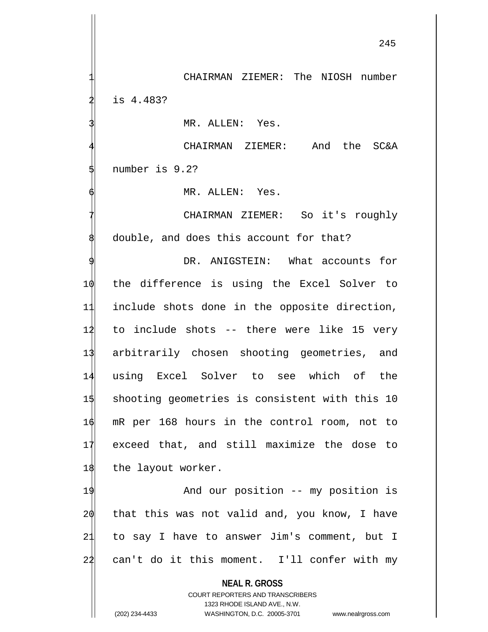CHAIRMAN ZIEMER: The NIOSH number is 4.483? MR. ALLEN: Yes.

4 CHAIRMAN ZIEMER: And the SC&A number is 9.2?

6 MR. ALLEN: Yes.

CHAIRMAN ZIEMER: So it's roughly double, and does this account for that?

DR. ANIGSTEIN: What accounts for the difference is using the Excel Solver to include shots done in the opposite direction, to include shots -- there were like 15 very arbitrarily chosen shooting geometries, and using Excel Solver to see which of the shooting geometries is consistent with this 10 mR per 168 hours in the control room, not to exceed that, and still maximize the dose to 18 the layout worker.

19 And our position -- my position is that this was not valid and, you know, I have to say I have to answer Jim's comment, but I can't do it this moment. I'll confer with my

**NEAL R. GROSS**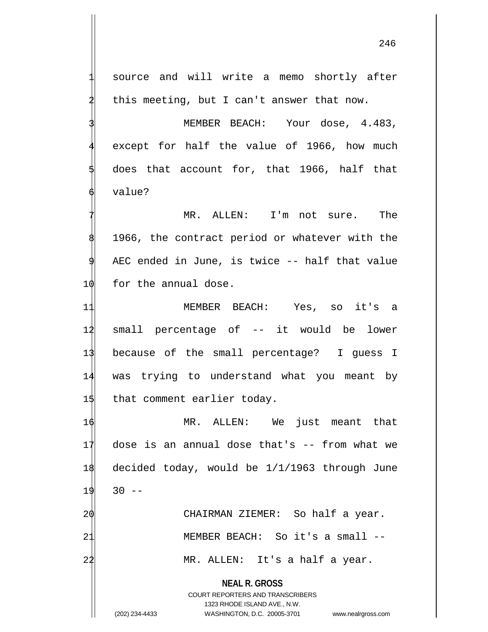source and will write a memo shortly after this meeting, but I can't answer that now.

MEMBER BEACH: Your dose, 4.483, except for half the value of 1966, how much 5 does that account for, that 1966, half that value?

MR. ALLEN: I'm not sure. The 1966, the contract period or whatever with the AEC ended in June, is twice -- half that value 10 for the annual dose.

11 MEMBER BEACH: Yes, so it's a 14 small percentage of -- it would be lower 13 because of the small percentage? I guess I 14 was trying to understand what you meant by 1\$ that comment earlier today.

 MR. ALLEN: We just meant that dose is an annual dose that's -- from what we decided today, would be 1/1/1963 through June  $19$  30  $\phi$  CHAIRMAN ZIEMER: So half a year.

21 MEMBER BEACH: So it's a small --

22 MR. ALLEN: It's a half a year.

**NEAL R. GROSS** COURT REPORTERS AND TRANSCRIBERS

1323 RHODE ISLAND AVE., N.W.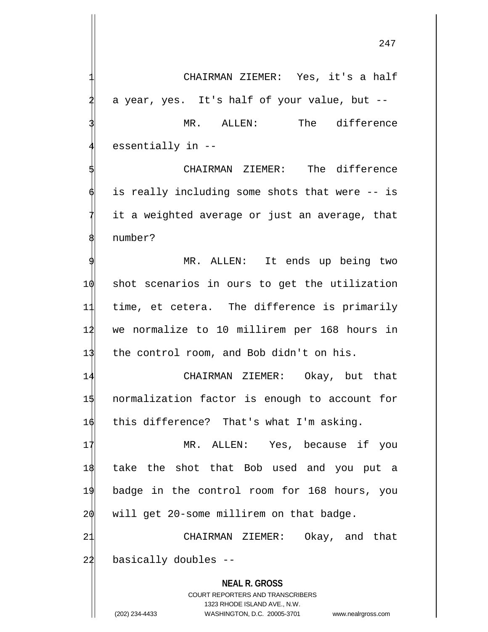CHAIRMAN ZIEMER: Yes, it's a half a year, yes. It's half of your value, but --MR. ALLEN: The difference essentially in --CHAIRMAN ZIEMER: The difference is really including some shots that were -- is

it a weighted average or just an average, that number?

MR. ALLEN: It ends up being two 10 shot scenarios in ours to get the utilization 11 time, et cetera. The difference is primarily 12 we normalize to 10 millirem per 168 hours in 13 the control room, and Bob didn't on his.

14 CHAIRMAN ZIEMER: Okay, but that 15 normalization factor is enough to account for 16 this difference? That's what I'm asking.

17 MR. ALLEN: Yes, because if you 18 take the shot that Bob used and you put a 19 badge in the control room for 168 hours, you 20 will get 20-some millirem on that badge.

21 CHAIRMAN ZIEMER: Okay, and that  $22$  basically doubles  $-$ 

> **NEAL R. GROSS** COURT REPORTERS AND TRANSCRIBERS 1323 RHODE ISLAND AVE., N.W. (202) 234-4433 WASHINGTON, D.C. 20005-3701 www.nealrgross.com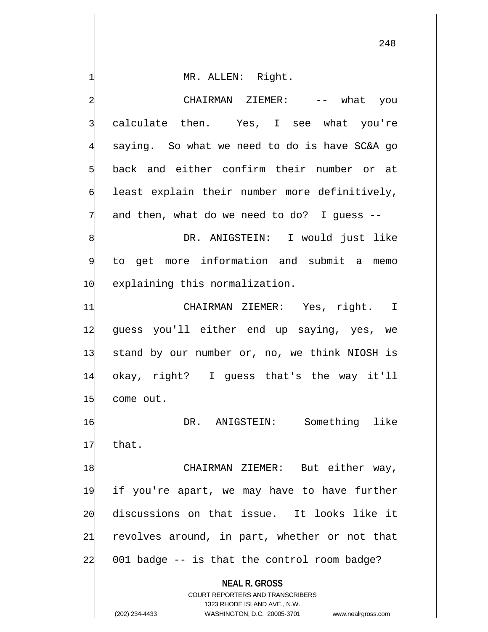MR. ALLEN: Right.

2 CHAIRMAN ZIEMER: -- what you calculate then. Yes, I see what you're saying. So what we need to do is have SC&A go back and either confirm their number or at least explain their number more definitively, and then, what do we need to do? I guess  $-$ -DR. ANIGSTEIN: I would just like 9 to get more information and submit a memo 1 $\phi$  explaining this normalization. 11 CHAIRMAN ZIEMER: Yes, right. I 12 guess you'll either end up saying, yes, we 13 stand by our number or, no, we think NIOSH is 14 okay, right? I guess that's the way it'll  $15$  come out. 16 DR. ANIGSTEIN: Something like  $17$  that. 1\$ CHAIRMAN ZIEMER: But either way, 19 if you're apart, we may have to have further 20 discussions on that issue. It looks like it 21 revolves around, in part, whether or not that  $24$  001 badge  $-$  is that the control room badge?

> **NEAL R. GROSS** COURT REPORTERS AND TRANSCRIBERS

> > 1323 RHODE ISLAND AVE., N.W.

(202) 234-4433 WASHINGTON, D.C. 20005-3701 www.nealrgross.com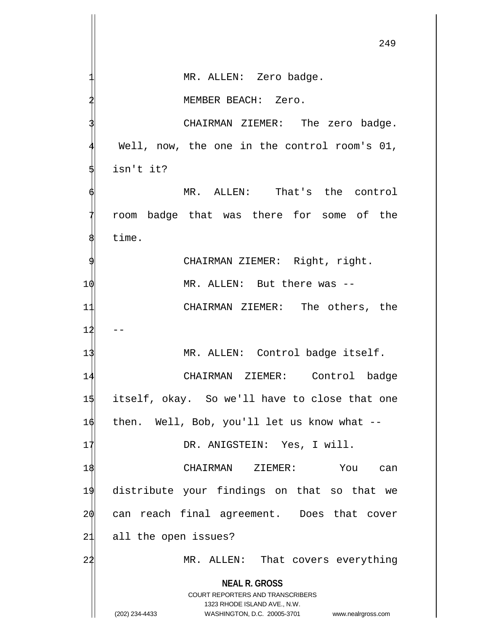**NEAL R. GROSS** COURT REPORTERS AND TRANSCRIBERS 1323 RHODE ISLAND AVE., N.W. (202) 234-4433 WASHINGTON, D.C. 20005-3701 www.nealrgross.com MR. ALLEN: Zero badge. 2 MEMBER BEACH: Zero. CHAIRMAN ZIEMER: The zero badge. Well, now, the one in the control room's 01, isn't it? MR. ALLEN: That's the control 7 room badge that was there for some of the time. CHAIRMAN ZIEMER: Right, right. 10 MR. ALLEN: But there was --11 CHAIRMAN ZIEMER: The others, the  $12$ 13 MR. ALLEN: Control badge itself. 14 CHAIRMAN ZIEMER: Control badge 15 itself, okay. So we'll have to close that one 16 then. Well, Bob, you'll let us know what -- 17 DR. ANIGSTEIN: Yes, I will. 18 CHAIRMAN ZIEMER: You can 19 distribute your findings on that so that we 20 can reach final agreement. Does that cover 21 all the open issues? 24 MR. ALLEN: That covers everything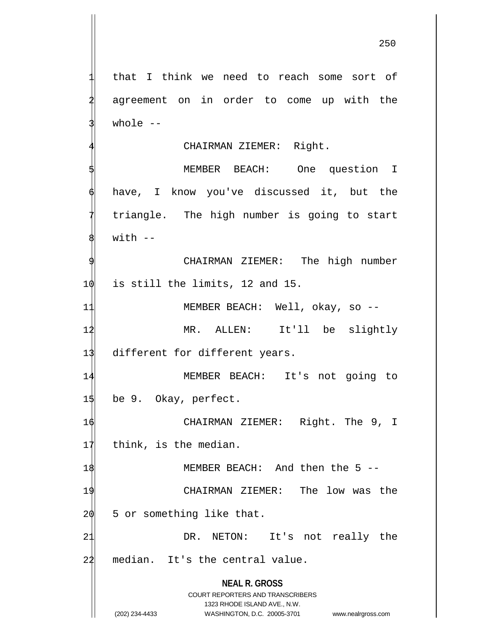that I think we need to reach some sort of agreement on in order to come up with the whole  $--$ 

## CHAIRMAN ZIEMER: Right.

MEMBER BEACH: One question I have, I know you've discussed it, but the triangle. The high number is going to start  $with$   $-$ 

CHAIRMAN ZIEMER: The high number  $10$  is still the limits, 12 and 15.

11 MEMBER BEACH: Well, okay, so -- 12 MR. ALLEN: It'll be slightly 13 different for different years.

14 MEMBER BEACH: It's not going to 15 be 9. Okay, perfect.

16 CHAIRMAN ZIEMER: Right. The 9, I  $1$ <sup> $\parallel$ </sup> think, is the median.

19 CHAIRMAN ZIEMER: The low was the  $20$  5 or something like that.

1\$ 18 MEMBER BEACH: And then the 5 --

21 DR. NETON: It's not really the 22 median. It's the central value.

> **NEAL R. GROSS** COURT REPORTERS AND TRANSCRIBERS

> > 1323 RHODE ISLAND AVE., N.W.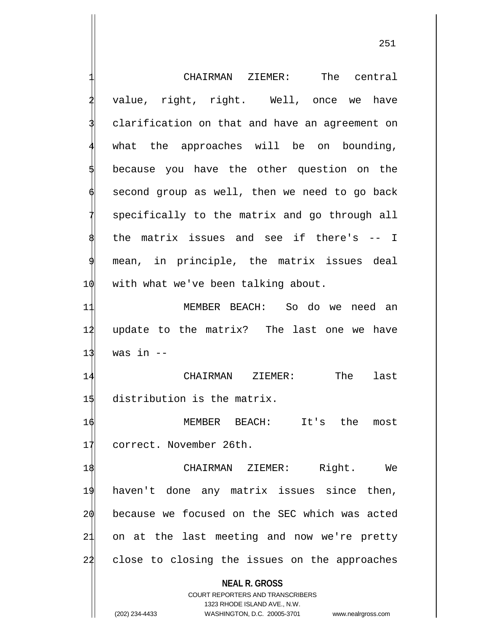|    | CHAIRMAN ZIEMER: The central                                                                                                                                           |
|----|------------------------------------------------------------------------------------------------------------------------------------------------------------------------|
|    | value, right, right. Well, once we<br>have                                                                                                                             |
|    | clarification on that and have an agreement on                                                                                                                         |
|    | what the approaches will be on bounding,                                                                                                                               |
|    | because you have the other question on the                                                                                                                             |
|    | second group as well, then we need to go back                                                                                                                          |
|    | specifically to the matrix and go through all                                                                                                                          |
|    | the matrix issues and see if there's -- I                                                                                                                              |
| 9  | mean, in principle, the matrix issues deal                                                                                                                             |
| 10 | with what we've been talking about.                                                                                                                                    |
| 11 | MEMBER BEACH: So do we need an                                                                                                                                         |
| 12 | update to the matrix? The last one we have                                                                                                                             |
| 13 | was in $--$                                                                                                                                                            |
| 14 | CHAIRMAN ZIEMER:<br>The<br>last                                                                                                                                        |
| 15 | distribution is the matrix.                                                                                                                                            |
| 16 | MEMBER BEACH: It's<br>the<br>most                                                                                                                                      |
| 17 | correct. November 26th.                                                                                                                                                |
| 18 | Right.<br>CHAIRMAN ZIEMER:<br>We                                                                                                                                       |
| 19 | haven't done any matrix issues since then,                                                                                                                             |
| 20 | because we focused on the SEC which was acted                                                                                                                          |
| 21 | on at the last meeting and now we're pretty                                                                                                                            |
| 22 | close to closing the issues on the approaches                                                                                                                          |
|    | <b>NEAL R. GROSS</b><br><b>COURT REPORTERS AND TRANSCRIBERS</b><br>1323 RHODE ISLAND AVE., N.W.<br>(202) 234-4433<br>WASHINGTON, D.C. 20005-3701<br>www.nealrgross.com |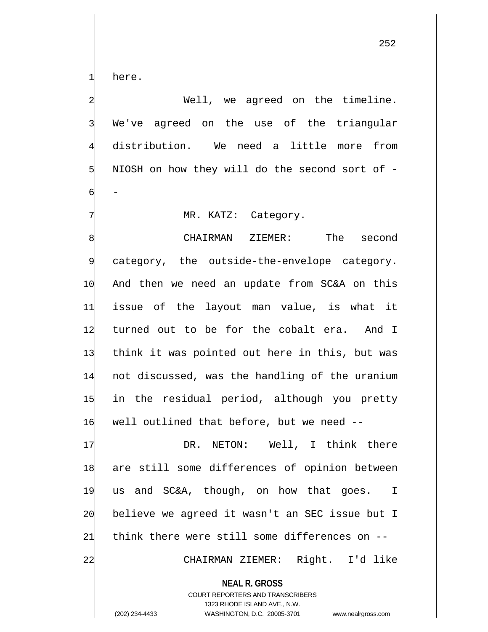here.

Well, we agreed on the timeline. We've agreed on the use of the triangular distribution. We need a little more from NIOSH on how they will do the second sort of - $\phi$  -

MR. KATZ: Category.

CHAIRMAN ZIEMER: The second category, the outside-the-envelope category. And then we need an update from SC&A on this issue of the layout man value, is what it 12 turned out to be for the cobalt era. And I think it was pointed out here in this, but was not discussed, was the handling of the uranium in the residual period, although you pretty well outlined that before, but we need --

17 DR. NETON: Well, I think there are still some differences of opinion between us and SC&A, though, on how that goes. I believe we agreed it wasn't an SEC issue but I think there were still some differences on -- CHAIRMAN ZIEMER: Right. I'd like

**NEAL R. GROSS** COURT REPORTERS AND TRANSCRIBERS 1323 RHODE ISLAND AVE., N.W. (202) 234-4433 WASHINGTON, D.C. 20005-3701 www.nealrgross.com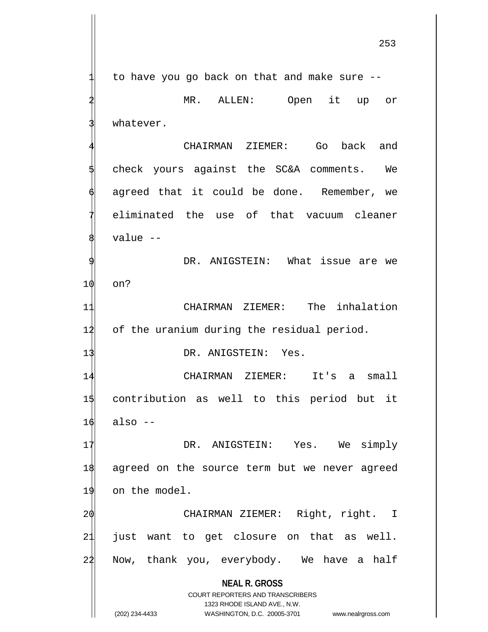**NEAL R. GROSS** COURT REPORTERS AND TRANSCRIBERS 1323 RHODE ISLAND AVE., N.W. to have you go back on that and make sure --MR. ALLEN: Open it up or whatever. CHAIRMAN ZIEMER: Go back and 5 check yours against the SC&A comments. We agreed that it could be done. Remember, we 7 eliminated the use of that vacuum cleaner value --DR. ANIGSTEIN: What issue are we 10 on? 11 CHAIRMAN ZIEMER: The inhalation 12 of the uranium during the residual period. 13 DR. ANIGSTEIN: Yes. 14 CHAIRMAN ZIEMER: It's a small 15 contribution as well to this period but it  $16$  also  $-$ 17 DR. ANIGSTEIN: Yes. We simply 18 agreed on the source term but we never agreed 19 on the model. 20 CHAIRMAN ZIEMER: Right, right. I 21 just want to get closure on that as well. 24 Now, thank you, everybody. We have a half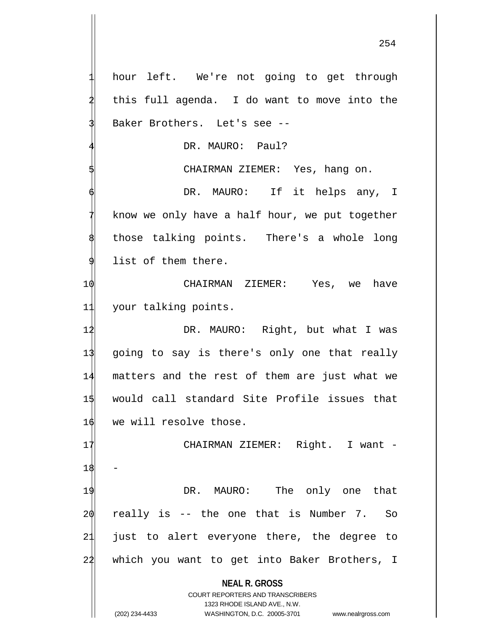**NEAL R. GROSS** COURT REPORTERS AND TRANSCRIBERS 1323 RHODE ISLAND AVE., N.W. hour left. We're not going to get through this full agenda. I do want to move into the Baker Brothers. Let's see --DR. MAURO: Paul? CHAIRMAN ZIEMER: Yes, hang on. DR. MAURO: If it helps any, I know we only have a half hour, we put together those talking points. There's a whole long list of them there. 10 CHAIRMAN ZIEMER: Yes, we have 11 your talking points. 12 DR. MAURO: Right, but what I was 13 going to say is there's only one that really 14 matters and the rest of them are just what we 15 would call standard Site Profile issues that 16 we will resolve those. 17 CHAIRMAN ZIEMER: Right. I want 18 19 DR. MAURO: The only one that  $20$  really is  $-$  the one that is Number 7. So 21 just to alert everyone there, the degree to 24 which you want to get into Baker Brothers, I

(202) 234-4433 WASHINGTON, D.C. 20005-3701 www.nealrgross.com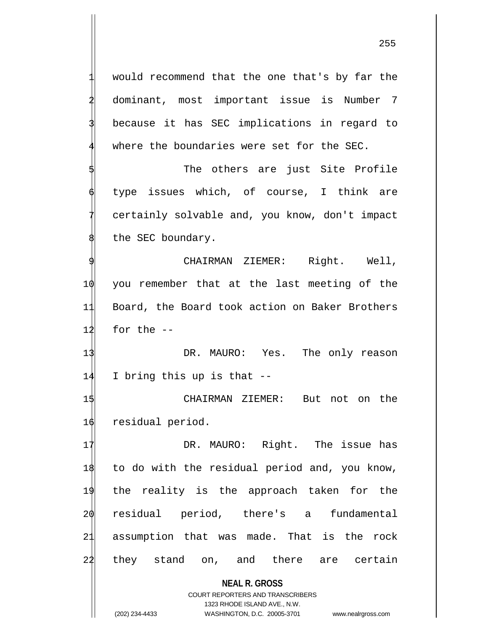**NEAL R. GROSS** COURT REPORTERS AND TRANSCRIBERS would recommend that the one that's by far the 2 dominant, most important issue is Number 7 because it has SEC implications in regard to where the boundaries were set for the SEC. The others are just Site Profile type issues which, of course, I think are certainly solvable and, you know, don't impact the SEC boundary. CHAIRMAN ZIEMER: Right. Well, 10 you remember that at the last meeting of the 11 Board, the Board took action on Baker Brothers  $12$  for the  $-$ 13 DR. MAURO: Yes. The only reason 14 I bring this up is that -- 15 CHAIRMAN ZIEMER: But not on the 16 residual period. 17 DR. MAURO: Right. The issue has 18 to do with the residual period and, you know, 19 the reality is the approach taken for the 20 residual period, there's a fundamental 21 assumption that was made. That is the rock 22 they stand on, and there are certain

1323 RHODE ISLAND AVE., N.W.

(202) 234-4433 WASHINGTON, D.C. 20005-3701 www.nealrgross.com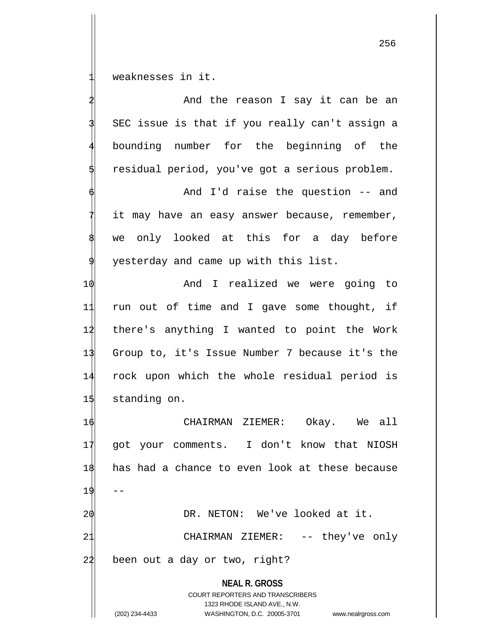weaknesses in it.

**NEAL R. GROSS** COURT REPORTERS AND TRANSCRIBERS 1323 RHODE ISLAND AVE., N.W. (202) 234-4433 WASHINGTON, D.C. 20005-3701 www.nealrgross.com And the reason I say it can be an SEC issue is that if you really can't assign a 4 bounding number for the beginning of the residual period, you've got a serious problem. And I'd raise the question -- and it may have an easy answer because, remember, we only looked at this for a day before yesterday and came up with this list. 10 And I realized we were going to 11 run out of time and I gave some thought, if 12 there's anything I wanted to point the Work 13 Group to, it's Issue Number 7 because it's the 14 rock upon which the whole residual period is 15 standing on. 16 CHAIRMAN ZIEMER: Okay. We all 17 got your comments. I don't know that NIOSH 18 has had a chance to even look at these because 19 2 $\phi$  DR. NETON: We've looked at it. 21 CHAIRMAN ZIEMER: -- they've only 24 been out a day or two, right?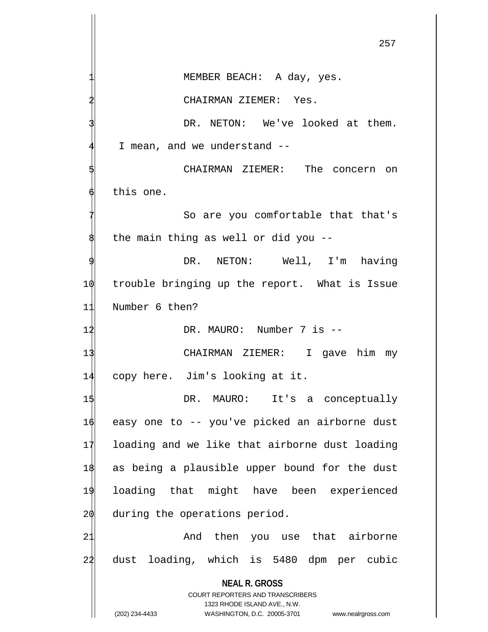**NEAL R. GROSS** COURT REPORTERS AND TRANSCRIBERS 1323 RHODE ISLAND AVE., N.W. (202) 234-4433 WASHINGTON, D.C. 20005-3701 www.nealrgross.com MEMBER BEACH: A day, yes. CHAIRMAN ZIEMER: Yes. DR. NETON: We've looked at them. I mean, and we understand --CHAIRMAN ZIEMER: The concern on this one. So are you comfortable that that's the main thing as well or did you --DR. NETON: Well, I'm having 10 trouble bringing up the report. What is Issue 11 Number 6 then? 1<sup>2</sup> DR. MAURO: Number 7 is --13 CHAIRMAN ZIEMER: I gave him my 14 copy here. Jim's looking at it. 15 DR. MAURO: It's a conceptually 16 easy one to -- you've picked an airborne dust 17 loading and we like that airborne dust loading 18 as being a plausible upper bound for the dust 19 loading that might have been experienced  $2\phi$  during the operations period. 21 And then you use that airborne 22 dust loading, which is 5480 dpm per cubic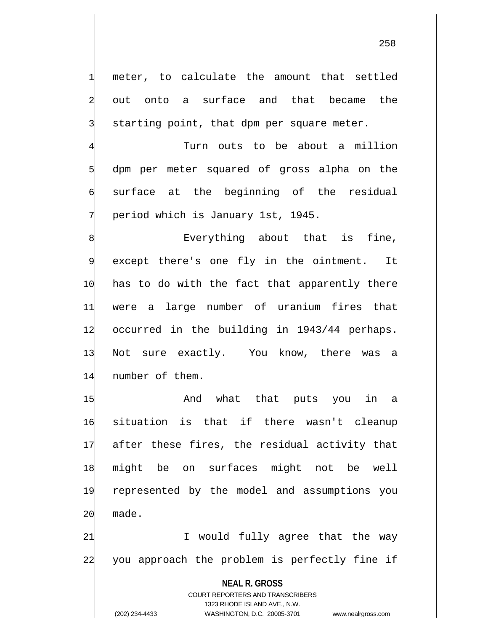meter, to calculate the amount that settled out onto a surface and that became the starting point, that dpm per square meter.

Turn outs to be about a million dpm per meter squared of gross alpha on the surface at the beginning of the residual 7 period which is January 1st, 1945.

Everything about that is fine, except there's one fly in the ointment. It 10 has to do with the fact that apparently there 11 were a large number of uranium fires that 12 occurred in the building in 1943/44 perhaps. 13 Not sure exactly. You know, there was a 14 number of them.

1\$ 15 And what that puts you in a situation is that if there wasn't cleanup after these fires, the residual activity that might be on surfaces might not be well represented by the model and assumptions you 20 made.

21 I would fully agree that the way 22 you approach the problem is perfectly fine if

**NEAL R. GROSS**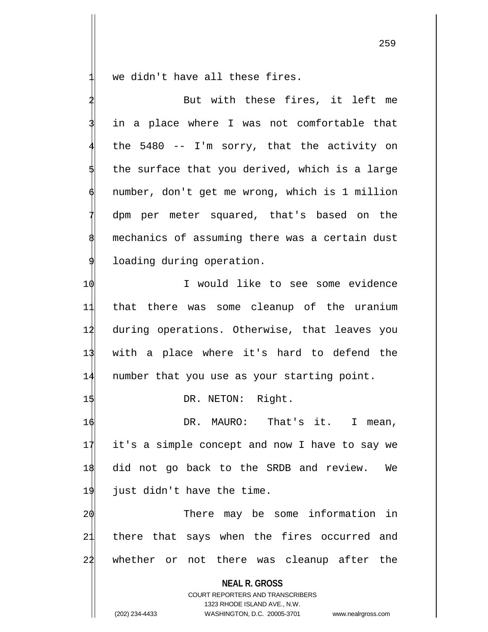we didn't have all these fires.

**NEAL R. GROSS** COURT REPORTERS AND TRANSCRIBERS 1323 RHODE ISLAND AVE., N.W. But with these fires, it left me in a place where I was not comfortable that the  $5480$  -- I'm sorry, that the activity on the surface that you derived, which is a large number, don't get me wrong, which is 1 million dpm per meter squared, that's based on the mechanics of assuming there was a certain dust loading during operation. 1 $\phi$  I would like to see some evidence 11 that there was some cleanup of the uranium 12 during operations. Otherwise, that leaves you 13 with a place where it's hard to defend the 14 number that you use as your starting point. 1\$ DR. NETON: Right. 16 DR. MAURO: That's it. I mean, 17 it's a simple concept and now I have to say we 18 did not go back to the SRDB and review. We 19 just didn't have the time. 2 $\phi$  20 There may be some information in 21 there that says when the fires occurred and 24 whether or not there was cleanup after the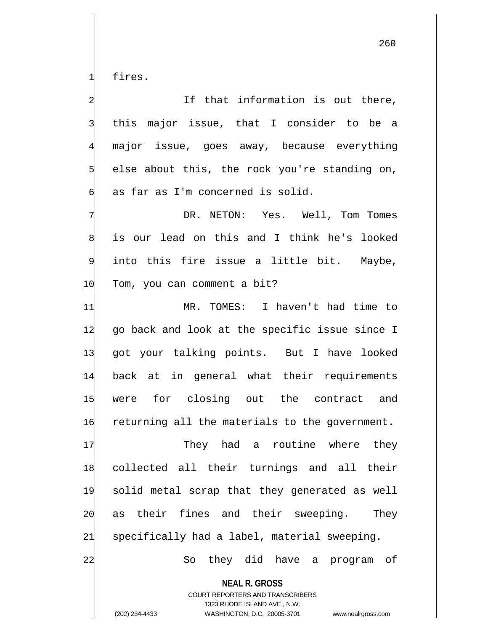fires.

|    | If that information is out there,                        |
|----|----------------------------------------------------------|
|    | this major issue, that I consider to be a                |
|    | major issue, goes away, because everything               |
|    | else about this, the rock you're standing on,            |
|    | as far as I'm concerned is solid.                        |
|    | DR. NETON: Yes. Well, Tom Tomes                          |
|    | is our lead on this and I think he's looked              |
| 9  | into this fire issue a little bit. Maybe,                |
| 10 | Tom, you can comment a bit?                              |
| 11 | MR. TOMES: I haven't had time to                         |
| 12 | go back and look at the specific issue since I           |
| 13 | got your talking points. But I have looked               |
| 14 | back at in general what their requirements               |
| 15 | were for closing out the contract and                    |
| 16 | returning all the materials to the government.           |
| 17 | They had a routine where they                            |
| 18 | collected all their turnings and all their               |
| 19 | solid metal scrap that they generated as well            |
| 20 | their fines and their sweeping.<br>They<br>as            |
| 21 | specifically had a label, material sweeping.             |
| 22 | they did have a program<br>of<br>So                      |
|    | <b>NEAL R. GROSS</b><br>COURT REPORTERS AND TRANSCRIBERS |

1323 RHODE ISLAND AVE., N.W.

 $\prod$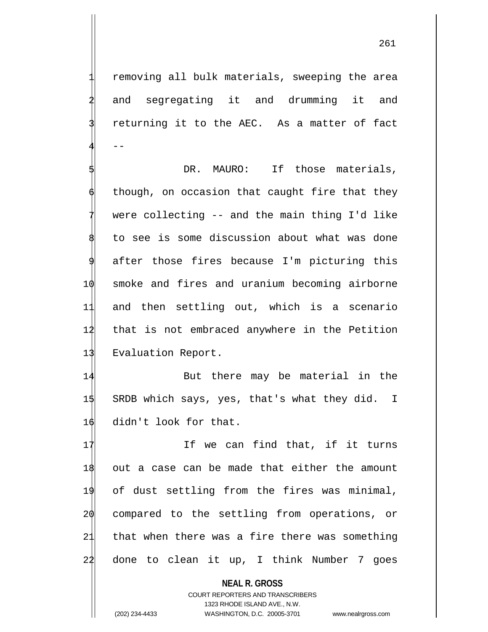removing all bulk materials, sweeping the area and segregating it and drumming it and returning it to the AEC. As a matter of fact  $4$  --

DR. MAURO: If those materials, though, on occasion that caught fire that they were collecting -- and the main thing I'd like to see is some discussion about what was done after those fires because I'm picturing this 10 smoke and fires and uranium becoming airborne 11 and then settling out, which is a scenario 12 that is not embraced anywhere in the Petition 13 Evaluation Report.

14 But there may be material in the 15 SRDB which says, yes, that's what they did. I 16 didn't look for that.

17 If we can find that, if it turns out a case can be made that either the amount of dust settling from the fires was minimal, compared to the settling from operations, or that when there was a fire there was something 22 done to clean it up, I think Number 7 goes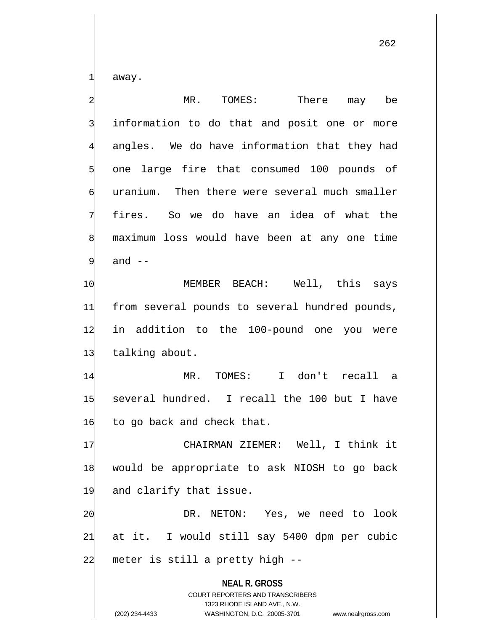away.

**NEAL R. GROSS** COURT REPORTERS AND TRANSCRIBERS MR. TOMES: There may be information to do that and posit one or more angles. We do have information that they had one large fire that consumed 100 pounds of uranium. Then there were several much smaller fires. So we do have an idea of what the maximum loss would have been at any one time and  $--$ 10 MEMBER BEACH: Well, this says 11 from several pounds to several hundred pounds, 12 in addition to the 100-pound one you were 13 talking about. 14 MR. TOMES: I don't recall a 15 several hundred. I recall the 100 but I have  $16$  to go back and check that. 17 CHAIRMAN ZIEMER: Well, I think it 18 would be appropriate to ask NIOSH to go back 19 and clarify that issue. 20 DR. NETON: Yes, we need to look 21 at it. I would still say 5400 dpm per cubic  $24$  meter is still a pretty high  $-$ 

1323 RHODE ISLAND AVE., N.W.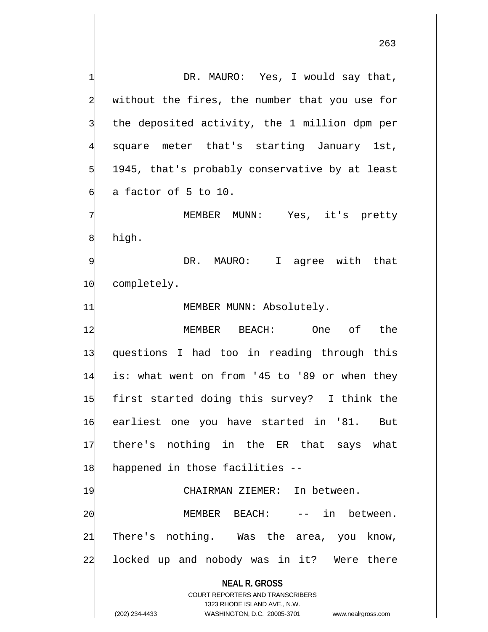**NEAL R. GROSS** COURT REPORTERS AND TRANSCRIBERS 1323 RHODE ISLAND AVE., N.W. DR. MAURO: Yes, I would say that, without the fires, the number that you use for the deposited activity, the 1 million dpm per square meter that's starting January 1st, 1945, that's probably conservative by at least a factor of 5 to 10. MEMBER MUNN: Yes, it's pretty high. DR. MAURO: I agree with that 10 completely. 11 MEMBER MUNN: Absolutely. 12 MEMBER BEACH: One of the 13 questions I had too in reading through this 14 is: what went on from '45 to '89 or when they 15 first started doing this survey? I think the 16 earliest one you have started in '81. But 17 there's nothing in the ER that says what 18 happened in those facilities -- 19 CHAIRMAN ZIEMER: In between. 20 MEMBER BEACH: -- in between. 21 There's nothing. Was the area, you know, 24 locked up and nobody was in it? Were there

(202) 234-4433 WASHINGTON, D.C. 20005-3701 www.nealrgross.com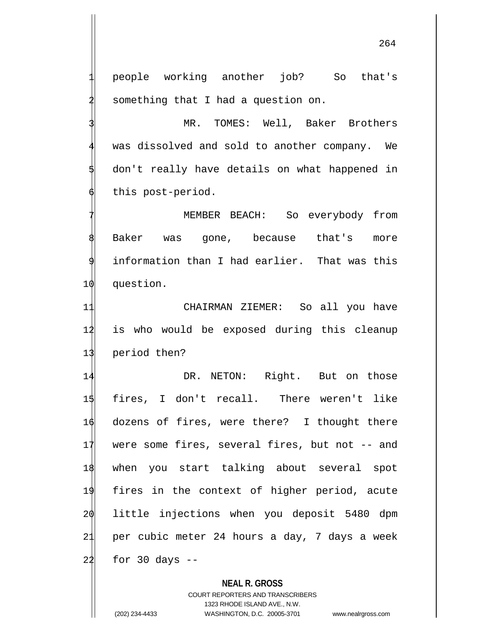people working another job? So that's something that I had a question on.

MR. TOMES: Well, Baker Brothers was dissolved and sold to another company. We don't really have details on what happened in this post-period.

7 MEMBER BEACH: So everybody from Baker was gone, because that's more information than I had earlier. That was this 10 question.

11 CHAIRMAN ZIEMER: So all you have 12 is who would be exposed during this cleanup 13 period then?

14 DR. NETON: Right. But on those fires, I don't recall. There weren't like dozens of fires, were there? I thought there 17 were some fires, several fires, but not -- and when you start talking about several spot fires in the context of higher period, acute little injections when you deposit 5480 dpm per cubic meter 24 hours a day, 7 days a week for 30 days  $-$ 

## **NEAL R. GROSS**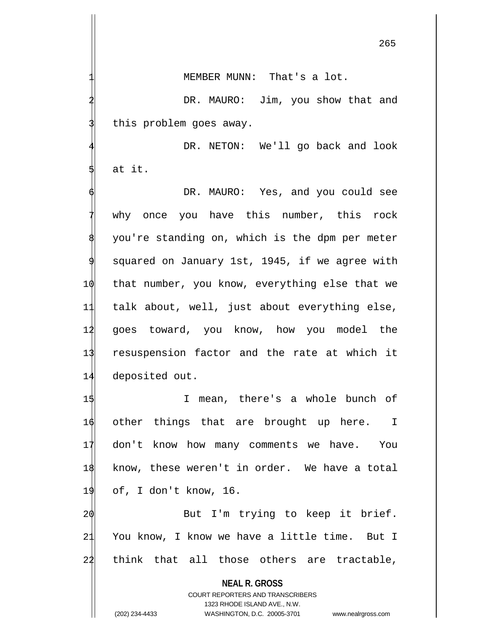265

MEMBER MUNN: That's a lot.

DR. MAURO: Jim, you show that and this problem goes away.

DR. NETON: We'll go back and look at it.

DR. MAURO: Yes, and you could see why once you have this number, this rock you're standing on, which is the dpm per meter squared on January 1st, 1945, if we agree with 10 that number, you know, everything else that we 11 talk about, well, just about everything else, 12 goes toward, you know, how you model the 13 resuspension factor and the rate at which it 14 deposited out.

 I mean, there's a whole bunch of 16 other things that are brought up here. I don't know how many comments we have. You know, these weren't in order. We have a total of, I don't know, 16.

20 But I'm trying to keep it brief. 21 You know, I know we have a little time. But I  $24$  think that all those others are tractable,

**NEAL R. GROSS**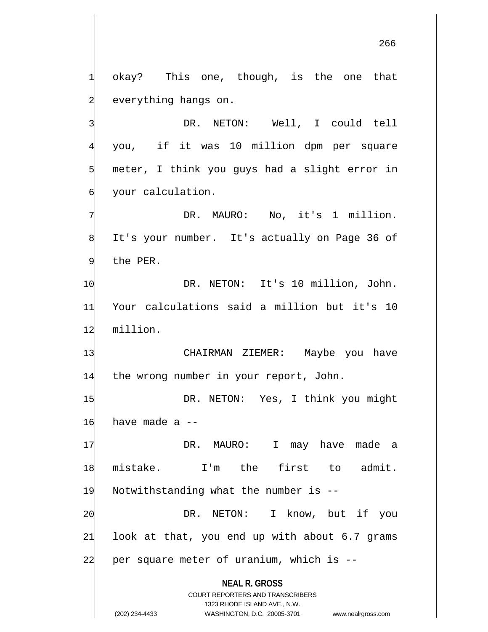okay? This one, though, is the one that everything hangs on.

DR. NETON: Well, I could tell 4 you, if it was 10 million dpm per square meter, I think you guys had a slight error in your calculation.

DR. MAURO: No, it's 1 million. It's your number. It's actually on Page 36 of the PER.

1 $\phi$  DR. NETON: It's 10 million, John. 11 Your calculations said a million but it's 10 12 million.

13 CHAIRMAN ZIEMER: Maybe you have 14 the wrong number in your report, John.

1\$ DR. NETON: Yes, I think you might  $16$  have made a  $-$ 

17 DR. MAURO: I may have made a mistake. I'm the first to admit. Notwithstanding what the number is -- DR. NETON: I know, but if you 21 look at that, you end up with about 6.7 grams per square meter of uranium, which is  $-$ 

**NEAL R. GROSS**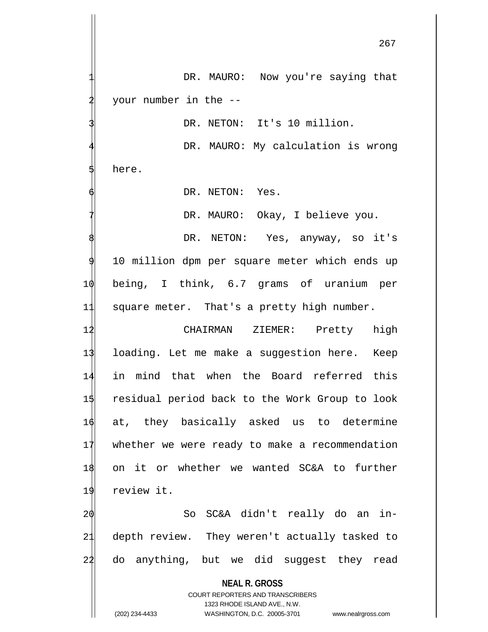DR. MAURO: Now you're saying that your number in the --DR. NETON: It's 10 million. DR. MAURO: My calculation is wrong here. DR. NETON: Yes. DR. MAURO: Okay, I believe you. DR. NETON: Yes, anyway, so it's 10 million dpm per square meter which ends up 10 being, I think, 6.7 grams of uranium per 11 square meter. That's a pretty high number. 12 CHAIRMAN ZIEMER: Pretty high 13 loading. Let me make a suggestion here. Keep 14 in mind that when the Board referred this 15 residual period back to the Work Group to look 16 at, they basically asked us to determine 17 whether we were ready to make a recommendation 18 on it or whether we wanted SC&A to further 19 review it.

20 So SC&A didn't really do an in-21 depth review. They weren't actually tasked to 24 do anything, but we did suggest they read

**NEAL R. GROSS**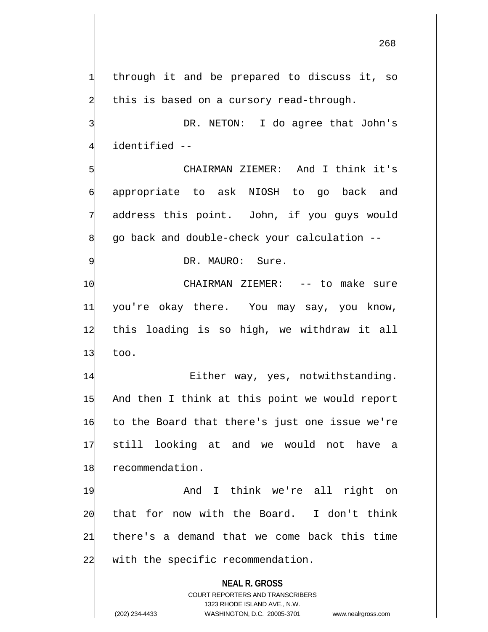through it and be prepared to discuss it, so this is based on a cursory read-through.

DR. NETON: I do agree that John's identified --

5 CHAIRMAN ZIEMER: And I think it's appropriate to ask NIOSH to go back and address this point. John, if you guys would 8 go back and double-check your calculation --

DR. MAURO: Sure.

10 CHAIRMAN ZIEMER: -- to make sure 11 you're okay there. You may say, you know, 12 this loading is so high, we withdraw it all  $13$  too.

14 Either way, yes, notwithstanding. And then I think at this point we would report to the Board that there's just one issue we're still looking at and we would not have a recommendation.

19 And I think we're all right on 20 that for now with the Board. I don't think 21 there's a demand that we come back this time 22 with the specific recommendation.

> **NEAL R. GROSS** COURT REPORTERS AND TRANSCRIBERS

1323 RHODE ISLAND AVE., N.W. (202) 234-4433 WASHINGTON, D.C. 20005-3701 www.nealrgross.com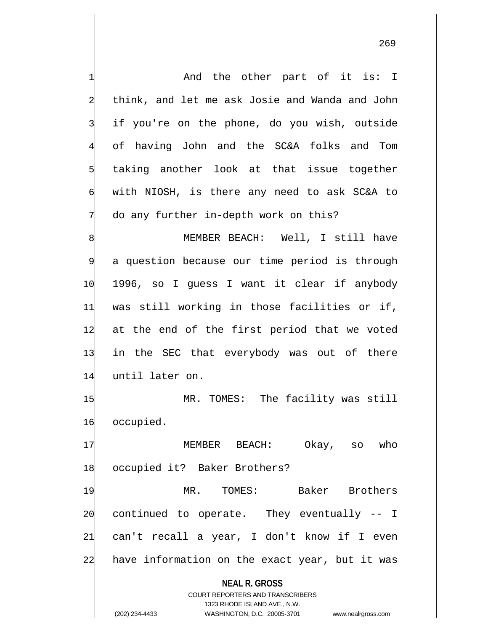**NEAL R. GROSS** COURT REPORTERS AND TRANSCRIBERS And the other part of it is: I 2 think, and let me ask Josie and Wanda and John if you're on the phone, do you wish, outside 4 of having John and the SC&A folks and Tom taking another look at that issue together with NIOSH, is there any need to ask SC&A to do any further in-depth work on this? MEMBER BEACH: Well, I still have a question because our time period is through 10 1996, so I guess I want it clear if anybody 11 was still working in those facilities or if, 12 at the end of the first period that we voted 13 in the SEC that everybody was out of there 14 until later on. 15 MR. TOMES: The facility was still 16 occupied. 17 MEMBER BEACH: Okay, so who 18 occupied it? Baker Brothers? 19 MR. TOMES: Baker Brothers  $20$  continued to operate. They eventually  $-1$ 21 can't recall a year, I don't know if I even 22 have information on the exact year, but it was

1323 RHODE ISLAND AVE., N.W.

(202) 234-4433 WASHINGTON, D.C. 20005-3701 www.nealrgross.com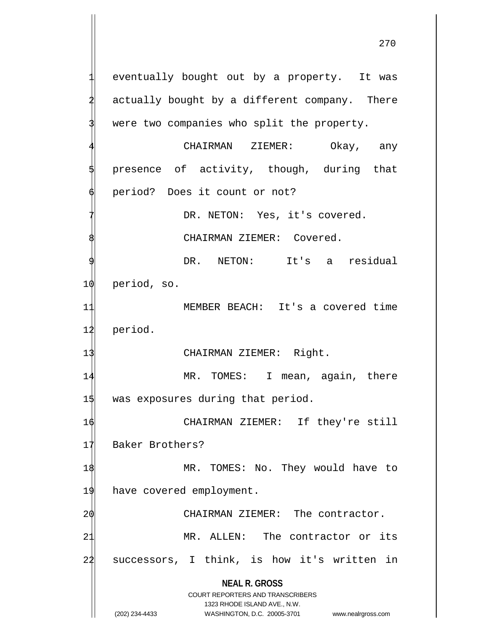eventually bought out by a property. It was actually bought by a different company. There were two companies who split the property.

CHAIRMAN ZIEMER: Okay, any presence of activity, though, during that period? Does it count or not?

> DR. NETON: Yes, it's covered. CHAIRMAN ZIEMER: Covered.

DR. NETON: It's a residual

10 period, so.

11 MEMBER BEACH: It's a covered time 12 period.

13 CHAIRMAN ZIEMER: Right.

14 MR. TOMES: I mean, again, there 15 was exposures during that period.

16 CHAIRMAN ZIEMER: If they're still 17 Baker Brothers?

1\$ MR. TOMES: No. They would have to 19 have covered employment.

20 CHAIRMAN ZIEMER: The contractor. 21 MR. ALLEN: The contractor or its 22 successors, I think, is how it's written in

> **NEAL R. GROSS** COURT REPORTERS AND TRANSCRIBERS

> > 1323 RHODE ISLAND AVE., N.W.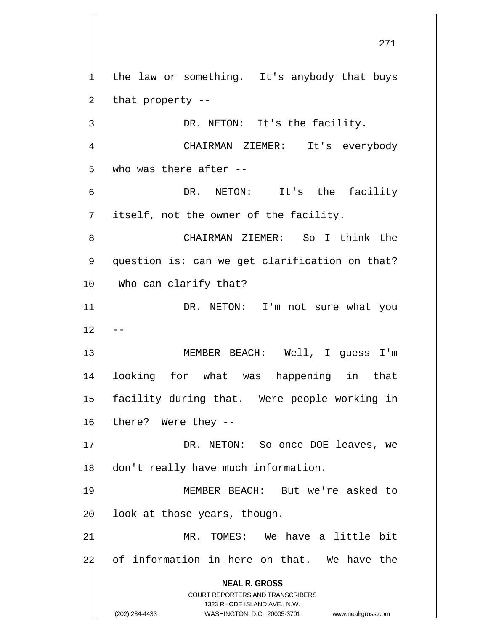the law or something. It's anybody that buys that property  $-$ 

DR. NETON: It's the facility.

CHAIRMAN ZIEMER: It's everybody who was there after  $-$ -

DR. NETON: It's the facility itself, not the owner of the facility.

CHAIRMAN ZIEMER: So I think the question is: can we get clarification on that? 10 Who can clarify that?

11 DR. NETON: I'm not sure what you  $12$ 

 MEMBER BEACH: Well, I guess I'm looking for what was happening in that facility during that. Were people working in there? Were they  $-$ 

17 DR. NETON: So once DOE leaves, we 18 don't really have much information.

19 MEMBER BEACH: But we're asked to  $2\phi$  look at those years, though.

21 MR. TOMES: We have a little bit 22 of information in here on that. We have the

**NEAL R. GROSS**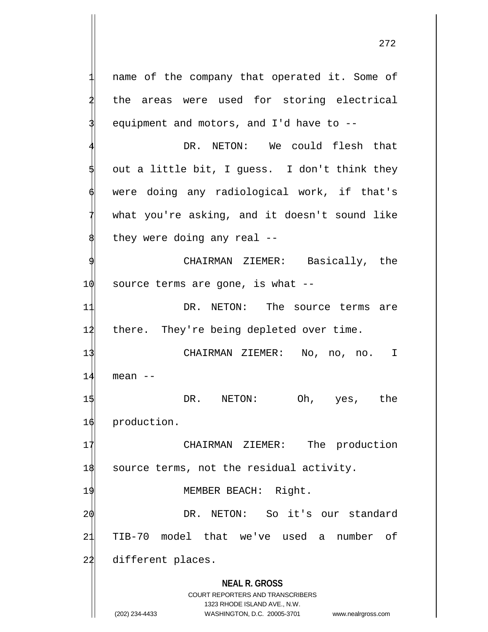**NEAL R. GROSS** COURT REPORTERS AND TRANSCRIBERS name of the company that operated it. Some of the areas were used for storing electrical equipment and motors, and I'd have to  $-$ -DR. NETON: We could flesh that out a little bit, I guess. I don't think they were doing any radiological work, if that's what you're asking, and it doesn't sound like they were doing any real  $-$ -CHAIRMAN ZIEMER: Basically, the  $10$  source terms are gone, is what  $-$ 11 DR. NETON: The source terms are 12 there. They're being depleted over time. 13 CHAIRMAN ZIEMER: No, no, no. I  $14$  mean  $-$ 15 DR. NETON: Oh, yes, the 16 production. 17 CHAIRMAN ZIEMER: The production 18 source terms, not the residual activity. 19 MEMBER BEACH: Right. 20 DR. NETON: So it's our standard 21 TIB-70 model that we've used a number of 22 different places.

1323 RHODE ISLAND AVE., N.W.

(202) 234-4433 WASHINGTON, D.C. 20005-3701 www.nealrgross.com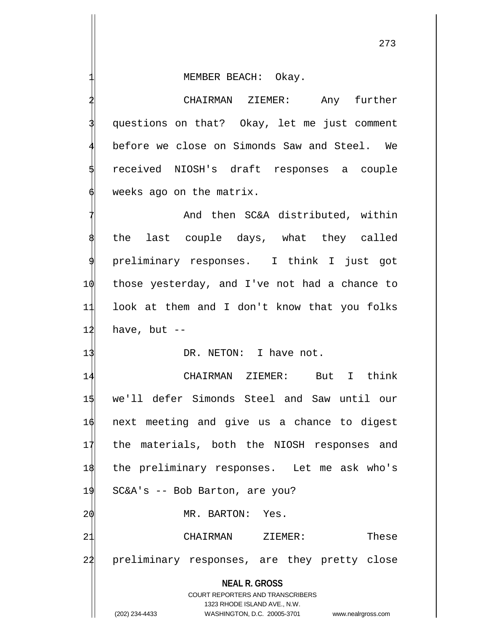MEMBER BEACH: Okay.

2 CHAIRMAN ZIEMER: Any further questions on that? Okay, let me just comment before we close on Simonds Saw and Steel. We 5 received NIOSH's draft responses a couple weeks ago on the matrix.

And then SC&A distributed, within the last couple days, what they called preliminary responses. I think I just got those yesterday, and I've not had a chance to look at them and I don't know that you folks have, but  $-$ 

13 DR. NETON: I have not.

**NEAL R. GROSS** COURT REPORTERS AND TRANSCRIBERS 1323 RHODE ISLAND AVE., N.W. 14 CHAIRMAN ZIEMER: But I think 15 we'll defer Simonds Steel and Saw until our 16 next meeting and give us a chance to digest 17 the materials, both the NIOSH responses and 18 the preliminary responses. Let me ask who's 19 SC&A's -- Bob Barton, are you? 20 MR. BARTON: Yes. 21 CHAIRMAN ZIEMER: These 24 preliminary responses, are they pretty close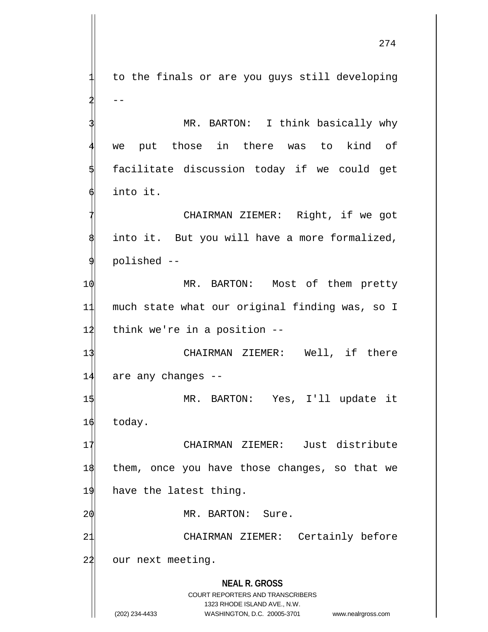**NEAL R. GROSS** COURT REPORTERS AND TRANSCRIBERS 1323 RHODE ISLAND AVE., N.W. 1 to the finals or are you guys still developing  $-$ MR. BARTON: I think basically why we put those in there was to kind of 5 facilitate discussion today if we could get 6 into it. CHAIRMAN ZIEMER: Right, if we got into it. But you will have a more formalized, 9 polished -- 1 $\phi$  MR. BARTON: Most of them pretty 11 much state what our original finding was, so I  $12$  think we're in a position  $-$ 13 CHAIRMAN ZIEMER: Well, if there 14 are any changes -- 15 MR. BARTON: Yes, I'll update it 16 today. 17 CHAIRMAN ZIEMER: Just distribute 18 them, once you have those changes, so that we 19 have the latest thing. 2 $\phi$  MR. BARTON: Sure. 21 CHAIRMAN ZIEMER: Certainly before 22 our next meeting.

(202) 234-4433 WASHINGTON, D.C. 20005-3701 www.nealrgross.com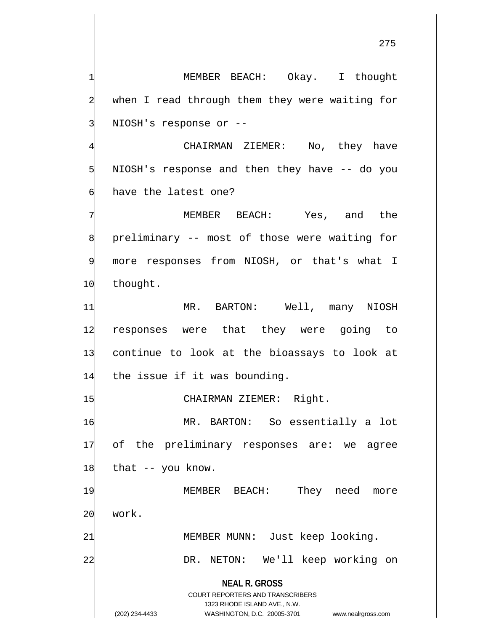275

when I read through them they were waiting for NIOSH's response or --CHAIRMAN ZIEMER: No, they have NIOSH's response and then they have -- do you have the latest one? MEMBER BEACH: Yes, and the preliminary -- most of those were waiting for 9 more responses from NIOSH, or that's what I 10 thought. 11 MR. BARTON: Well, many NIOSH 12 responses were that they were going to 13 continue to look at the bioassays to look at 14 the issue if it was bounding. 15 CHAIRMAN ZIEMER: Right. 16 MR. BARTON: So essentially a lot 17 of the preliminary responses are: we agree  $18$  that  $-$  you know. 19 MEMBER BEACH: They need more

MEMBER BEACH: Okay. I thought

20 work.

21 MEMBER MUNN: Just keep looking.

22 DR. NETON: We'll keep working on

**NEAL R. GROSS** COURT REPORTERS AND TRANSCRIBERS

1323 RHODE ISLAND AVE., N.W.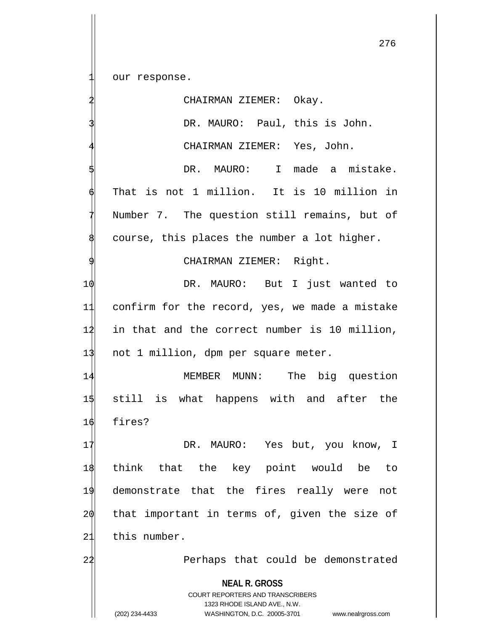our response.

**NEAL R. GROSS** COURT REPORTERS AND TRANSCRIBERS 1323 RHODE ISLAND AVE., N.W. (202) 234-4433 WASHINGTON, D.C. 20005-3701 www.nealrgross.com CHAIRMAN ZIEMER: Okay. DR. MAURO: Paul, this is John. CHAIRMAN ZIEMER: Yes, John. DR. MAURO: I made a mistake. That is not 1 million. It is 10 million in Number 7. The question still remains, but of course, this places the number a lot higher. CHAIRMAN ZIEMER: Right. 1 $\phi$  DR. MAURO: But I just wanted to 11 confirm for the record, yes, we made a mistake 12 in that and the correct number is 10 million, 13 not 1 million, dpm per square meter. 14 MEMBER MUNN: The big question 15 still is what happens with and after the 16 fires? 17 DR. MAURO: Yes but, you know, I 18 think that the key point would be to 19 demonstrate that the fires really were not 20 that important in terms of, given the size of 21 this number. 22 Perhaps that could be demonstrated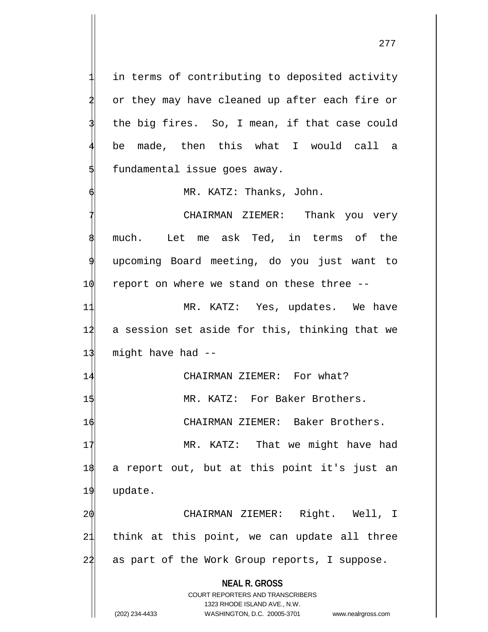in terms of contributing to deposited activity or they may have cleaned up after each fire or the big fires. So, I mean, if that case could be made, then this what I would call a fundamental issue goes away.

6 MR. KATZ: Thanks, John.

CHAIRMAN ZIEMER: Thank you very much. Let me ask Ted, in terms of the 9 upcoming Board meeting, do you just want to  $10$  report on where we stand on these three  $-$ -

11 MR. KATZ: Yes, updates. We have 12 a session set aside for this, thinking that we  $13$  might have had  $-$ 

14 CHAIRMAN ZIEMER: For what? 15 MR. KATZ: For Baker Brothers. 16 CHAIRMAN ZIEMER: Baker Brothers.

17 MR. KATZ: That we might have had

18 a report out, but at this point it's just an 19 update.

20 CHAIRMAN ZIEMER: Right. Well, I 21 think at this point, we can update all three 24 as part of the Work Group reports, I suppose.

**NEAL R. GROSS**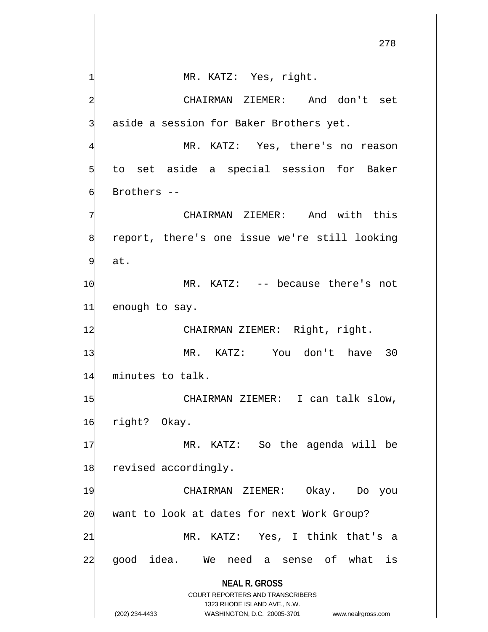**NEAL R. GROSS** COURT REPORTERS AND TRANSCRIBERS 1323 RHODE ISLAND AVE., N.W. (202) 234-4433 WASHINGTON, D.C. 20005-3701 www.nealrgross.com MR. KATZ: Yes, right. 2 CHAIRMAN ZIEMER: And don't set aside a session for Baker Brothers yet. MR. KATZ: Yes, there's no reason to set aside a special session for Baker Brothers --CHAIRMAN ZIEMER: And with this report, there's one issue we're still looking at. 10 MR. KATZ: -- because there's not 11 enough to say. 12 CHAIRMAN ZIEMER: Right, right. 13 MR. KATZ: You don't have 30 14 minutes to talk. 15 CHAIRMAN ZIEMER: I can talk slow, 16 right? Okay. 17 MR. KATZ: So the agenda will be 18 revised accordingly. 19 CHAIRMAN ZIEMER: Okay. Do you  $20$  want to look at dates for next Work Group? 21 MR. KATZ: Yes, I think that's a 24 good idea. We need a sense of what is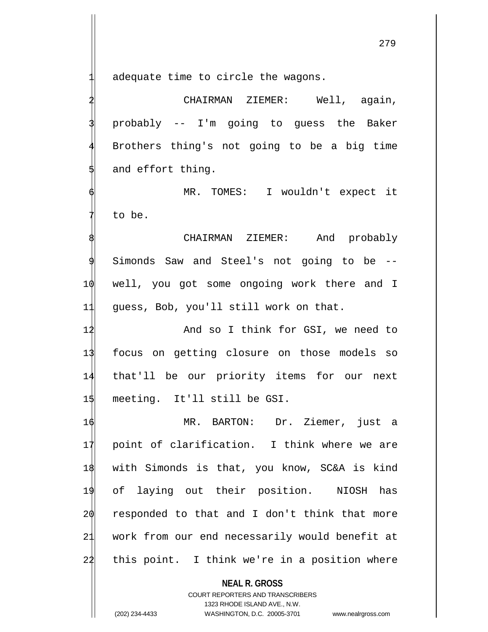adequate time to circle the wagons.

CHAIRMAN ZIEMER: Well, again, 3 probably -- I'm going to guess the Baker Brothers thing's not going to be a big time and effort thing.

MR. TOMES: I wouldn't expect it to be.

CHAIRMAN ZIEMER: And probably Simonds Saw and Steel's not going to be --10 well, you got some ongoing work there and I 11 guess, Bob, you'll still work on that.

12 And so I think for GSI, we need to 13 focus on getting closure on those models so 14 that'll be our priority items for our next 1\$ meeting. It'll still be GSI.

 MR. BARTON: Dr. Ziemer, just a point of clarification. I think where we are with Simonds is that, you know, SC&A is kind of laying out their position. NIOSH has responded to that and I don't think that more work from our end necessarily would benefit at 22 this point. I think we're in a position where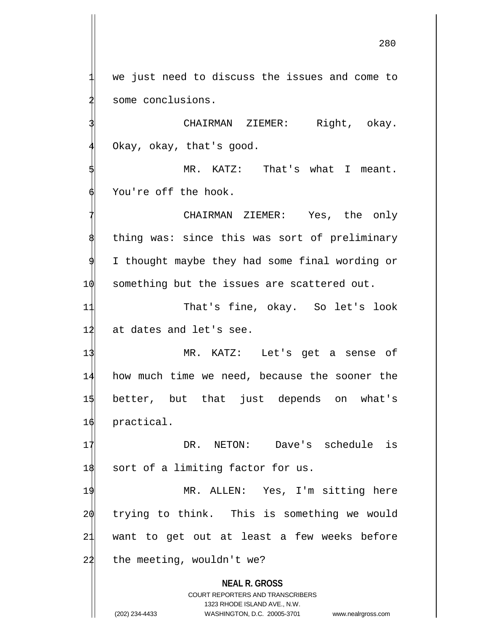we just need to discuss the issues and come to some conclusions.

CHAIRMAN ZIEMER: Right, okay. Okay, okay, that's good.

MR. KATZ: That's what I meant. You're off the hook.

CHAIRMAN ZIEMER: Yes, the only thing was: since this was sort of preliminary I thought maybe they had some final wording or 1 $\phi$  something but the issues are scattered out.

11 That's fine, okay. So let's look 12 at dates and let's see.

 MR. KATZ: Let's get a sense of how much time we need, because the sooner the better, but that just depends on what's practical.

17 DR. NETON: Dave's schedule is 18 sort of a limiting factor for us.

 MR. ALLEN: Yes, I'm sitting here trying to think. This is something we would want to get out at least a few weeks before the meeting, wouldn't we?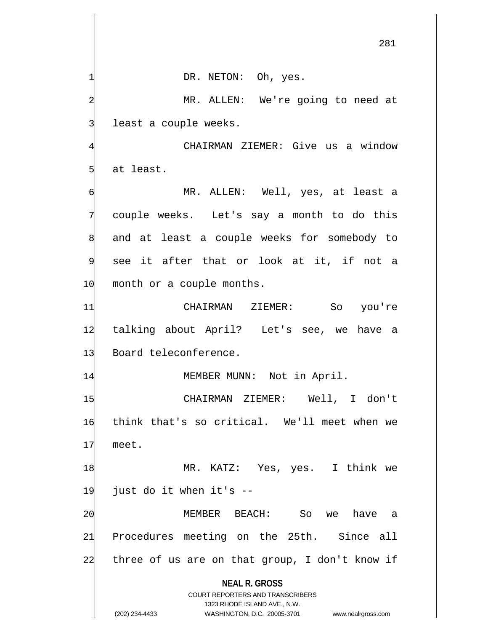DR. NETON: Oh, yes.

MR. ALLEN: We're going to need at least a couple weeks.

CHAIRMAN ZIEMER: Give us a window at least.

MR. ALLEN: Well, yes, at least a couple weeks. Let's say a month to do this and at least a couple weeks for somebody to see it after that or look at it, if not a  $10$  month or a couple months.

11 CHAIRMAN ZIEMER: So you're 12 talking about April? Let's see, we have a 13 Board teleconference.

14 MEMBER MUNN: Not in April.

15 CHAIRMAN ZIEMER: Well, I don't 16 think that's so critical. We'll meet when we 17 meet.

18 MR. KATZ: Yes, yes. I think we 19 just do it when it's --

20 MEMBER BEACH: So we have a 21 Procedures meeting on the 25th. Since all  $24$  three of us are on that group, I don't know if

**NEAL R. GROSS**

COURT REPORTERS AND TRANSCRIBERS 1323 RHODE ISLAND AVE., N.W. (202) 234-4433 WASHINGTON, D.C. 20005-3701 www.nealrgross.com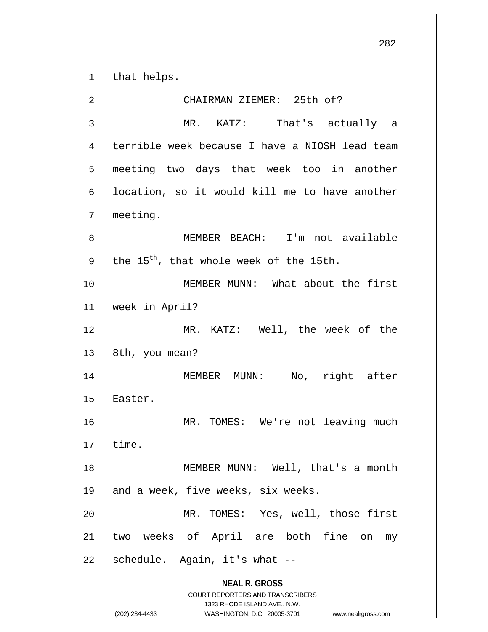that helps.

## 2 CHAIRMAN ZIEMER: 25th of? MR. KATZ: That's actually a terrible week because I have a NIOSH lead team meeting two days that week too in another location, so it would kill me to have another meeting. MEMBER BEACH: I'm not available the  $15^{th}$ , that whole week of the 15th. 1 $\phi$  MEMBER MUNN: What about the first 11 week in April? 1 $\sharp$  MR. KATZ: Well, the week of the 13 8th, you mean? 14 MEMBER MUNN: No, right after 15 Easter. 1 $\phi$  MR. TOMES: We're not leaving much 17 time. 1\$ MEMBER MUNN: Well, that's a month 19 and a week, five weeks, six weeks. 2 $\phi$  MR. TOMES: Yes, well, those first 21 two weeks of April are both fine on my  $24$  schedule. Again, it's what  $-$

**NEAL R. GROSS** COURT REPORTERS AND TRANSCRIBERS

1323 RHODE ISLAND AVE., N.W.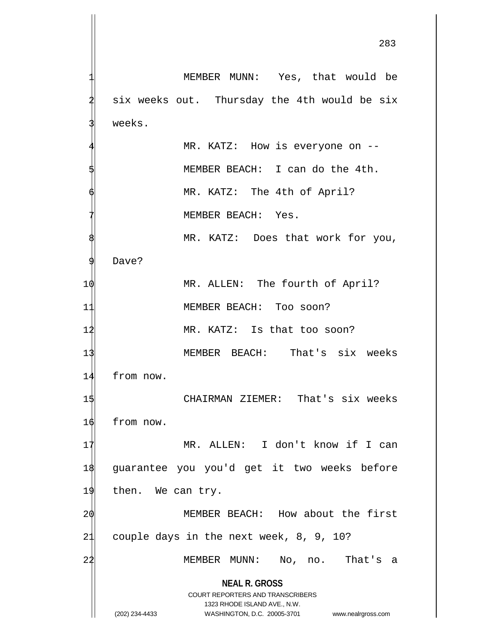**NEAL R. GROSS** COURT REPORTERS AND TRANSCRIBERS 1323 RHODE ISLAND AVE., N.W. (202) 234-4433 WASHINGTON, D.C. 20005-3701 www.nealrgross.com MEMBER MUNN: Yes, that would be six weeks out. Thursday the 4th would be six weeks. MR. KATZ: How is everyone on --MEMBER BEACH: I can do the 4th. MR. KATZ: The 4th of April? MEMBER BEACH: Yes. MR. KATZ: Does that work for you, Dave? 1 $\phi$  MR. ALLEN: The fourth of April? 11 MEMBER BEACH: Too soon? 12 MR. KATZ: Is that too soon? 13 MEMBER BEACH: That's six weeks 14 from now. 1\$ CHAIRMAN ZIEMER: That's six weeks 16 from now. 17 MR. ALLEN: I don't know if I can 18 guarantee you you'd get it two weeks before 19 then. We can try. 20 MEMBER BEACH: How about the first 21 couple days in the next week, 8, 9, 10? 22 MEMBER MUNN: No, no. That's a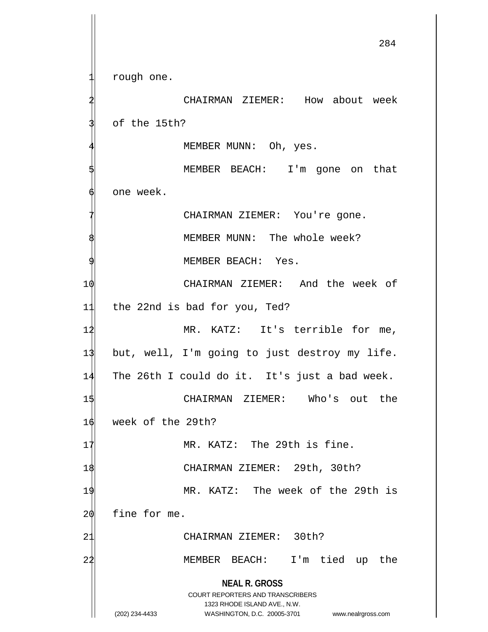**NEAL R. GROSS** COURT REPORTERS AND TRANSCRIBERS 1323 RHODE ISLAND AVE., N.W. (202) 234-4433 WASHINGTON, D.C. 20005-3701 www.nealrgross.com rough one. 2 CHAIRMAN ZIEMER: How about week of the 15th? MEMBER MUNN: Oh, yes. MEMBER BEACH: I'm gone on that 6 one week. CHAIRMAN ZIEMER: You're gone. MEMBER MUNN: The whole week? MEMBER BEACH: Yes. 1 $\phi$  CHAIRMAN ZIEMER: And the week of 11 the 22nd is bad for you, Ted? 12 MR. KATZ: It's terrible for me, 13 but, well, I'm going to just destroy my life. 14 The 26th I could do it. It's just a bad week. 15 CHAIRMAN ZIEMER: Who's out the 16 week of the 29th? 17 MR. KATZ: The 29th is fine. 18 CHAIRMAN ZIEMER: 29th, 30th? 19 MR. KATZ: The week of the 29th is  $20$  fine for me. 21 CHAIRMAN ZIEMER: 30th? 22 MEMBER BEACH: I'm tied up the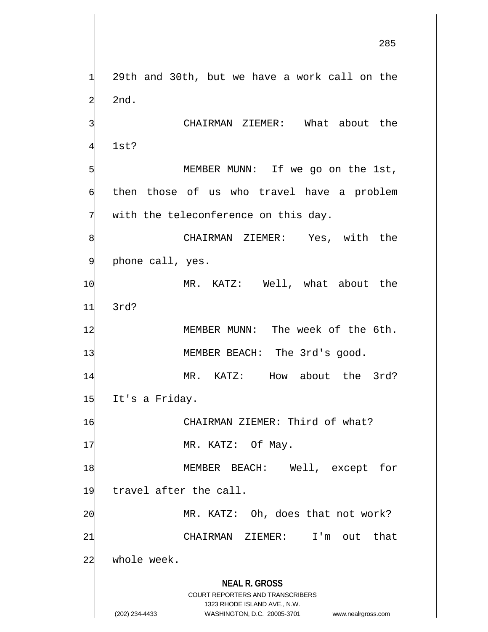**NEAL R. GROSS** COURT REPORTERS AND TRANSCRIBERS 1323 RHODE ISLAND AVE., N.W. 29th and 30th, but we have a work call on the 2nd. CHAIRMAN ZIEMER: What about the 1st? MEMBER MUNN: If we go on the 1st, then those of us who travel have a problem with the teleconference on this day. CHAIRMAN ZIEMER: Yes, with the phone call, yes. 1 $\phi$  MR. KATZ: Well, what about the 11 3rd? 12 MEMBER MUNN: The week of the 6th. 13 MEMBER BEACH: The 3rd's good. 14 MR. KATZ: How about the 3rd? 15 It's a Friday. 16 CHAIRMAN ZIEMER: Third of what? 17 MR. KATZ: Of May. 1\$ MEMBER BEACH: Well, except for 19 travel after the call. 2 $\phi$  MR. KATZ: Oh, does that not work? 21 CHAIRMAN ZIEMER: I'm out that 22 whole week.

(202) 234-4433 WASHINGTON, D.C. 20005-3701 www.nealrgross.com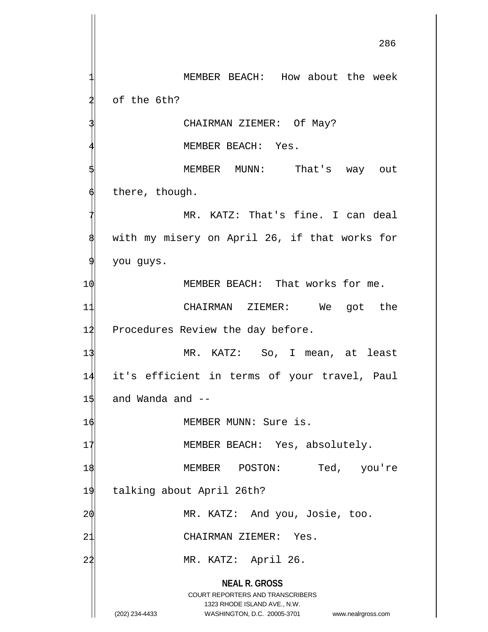**NEAL R. GROSS** COURT REPORTERS AND TRANSCRIBERS 1323 RHODE ISLAND AVE., N.W. MEMBER BEACH: How about the week of the 6th? CHAIRMAN ZIEMER: Of May? MEMBER BEACH: Yes. MEMBER MUNN: That's way out there, though. MR. KATZ: That's fine. I can deal with my misery on April 26, if that works for you guys. 10 MEMBER BEACH: That works for me. 11 CHAIRMAN ZIEMER: We got the 12 Procedures Review the day before. 13 MR. KATZ: So, I mean, at least 14 it's efficient in terms of your travel, Paul  $15$  and Wanda and  $-$ 16 MEMBER MUNN: Sure is. 17 MEMBER BEACH: Yes, absolutely. 1\$ MEMBER POSTON: Ted, you're 19 talking about April 26th? 2 $\phi$  MR. KATZ: And you, Josie, too. 21 CHAIRMAN ZIEMER: Yes. 22 MR. KATZ: April 26.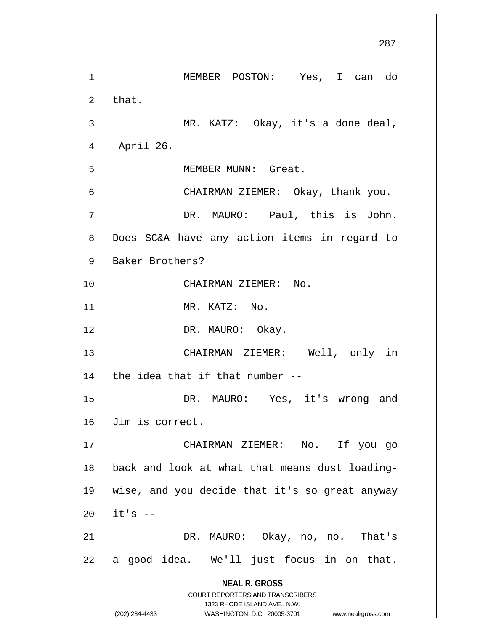**NEAL R. GROSS** COURT REPORTERS AND TRANSCRIBERS 1323 RHODE ISLAND AVE., N.W. (202) 234-4433 WASHINGTON, D.C. 20005-3701 www.nealrgross.com 1 MEMBER POSTON: Yes, I can do that. MR. KATZ: Okay, it's a done deal, April 26. MEMBER MUNN: Great. CHAIRMAN ZIEMER: Okay, thank you. DR. MAURO: Paul, this is John. Does SC&A have any action items in regard to Baker Brothers? 10 CHAIRMAN ZIEMER: No. 11 MR. KATZ: No. 12 DR. MAURO: Okay. 13 CHAIRMAN ZIEMER: Well, only in  $14$  the idea that if that number  $-$ 1\$ DR. MAURO: Yes, it's wrong and 16 Jim is correct. 17 CHAIRMAN ZIEMER: No. If you go 18 back and look at what that means dust loading-19 wise, and you decide that it's so great anyway  $20$  it's  $-$ 21 DR. MAURO: Okay, no, no. That's  $24$  a good idea. We'll just focus in on that.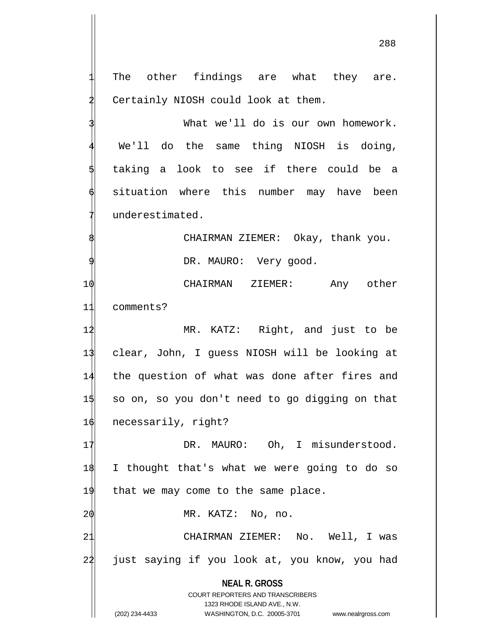**NEAL R. GROSS** COURT REPORTERS AND TRANSCRIBERS The other findings are what they are. Certainly NIOSH could look at them. What we'll do is our own homework. We'll do the same thing NIOSH is doing, taking a look to see if there could be a situation where this number may have been underestimated. CHAIRMAN ZIEMER: Okay, thank you. DR. MAURO: Very good. 10 CHAIRMAN ZIEMER: Any other 11 comments? 12 MR. KATZ: Right, and just to be 13 clear, John, I guess NIOSH will be looking at 14 the question of what was done after fires and 15 so on, so you don't need to go digging on that 16 necessarily, right? 17 DR. MAURO: Oh, I misunderstood. 18 I thought that's what we were going to do so  $19$  that we may come to the same place.  $2\phi$  MR. KATZ: No, no. 21 CHAIRMAN ZIEMER: No. Well, I was 24 just saying if you look at, you know, you had

1323 RHODE ISLAND AVE., N.W.

(202) 234-4433 WASHINGTON, D.C. 20005-3701 www.nealrgross.com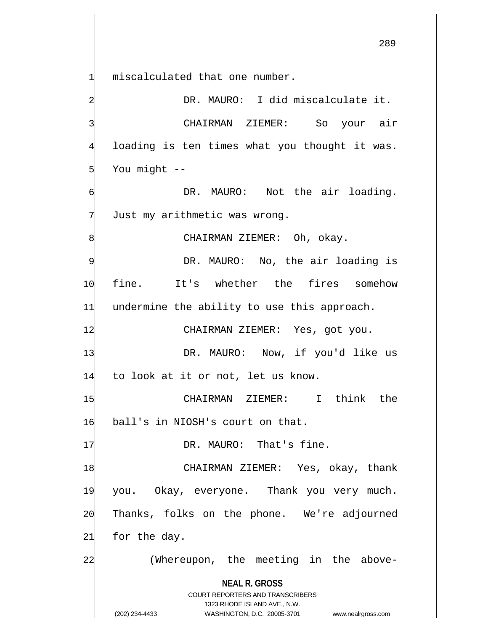miscalculated that one number.

DR. MAURO: I did miscalculate it. CHAIRMAN ZIEMER: So your air loading is ten times what you thought it was. You might --

DR. MAURO: Not the air loading. Just my arithmetic was wrong.

CHAIRMAN ZIEMER: Oh, okay.

DR. MAURO: No, the air loading is 10 fine. It's whether the fires somehow 11 undermine the ability to use this approach.

12 CHAIRMAN ZIEMER: Yes, got you.

13 DR. MAURO: Now, if you'd like us 14 to look at it or not, let us know.

1\$ CHAIRMAN ZIEMER: I think the 16 ball's in NIOSH's court on that.

17 DR. MAURO: That's fine.

 CHAIRMAN ZIEMER: Yes, okay, thank you. Okay, everyone. Thank you very much. Thanks, folks on the phone. We're adjourned 21 for the day.

24 (Whereupon, the meeting in the above-

**NEAL R. GROSS** COURT REPORTERS AND TRANSCRIBERS

1323 RHODE ISLAND AVE., N.W.

(202) 234-4433 WASHINGTON, D.C. 20005-3701 www.nealrgross.com